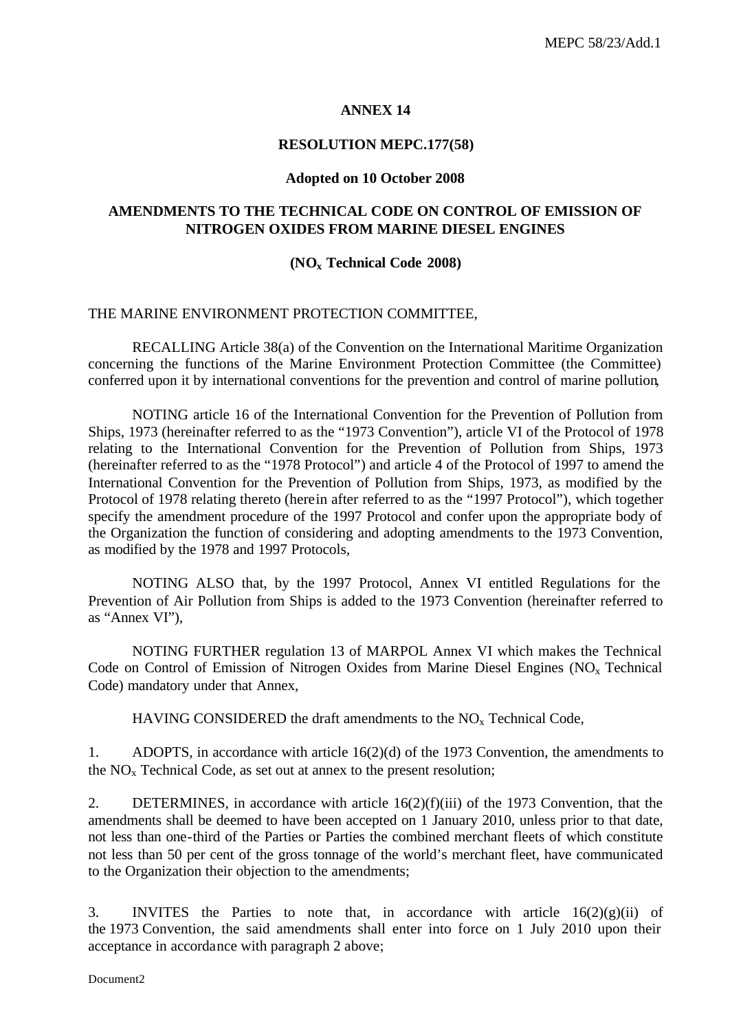#### **ANNEX 14**

#### **RESOLUTION MEPC.177(58)**

#### **Adopted on 10 October 2008**

#### **AMENDMENTS TO THE TECHNICAL CODE ON CONTROL OF EMISSION OF NITROGEN OXIDES FROM MARINE DIESEL ENGINES**

#### **(NOx Technical Code 2008)**

#### THE MARINE ENVIRONMENT PROTECTION COMMITTEE,

RECALLING Article 38(a) of the Convention on the International Maritime Organization concerning the functions of the Marine Environment Protection Committee (the Committee) conferred upon it by international conventions for the prevention and control of marine pollution,

NOTING article 16 of the International Convention for the Prevention of Pollution from Ships, 1973 (hereinafter referred to as the "1973 Convention"), article VI of the Protocol of 1978 relating to the International Convention for the Prevention of Pollution from Ships, 1973 (hereinafter referred to as the "1978 Protocol") and article 4 of the Protocol of 1997 to amend the International Convention for the Prevention of Pollution from Ships, 1973, as modified by the Protocol of 1978 relating thereto (herein after referred to as the "1997 Protocol"), which together specify the amendment procedure of the 1997 Protocol and confer upon the appropriate body of the Organization the function of considering and adopting amendments to the 1973 Convention, as modified by the 1978 and 1997 Protocols,

NOTING ALSO that, by the 1997 Protocol, Annex VI entitled Regulations for the Prevention of Air Pollution from Ships is added to the 1973 Convention (hereinafter referred to as "Annex VI"),

NOTING FURTHER regulation 13 of MARPOL Annex VI which makes the Technical Code on Control of Emission of Nitrogen Oxides from Marine Diesel Engines  $(NO<sub>x</sub> Technical)$ Code) mandatory under that Annex,

HAVING CONSIDERED the draft amendments to the  $NO<sub>x</sub>$  Technical Code,

1. ADOPTS, in accordance with article 16(2)(d) of the 1973 Convention, the amendments to the  $NO<sub>x</sub>$  Technical Code, as set out at annex to the present resolution;

2. DETERMINES, in accordance with article 16(2)(f)(iii) of the 1973 Convention, that the amendments shall be deemed to have been accepted on 1 January 2010, unless prior to that date, not less than one-third of the Parties or Parties the combined merchant fleets of which constitute not less than 50 per cent of the gross tonnage of the world's merchant fleet, have communicated to the Organization their objection to the amendments;

3. INVITES the Parties to note that, in accordance with article  $16(2)(g)(ii)$  of the 1973 Convention, the said amendments shall enter into force on 1 July 2010 upon their acceptance in accordance with paragraph 2 above;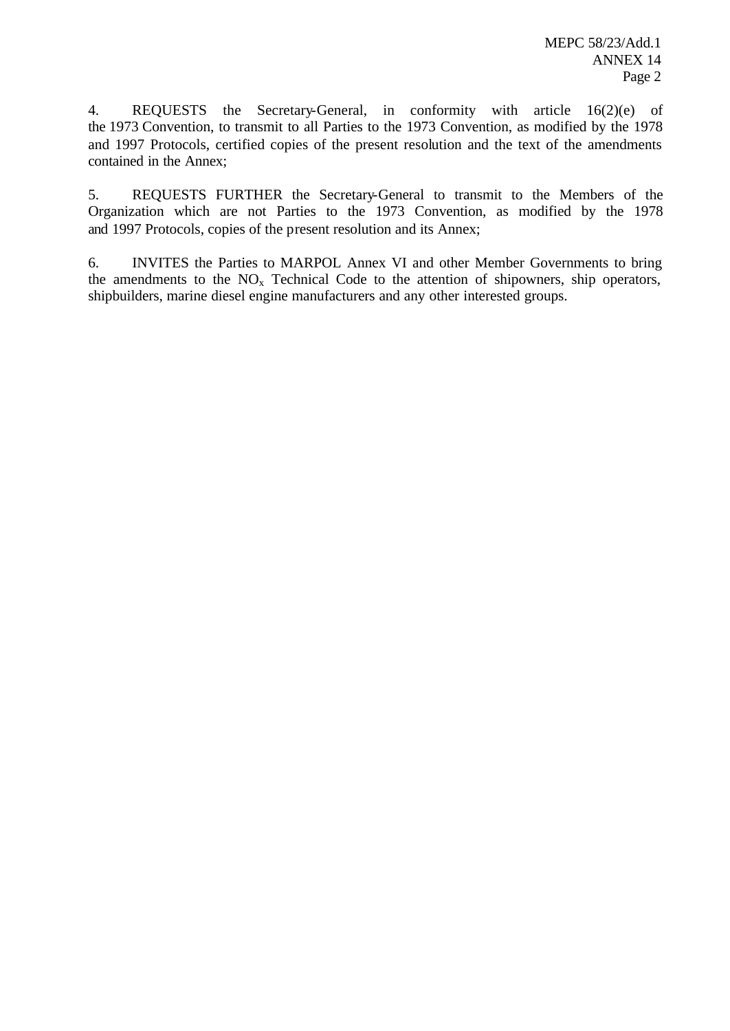4. REQUESTS the Secretary-General, in conformity with article 16(2)(e) of the 1973 Convention, to transmit to all Parties to the 1973 Convention, as modified by the 1978 and 1997 Protocols, certified copies of the present resolution and the text of the amendments contained in the Annex;

5. REQUESTS FURTHER the Secretary-General to transmit to the Members of the Organization which are not Parties to the 1973 Convention, as modified by the 1978 and 1997 Protocols, copies of the present resolution and its Annex;

6. INVITES the Parties to MARPOL Annex VI and other Member Governments to bring the amendments to the  $NO<sub>x</sub>$  Technical Code to the attention of shipowners, ship operators, shipbuilders, marine diesel engine manufacturers and any other interested groups.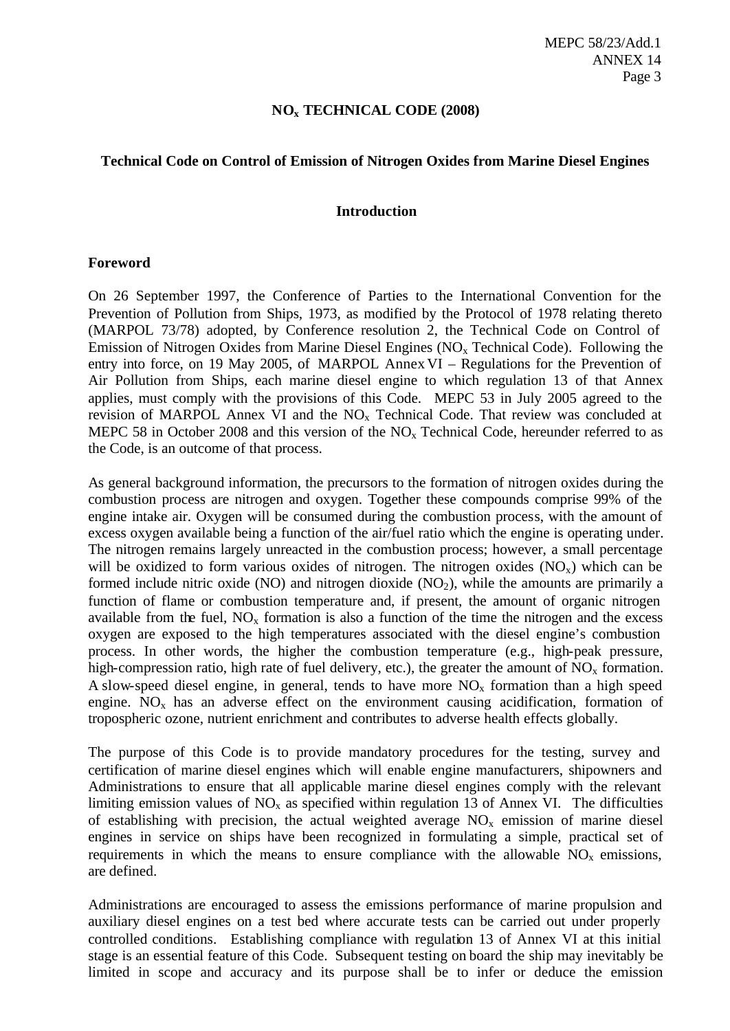#### **NOx TECHNICAL CODE (2008)**

#### **Technical Code on Control of Emission of Nitrogen Oxides from Marine Diesel Engines**

#### **Introduction**

#### **Foreword**

On 26 September 1997, the Conference of Parties to the International Convention for the Prevention of Pollution from Ships, 1973, as modified by the Protocol of 1978 relating thereto (MARPOL 73/78) adopted, by Conference resolution 2, the Technical Code on Control of Emission of Nitrogen Oxides from Marine Diesel Engines ( $NO<sub>x</sub>$  Technical Code). Following the entry into force, on 19 May 2005, of MARPOL Annex VI – Regulations for the Prevention of Air Pollution from Ships, each marine diesel engine to which regulation 13 of that Annex applies, must comply with the provisions of this Code. MEPC 53 in July 2005 agreed to the revision of MARPOL Annex VI and the  $NO<sub>x</sub>$  Technical Code. That review was concluded at MEPC 58 in October 2008 and this version of the  $NO<sub>x</sub>$  Technical Code, hereunder referred to as the Code, is an outcome of that process.

As general background information, the precursors to the formation of nitrogen oxides during the combustion process are nitrogen and oxygen. Together these compounds comprise 99% of the engine intake air. Oxygen will be consumed during the combustion process, with the amount of excess oxygen available being a function of the air/fuel ratio which the engine is operating under. The nitrogen remains largely unreacted in the combustion process; however, a small percentage will be oxidized to form various oxides of nitrogen. The nitrogen oxides  $(NO_x)$  which can be formed include nitric oxide (NO) and nitrogen dioxide (NO<sub>2</sub>), while the amounts are primarily a function of flame or combustion temperature and, if present, the amount of organic nitrogen available from the fuel,  $NO<sub>x</sub>$  formation is also a function of the time the nitrogen and the excess oxygen are exposed to the high temperatures associated with the diesel engine's combustion process. In other words, the higher the combustion temperature (e.g., high-peak pressure, high-compression ratio, high rate of fuel delivery, etc.), the greater the amount of  $NO<sub>x</sub>$  formation. A slow-speed diesel engine, in general, tends to have more  $NO<sub>x</sub>$  formation than a high speed engine.  $NO<sub>x</sub>$  has an adverse effect on the environment causing acidification, formation of tropospheric ozone, nutrient enrichment and contributes to adverse health effects globally.

The purpose of this Code is to provide mandatory procedures for the testing, survey and certification of marine diesel engines which will enable engine manufacturers, shipowners and Administrations to ensure that all applicable marine diesel engines comply with the relevant limiting emission values of  $NO<sub>x</sub>$  as specified within regulation 13 of Annex VI. The difficulties of establishing with precision, the actual weighted average  $NO<sub>x</sub>$  emission of marine diesel engines in service on ships have been recognized in formulating a simple, practical set of requirements in which the means to ensure compliance with the allowable  $NO<sub>x</sub>$  emissions, are defined.

Administrations are encouraged to assess the emissions performance of marine propulsion and auxiliary diesel engines on a test bed where accurate tests can be carried out under properly controlled conditions. Establishing compliance with regulation 13 of Annex VI at this initial stage is an essential feature of this Code. Subsequent testing on board the ship may inevitably be limited in scope and accuracy and its purpose shall be to infer or deduce the emission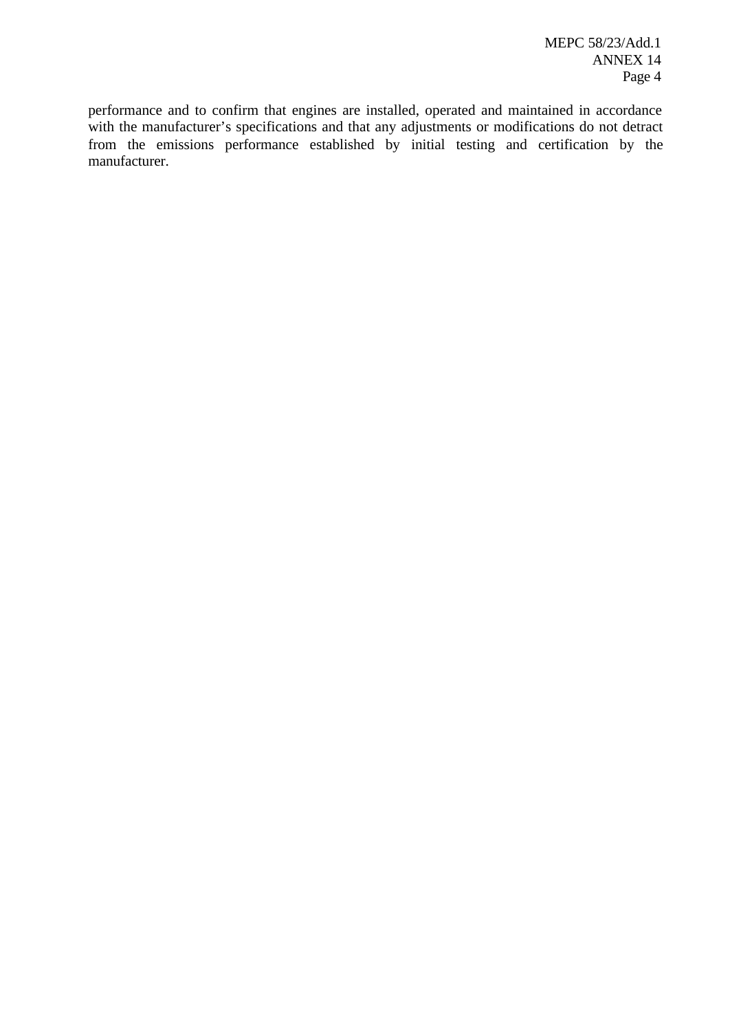performance and to confirm that engines are installed, operated and maintained in accordance with the manufacturer's specifications and that any adjustments or modifications do not detract from the emissions performance established by initial testing and certification by the manufacturer.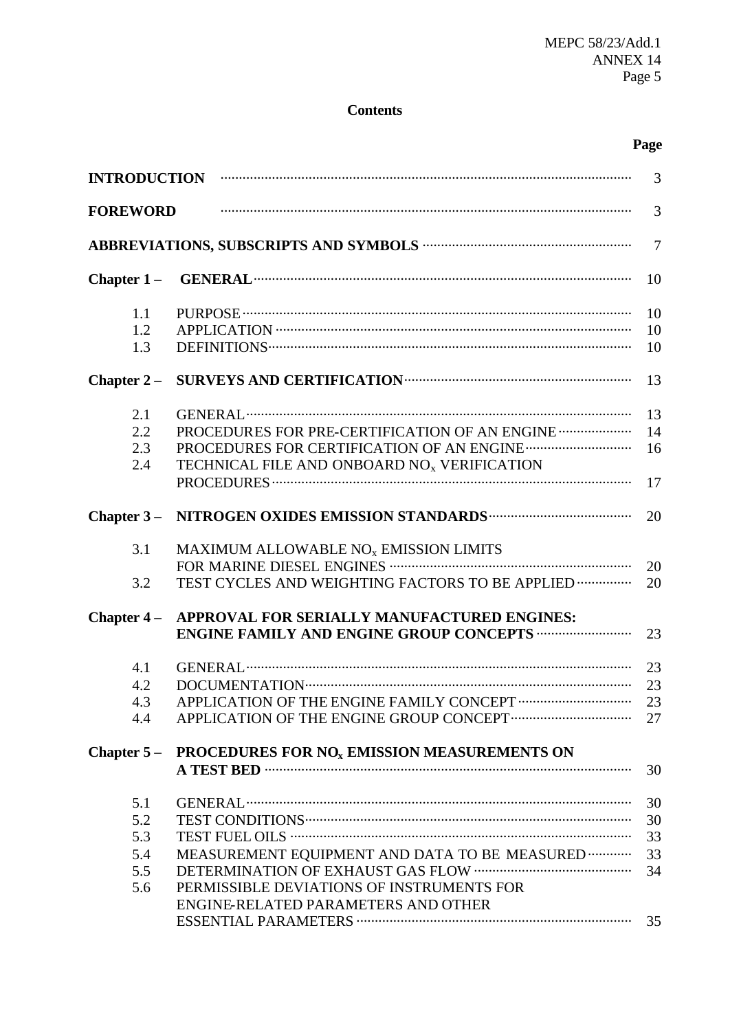# **Contents**

# **Page**

|                 | INTRODUCTION <b>WEIGHTER INTRODUCTION</b>               | 3              |
|-----------------|---------------------------------------------------------|----------------|
| <b>FOREWORD</b> |                                                         | 3              |
|                 |                                                         | $\overline{7}$ |
| Chapter $1-$    |                                                         | 10             |
| 1.1             |                                                         | 10             |
| 1.2             |                                                         | 10             |
| 1.3             |                                                         | 10             |
| Chapter $2-$    |                                                         | 13             |
| 2.1             |                                                         | 13             |
| 2.2             | PROCEDURES FOR PRE-CERTIFICATION OF AN ENGINE           | 14             |
| 2.3             |                                                         | 16             |
| 2.4             | TECHNICAL FILE AND ONBOARD NO <sub>x</sub> VERIFICATION |                |
|                 |                                                         | 17             |
| Chapter $3-$    |                                                         | 20             |
| 3.1             | MAXIMUM ALLOWABLE NO <sub>x</sub> EMISSION LIMITS       |                |
|                 |                                                         | 20             |
| 3.2             | TEST CYCLES AND WEIGHTING FACTORS TO BE APPLIED         | 20             |
| Chapter $4-$    | APPROVAL FOR SERIALLY MANUFACTURED ENGINES:             |                |
|                 | <b>ENGINE FAMILY AND ENGINE GROUP CONCEPTS </b>         | 23             |
| 4.1             |                                                         | 23             |
| 4.2             |                                                         | 23             |
| 4.3             |                                                         | 23             |
| 4.4             |                                                         | 27             |
| Chapter $5-$    | PROCEDURES FOR NO <sub>x</sub> EMISSION MEASUREMENTS ON |                |
|                 |                                                         | 30             |
| 5.1             |                                                         | 30             |
| 5.2             |                                                         | 30             |
| 5.3             |                                                         | 33             |
| 5.4             | MEASUREMENT EQUIPMENT AND DATA TO BE MEASURED           | 33             |
| 5.5             |                                                         | 34             |
| 5.6             | PERMISSIBLE DEVIATIONS OF INSTRUMENTS FOR               |                |
|                 | ENGINE-RELATED PARAMETERS AND OTHER                     |                |
|                 |                                                         | 35             |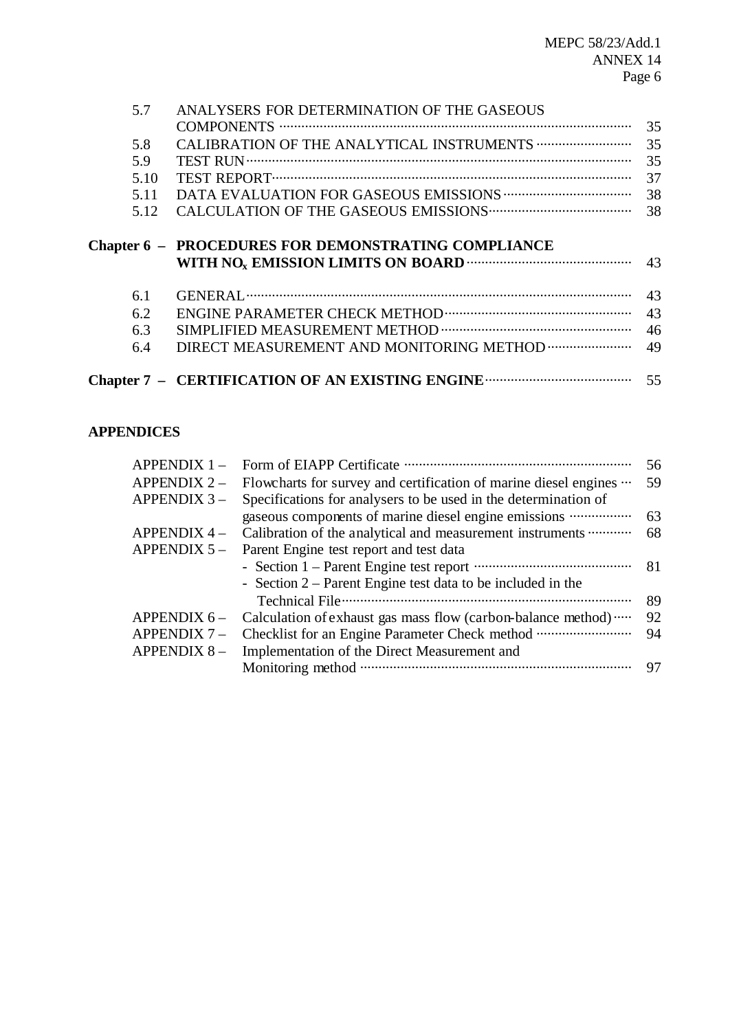| 5.7  | ANALYSERS FOR DETERMINATION OF THE GASEOUS                 |    |
|------|------------------------------------------------------------|----|
|      |                                                            | 35 |
| 5.8  |                                                            | 35 |
| 5.9  |                                                            | 35 |
| 5.10 |                                                            | 37 |
| 5.11 |                                                            | 38 |
| 5.12 |                                                            | 38 |
|      |                                                            |    |
|      | <b>Chapter 6 - PROCEDURES FOR DEMONSTRATING COMPLIANCE</b> |    |
|      |                                                            | 43 |
| 6.1  |                                                            | 43 |
| 6.2  |                                                            | 43 |
| 6.3  |                                                            | 46 |
| 6.4  |                                                            | 49 |
|      |                                                            |    |

# **APPENDICES**

| $APPENDIX 1 -$ |                                                                  | 56 |
|----------------|------------------------------------------------------------------|----|
| $APPENDIX 2 -$ | Flowcharts for survey and certification of marine diesel engines | 59 |
| $APPENDIX$ 3 – | Specifications for analysers to be used in the determination of  |    |
|                | gaseous components of marine diesel engine emissions             | 63 |
| $APPENDIX 4 -$ | Calibration of the analytical and measurement instruments        | 68 |
| APPENDIX $5-$  | Parent Engine test report and test data                          |    |
|                |                                                                  | 81 |
|                | - Section $2$ – Parent Engine test data to be included in the    |    |
|                |                                                                  | 89 |
| APPENDIX $6-$  | Calculation of exhaust gas mass flow (carbon-balance method)     | 92 |
| APPENDIX $7-$  |                                                                  | 94 |
| APPENDIX $8-$  | Implementation of the Direct Measurement and                     |    |
|                |                                                                  | 97 |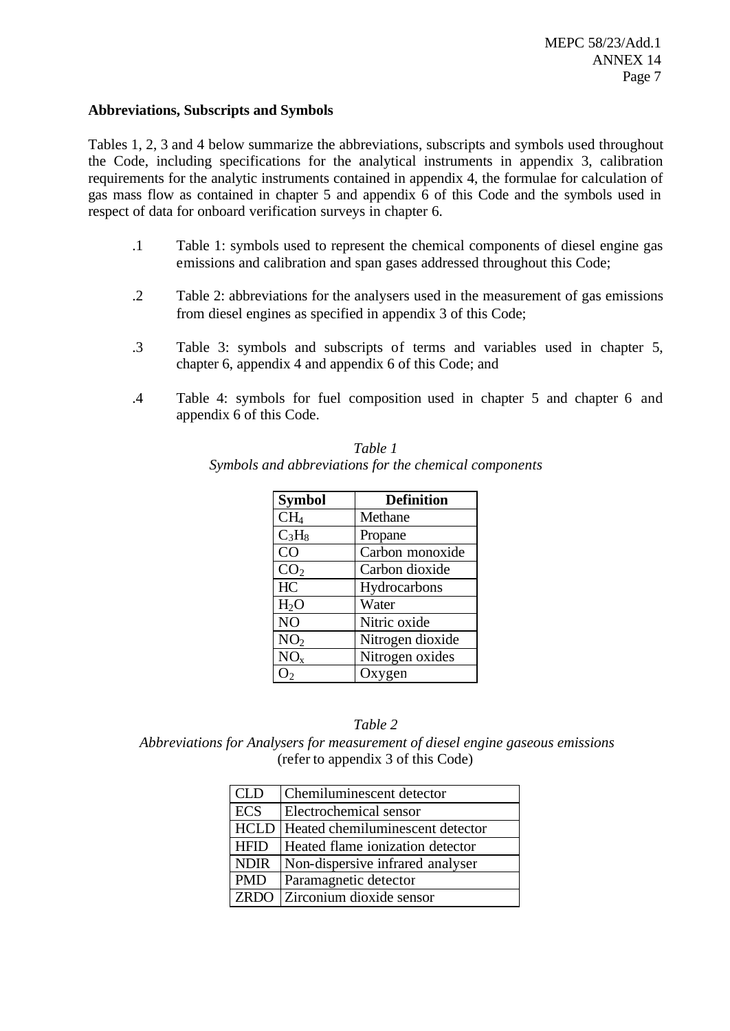#### **Abbreviations, Subscripts and Symbols**

Tables 1, 2, 3 and 4 below summarize the abbreviations, subscripts and symbols used throughout the Code, including specifications for the analytical instruments in appendix 3, calibration requirements for the analytic instruments contained in appendix 4, the formulae for calculation of gas mass flow as contained in chapter 5 and appendix 6 of this Code and the symbols used in respect of data for onboard verification surveys in chapter 6.

- .1 Table 1: symbols used to represent the chemical components of diesel engine gas emissions and calibration and span gases addressed throughout this Code;
- .2 Table 2: abbreviations for the analysers used in the measurement of gas emissions from diesel engines as specified in appendix 3 of this Code;
- .3 Table 3: symbols and subscripts of terms and variables used in chapter 5, chapter 6, appendix 4 and appendix 6 of this Code; and
- .4 Table 4: symbols for fuel composition used in chapter 5 and chapter 6 and appendix 6 of this Code.

| <b>Symbol</b>    | <b>Definition</b> |
|------------------|-------------------|
| CH <sub>4</sub>  | Methane           |
| $C_3H_8$         | Propane           |
| CO               | Carbon monoxide   |
| CO <sub>2</sub>  | Carbon dioxide    |
| HC               | Hydrocarbons      |
| H <sub>2</sub> O | Water             |
| N <sub>O</sub>   | Nitric oxide      |
| NO <sub>2</sub>  | Nitrogen dioxide  |
| NO <sub>x</sub>  | Nitrogen oxides   |
| ) 2              | Oxygen            |

| Table 1                                               |
|-------------------------------------------------------|
| Symbols and abbreviations for the chemical components |

#### *Table 2*

 *Abbreviations for Analysers for measurement of diesel engine gaseous emissions* (refer to appendix 3 of this Code)

| <b>CLD</b>  | Chemiluminescent detector                    |
|-------------|----------------------------------------------|
| <b>ECS</b>  | Electrochemical sensor                       |
|             | <b>HCLD</b> Heated chemiluminescent detector |
| <b>HFID</b> | Heated flame ionization detector             |
| <b>NDIR</b> | Non-dispersive infrared analyser             |
| <b>PMD</b>  | Paramagnetic detector                        |
| LZRDO       | Zirconium dioxide sensor                     |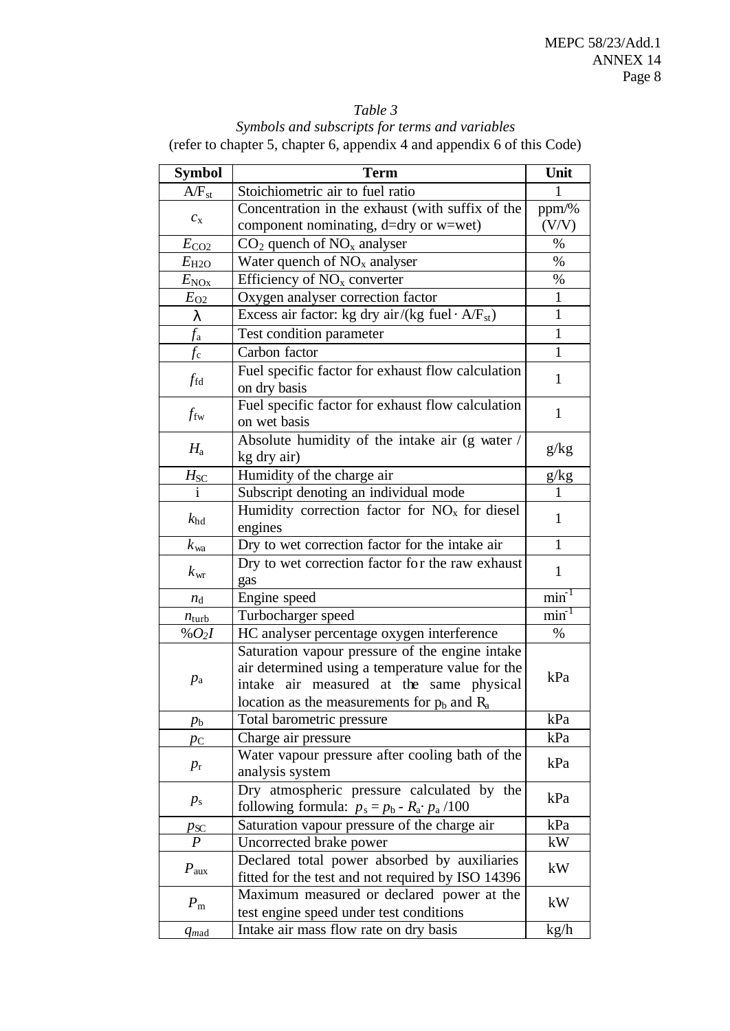# *Table 3*

*Symbols and subscripts for terms and variables* (refer to chapter 5, chapter 6, appendix 4 and appendix 6 of this Code)

| <b>Symbol</b>     | <b>Term</b>                                                                                     | Unit         |
|-------------------|-------------------------------------------------------------------------------------------------|--------------|
| $A/F_{st}$        | Stoichiometric air to fuel ratio                                                                | 1            |
|                   | Concentration in the exhaust (with suffix of the                                                | ppm/%        |
| $c_{\rm x}$       | component nominating, d=dry or w=wet)                                                           | (V/V)        |
| $E_{\text{CO2}}$  | $CO2$ quench of NO <sub>x</sub> analyser                                                        | $\%$         |
| $E_{H2O}$         | Water quench of $NOx$ analyser                                                                  | $\%$         |
| $E_{\text{NQx}}$  | Efficiency of $NOx$ converter                                                                   | $\%$         |
| $E_{\rm O2}$      | Oxygen analyser correction factor                                                               | $\mathbf{1}$ |
| 1                 | Excess air factor: kg dry air/(kg fuel $\cdot$ A/F <sub>st</sub> )                              | $\mathbf{1}$ |
| $f_{\rm a}$       | Test condition parameter                                                                        | 1            |
| $f_{\rm c}$       | Carbon factor                                                                                   | 1            |
|                   | Fuel specific factor for exhaust flow calculation                                               |              |
| $f_{\rm fd}$      | on dry basis                                                                                    | 1            |
|                   | Fuel specific factor for exhaust flow calculation                                               |              |
| $f_{\rm fw}$      | on wet basis                                                                                    | $\mathbf{1}$ |
|                   | Absolute humidity of the intake air (g water /                                                  |              |
| $H_{\rm a}$       | kg dry air)                                                                                     | g/kg         |
| $H_{\rm SC}$      | Humidity of the charge air                                                                      | g/kg         |
|                   | Subscript denoting an individual mode                                                           |              |
| $k_{\rm hd}$      | Humidity correction factor for $NOx$ for diesel                                                 | $\mathbf{1}$ |
|                   | engines                                                                                         |              |
| $k_{wa}$          | Dry to wet correction factor for the intake air                                                 | $\mathbf{1}$ |
| $k_{\rm wr}$      | Dry to wet correction factor for the raw exhaust                                                | 1            |
|                   | gas                                                                                             |              |
| $n_{\rm d}$       | Engine speed                                                                                    | min          |
| $n_{\text{turb}}$ | Turbocharger speed                                                                              | $min^{-1}$   |
| % $O_2I$          | HC analyser percentage oxygen interference                                                      | $\%$         |
|                   | Saturation vapour pressure of the engine intake                                                 |              |
| $p_{\rm a}$       | air determined using a temperature value for the<br>intake<br>air measured at the same physical | kPa          |
|                   | location as the measurements for $p_b$ and $R_a$                                                |              |
|                   | Total barometric pressure                                                                       | kPa          |
| $p_{\rm b}$       | Charge air pressure                                                                             | kPa          |
| $p_{\rm C}$       | Water vapour pressure after cooling bath of the                                                 |              |
| $p_{\rm r}$       | analysis system                                                                                 | kPa          |
|                   | Dry atmospheric pressure calculated by the                                                      |              |
| $p_{\rm s}$       | following formula: $p_s = p_b - R_a \cdot p_a / 100$                                            | kPa          |
| $p_{\rm SC}$      | Saturation vapour pressure of the charge air                                                    | kPa          |
| $\boldsymbol{P}$  | Uncorrected brake power                                                                         | kW           |
|                   | Declared total power absorbed by auxiliaries                                                    |              |
| $P_{\text{aux}}$  | fitted for the test and not required by ISO 14396                                               | kW           |
| $P_{\rm m}$       | Maximum measured or declared power at the                                                       |              |
|                   | test engine speed under test conditions                                                         | kW           |
| $q_{mad}$         | Intake air mass flow rate on dry basis                                                          | kg/h         |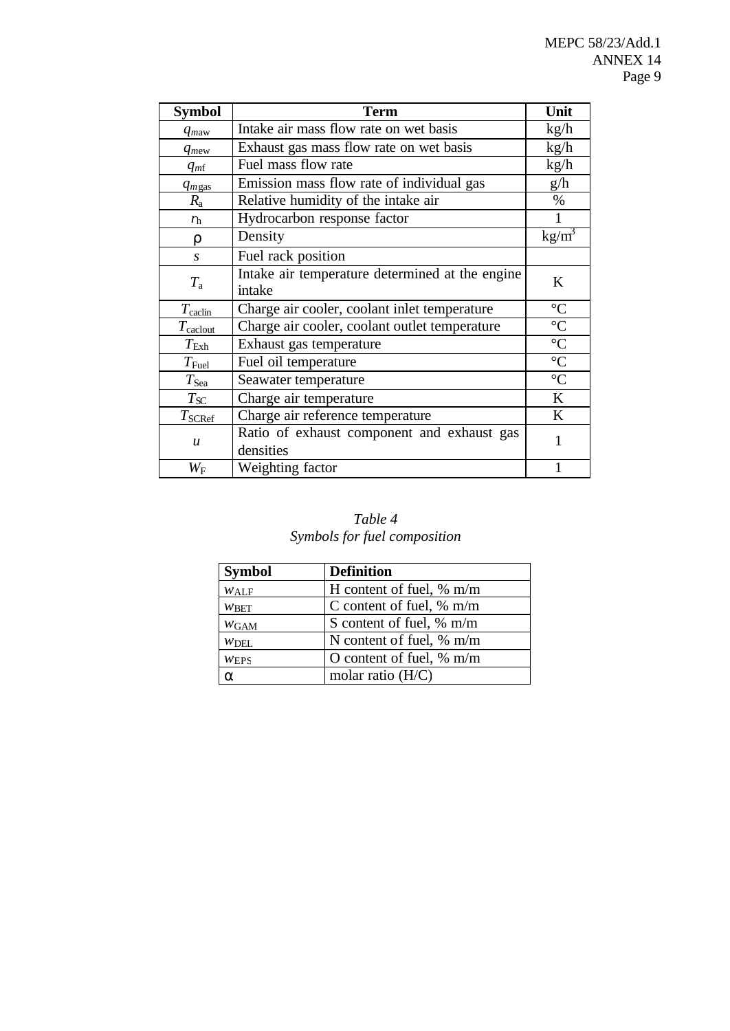| <b>Symbol</b>         | <b>Term</b>                                               | Unit              |
|-----------------------|-----------------------------------------------------------|-------------------|
| $q_{maw}$             | Intake air mass flow rate on wet basis                    | kg/h              |
| $q_{mew}$             | Exhaust gas mass flow rate on wet basis                   | kg/h              |
| $q_{m}$               | Fuel mass flow rate                                       | kg/h              |
| $q_{m\text{gas}}$     | Emission mass flow rate of individual gas                 | g/h               |
| $R_{\rm a}$           | Relative humidity of the intake air                       | $\%$              |
| $r_{\rm h}$           | Hydrocarbon response factor                               |                   |
| $\mathbf{r}$          | Density                                                   | kg/m <sup>3</sup> |
| S                     | Fuel rack position                                        |                   |
| $T_{\rm a}$           | Intake air temperature determined at the engine<br>intake | K                 |
| $T_{\text{cadin}}$    | Charge air cooler, coolant inlet temperature              | $\rm ^{\circ}C$   |
| $T_{\text{calclout}}$ | Charge air cooler, coolant outlet temperature             | $\rm ^{\circ}C$   |
| $T_{\rm{Exh}}$        | Exhaust gas temperature                                   | $\overline{C}$    |
| $T_{\rm{Fuel}}$       | Fuel oil temperature                                      | $\overline{C}$    |
| $T_{\rm Sea}$         | Seawater temperature                                      | $\rm ^{\circ}C$   |
| $T_{S C}$             | Charge air temperature                                    | K                 |
| $T_{\text{SCRef}}$    | Charge air reference temperature                          | K                 |
| $\boldsymbol{u}$      | Ratio of exhaust component and exhaust gas<br>densities   | 1                 |
| $W_{\rm F}$           | Weighting factor                                          |                   |

# *Table 4 Symbols for fuel composition*

| <b>Symbol</b>    | <b>Definition</b>           |
|------------------|-----------------------------|
| $W_{\text{ALF}}$ | H content of fuel, $\%$ m/m |
| $W$ BET          | C content of fuel, $\%$ m/m |
| $W$ GAM          | S content of fuel, % m/m    |
| $W$ DEL          | N content of fuel, % m/m    |
| W <sub>EPS</sub> | O content of fuel, $% m/m$  |
| a                | molar ratio $(H/C)$         |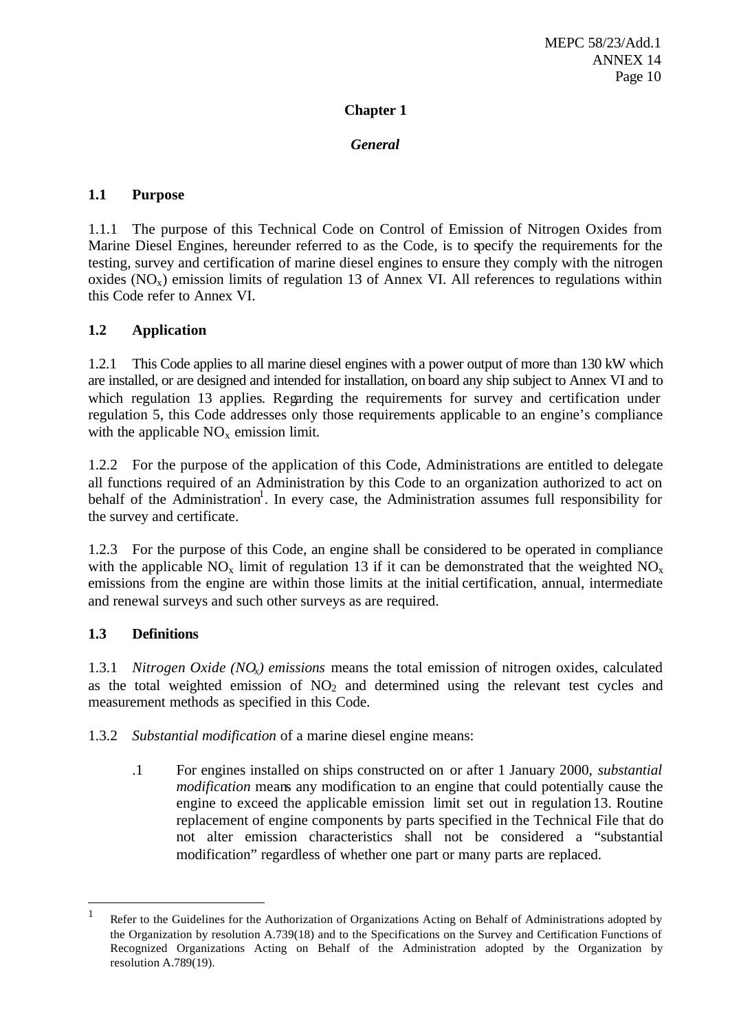## **Chapter 1**

## *General*

## **1.1 Purpose**

1.1.1 The purpose of this Technical Code on Control of Emission of Nitrogen Oxides from Marine Diesel Engines, hereunder referred to as the Code, is to specify the requirements for the testing, survey and certification of marine diesel engines to ensure they comply with the nitrogen oxides  $(NO<sub>x</sub>)$  emission limits of regulation 13 of Annex VI. All references to regulations within this Code refer to Annex VI.

## **1.2 Application**

1.2.1 This Code applies to all marine diesel engines with a power output of more than 130 kW which are installed, or are designed and intended for installation, on board any ship subject to Annex VI and to which regulation 13 applies. Regarding the requirements for survey and certification under regulation 5, this Code addresses only those requirements applicable to an engine's compliance with the applicable  $NO<sub>x</sub>$  emission limit.

1.2.2 For the purpose of the application of this Code, Administrations are entitled to delegate all functions required of an Administration by this Code to an organization authorized to act on behalf of the Administration<sup>1</sup>. In every case, the Administration assumes full responsibility for the survey and certificate.

1.2.3 For the purpose of this Code, an engine shall be considered to be operated in compliance with the applicable  $NO_x$  limit of regulation 13 if it can be demonstrated that the weighted  $NO_x$ emissions from the engine are within those limits at the initial certification, annual, intermediate and renewal surveys and such other surveys as are required.

## **1.3 Definitions**

l

1.3.1 *Nitrogen Oxide (NOx) emissions* means the total emission of nitrogen oxides, calculated as the total weighted emission of  $NO<sub>2</sub>$  and determined using the relevant test cycles and measurement methods as specified in this Code.

1.3.2 *Substantial modification* of a marine diesel engine means:

.1 For engines installed on ships constructed on or after 1 January 2000, *substantial modification* means any modification to an engine that could potentially cause the engine to exceed the applicable emission limit set out in regulation 13. Routine replacement of engine components by parts specified in the Technical File that do not alter emission characteristics shall not be considered a "substantial modification" regardless of whether one part or many parts are replaced.

<sup>1</sup> Refer to the Guidelines for the Authorization of Organizations Acting on Behalf of Administrations adopted by the Organization by resolution A.739(18) and to the Specifications on the Survey and Certification Functions of Recognized Organizations Acting on Behalf of the Administration adopted by the Organization by resolution A.789(19).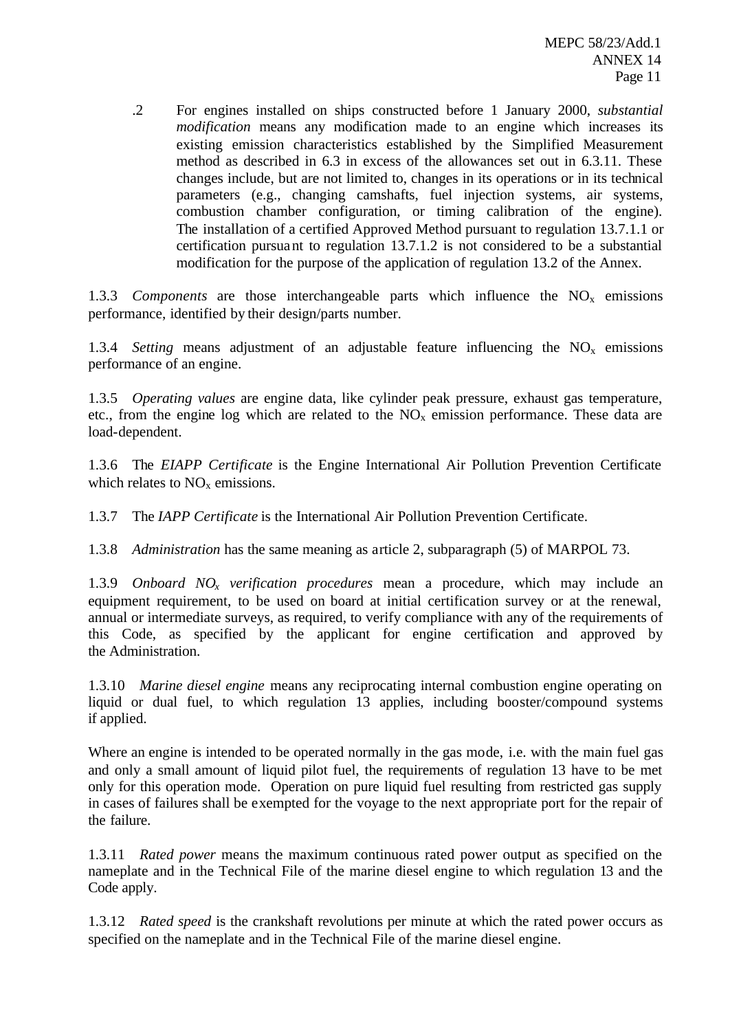.2 For engines installed on ships constructed before 1 January 2000, *substantial modification* means any modification made to an engine which increases its existing emission characteristics established by the Simplified Measurement method as described in 6.3 in excess of the allowances set out in 6.3.11. These changes include, but are not limited to, changes in its operations or in its technical parameters (e.g., changing camshafts, fuel injection systems, air systems, combustion chamber configuration, or timing calibration of the engine). The installation of a certified Approved Method pursuant to regulation 13.7.1.1 or certification pursuant to regulation 13.7.1.2 is not considered to be a substantial modification for the purpose of the application of regulation 13.2 of the Annex.

1.3.3 *Components* are those interchangeable parts which influence the  $NO<sub>x</sub>$  emissions performance, identified by their design/parts number.

1.3.4 *Setting* means adjustment of an adjustable feature influencing the  $NO<sub>x</sub>$  emissions performance of an engine.

1.3.5 *Operating values* are engine data, like cylinder peak pressure, exhaust gas temperature, etc., from the engine log which are related to the  $NO<sub>x</sub>$  emission performance. These data are load-dependent.

1.3.6 The *EIAPP Certificate* is the Engine International Air Pollution Prevention Certificate which relates to  $NO<sub>x</sub>$  emissions.

1.3.7 The *IAPP Certificate* is the International Air Pollution Prevention Certificate.

1.3.8 *Administration* has the same meaning as article 2, subparagraph (5) of MARPOL 73.

1.3.9 *Onboard NOx verification procedures* mean a procedure, which may include an equipment requirement, to be used on board at initial certification survey or at the renewal, annual or intermediate surveys, as required, to verify compliance with any of the requirements of this Code, as specified by the applicant for engine certification and approved by the Administration.

1.3.10 *Marine diesel engine* means any reciprocating internal combustion engine operating on liquid or dual fuel, to which regulation 13 applies, including booster/compound systems if applied.

Where an engine is intended to be operated normally in the gas mode, i.e. with the main fuel gas and only a small amount of liquid pilot fuel, the requirements of regulation 13 have to be met only for this operation mode. Operation on pure liquid fuel resulting from restricted gas supply in cases of failures shall be exempted for the voyage to the next appropriate port for the repair of the failure.

1.3.11 *Rated power* means the maximum continuous rated power output as specified on the nameplate and in the Technical File of the marine diesel engine to which regulation 13 and the Code apply.

1.3.12 *Rated speed* is the crankshaft revolutions per minute at which the rated power occurs as specified on the nameplate and in the Technical File of the marine diesel engine.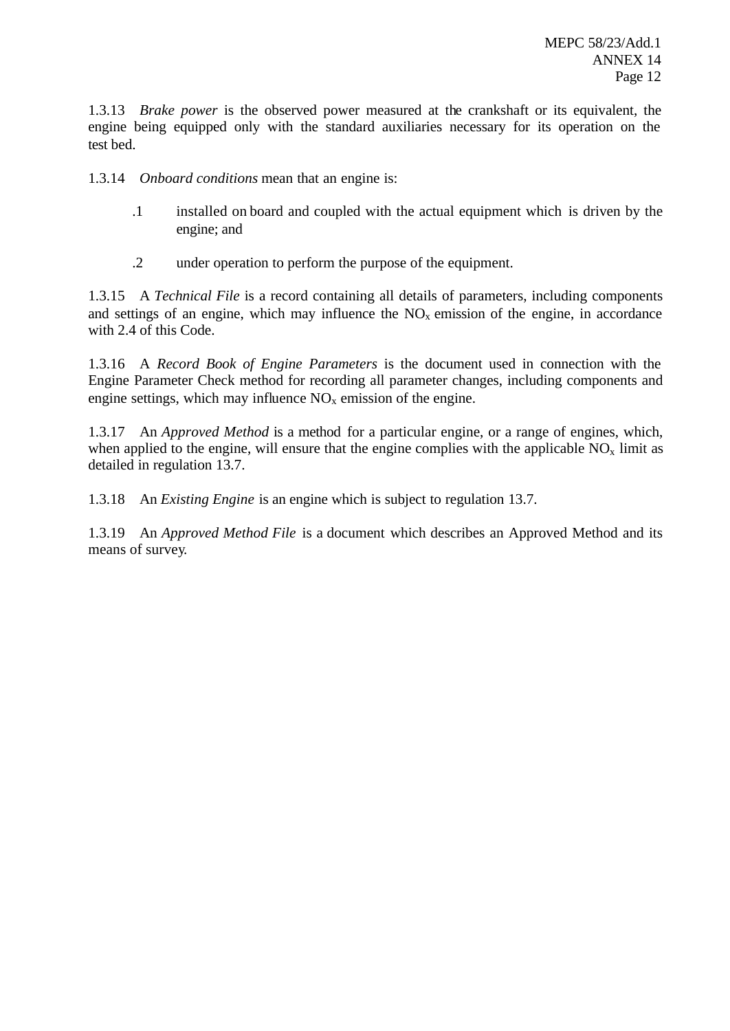1.3.13 *Brake power* is the observed power measured at the crankshaft or its equivalent, the engine being equipped only with the standard auxiliaries necessary for its operation on the test bed.

1.3.14 *Onboard conditions* mean that an engine is:

- .1 installed on board and coupled with the actual equipment which is driven by the engine; and
- .2 under operation to perform the purpose of the equipment.

1.3.15 A *Technical File* is a record containing all details of parameters, including components and settings of an engine, which may influence the  $NO<sub>x</sub>$  emission of the engine, in accordance with 2.4 of this Code.

1.3.16 A *Record Book of Engine Parameters* is the document used in connection with the Engine Parameter Check method for recording all parameter changes, including components and engine settings, which may influence  $NO<sub>x</sub>$  emission of the engine.

1.3.17 An *Approved Method* is a method for a particular engine, or a range of engines, which, when applied to the engine, will ensure that the engine complies with the applicable  $NO<sub>x</sub>$  limit as detailed in regulation 13.7.

1.3.18 An *Existing Engine* is an engine which is subject to regulation 13.7.

1.3.19 An *Approved Method File* is a document which describes an Approved Method and its means of survey.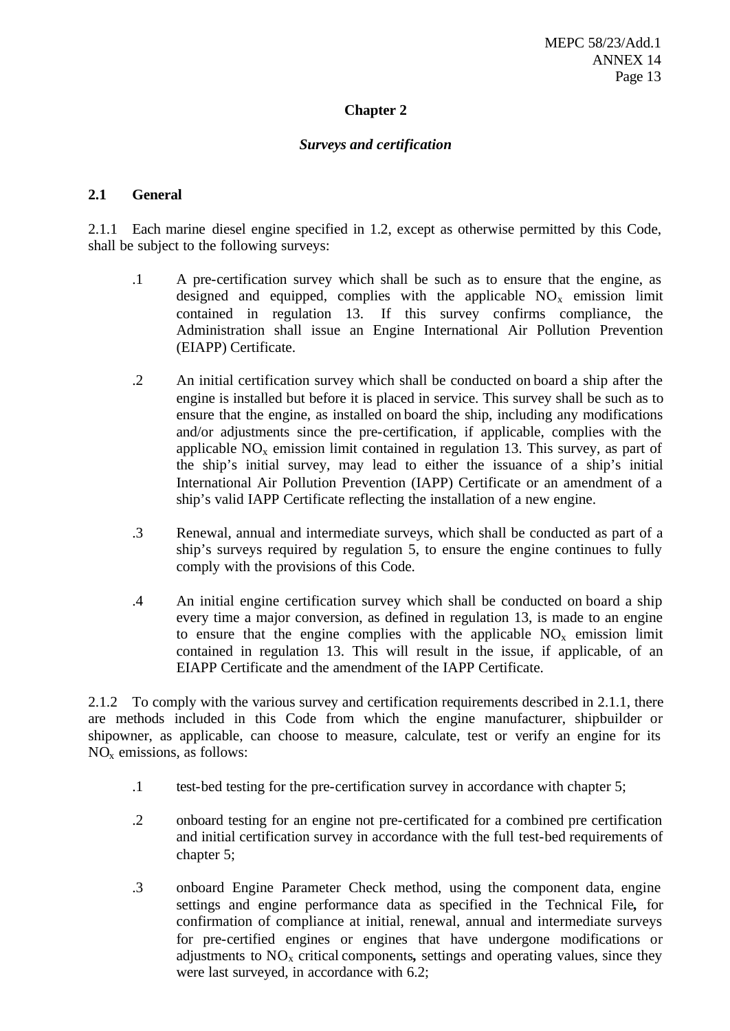## **Chapter 2**

## *Surveys and certification*

## **2.1 General**

2.1.1 Each marine diesel engine specified in 1.2, except as otherwise permitted by this Code, shall be subject to the following surveys:

- .1 A pre-certification survey which shall be such as to ensure that the engine, as designed and equipped, complies with the applicable  $NO<sub>x</sub>$  emission limit contained in regulation 13. If this survey confirms compliance, the Administration shall issue an Engine International Air Pollution Prevention (EIAPP) Certificate.
- .2 An initial certification survey which shall be conducted on board a ship after the engine is installed but before it is placed in service. This survey shall be such as to ensure that the engine, as installed on board the ship, including any modifications and/or adjustments since the pre-certification, if applicable, complies with the applicable  $NO<sub>x</sub>$  emission limit contained in regulation 13. This survey, as part of the ship's initial survey, may lead to either the issuance of a ship's initial International Air Pollution Prevention (IAPP) Certificate or an amendment of a ship's valid IAPP Certificate reflecting the installation of a new engine.
- .3 Renewal, annual and intermediate surveys, which shall be conducted as part of a ship's surveys required by regulation 5, to ensure the engine continues to fully comply with the provisions of this Code.
- .4 An initial engine certification survey which shall be conducted on board a ship every time a major conversion, as defined in regulation 13, is made to an engine to ensure that the engine complies with the applicable  $NO<sub>x</sub>$  emission limit contained in regulation 13. This will result in the issue, if applicable, of an EIAPP Certificate and the amendment of the IAPP Certificate.

2.1.2 To comply with the various survey and certification requirements described in 2.1.1, there are methods included in this Code from which the engine manufacturer, shipbuilder or shipowner, as applicable, can choose to measure, calculate, test or verify an engine for its NOx emissions, as follows:

- .1 test-bed testing for the pre-certification survey in accordance with chapter 5;
- .2 onboard testing for an engine not pre-certificated for a combined pre certification and initial certification survey in accordance with the full test-bed requirements of chapter 5;
- .3 onboard Engine Parameter Check method, using the component data, engine settings and engine performance data as specified in the Technical File*,* for confirmation of compliance at initial, renewal, annual and intermediate surveys for pre-certified engines or engines that have undergone modifications or adjustments to NOx critical components*,* settings and operating values, since they were last surveyed, in accordance with 6.2;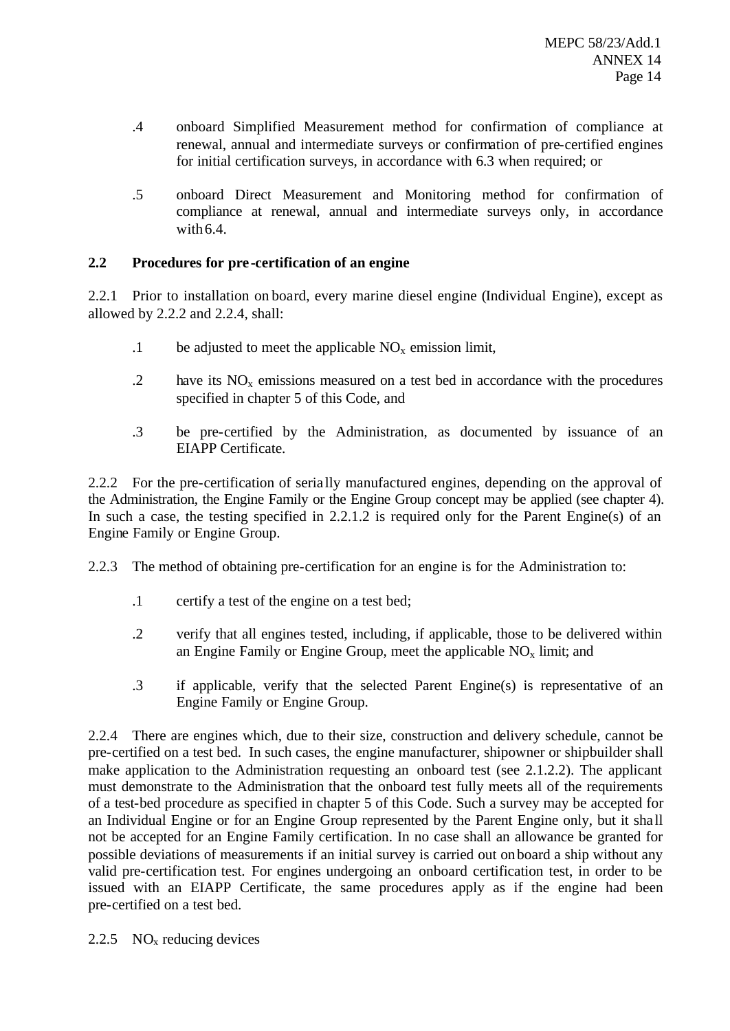- .4 onboard Simplified Measurement method for confirmation of compliance at renewal, annual and intermediate surveys or confirmation of pre-certified engines for initial certification surveys, in accordance with 6.3 when required; or
- .5 onboard Direct Measurement and Monitoring method for confirmation of compliance at renewal, annual and intermediate surveys only, in accordance with 6.4.

## **2.2 Procedures for pre -certification of an engine**

2.2.1 Prior to installation on board, every marine diesel engine (Individual Engine), except as allowed by 2.2.2 and 2.2.4, shall:

- .1 be adjusted to meet the applicable  $NO<sub>x</sub>$  emission limit,
- $1.2$  have its  $NO<sub>x</sub>$  emissions measured on a test bed in accordance with the procedures specified in chapter 5 of this Code, and
- .3 be pre-certified by the Administration, as documented by issuance of an EIAPP Certificate.

2.2.2 For the pre-certification of seria lly manufactured engines, depending on the approval of the Administration, the Engine Family or the Engine Group concept may be applied (see chapter 4). In such a case, the testing specified in 2.2.1.2 is required only for the Parent Engine(s) of an Engine Family or Engine Group.

2.2.3 The method of obtaining pre-certification for an engine is for the Administration to:

- .1 certify a test of the engine on a test bed;
- .2 verify that all engines tested, including, if applicable, those to be delivered within an Engine Family or Engine Group, meet the applicable  $NO<sub>x</sub>$  limit; and
- .3 if applicable, verify that the selected Parent Engine(s) is representative of an Engine Family or Engine Group.

2.2.4 There are engines which, due to their size, construction and delivery schedule, cannot be pre-certified on a test bed. In such cases, the engine manufacturer, shipowner or shipbuilder shall make application to the Administration requesting an onboard test (see 2.1.2.2). The applicant must demonstrate to the Administration that the onboard test fully meets all of the requirements of a test-bed procedure as specified in chapter 5 of this Code. Such a survey may be accepted for an Individual Engine or for an Engine Group represented by the Parent Engine only, but it sha ll not be accepted for an Engine Family certification. In no case shall an allowance be granted for possible deviations of measurements if an initial survey is carried out onboard a ship without any valid pre-certification test. For engines undergoing an onboard certification test, in order to be issued with an EIAPP Certificate, the same procedures apply as if the engine had been pre-certified on a test bed.

2.2.5  $NO<sub>x</sub>$  reducing devices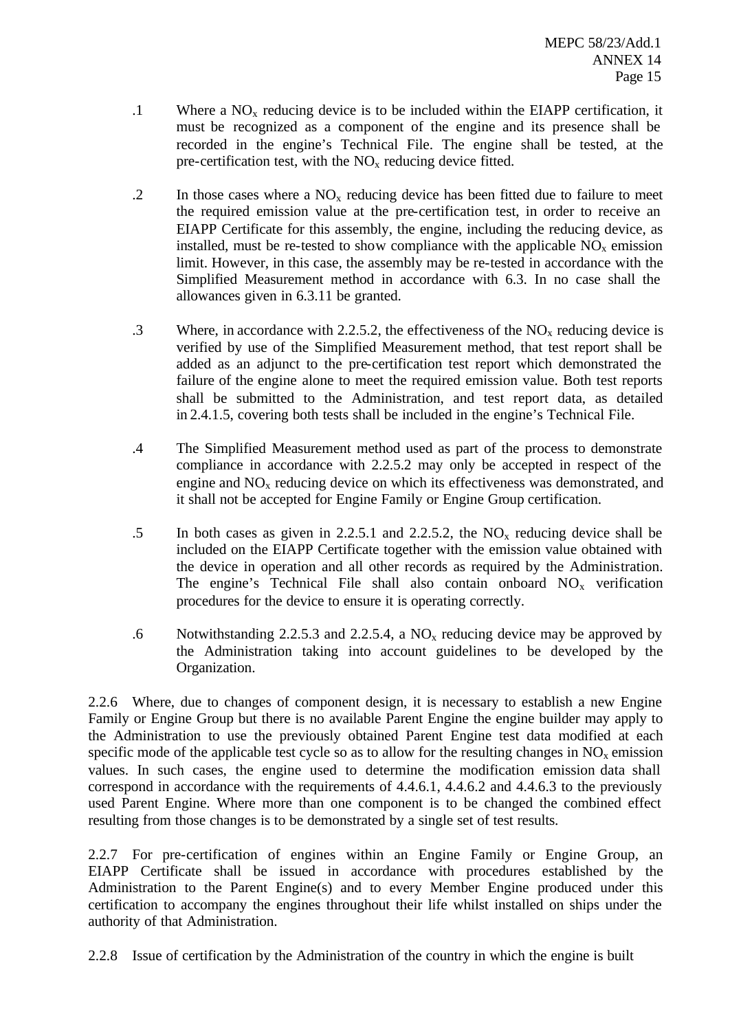- .1 Where a  $NO<sub>x</sub>$  reducing device is to be included within the EIAPP certification, it must be recognized as a component of the engine and its presence shall be recorded in the engine's Technical File. The engine shall be tested, at the pre-certification test, with the  $NO<sub>x</sub>$  reducing device fitted.
- .2 In those cases where a  $NO<sub>x</sub>$  reducing device has been fitted due to failure to meet the required emission value at the pre-certification test, in order to receive an EIAPP Certificate for this assembly, the engine, including the reducing device, as installed, must be re-tested to show compliance with the applicable  $NO<sub>x</sub>$  emission limit. However, in this case, the assembly may be re-tested in accordance with the Simplified Measurement method in accordance with 6.3. In no case shall the allowances given in 6.3.11 be granted.
- .3 Where, in accordance with 2.2.5.2, the effectiveness of the  $NO<sub>x</sub>$  reducing device is verified by use of the Simplified Measurement method, that test report shall be added as an adjunct to the pre-certification test report which demonstrated the failure of the engine alone to meet the required emission value. Both test reports shall be submitted to the Administration, and test report data, as detailed in 2.4.1.5, covering both tests shall be included in the engine's Technical File.
- .4 The Simplified Measurement method used as part of the process to demonstrate compliance in accordance with 2.2.5.2 may only be accepted in respect of the engine and  $NO<sub>x</sub>$  reducing device on which its effectiveness was demonstrated, and it shall not be accepted for Engine Family or Engine Group certification.
- .5 In both cases as given in 2.2.5.1 and 2.2.5.2, the  $NO_x$  reducing device shall be included on the EIAPP Certificate together with the emission value obtained with the device in operation and all other records as required by the Administration. The engine's Technical File shall also contain onboard  $NO<sub>x</sub>$  verification procedures for the device to ensure it is operating correctly.
- .6 Notwithstanding 2.2.5.3 and 2.2.5.4, a  $NO<sub>x</sub>$  reducing device may be approved by the Administration taking into account guidelines to be developed by the Organization.

2.2.6 Where, due to changes of component design, it is necessary to establish a new Engine Family or Engine Group but there is no available Parent Engine the engine builder may apply to the Administration to use the previously obtained Parent Engine test data modified at each specific mode of the applicable test cycle so as to allow for the resulting changes in  $NO<sub>x</sub>$  emission values. In such cases, the engine used to determine the modification emission data shall correspond in accordance with the requirements of 4.4.6.1, 4.4.6.2 and 4.4.6.3 to the previously used Parent Engine. Where more than one component is to be changed the combined effect resulting from those changes is to be demonstrated by a single set of test results.

2.2.7 For pre-certification of engines within an Engine Family or Engine Group, an EIAPP Certificate shall be issued in accordance with procedures established by the Administration to the Parent Engine(s) and to every Member Engine produced under this certification to accompany the engines throughout their life whilst installed on ships under the authority of that Administration.

2.2.8 Issue of certification by the Administration of the country in which the engine is built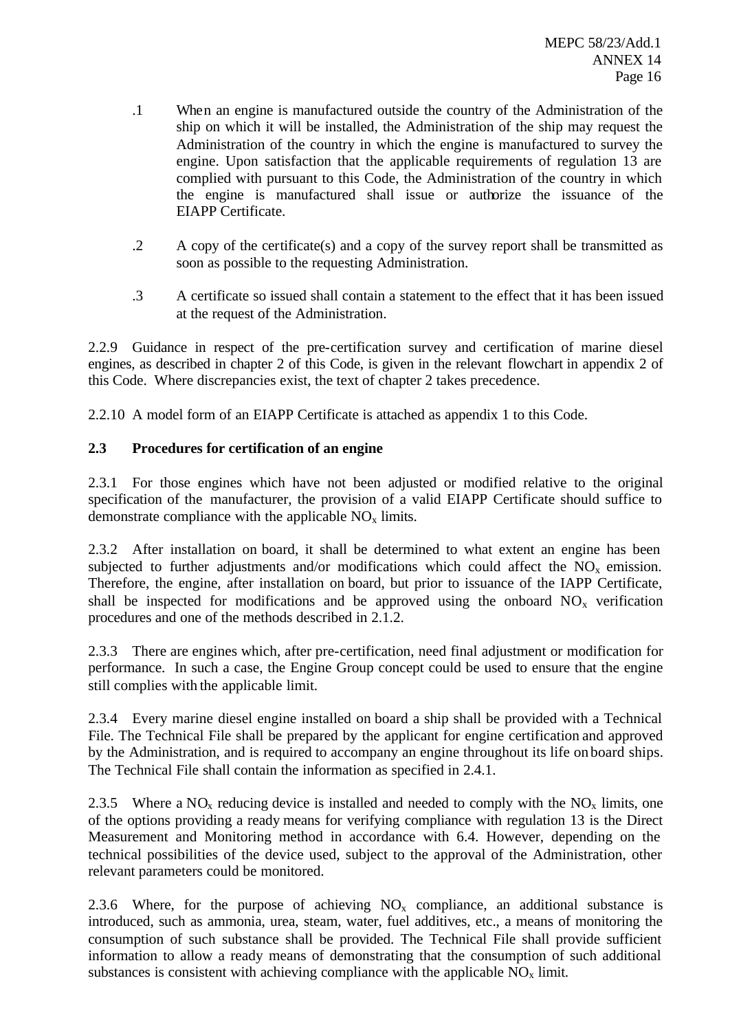- .1 When an engine is manufactured outside the country of the Administration of the ship on which it will be installed, the Administration of the ship may request the Administration of the country in which the engine is manufactured to survey the engine. Upon satisfaction that the applicable requirements of regulation 13 are complied with pursuant to this Code, the Administration of the country in which the engine is manufactured shall issue or authorize the issuance of the EIAPP Certificate.
- .2 A copy of the certificate(s) and a copy of the survey report shall be transmitted as soon as possible to the requesting Administration.
- .3 A certificate so issued shall contain a statement to the effect that it has been issued at the request of the Administration.

2.2.9 Guidance in respect of the pre-certification survey and certification of marine diesel engines, as described in chapter 2 of this Code, is given in the relevant flowchart in appendix 2 of this Code. Where discrepancies exist, the text of chapter 2 takes precedence.

2.2.10 A model form of an EIAPP Certificate is attached as appendix 1 to this Code.

## **2.3 Procedures for certification of an engine**

2.3.1 For those engines which have not been adjusted or modified relative to the original specification of the manufacturer, the provision of a valid EIAPP Certificate should suffice to demonstrate compliance with the applicable  $NO<sub>x</sub>$  limits.

2.3.2 After installation on board, it shall be determined to what extent an engine has been subjected to further adjustments and/or modifications which could affect the  $NO<sub>x</sub>$  emission. Therefore, the engine, after installation on board, but prior to issuance of the IAPP Certificate, shall be inspected for modifications and be approved using the onboard  $NO<sub>x</sub>$  verification procedures and one of the methods described in 2.1.2.

2.3.3 There are engines which, after pre-certification, need final adjustment or modification for performance. In such a case, the Engine Group concept could be used to ensure that the engine still complies with the applicable limit.

2.3.4 Every marine diesel engine installed on board a ship shall be provided with a Technical File. The Technical File shall be prepared by the applicant for engine certification and approved by the Administration, and is required to accompany an engine throughout its life on board ships. The Technical File shall contain the information as specified in 2.4.1.

2.3.5 Where a  $NO<sub>x</sub>$  reducing device is installed and needed to comply with the  $NO<sub>x</sub>$  limits, one of the options providing a ready means for verifying compliance with regulation 13 is the Direct Measurement and Monitoring method in accordance with 6.4. However, depending on the technical possibilities of the device used, subject to the approval of the Administration, other relevant parameters could be monitored.

2.3.6 Where, for the purpose of achieving  $NO<sub>x</sub>$  compliance, an additional substance is introduced, such as ammonia, urea, steam, water, fuel additives, etc., a means of monitoring the consumption of such substance shall be provided. The Technical File shall provide sufficient information to allow a ready means of demonstrating that the consumption of such additional substances is consistent with achieving compliance with the applicable  $\overline{NO_x}$  limit.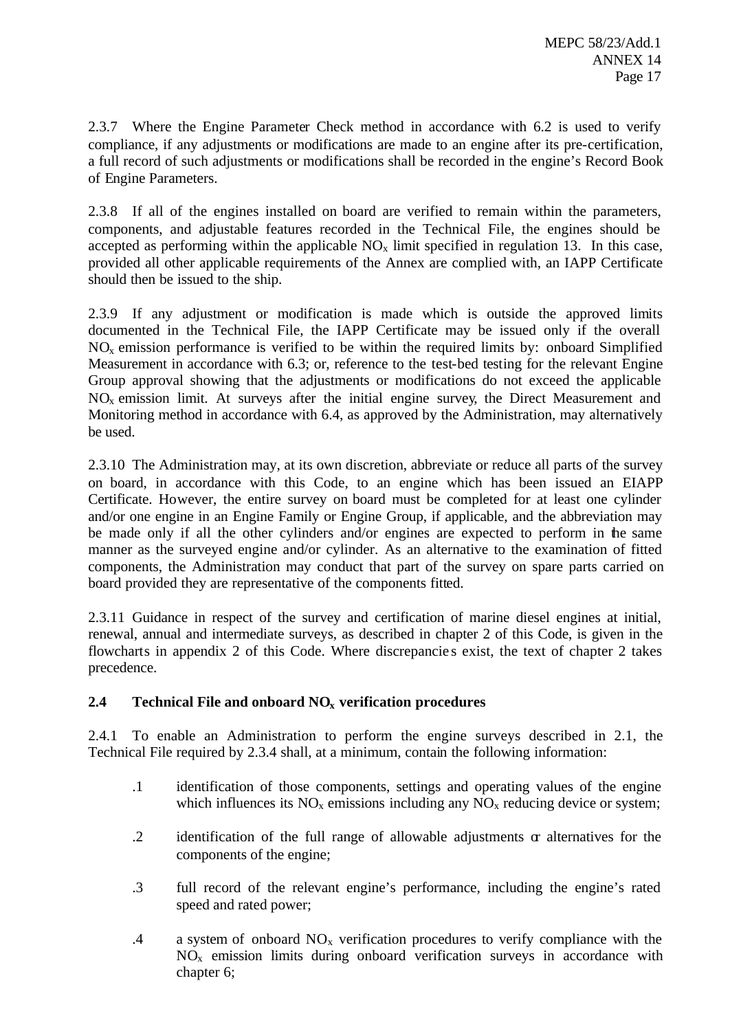2.3.7 Where the Engine Parameter Check method in accordance with 6.2 is used to verify compliance, if any adjustments or modifications are made to an engine after its pre-certification, a full record of such adjustments or modifications shall be recorded in the engine's Record Book of Engine Parameters.

2.3.8 If all of the engines installed on board are verified to remain within the parameters, components, and adjustable features recorded in the Technical File, the engines should be accepted as performing within the applicable  $NO<sub>x</sub>$  limit specified in regulation 13. In this case, provided all other applicable requirements of the Annex are complied with, an IAPP Certificate should then be issued to the ship.

2.3.9 If any adjustment or modification is made which is outside the approved limits documented in the Technical File, the IAPP Certificate may be issued only if the overall  $NO<sub>x</sub>$  emission performance is verified to be within the required limits by: onboard Simplified Measurement in accordance with 6.3; or, reference to the test-bed testing for the relevant Engine Group approval showing that the adjustments or modifications do not exceed the applicable NO<sup>x</sup> emission limit. At surveys after the initial engine survey, the Direct Measurement and Monitoring method in accordance with 6.4, as approved by the Administration, may alternatively be used.

2.3.10 The Administration may, at its own discretion, abbreviate or reduce all parts of the survey on board, in accordance with this Code, to an engine which has been issued an EIAPP Certificate. However, the entire survey on board must be completed for at least one cylinder and/or one engine in an Engine Family or Engine Group, if applicable, and the abbreviation may be made only if all the other cylinders and/or engines are expected to perform in the same manner as the surveyed engine and/or cylinder. As an alternative to the examination of fitted components, the Administration may conduct that part of the survey on spare parts carried on board provided they are representative of the components fitted.

2.3.11 Guidance in respect of the survey and certification of marine diesel engines at initial, renewal, annual and intermediate surveys, as described in chapter 2 of this Code, is given in the flowcharts in appendix 2 of this Code. Where discrepancie s exist, the text of chapter 2 takes precedence.

## **2.4 Technical File and onboard NOx verification procedures**

2.4.1 To enable an Administration to perform the engine surveys described in 2.1, the Technical File required by 2.3.4 shall, at a minimum, contain the following information:

- .1 identification of those components, settings and operating values of the engine which influences its  $NO<sub>x</sub>$  emissions including any  $NO<sub>x</sub>$  reducing device or system;
- .2 identification of the full range of allowable adjustments or alternatives for the components of the engine;
- .3 full record of the relevant engine's performance, including the engine's rated speed and rated power;
- .4 a system of onboard  $NO<sub>x</sub>$  verification procedures to verify compliance with the  $NO<sub>x</sub>$  emission limits during onboard verification surveys in accordance with chapter 6;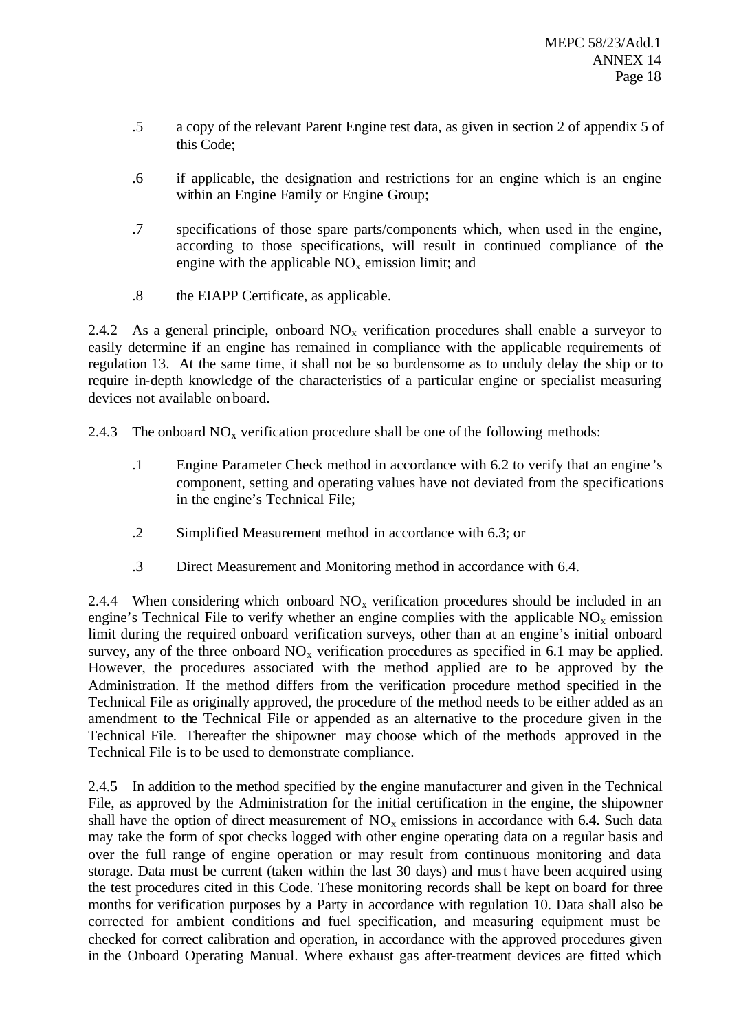- .5 a copy of the relevant Parent Engine test data, as given in section 2 of appendix 5 of this Code;
- .6 if applicable, the designation and restrictions for an engine which is an engine within an Engine Family or Engine Group;
- .7 specifications of those spare parts/components which, when used in the engine, according to those specifications, will result in continued compliance of the engine with the applicable  $NO<sub>x</sub>$  emission limit; and
- .8 the EIAPP Certificate, as applicable.

2.4.2 As a general principle, onboard  $NO<sub>x</sub>$  verification procedures shall enable a surveyor to easily determine if an engine has remained in compliance with the applicable requirements of regulation 13. At the same time, it shall not be so burdensome as to unduly delay the ship or to require in-depth knowledge of the characteristics of a particular engine or specialist measuring devices not available on board.

2.4.3 The onboard  $NO_x$  verification procedure shall be one of the following methods:

- .1 Engine Parameter Check method in accordance with 6.2 to verify that an engine 's component, setting and operating values have not deviated from the specifications in the engine's Technical File;
- .2 Simplified Measurement method in accordance with 6.3; or
- .3 Direct Measurement and Monitoring method in accordance with 6.4.

2.4.4 When considering which onboard  $NO<sub>x</sub>$  verification procedures should be included in an engine's Technical File to verify whether an engine complies with the applicable  $NO<sub>x</sub>$  emission limit during the required onboard verification surveys, other than at an engine's initial onboard survey, any of the three onboard  $NO<sub>x</sub>$  verification procedures as specified in 6.1 may be applied. However, the procedures associated with the method applied are to be approved by the Administration. If the method differs from the verification procedure method specified in the Technical File as originally approved, the procedure of the method needs to be either added as an amendment to the Technical File or appended as an alternative to the procedure given in the Technical File. Thereafter the shipowner may choose which of the methods approved in the Technical File is to be used to demonstrate compliance.

2.4.5 In addition to the method specified by the engine manufacturer and given in the Technical File, as approved by the Administration for the initial certification in the engine, the shipowner shall have the option of direct measurement of  $NO<sub>x</sub>$  emissions in accordance with 6.4. Such data may take the form of spot checks logged with other engine operating data on a regular basis and over the full range of engine operation or may result from continuous monitoring and data storage. Data must be current (taken within the last 30 days) and must have been acquired using the test procedures cited in this Code. These monitoring records shall be kept on board for three months for verification purposes by a Party in accordance with regulation 10. Data shall also be corrected for ambient conditions and fuel specification, and measuring equipment must be checked for correct calibration and operation, in accordance with the approved procedures given in the Onboard Operating Manual. Where exhaust gas after-treatment devices are fitted which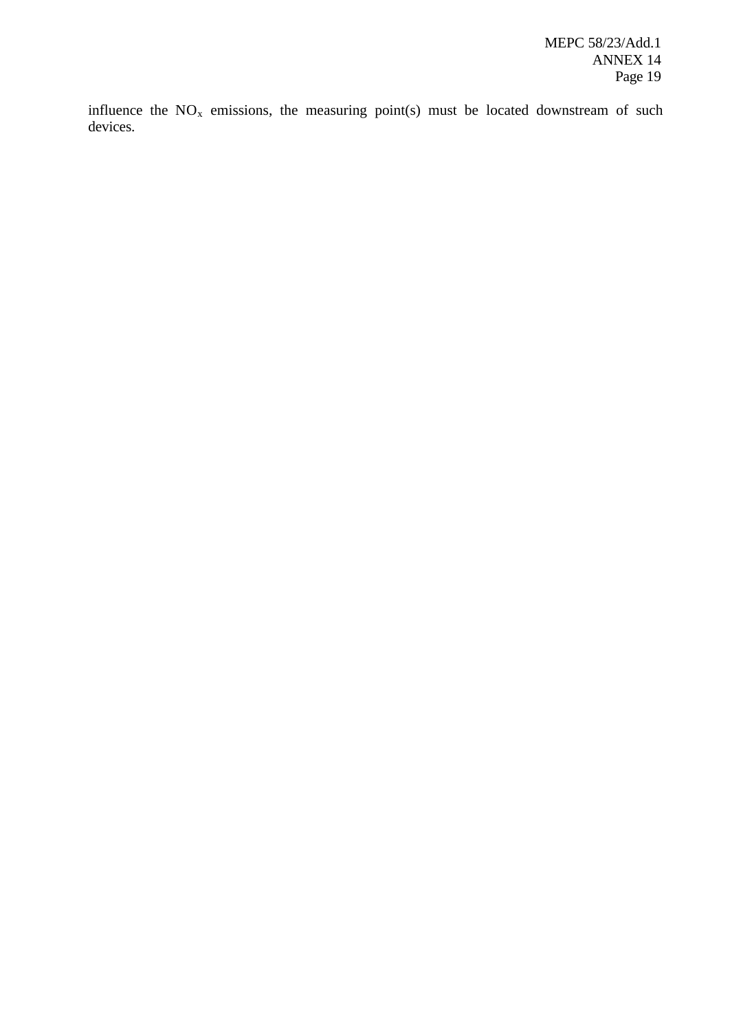influence the  $NO<sub>x</sub>$  emissions, the measuring point(s) must be located downstream of such devices.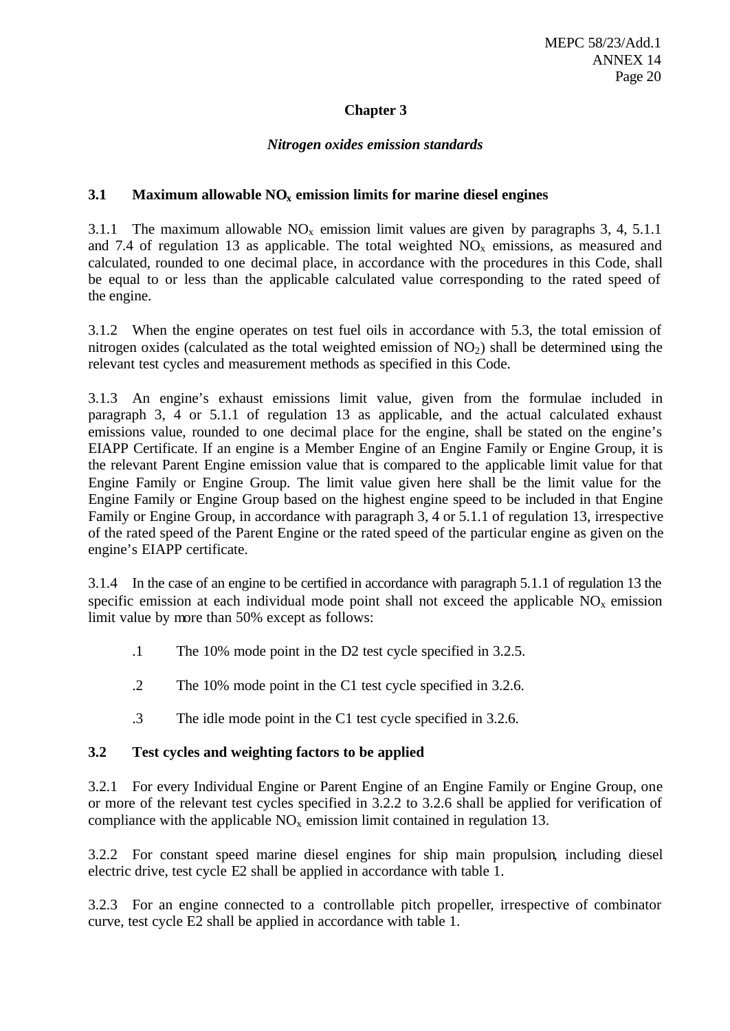## **Chapter 3**

#### *Nitrogen oxides emission standards*

#### **3.1 Maximum allowable NOx emission limits for marine diesel engines**

3.1.1 The maximum allowable  $NO<sub>x</sub>$  emission limit values are given by paragraphs 3, 4, 5.1.1 and 7.4 of regulation 13 as applicable. The total weighted  $NO<sub>x</sub>$  emissions, as measured and calculated, rounded to one decimal place, in accordance with the procedures in this Code, shall be equal to or less than the applicable calculated value corresponding to the rated speed of the engine.

3.1.2 When the engine operates on test fuel oils in accordance with 5.3, the total emission of nitrogen oxides (calculated as the total weighted emission of  $NO<sub>2</sub>$ ) shall be determined using the relevant test cycles and measurement methods as specified in this Code.

3.1.3 An engine's exhaust emissions limit value, given from the formulae included in paragraph 3, 4 or 5.1.1 of regulation 13 as applicable, and the actual calculated exhaust emissions value, rounded to one decimal place for the engine, shall be stated on the engine's EIAPP Certificate. If an engine is a Member Engine of an Engine Family or Engine Group, it is the relevant Parent Engine emission value that is compared to the applicable limit value for that Engine Family or Engine Group. The limit value given here shall be the limit value for the Engine Family or Engine Group based on the highest engine speed to be included in that Engine Family or Engine Group, in accordance with paragraph 3, 4 or 5.1.1 of regulation 13, irrespective of the rated speed of the Parent Engine or the rated speed of the particular engine as given on the engine's EIAPP certificate.

3.1.4 In the case of an engine to be certified in accordance with paragraph 5.1.1 of regulation 13 the specific emission at each individual mode point shall not exceed the applicable  $NO<sub>x</sub>$  emission limit value by more than 50% except as follows:

- .1 The 10% mode point in the D2 test cycle specified in 3.2.5.
- .2 The 10% mode point in the C1 test cycle specified in 3.2.6.
- .3 The idle mode point in the C1 test cycle specified in 3.2.6.

#### **3.2 Test cycles and weighting factors to be applied**

3.2.1 For every Individual Engine or Parent Engine of an Engine Family or Engine Group, one or more of the relevant test cycles specified in 3.2.2 to 3.2.6 shall be applied for verification of compliance with the applicable  $NO<sub>x</sub>$  emission limit contained in regulation 13.

3.2.2 For constant speed marine diesel engines for ship main propulsion, including diesel electric drive, test cycle E2 shall be applied in accordance with table 1.

3.2.3 For an engine connected to a controllable pitch propeller, irrespective of combinator curve, test cycle E2 shall be applied in accordance with table 1.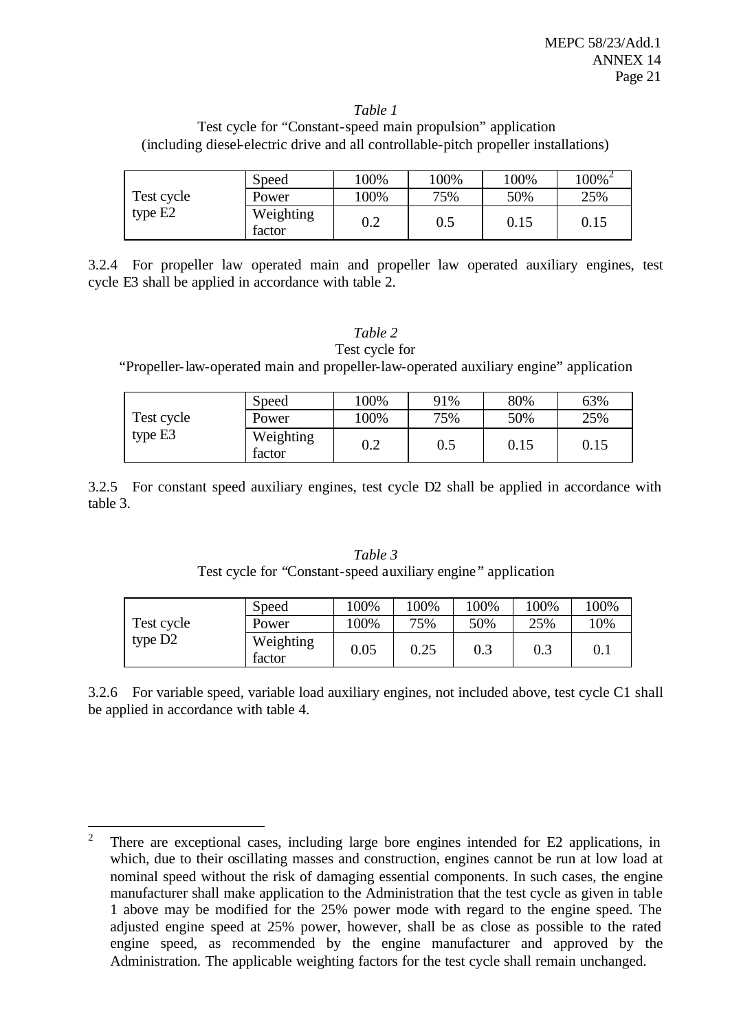#### *Table 1*

Test cycle for "Constant-speed main propulsion" application (including diesel-electric drive and all controllable-pitch propeller installations)

|            | Speed               | 100%    | $00\%$ | 100% | $100\%$ <sup>2</sup> |
|------------|---------------------|---------|--------|------|----------------------|
| Test cycle | Power               | 100%    | 75%    | 50%  | 25%                  |
| type E2    | Weighting<br>factor | $0.2\,$ | 0.5    | 0.15 | 0.15                 |

3.2.4 For propeller law operated main and propeller law operated auxiliary engines, test cycle E3 shall be applied in accordance with table 2.

## *Table 2*

Test cycle for "Propeller-law-operated main and propeller-law-operated auxiliary engine" application

|            | Speed               | $00\%$  | 91% | 80%  | 63%  |
|------------|---------------------|---------|-----|------|------|
| Test cycle | Power               | .00%    | 75% | 50%  | 25%  |
| type E3    | Weighting<br>factor | $0.2\,$ | 0.5 | 0.15 | 0.15 |

3.2.5 For constant speed auxiliary engines, test cycle D2 shall be applied in accordance with table 3.

|            | Speed               | 100% | 100% | 100% | 100% | 100%   |
|------------|---------------------|------|------|------|------|--------|
| Test cycle | Power               | 100% | 75%  | 50%  | 25%  | $10\%$ |
| type D2    | Weighting<br>factor | 0.05 | 0.25 | 0.3  | 0.3  | 0.1    |

*Table 3* Test cycle for "Constant-speed auxiliary engine " application

3.2.6 For variable speed, variable load auxiliary engines, not included above, test cycle C1 shall be applied in accordance with table 4.

 $\overline{2}$ <sup>2</sup> There are exceptional cases, including large bore engines intended for E2 applications, in which, due to their oscillating masses and construction, engines cannot be run at low load at nominal speed without the risk of damaging essential components. In such cases, the engine manufacturer shall make application to the Administration that the test cycle as given in table 1 above may be modified for the 25% power mode with regard to the engine speed. The adjusted engine speed at 25% power, however, shall be as close as possible to the rated engine speed, as recommended by the engine manufacturer and approved by the Administration. The applicable weighting factors for the test cycle shall remain unchanged.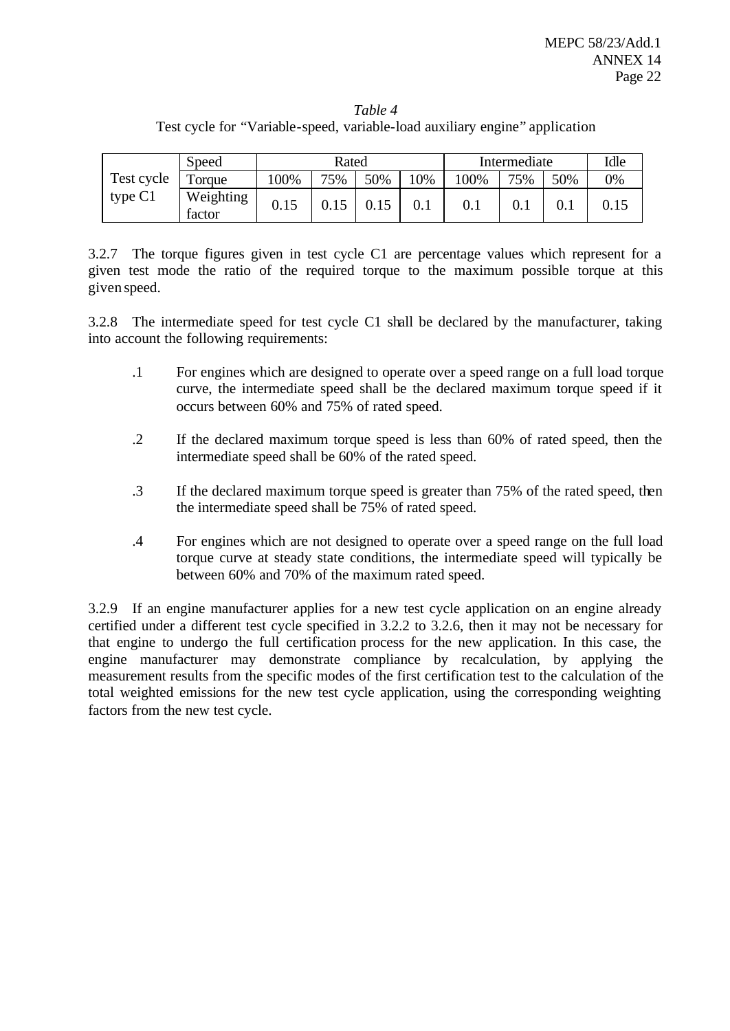*Table 4* Test cycle for "Variable-speed, variable-load auxiliary engine" application

|                         | Speed               | Rated |      |     |     | Intermediate |           |           | Idle |
|-------------------------|---------------------|-------|------|-----|-----|--------------|-----------|-----------|------|
| Test cycle<br>type $C1$ | Forque              | 100%  | 75%  | 50% | 10% | 100%         | 75%       | 50%       | 0%   |
|                         | Weighting<br>factor | 0.15  | 0.15 |     |     | 0.1          | $\rm 0.1$ | $\rm 0.1$ | 0.15 |

3.2.7 The torque figures given in test cycle C1 are percentage values which represent for a given test mode the ratio of the required torque to the maximum possible torque at this given speed.

3.2.8 The intermediate speed for test cycle C1 shall be declared by the manufacturer, taking into account the following requirements:

- .1 For engines which are designed to operate over a speed range on a full load torque curve, the intermediate speed shall be the declared maximum torque speed if it occurs between 60% and 75% of rated speed.
- .2 If the declared maximum torque speed is less than 60% of rated speed, then the intermediate speed shall be 60% of the rated speed.
- .3 If the declared maximum torque speed is greater than 75% of the rated speed, then the intermediate speed shall be 75% of rated speed.
- .4 For engines which are not designed to operate over a speed range on the full load torque curve at steady state conditions, the intermediate speed will typically be between 60% and 70% of the maximum rated speed.

3.2.9 If an engine manufacturer applies for a new test cycle application on an engine already certified under a different test cycle specified in 3.2.2 to 3.2.6, then it may not be necessary for that engine to undergo the full certification process for the new application. In this case, the engine manufacturer may demonstrate compliance by recalculation, by applying the measurement results from the specific modes of the first certification test to the calculation of the total weighted emissions for the new test cycle application, using the corresponding weighting factors from the new test cycle.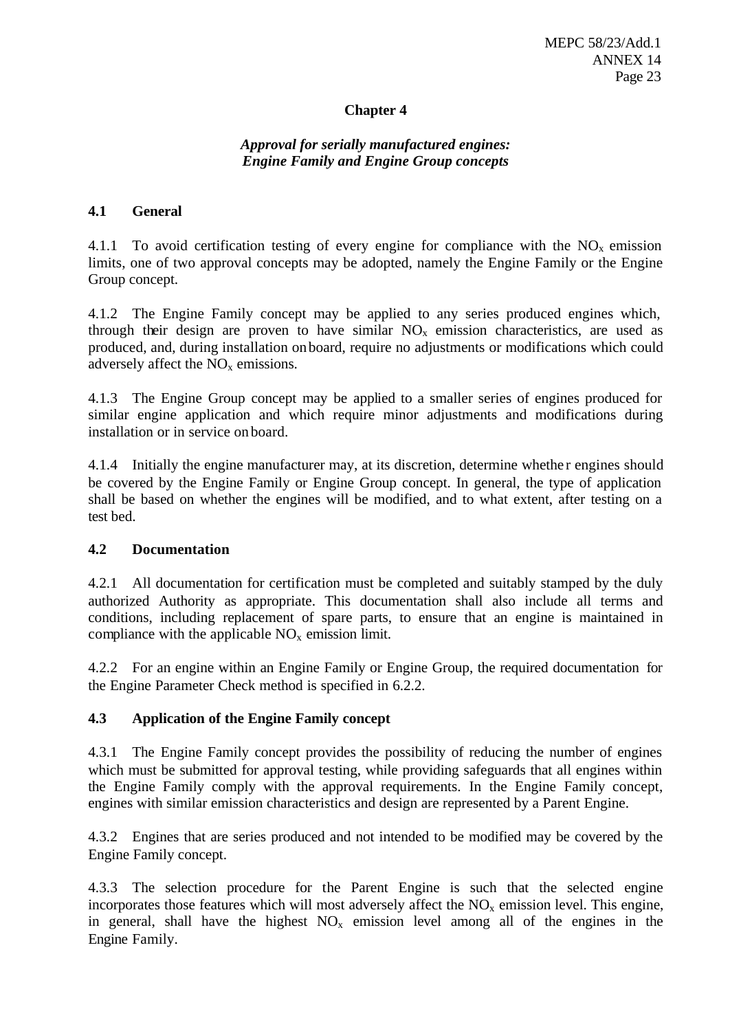## **Chapter 4**

## *Approval for serially manufactured engines: Engine Family and Engine Group concepts*

#### **4.1 General**

4.1.1 To avoid certification testing of every engine for compliance with the  $NO<sub>x</sub>$  emission limits, one of two approval concepts may be adopted, namely the Engine Family or the Engine Group concept.

4.1.2 The Engine Family concept may be applied to any series produced engines which, through their design are proven to have similar  $NO<sub>x</sub>$  emission characteristics, are used as produced, and, during installation on board, require no adjustments or modifications which could adversely affect the  $NO<sub>x</sub>$  emissions.

4.1.3 The Engine Group concept may be applied to a smaller series of engines produced for similar engine application and which require minor adjustments and modifications during installation or in service onboard.

4.1.4 Initially the engine manufacturer may, at its discretion, determine whether engines should be covered by the Engine Family or Engine Group concept. In general, the type of application shall be based on whether the engines will be modified, and to what extent, after testing on a test bed.

#### **4.2 Documentation**

4.2.1 All documentation for certification must be completed and suitably stamped by the duly authorized Authority as appropriate. This documentation shall also include all terms and conditions, including replacement of spare parts, to ensure that an engine is maintained in compliance with the applicable  $NO<sub>x</sub>$  emission limit.

4.2.2 For an engine within an Engine Family or Engine Group, the required documentation for the Engine Parameter Check method is specified in 6.2.2.

## **4.3 Application of the Engine Family concept**

4.3.1 The Engine Family concept provides the possibility of reducing the number of engines which must be submitted for approval testing, while providing safeguards that all engines within the Engine Family comply with the approval requirements. In the Engine Family concept, engines with similar emission characteristics and design are represented by a Parent Engine.

4.3.2 Engines that are series produced and not intended to be modified may be covered by the Engine Family concept.

4.3.3 The selection procedure for the Parent Engine is such that the selected engine incorporates those features which will most adversely affect the  $NO<sub>x</sub>$  emission level. This engine, in general, shall have the highest  $NO<sub>x</sub>$  emission level among all of the engines in the Engine Family.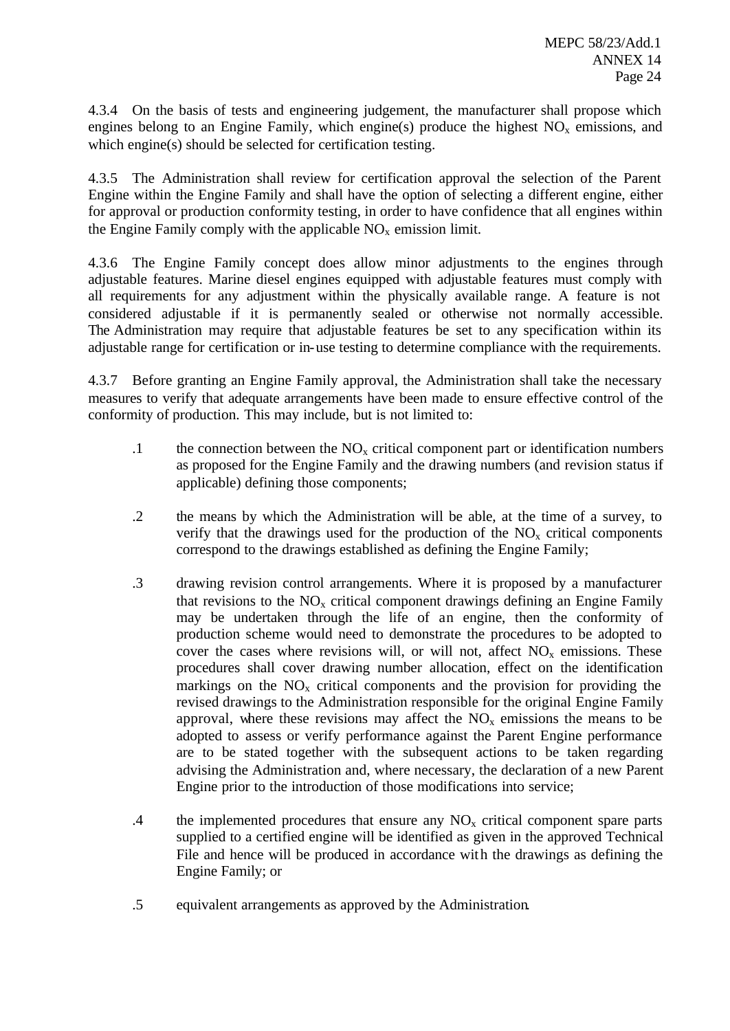4.3.4 On the basis of tests and engineering judgement, the manufacturer shall propose which engines belong to an Engine Family, which engine(s) produce the highest  $NO<sub>x</sub>$  emissions, and which engine(s) should be selected for certification testing.

4.3.5 The Administration shall review for certification approval the selection of the Parent Engine within the Engine Family and shall have the option of selecting a different engine, either for approval or production conformity testing, in order to have confidence that all engines within the Engine Family comply with the applicable  $NO<sub>x</sub>$  emission limit.

4.3.6 The Engine Family concept does allow minor adjustments to the engines through adjustable features. Marine diesel engines equipped with adjustable features must comply with all requirements for any adjustment within the physically available range. A feature is not considered adjustable if it is permanently sealed or otherwise not normally accessible. The Administration may require that adjustable features be set to any specification within its adjustable range for certification or in-use testing to determine compliance with the requirements.

4.3.7 Before granting an Engine Family approval, the Administration shall take the necessary measures to verify that adequate arrangements have been made to ensure effective control of the conformity of production. This may include, but is not limited to:

- .1 the connection between the  $NO<sub>x</sub>$  critical component part or identification numbers as proposed for the Engine Family and the drawing numbers (and revision status if applicable) defining those components;
- .2 the means by which the Administration will be able, at the time of a survey, to verify that the drawings used for the production of the  $NO<sub>x</sub>$  critical components correspond to the drawings established as defining the Engine Family;
- .3 drawing revision control arrangements. Where it is proposed by a manufacturer that revisions to the  $NO<sub>x</sub>$  critical component drawings defining an Engine Family may be undertaken through the life of an engine, then the conformity of production scheme would need to demonstrate the procedures to be adopted to cover the cases where revisions will, or will not, affect  $NO<sub>x</sub>$  emissions. These procedures shall cover drawing number allocation, effect on the identification markings on the  $NO<sub>x</sub>$  critical components and the provision for providing the revised drawings to the Administration responsible for the original Engine Family approval, where these revisions may affect the  $NO<sub>x</sub>$  emissions the means to be adopted to assess or verify performance against the Parent Engine performance are to be stated together with the subsequent actions to be taken regarding advising the Administration and, where necessary, the declaration of a new Parent Engine prior to the introduction of those modifications into service;
- .4 the implemented procedures that ensure any  $NO<sub>x</sub>$  critical component spare parts supplied to a certified engine will be identified as given in the approved Technical File and hence will be produced in accordance with the drawings as defining the Engine Family; or
- .5 equivalent arrangements as approved by the Administration.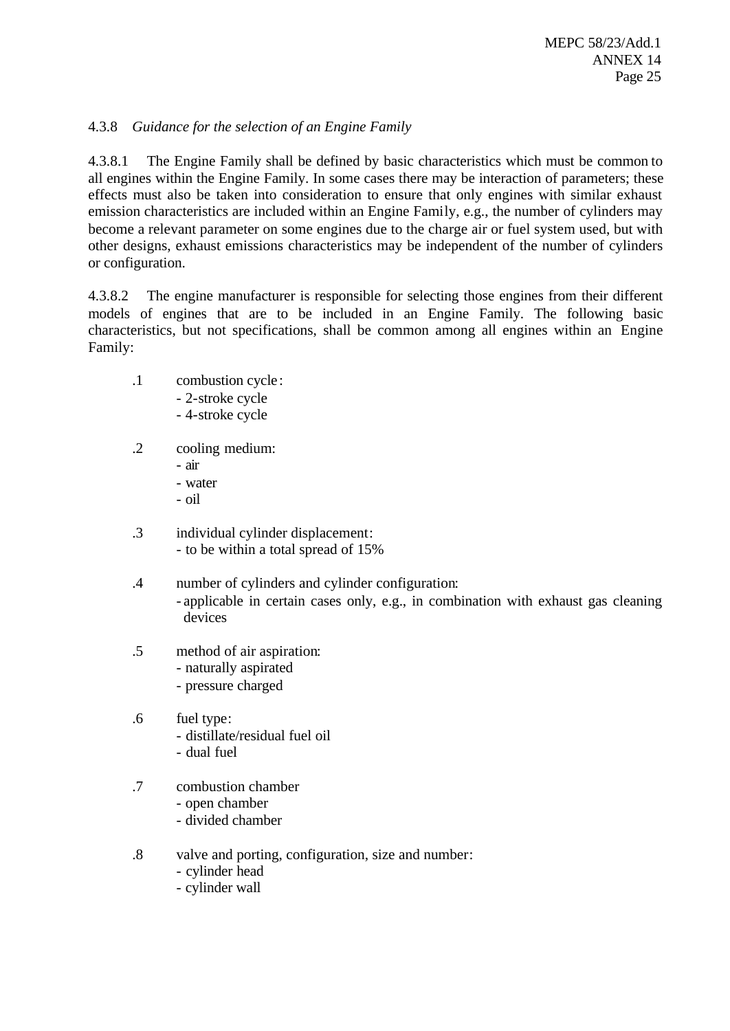## 4.3.8 *Guidance for the selection of an Engine Family*

4.3.8.1 The Engine Family shall be defined by basic characteristics which must be common to all engines within the Engine Family. In some cases there may be interaction of parameters; these effects must also be taken into consideration to ensure that only engines with similar exhaust emission characteristics are included within an Engine Family, e.g., the number of cylinders may become a relevant parameter on some engines due to the charge air or fuel system used, but with other designs, exhaust emissions characteristics may be independent of the number of cylinders or configuration.

4.3.8.2 The engine manufacturer is responsible for selecting those engines from their different models of engines that are to be included in an Engine Family. The following basic characteristics, but not specifications, shall be common among all engines within an Engine Family:

- .1 combustion cycle :
	- 2-stroke cycle
	- 4-stroke cycle
- .2 cooling medium:
	- air
	- water
	- oil
- .3 individual cylinder displacement: - to be within a total spread of 15%
- .4 number of cylinders and cylinder configuration: - applicable in certain cases only, e.g., in combination with exhaust gas cleaning devices
- .5 method of air aspiration:
	- naturally aspirated
	- pressure charged
- .6 fuel type:
	- distillate/residual fuel oil
	- dual fuel
- .7 combustion chamber
	- open chamber
	- divided chamber
- .8 valve and porting, configuration, size and number:
	- cylinder head
	- cylinder wall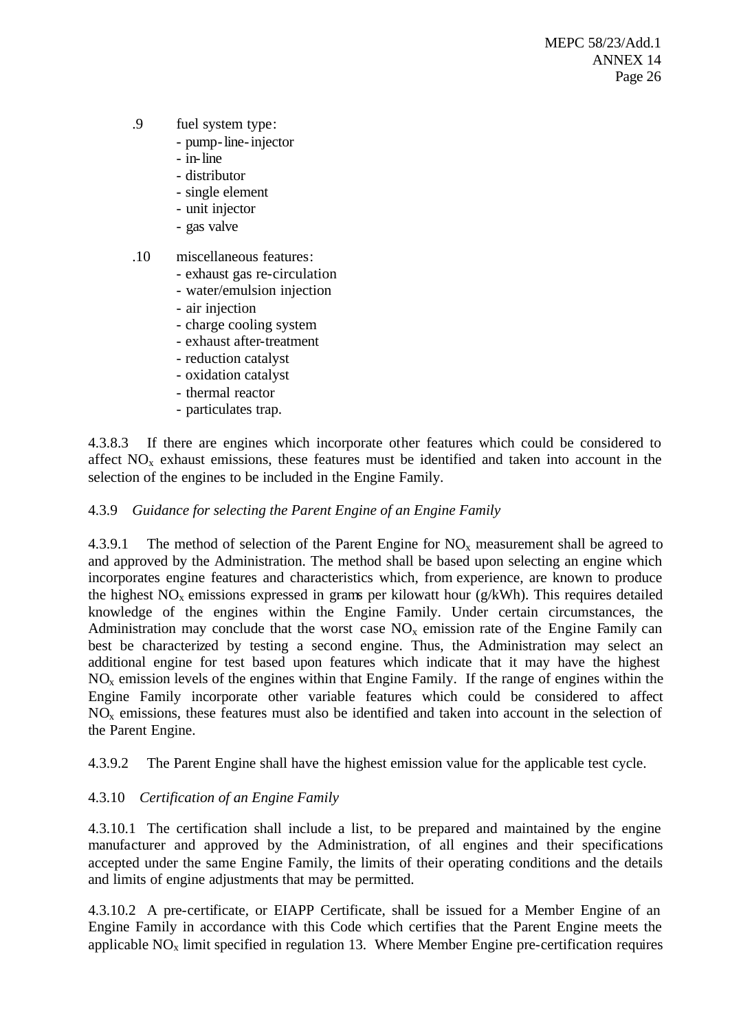- .9 fuel system type:
	- pump-line-injector
	- in-line
	- distributor
	- single element
	- unit injector
	- gas valve
- .10 miscellaneous features:
	- exhaust gas re-circulation
	- water/emulsion injection
	- air injection
	- charge cooling system
	- exhaust after-treatment
	- reduction catalyst
	- oxidation catalyst
	- thermal reactor
	- particulates trap.

4.3.8.3 If there are engines which incorporate other features which could be considered to affect  $NO<sub>x</sub>$  exhaust emissions, these features must be identified and taken into account in the selection of the engines to be included in the Engine Family.

## 4.3.9 *Guidance for selecting the Parent Engine of an Engine Family*

4.3.9.1 The method of selection of the Parent Engine for  $NO<sub>x</sub>$  measurement shall be agreed to and approved by the Administration. The method shall be based upon selecting an engine which incorporates engine features and characteristics which, from experience, are known to produce the highest  $NO<sub>x</sub>$  emissions expressed in grams per kilowatt hour (g/kWh). This requires detailed knowledge of the engines within the Engine Family. Under certain circumstances, the Administration may conclude that the worst case  $NO<sub>x</sub>$  emission rate of the Engine Family can best be characterized by testing a second engine. Thus, the Administration may select an additional engine for test based upon features which indicate that it may have the highest  $NO<sub>x</sub>$  emission levels of the engines within that Engine Family. If the range of engines within the Engine Family incorporate other variable features which could be considered to affect  $NO<sub>x</sub>$  emissions, these features must also be identified and taken into account in the selection of the Parent Engine.

4.3.9.2 The Parent Engine shall have the highest emission value for the applicable test cycle.

## 4.3.10 *Certification of an Engine Family*

4.3.10.1 The certification shall include a list, to be prepared and maintained by the engine manufacturer and approved by the Administration, of all engines and their specifications accepted under the same Engine Family, the limits of their operating conditions and the details and limits of engine adjustments that may be permitted.

4.3.10.2 A pre-certificate, or EIAPP Certificate, shall be issued for a Member Engine of an Engine Family in accordance with this Code which certifies that the Parent Engine meets the applicable  $NO<sub>x</sub>$  limit specified in regulation 13. Where Member Engine pre-certification requires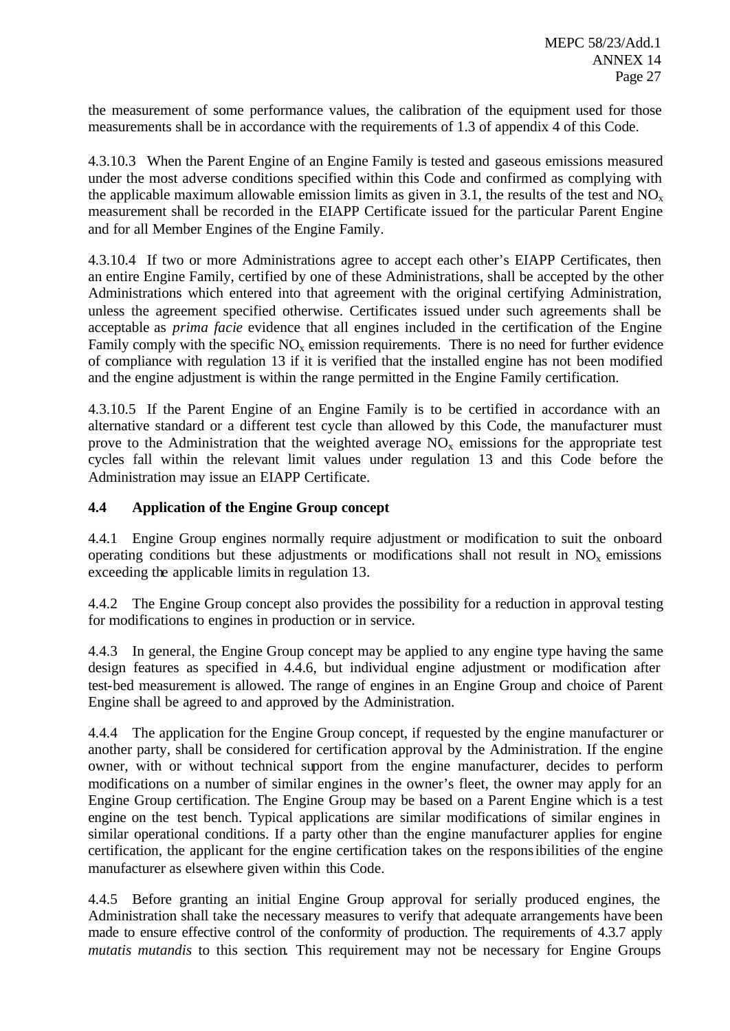the measurement of some performance values, the calibration of the equipment used for those measurements shall be in accordance with the requirements of 1.3 of appendix 4 of this Code.

4.3.10.3 When the Parent Engine of an Engine Family is tested and gaseous emissions measured under the most adverse conditions specified within this Code and confirmed as complying with the applicable maximum allowable emission limits as given in 3.1, the results of the test and  $NO<sub>x</sub>$ measurement shall be recorded in the EIAPP Certificate issued for the particular Parent Engine and for all Member Engines of the Engine Family.

4.3.10.4 If two or more Administrations agree to accept each other's EIAPP Certificates, then an entire Engine Family, certified by one of these Administrations, shall be accepted by the other Administrations which entered into that agreement with the original certifying Administration, unless the agreement specified otherwise. Certificates issued under such agreements shall be acceptable as *prima facie* evidence that all engines included in the certification of the Engine Family comply with the specific  $NO<sub>x</sub>$  emission requirements. There is no need for further evidence of compliance with regulation 13 if it is verified that the installed engine has not been modified and the engine adjustment is within the range permitted in the Engine Family certification.

4.3.10.5 If the Parent Engine of an Engine Family is to be certified in accordance with an alternative standard or a different test cycle than allowed by this Code, the manufacturer must prove to the Administration that the weighted average  $NO<sub>x</sub>$  emissions for the appropriate test cycles fall within the relevant limit values under regulation 13 and this Code before the Administration may issue an EIAPP Certificate.

## **4.4 Application of the Engine Group concept**

4.4.1 Engine Group engines normally require adjustment or modification to suit the onboard operating conditions but these adjustments or modifications shall not result in  $NO<sub>x</sub>$  emissions exceeding the applicable limits in regulation 13.

4.4.2 The Engine Group concept also provides the possibility for a reduction in approval testing for modifications to engines in production or in service.

4.4.3 In general, the Engine Group concept may be applied to any engine type having the same design features as specified in 4.4.6, but individual engine adjustment or modification after test-bed measurement is allowed. The range of engines in an Engine Group and choice of Parent Engine shall be agreed to and approved by the Administration.

4.4.4 The application for the Engine Group concept, if requested by the engine manufacturer or another party, shall be considered for certification approval by the Administration. If the engine owner, with or without technical support from the engine manufacturer, decides to perform modifications on a number of similar engines in the owner's fleet, the owner may apply for an Engine Group certification. The Engine Group may be based on a Parent Engine which is a test engine on the test bench. Typical applications are similar modifications of similar engines in similar operational conditions. If a party other than the engine manufacturer applies for engine certification, the applicant for the engine certification takes on the responsibilities of the engine manufacturer as elsewhere given within this Code.

4.4.5 Before granting an initial Engine Group approval for serially produced engines, the Administration shall take the necessary measures to verify that adequate arrangements have been made to ensure effective control of the conformity of production. The requirements of 4.3.7 apply *mutatis mutandis* to this section. This requirement may not be necessary for Engine Groups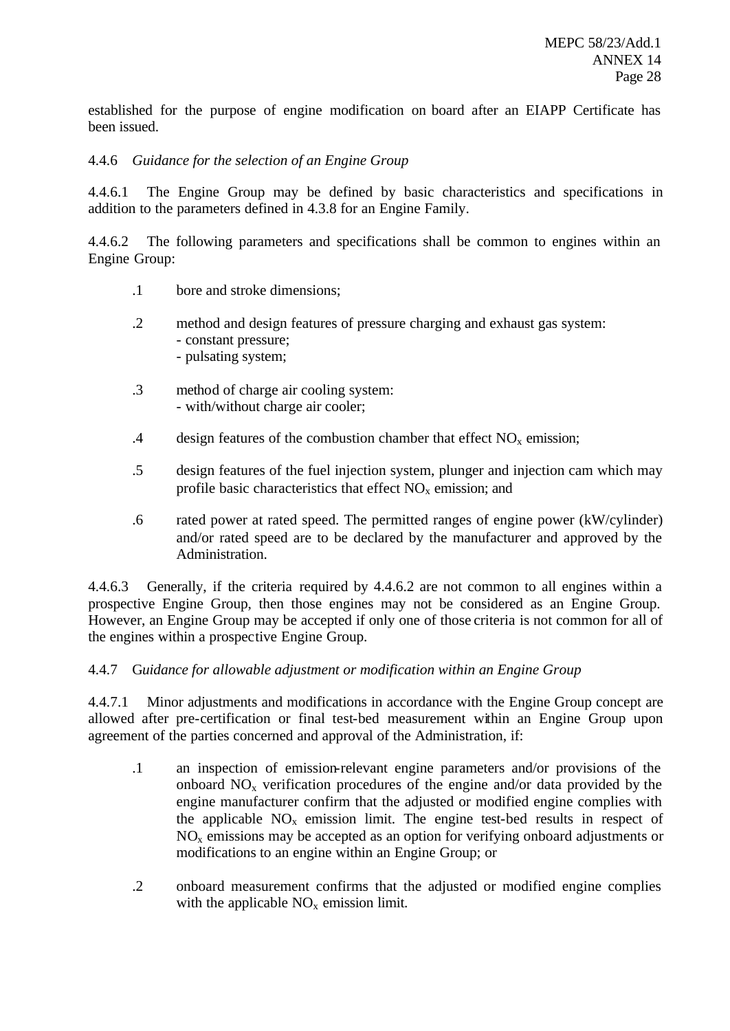established for the purpose of engine modification on board after an EIAPP Certificate has been issued.

## 4.4.6 *Guidance for the selection of an Engine Group*

4.4.6.1 The Engine Group may be defined by basic characteristics and specifications in addition to the parameters defined in 4.3.8 for an Engine Family.

4.4.6.2 The following parameters and specifications shall be common to engines within an Engine Group:

- .1 bore and stroke dimensions;
- .2 method and design features of pressure charging and exhaust gas system: - constant pressure;
	- pulsating system;
- .3 method of charge air cooling system: - with/without charge air cooler;
- .4 design features of the combustion chamber that effect  $NO<sub>x</sub>$  emission;
- .5 design features of the fuel injection system, plunger and injection cam which may profile basic characteristics that effect  $NO<sub>x</sub>$  emission; and
- .6 rated power at rated speed. The permitted ranges of engine power (kW/cylinder) and/or rated speed are to be declared by the manufacturer and approved by the Administration.

4.4.6.3 Generally, if the criteria required by 4.4.6.2 are not common to all engines within a prospective Engine Group, then those engines may not be considered as an Engine Group. However, an Engine Group may be accepted if only one of those criteria is not common for all of the engines within a prospective Engine Group.

## 4.4.7 G*uidance for allowable adjustment or modification within an Engine Group*

4.4.7.1 Minor adjustments and modifications in accordance with the Engine Group concept are allowed after pre-certification or final test-bed measurement within an Engine Group upon agreement of the parties concerned and approval of the Administration, if:

- .1 an inspection of emission-relevant engine parameters and/or provisions of the onboard  $NO<sub>x</sub>$  verification procedures of the engine and/or data provided by the engine manufacturer confirm that the adjusted or modified engine complies with the applicable  $NO<sub>x</sub>$  emission limit. The engine test-bed results in respect of  $NO<sub>x</sub>$  emissions may be accepted as an option for verifying onboard adjustments or modifications to an engine within an Engine Group; or
- .2 onboard measurement confirms that the adjusted or modified engine complies with the applicable  $NO<sub>x</sub>$  emission limit.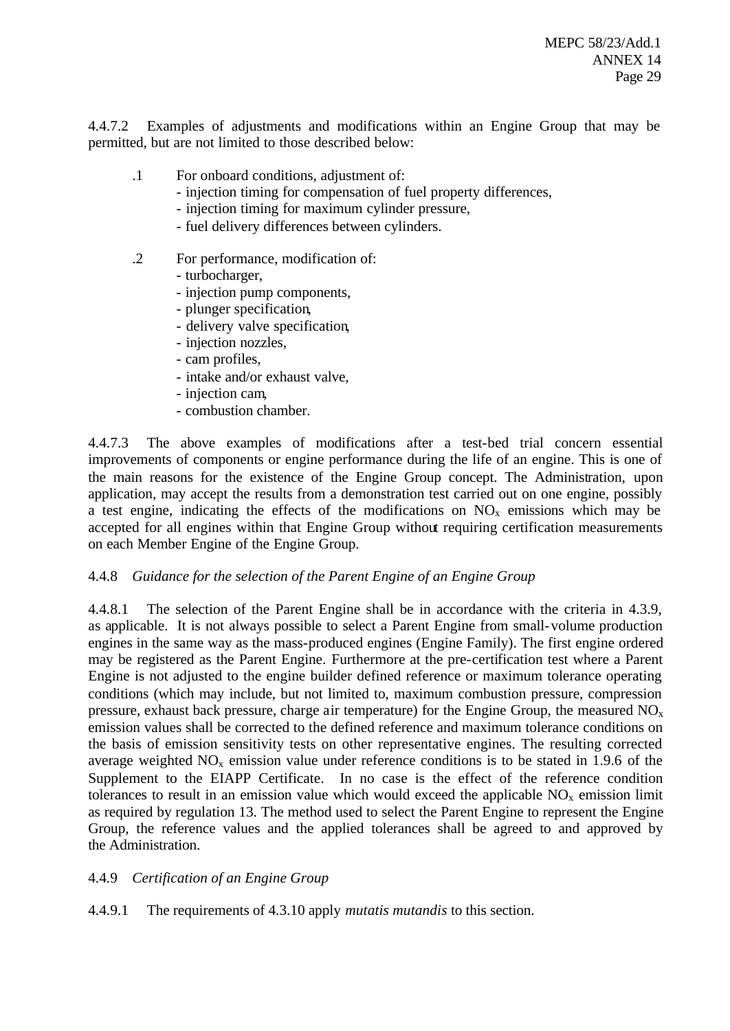4.4.7.2 Examples of adjustments and modifications within an Engine Group that may be permitted, but are not limited to those described below:

- .1 For onboard conditions, adjustment of:
	- injection timing for compensation of fuel property differences,
	- injection timing for maximum cylinder pressure,
	- fuel delivery differences between cylinders.
- .2 For performance, modification of:
	- turbocharger,
	- injection pump components,
	- plunger specification,
	- delivery valve specification,
	- injection nozzles,
	- cam profiles,
	- intake and/or exhaust valve,
	- injection cam,
	- combustion chamber.

4.4.7.3 The above examples of modifications after a test-bed trial concern essential improvements of components or engine performance during the life of an engine. This is one of the main reasons for the existence of the Engine Group concept. The Administration, upon application, may accept the results from a demonstration test carried out on one engine, possibly a test engine, indicating the effects of the modifications on  $NO<sub>x</sub>$  emissions which may be accepted for all engines within that Engine Group without requiring certification measurements on each Member Engine of the Engine Group.

#### 4.4.8 *Guidance for the selection of the Parent Engine of an Engine Group*

4.4.8.1 The selection of the Parent Engine shall be in accordance with the criteria in 4.3.9, as applicable. It is not always possible to select a Parent Engine from small-volume production engines in the same way as the mass-produced engines (Engine Family). The first engine ordered may be registered as the Parent Engine. Furthermore at the pre-certification test where a Parent Engine is not adjusted to the engine builder defined reference or maximum tolerance operating conditions (which may include, but not limited to, maximum combustion pressure, compression pressure, exhaust back pressure, charge air temperature) for the Engine Group, the measured  $NO<sub>x</sub>$ emission values shall be corrected to the defined reference and maximum tolerance conditions on the basis of emission sensitivity tests on other representative engines. The resulting corrected average weighted  $NO<sub>x</sub>$  emission value under reference conditions is to be stated in 1.9.6 of the Supplement to the EIAPP Certificate. In no case is the effect of the reference condition tolerances to result in an emission value which would exceed the applicable  $NO<sub>x</sub>$  emission limit as required by regulation 13. The method used to select the Parent Engine to represent the Engine Group, the reference values and the applied tolerances shall be agreed to and approved by the Administration.

## 4.4.9 *Certification of an Engine Group*

4.4.9.1 The requirements of 4.3.10 apply *mutatis mutandis* to this section.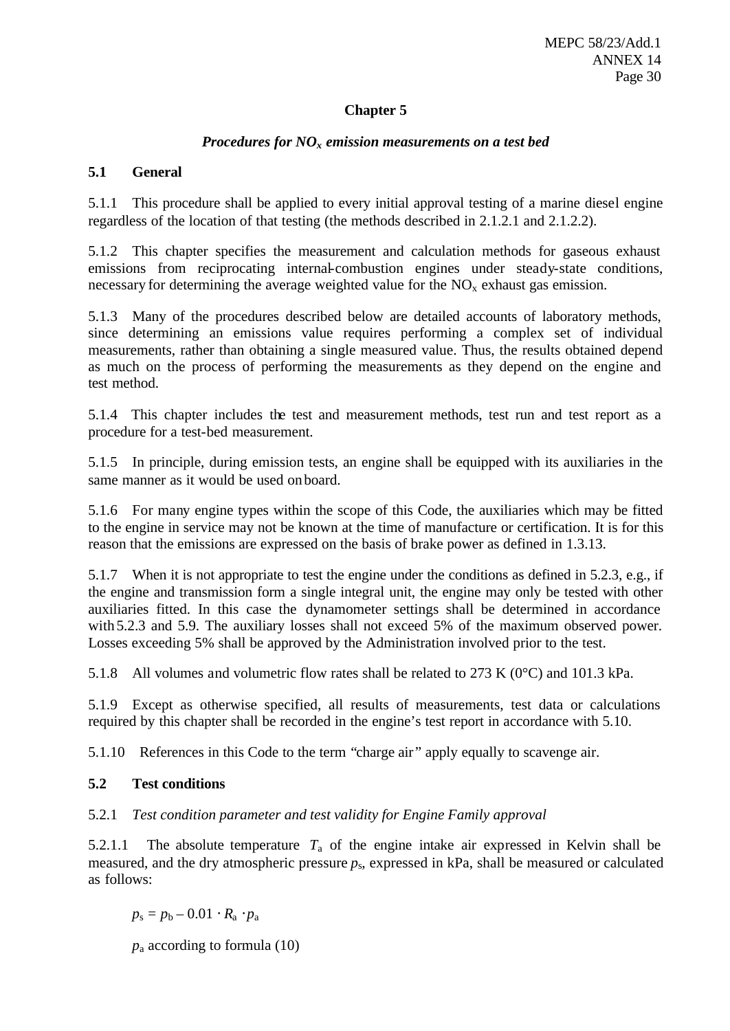## **Chapter 5**

## *Procedures for NOx emission measurements on a test bed*

## **5.1 General**

5.1.1 This procedure shall be applied to every initial approval testing of a marine diesel engine regardless of the location of that testing (the methods described in 2.1.2.1 and 2.1.2.2).

5.1.2 This chapter specifies the measurement and calculation methods for gaseous exhaust emissions from reciprocating internal-combustion engines under steady-state conditions, necessary for determining the average weighted value for the  $NO<sub>x</sub>$  exhaust gas emission.

5.1.3 Many of the procedures described below are detailed accounts of laboratory methods, since determining an emissions value requires performing a complex set of individual measurements, rather than obtaining a single measured value. Thus, the results obtained depend as much on the process of performing the measurements as they depend on the engine and test method.

5.1.4 This chapter includes the test and measurement methods, test run and test report as a procedure for a test-bed measurement.

5.1.5 In principle, during emission tests, an engine shall be equipped with its auxiliaries in the same manner as it would be used onboard.

5.1.6 For many engine types within the scope of this Code, the auxiliaries which may be fitted to the engine in service may not be known at the time of manufacture or certification. It is for this reason that the emissions are expressed on the basis of brake power as defined in 1.3.13.

5.1.7 When it is not appropriate to test the engine under the conditions as defined in 5.2.3, e.g., if the engine and transmission form a single integral unit, the engine may only be tested with other auxiliaries fitted. In this case the dynamometer settings shall be determined in accordance with 5.2.3 and 5.9. The auxiliary losses shall not exceed 5% of the maximum observed power. Losses exceeding 5% shall be approved by the Administration involved prior to the test.

5.1.8 All volumes and volumetric flow rates shall be related to 273 K (0°C) and 101.3 kPa.

5.1.9 Except as otherwise specified, all results of measurements, test data or calculations required by this chapter shall be recorded in the engine's test report in accordance with 5.10.

5.1.10 References in this Code to the term "charge air " apply equally to scavenge air.

## **5.2 Test conditions**

## 5.2.1 *Test condition parameter and test validity for Engine Family approval*

5.2.1.1 The absolute temperature  $T_a$  of the engine intake air expressed in Kelvin shall be measured, and the dry atmospheric pressure *p*s, expressed in kPa, shall be measured or calculated as follows:

 $p_s = p_b - 0.01 \cdot R_a \cdot p_a$ 

*p*a according to formula (10)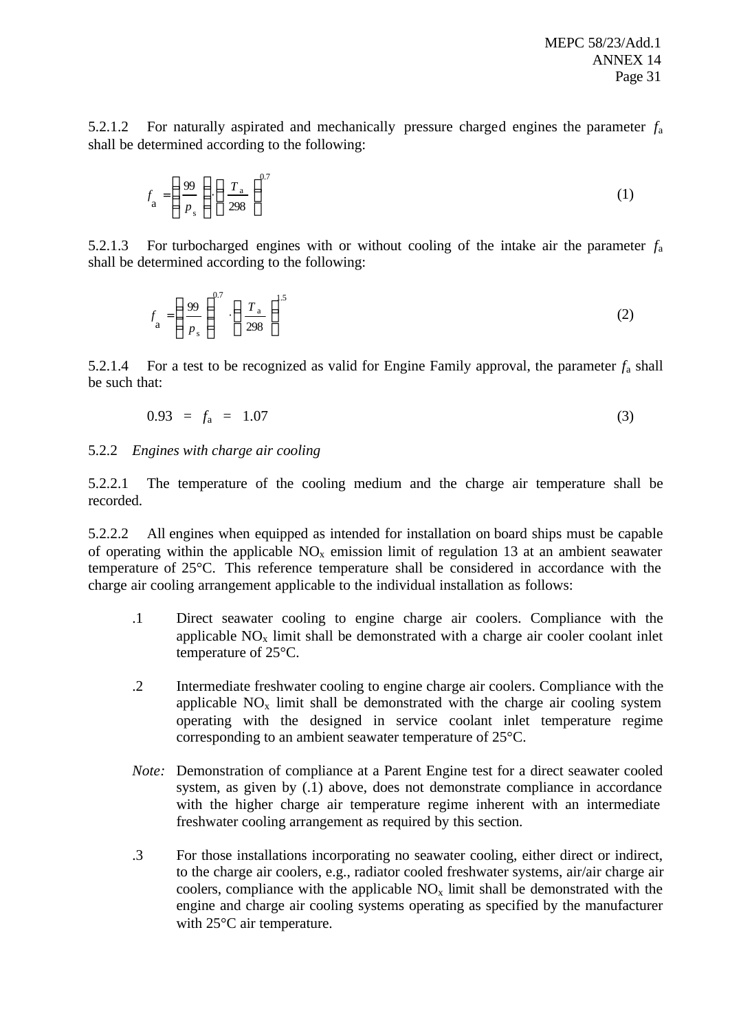5.2.1.2 For naturally aspirated and mechanically pressure charged engines the parameter *f*<sup>a</sup> shall be determined according to the following:

$$
f_{\rm a} = \left(\frac{99}{p_{\rm s}}\right) \left(\frac{T_{\rm a}}{298}\right)^{0.7} \tag{1}
$$

5.2.1.3 For turbocharged engines with or without cooling of the intake air the parameter *f*<sup>a</sup> shall be determined according to the following:

$$
f_{\rm a} = \left(\frac{99}{P_{\rm s}}\right)^{0.7} \cdot \left(\frac{T_{\rm a}}{298}\right)^{1.5} \tag{2}
$$

5.2.1.4 For a test to be recognized as valid for Engine Family approval, the parameter  $f_a$  shall be such that:

$$
0.93 = f_a = 1.07 \tag{3}
$$

#### 5.2.2 *Engines with charge air cooling*

5.2.2.1 The temperature of the cooling medium and the charge air temperature shall be recorded.

5.2.2.2 All engines when equipped as intended for installation on board ships must be capable of operating within the applicable  $NO<sub>x</sub>$  emission limit of regulation 13 at an ambient seawater temperature of 25°C. This reference temperature shall be considered in accordance with the charge air cooling arrangement applicable to the individual installation as follows:

- .1 Direct seawater cooling to engine charge air coolers. Compliance with the applicable  $NO<sub>x</sub>$  limit shall be demonstrated with a charge air cooler coolant inlet temperature of 25°C.
- .2 Intermediate freshwater cooling to engine charge air coolers. Compliance with the applicable  $NO_x$  limit shall be demonstrated with the charge air cooling system operating with the designed in service coolant inlet temperature regime corresponding to an ambient seawater temperature of 25°C.
- *Note:* Demonstration of compliance at a Parent Engine test for a direct seawater cooled system, as given by (.1) above, does not demonstrate compliance in accordance with the higher charge air temperature regime inherent with an intermediate freshwater cooling arrangement as required by this section.
- .3 For those installations incorporating no seawater cooling, either direct or indirect, to the charge air coolers, e.g., radiator cooled freshwater systems, air/air charge air coolers, compliance with the applicable  $NO<sub>x</sub>$  limit shall be demonstrated with the engine and charge air cooling systems operating as specified by the manufacturer with 25°C air temperature.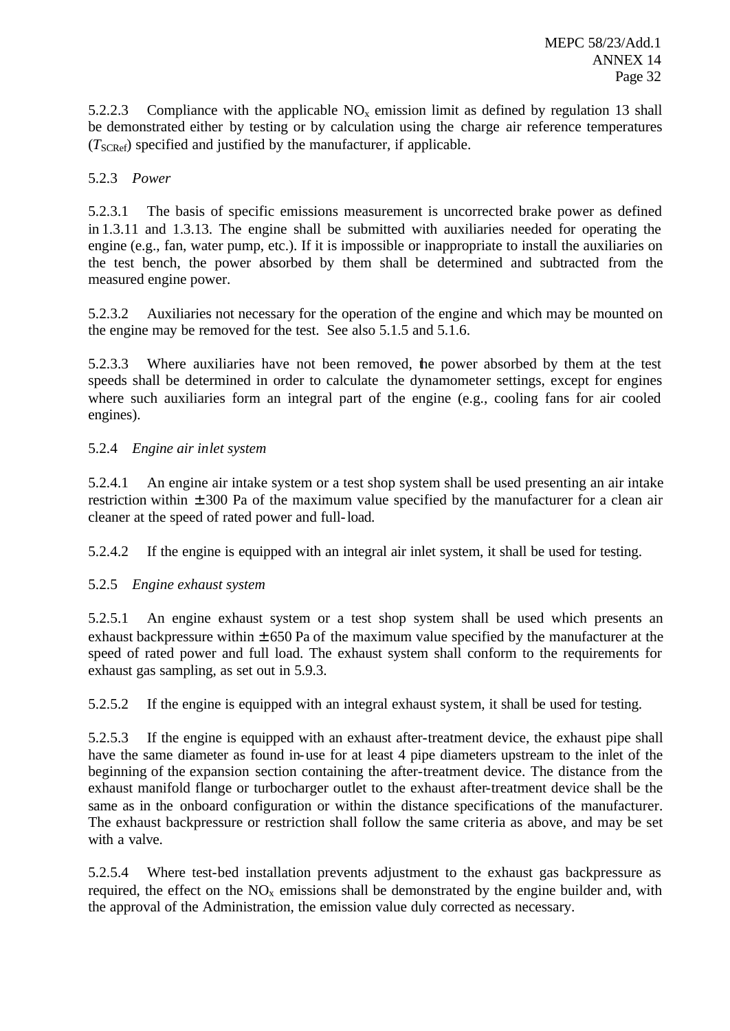5.2.2.3 Compliance with the applicable  $NO<sub>x</sub>$  emission limit as defined by regulation 13 shall be demonstrated either by testing or by calculation using the charge air reference temperatures (*T*SCRef) specified and justified by the manufacturer, if applicable.

## 5.2.3 *Power*

5.2.3.1 The basis of specific emissions measurement is uncorrected brake power as defined in 1.3.11 and 1.3.13. The engine shall be submitted with auxiliaries needed for operating the engine (e.g., fan, water pump, etc.). If it is impossible or inappropriate to install the auxiliaries on the test bench, the power absorbed by them shall be determined and subtracted from the measured engine power.

5.2.3.2 Auxiliaries not necessary for the operation of the engine and which may be mounted on the engine may be removed for the test. See also 5.1.5 and 5.1.6.

5.2.3.3 Where auxiliaries have not been removed, the power absorbed by them at the test speeds shall be determined in order to calculate the dynamometer settings, except for engines where such auxiliaries form an integral part of the engine (e.g., cooling fans for air cooled engines).

## 5.2.4 *Engine air inlet system*

5.2.4.1 An engine air intake system or a test shop system shall be used presenting an air intake restriction within  $\pm 300$  Pa of the maximum value specified by the manufacturer for a clean air cleaner at the speed of rated power and full-load.

5.2.4.2 If the engine is equipped with an integral air inlet system, it shall be used for testing.

## 5.2.5 *Engine exhaust system*

5.2.5.1 An engine exhaust system or a test shop system shall be used which presents an exhaust backpressure within  $\pm 650$  Pa of the maximum value specified by the manufacturer at the speed of rated power and full load. The exhaust system shall conform to the requirements for exhaust gas sampling, as set out in 5.9.3.

5.2.5.2 If the engine is equipped with an integral exhaust system, it shall be used for testing.

5.2.5.3 If the engine is equipped with an exhaust after-treatment device, the exhaust pipe shall have the same diameter as found in-use for at least 4 pipe diameters upstream to the inlet of the beginning of the expansion section containing the after-treatment device. The distance from the exhaust manifold flange or turbocharger outlet to the exhaust after-treatment device shall be the same as in the onboard configuration or within the distance specifications of the manufacturer. The exhaust backpressure or restriction shall follow the same criteria as above, and may be set with a valve.

5.2.5.4 Where test-bed installation prevents adjustment to the exhaust gas backpressure as required, the effect on the  $NO<sub>x</sub>$  emissions shall be demonstrated by the engine builder and, with the approval of the Administration, the emission value duly corrected as necessary.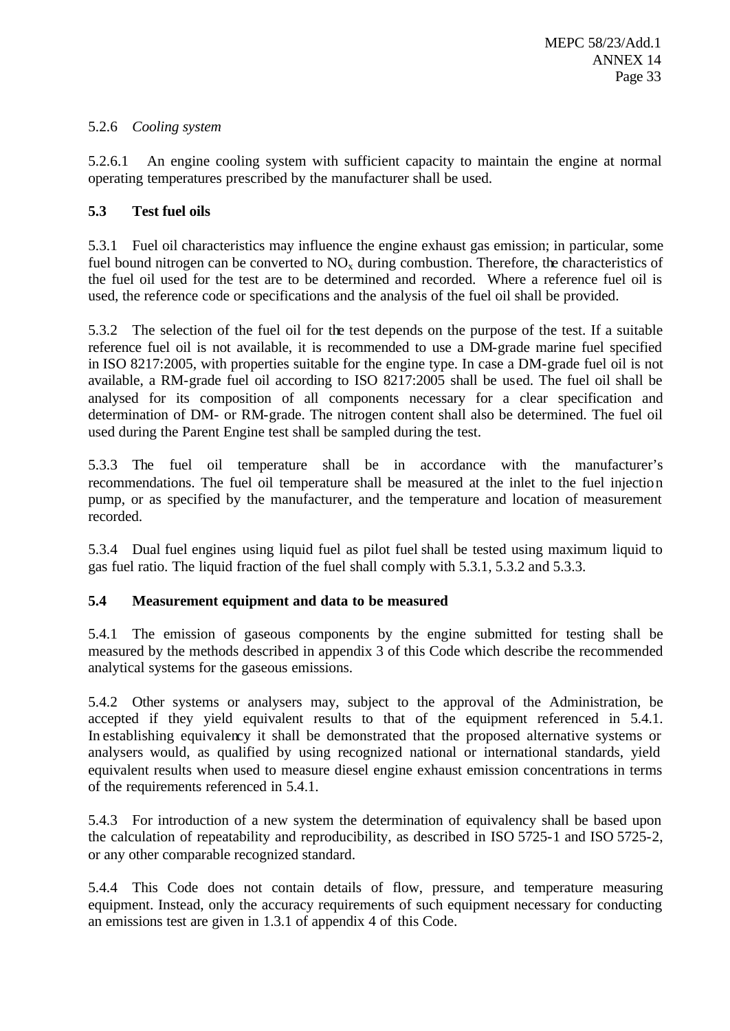## 5.2.6 *Cooling system*

5.2.6.1 An engine cooling system with sufficient capacity to maintain the engine at normal operating temperatures prescribed by the manufacturer shall be used.

## **5.3 Test fuel oils**

5.3.1 Fuel oil characteristics may influence the engine exhaust gas emission; in particular, some fuel bound nitrogen can be converted to  $NO<sub>x</sub>$  during combustion. Therefore, the characteristics of the fuel oil used for the test are to be determined and recorded. Where a reference fuel oil is used, the reference code or specifications and the analysis of the fuel oil shall be provided.

5.3.2 The selection of the fuel oil for the test depends on the purpose of the test. If a suitable reference fuel oil is not available, it is recommended to use a DM-grade marine fuel specified in ISO 8217:2005, with properties suitable for the engine type. In case a DM-grade fuel oil is not available, a RM-grade fuel oil according to ISO 8217:2005 shall be used. The fuel oil shall be analysed for its composition of all components necessary for a clear specification and determination of DM- or RM-grade. The nitrogen content shall also be determined. The fuel oil used during the Parent Engine test shall be sampled during the test.

5.3.3 The fuel oil temperature shall be in accordance with the manufacturer's recommendations. The fuel oil temperature shall be measured at the inlet to the fuel injection pump, or as specified by the manufacturer, and the temperature and location of measurement recorded.

5.3.4 Dual fuel engines using liquid fuel as pilot fuel shall be tested using maximum liquid to gas fuel ratio. The liquid fraction of the fuel shall comply with 5.3.1, 5.3.2 and 5.3.3.

## **5.4 Measurement equipment and data to be measured**

5.4.1 The emission of gaseous components by the engine submitted for testing shall be measured by the methods described in appendix 3 of this Code which describe the recommended analytical systems for the gaseous emissions.

5.4.2 Other systems or analysers may, subject to the approval of the Administration, be accepted if they yield equivalent results to that of the equipment referenced in 5.4.1. In establishing equivalency it shall be demonstrated that the proposed alternative systems or analysers would, as qualified by using recognized national or international standards, yield equivalent results when used to measure diesel engine exhaust emission concentrations in terms of the requirements referenced in 5.4.1.

5.4.3 For introduction of a new system the determination of equivalency shall be based upon the calculation of repeatability and reproducibility, as described in ISO 5725-1 and ISO 5725-2, or any other comparable recognized standard.

5.4.4 This Code does not contain details of flow, pressure, and temperature measuring equipment. Instead, only the accuracy requirements of such equipment necessary for conducting an emissions test are given in 1.3.1 of appendix 4 of this Code.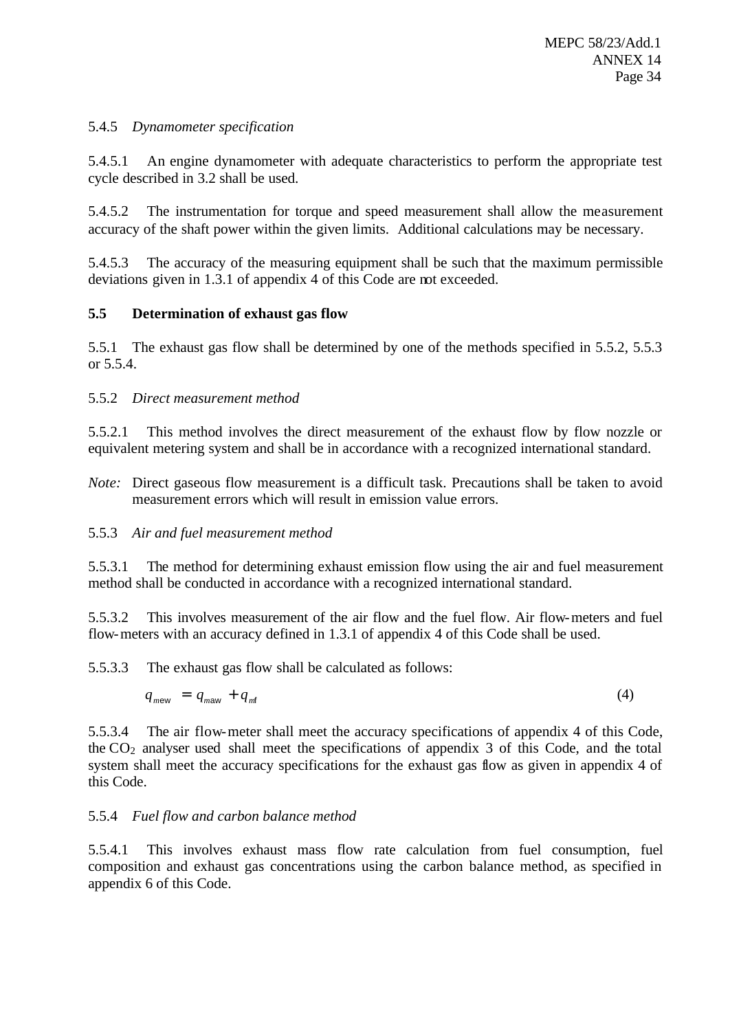## 5.4.5 *Dynamometer specification*

5.4.5.1 An engine dynamometer with adequate characteristics to perform the appropriate test cycle described in 3.2 shall be used.

5.4.5.2 The instrumentation for torque and speed measurement shall allow the measurement accuracy of the shaft power within the given limits. Additional calculations may be necessary.

5.4.5.3 The accuracy of the measuring equipment shall be such that the maximum permissible deviations given in 1.3.1 of appendix 4 of this Code are not exceeded.

## **5.5 Determination of exhaust gas flow**

5.5.1 The exhaust gas flow shall be determined by one of the methods specified in 5.5.2, 5.5.3 or 5.5.4.

## 5.5.2 *Direct measurement method*

5.5.2.1 This method involves the direct measurement of the exhaust flow by flow nozzle or equivalent metering system and shall be in accordance with a recognized international standard.

*Note:* Direct gaseous flow measurement is a difficult task. Precautions shall be taken to avoid measurement errors which will result in emission value errors.

## 5.5.3 *Air and fuel measurement method*

5.5.3.1 The method for determining exhaust emission flow using the air and fuel measurement method shall be conducted in accordance with a recognized international standard.

5.5.3.2 This involves measurement of the air flow and the fuel flow. Air flow-meters and fuel flow-meters with an accuracy defined in 1.3.1 of appendix 4 of this Code shall be used.

5.5.3.3 The exhaust gas flow shall be calculated as follows:

$$
q_{mew} = q_{maw} + q_{m0} \tag{4}
$$

5.5.3.4 The air flow-meter shall meet the accuracy specifications of appendix 4 of this Code, the  $CO<sub>2</sub>$  analyser used shall meet the specifications of appendix 3 of this Code, and the total system shall meet the accuracy specifications for the exhaust gas flow as given in appendix 4 of this Code.

#### 5.5.4 *Fuel flow and carbon balance method*

5.5.4.1 This involves exhaust mass flow rate calculation from fuel consumption, fuel composition and exhaust gas concentrations using the carbon balance method, as specified in appendix 6 of this Code.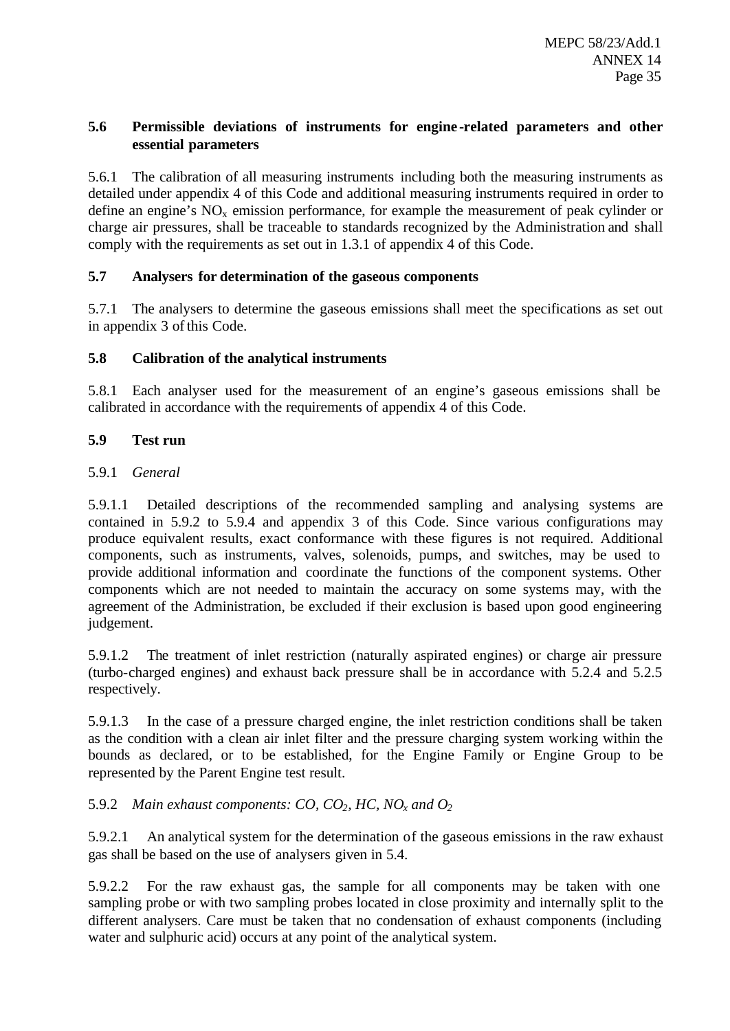## **5.6 Permissible deviations of instruments for engine -related parameters and other essential parameters**

5.6.1 The calibration of all measuring instruments including both the measuring instruments as detailed under appendix 4 of this Code and additional measuring instruments required in order to define an engine's  $NO<sub>x</sub>$  emission performance, for example the measurement of peak cylinder or charge air pressures, shall be traceable to standards recognized by the Administration and shall comply with the requirements as set out in 1.3.1 of appendix 4 of this Code.

## **5.7 Analysers for determination of the gaseous components**

5.7.1 The analysers to determine the gaseous emissions shall meet the specifications as set out in appendix 3 of this Code.

# **5.8 Calibration of the analytical instruments**

5.8.1 Each analyser used for the measurement of an engine's gaseous emissions shall be calibrated in accordance with the requirements of appendix 4 of this Code.

# **5.9 Test run**

# 5.9.1 *General*

5.9.1.1 Detailed descriptions of the recommended sampling and analysing systems are contained in 5.9.2 to 5.9.4 and appendix 3 of this Code. Since various configurations may produce equivalent results, exact conformance with these figures is not required. Additional components, such as instruments, valves, solenoids, pumps, and switches, may be used to provide additional information and coordinate the functions of the component systems. Other components which are not needed to maintain the accuracy on some systems may, with the agreement of the Administration, be excluded if their exclusion is based upon good engineering judgement.

5.9.1.2 The treatment of inlet restriction (naturally aspirated engines) or charge air pressure (turbo-charged engines) and exhaust back pressure shall be in accordance with 5.2.4 and 5.2.5 respectively.

5.9.1.3 In the case of a pressure charged engine, the inlet restriction conditions shall be taken as the condition with a clean air inlet filter and the pressure charging system working within the bounds as declared, or to be established, for the Engine Family or Engine Group to be represented by the Parent Engine test result.

# 5.9.2 *Main exhaust components: CO, CO2, HC, NOx and O<sup>2</sup>*

5.9.2.1 An analytical system for the determination of the gaseous emissions in the raw exhaust gas shall be based on the use of analysers given in 5.4.

5.9.2.2 For the raw exhaust gas, the sample for all components may be taken with one sampling probe or with two sampling probes located in close proximity and internally split to the different analysers. Care must be taken that no condensation of exhaust components (including water and sulphuric acid) occurs at any point of the analytical system.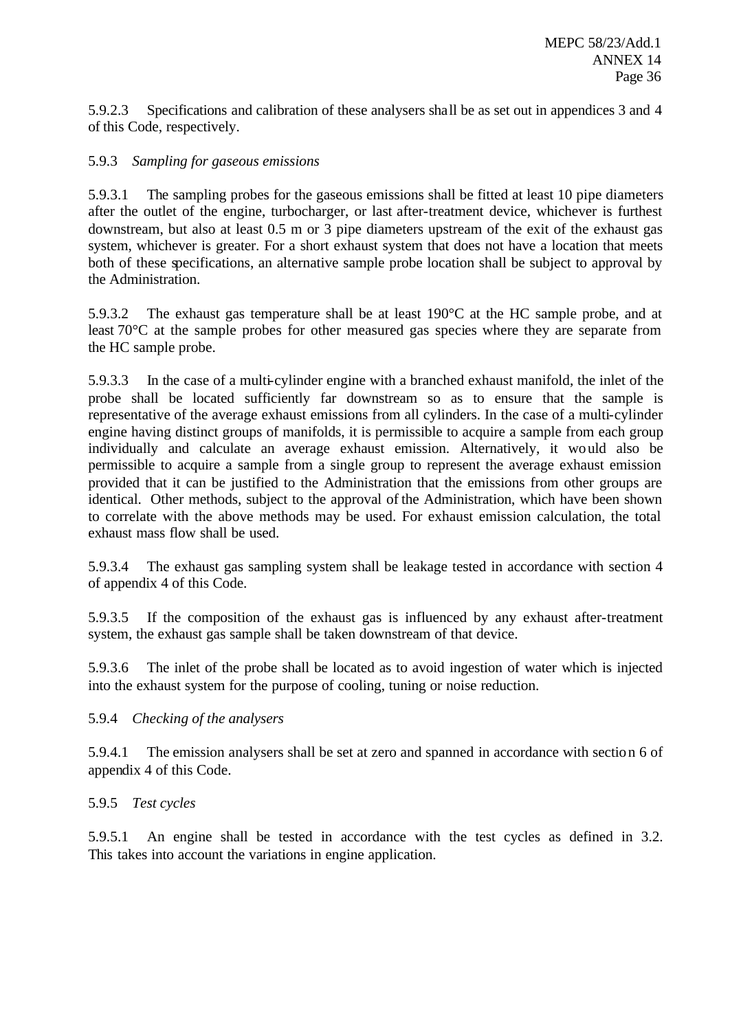5.9.2.3 Specifications and calibration of these analysers shall be as set out in appendices 3 and 4 of this Code, respectively.

## 5.9.3 *Sampling for gaseous emissions*

5.9.3.1 The sampling probes for the gaseous emissions shall be fitted at least 10 pipe diameters after the outlet of the engine, turbocharger, or last after-treatment device, whichever is furthest downstream, but also at least 0.5 m or 3 pipe diameters upstream of the exit of the exhaust gas system, whichever is greater. For a short exhaust system that does not have a location that meets both of these specifications, an alternative sample probe location shall be subject to approval by the Administration.

5.9.3.2 The exhaust gas temperature shall be at least 190°C at the HC sample probe, and at least 70°C at the sample probes for other measured gas species where they are separate from the HC sample probe.

5.9.3.3 In the case of a multi-cylinder engine with a branched exhaust manifold, the inlet of the probe shall be located sufficiently far downstream so as to ensure that the sample is representative of the average exhaust emissions from all cylinders. In the case of a multi-cylinder engine having distinct groups of manifolds, it is permissible to acquire a sample from each group individually and calculate an average exhaust emission. Alternatively, it would also be permissible to acquire a sample from a single group to represent the average exhaust emission provided that it can be justified to the Administration that the emissions from other groups are identical. Other methods, subject to the approval of the Administration, which have been shown to correlate with the above methods may be used. For exhaust emission calculation, the total exhaust mass flow shall be used.

5.9.3.4 The exhaust gas sampling system shall be leakage tested in accordance with section 4 of appendix 4 of this Code.

5.9.3.5 If the composition of the exhaust gas is influenced by any exhaust after-treatment system, the exhaust gas sample shall be taken downstream of that device.

5.9.3.6 The inlet of the probe shall be located as to avoid ingestion of water which is injected into the exhaust system for the purpose of cooling, tuning or noise reduction.

## 5.9.4 *Checking of the analysers*

5.9.4.1 The emission analysers shall be set at zero and spanned in accordance with section 6 of appendix 4 of this Code.

#### 5.9.5 *Test cycles*

5.9.5.1 An engine shall be tested in accordance with the test cycles as defined in 3.2. This takes into account the variations in engine application.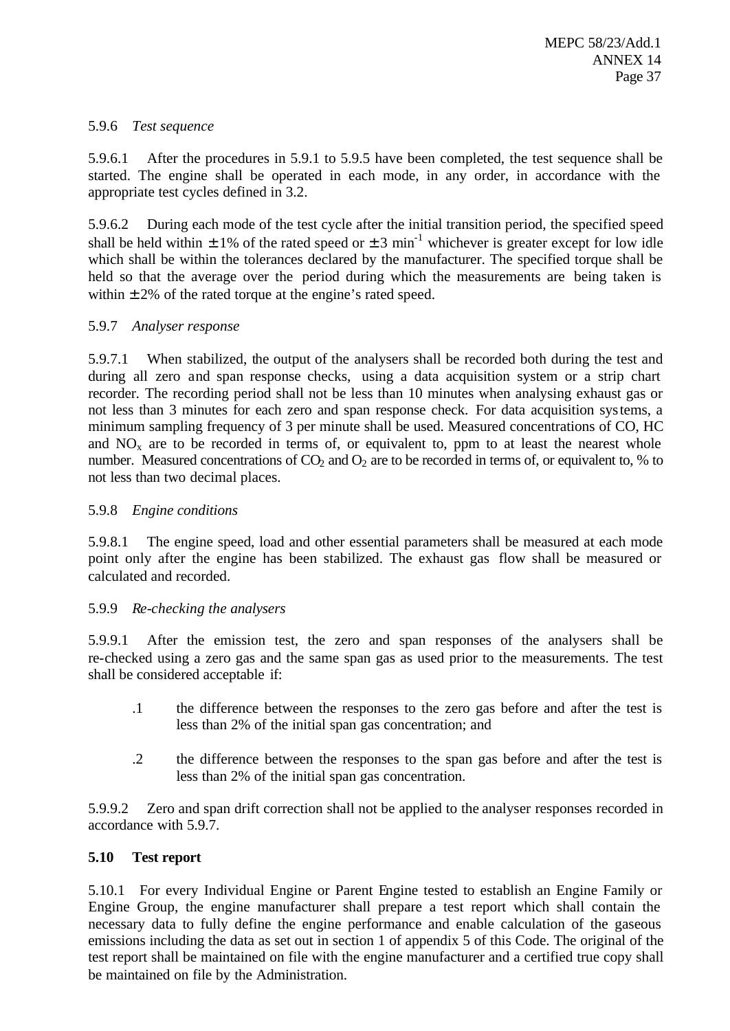# 5.9.6 *Test sequence*

5.9.6.1 After the procedures in 5.9.1 to 5.9.5 have been completed, the test sequence shall be started. The engine shall be operated in each mode, in any order, in accordance with the appropriate test cycles defined in 3.2.

5.9.6.2 During each mode of the test cycle after the initial transition period, the specified speed shall be held within  $\pm 1\%$  of the rated speed or  $\pm 3$  min<sup>-1</sup> whichever is greater except for low idle which shall be within the tolerances declared by the manufacturer. The specified torque shall be held so that the average over the period during which the measurements are being taken is within  $\pm 2\%$  of the rated torque at the engine's rated speed.

# 5.9.7 *Analyser response*

5.9.7.1 When stabilized, the output of the analysers shall be recorded both during the test and during all zero and span response checks, using a data acquisition system or a strip chart recorder. The recording period shall not be less than 10 minutes when analysing exhaust gas or not less than 3 minutes for each zero and span response check. For data acquisition systems, a minimum sampling frequency of 3 per minute shall be used. Measured concentrations of CO, HC and  $NO<sub>x</sub>$  are to be recorded in terms of, or equivalent to, ppm to at least the nearest whole number. Measured concentrations of  $CO<sub>2</sub>$  and  $O<sub>2</sub>$  are to be recorded in terms of, or equivalent to, % to not less than two decimal places.

## 5.9.8 *Engine conditions*

5.9.8.1 The engine speed, load and other essential parameters shall be measured at each mode point only after the engine has been stabilized. The exhaust gas flow shall be measured or calculated and recorded.

# 5.9.9 *Re-checking the analysers*

5.9.9.1 After the emission test, the zero and span responses of the analysers shall be re-checked using a zero gas and the same span gas as used prior to the measurements. The test shall be considered acceptable if:

- .1 the difference between the responses to the zero gas before and after the test is less than 2% of the initial span gas concentration; and
- .2 the difference between the responses to the span gas before and after the test is less than 2% of the initial span gas concentration.

5.9.9.2 Zero and span drift correction shall not be applied to the analyser responses recorded in accordance with 5.9.7.

# **5.10 Test report**

5.10.1 For every Individual Engine or Parent Engine tested to establish an Engine Family or Engine Group, the engine manufacturer shall prepare a test report which shall contain the necessary data to fully define the engine performance and enable calculation of the gaseous emissions including the data as set out in section 1 of appendix 5 of this Code. The original of the test report shall be maintained on file with the engine manufacturer and a certified true copy shall be maintained on file by the Administration.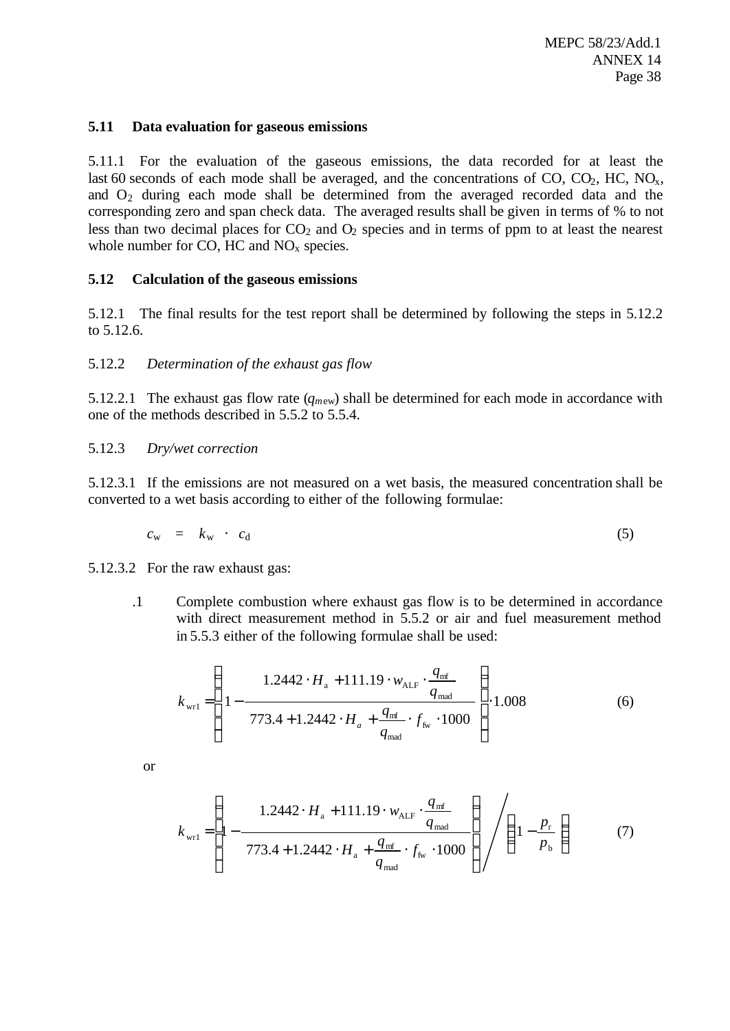#### **5.11 Data evaluation for gaseous emissions**

5.11.1 For the evaluation of the gaseous emissions, the data recorded for at least the last 60 seconds of each mode shall be averaged, and the concentrations of CO,  $CO_2$ , HC,  $NO_x$ , and  $O_2$  during each mode shall be determined from the averaged recorded data and the corresponding zero and span check data. The averaged results shall be given in terms of % to not less than two decimal places for  $CO<sub>2</sub>$  and  $O<sub>2</sub>$  species and in terms of ppm to at least the nearest whole number for CO, HC and  $NO<sub>x</sub>$  species.

### **5.12 Calculation of the gaseous emissions**

5.12.1 The final results for the test report shall be determined by following the steps in 5.12.2 to 5.12.6.

### 5.12.2 *Determination of the exhaust gas flow*

5.12.2.1 The exhaust gas flow rate (*qm*ew) shall be determined for each mode in accordance with one of the methods described in 5.5.2 to 5.5.4.

5.12.3 *Dry/wet correction*

5.12.3.1 If the emissions are not measured on a wet basis, the measured concentration shall be converted to a wet basis according to either of the following formulae:

$$
c_{\rm w} = k_{\rm w} \cdot c_{\rm d} \tag{5}
$$

5.12.3.2 For the raw exhaust gas:

.1 Complete combustion where exhaust gas flow is to be determined in accordance with direct measurement method in 5.5.2 or air and fuel measurement method in 5.5.3 either of the following formulae shall be used:

$$
k_{\text{wr1}} = \left( 1 - \frac{1.2442 \cdot H_a + 111.19 \cdot w_{\text{ALF}} \cdot \frac{q_{\text{mf}}}{q_{\text{mad}}}}{773.4 + 1.2442 \cdot H_a + \frac{q_{\text{mf}}}{q_{\text{mad}}} \cdot f_{\text{fw}} \cdot 1000} \right) \cdot 1.008 \tag{6}
$$

or

$$
k_{\text{wr1}} = \left(1 - \frac{1.2442 \cdot H_{\text{a}} + 111.19 \cdot w_{\text{ALF}} \cdot \frac{q_{\text{mf}}}{q_{\text{mad}}}}{773.4 + 1.2442 \cdot H_{\text{a}} + \frac{q_{\text{mf}}}{q_{\text{mad}}}} \cdot f_{\text{fw}} \cdot 1000\right) / \left(1 - \frac{p_{\text{r}}}{p_{\text{b}}}\right) \tag{7}
$$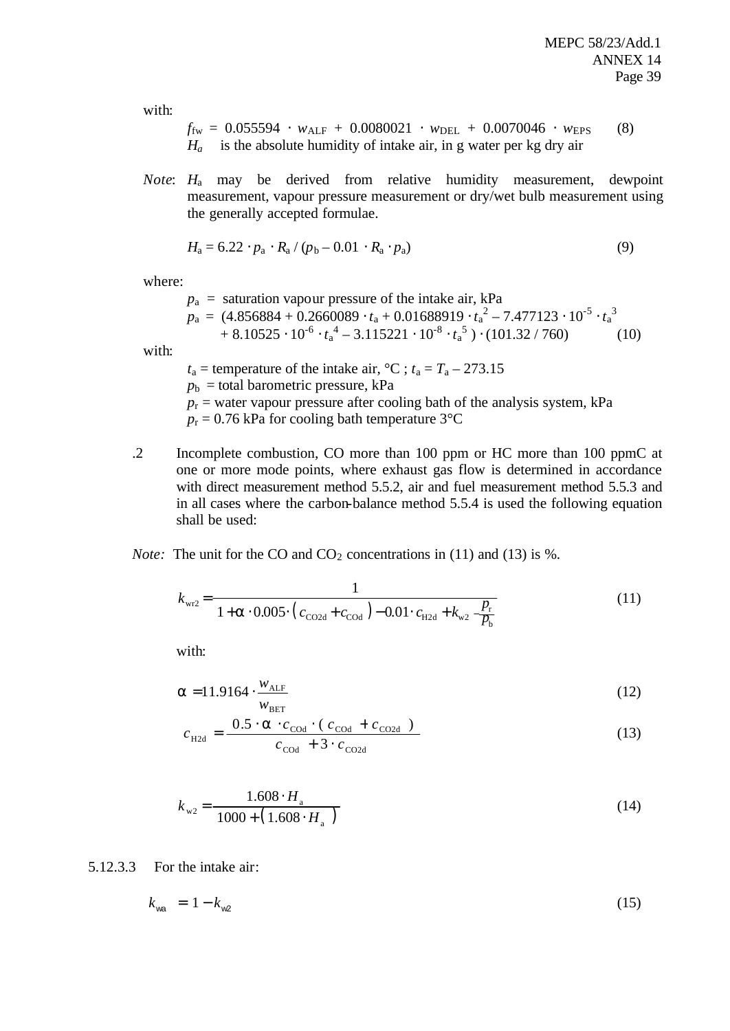with:

$$
f_{\text{fw}} = 0.055594 \cdot w_{\text{ALF}} + 0.0080021 \cdot w_{\text{DEL}} + 0.0070046 \cdot w_{\text{EPS}} \quad (8)
$$
  

$$
H_a \quad \text{is the absolute humidity of intake air, in g water per kg dry air}
$$

*Note*: *H*a may be derived from relative humidity measurement, dewpoint measurement, vapour pressure measurement or dry/wet bulb measurement using the generally accepted formulae.

$$
H_a = 6.22 \cdot p_a \times R_a / (p_b - 0.01 \cdot R_a \cdot p_a)
$$
\n
$$
(9)
$$

where:

 $p_a$  = saturation vapour pressure of the intake air, kPa  $p_{\text{a}}\,=\,(4.856884 + 0.2660089\cdot t_{\text{a}} + 0.01688919\cdot t_{\text{a}}^{\;2} - 7.477123\cdot 10^{-5}\cdot t_{\text{a}}^{\;3}$  $+8.10525 \cdot 10^{-6} \cdot t_a^4 - 3.115221 \cdot 10^{-8} \cdot t_a^5$ )  $\cdot (101.32 / 760)$  (10)

with:

- $t_a$  = temperature of the intake air,  $^{\circ}C$ ;  $t_a = T_a 273.15$  $p<sub>b</sub>$  = total barometric pressure, kPa  $p_r$  = water vapour pressure after cooling bath of the analysis system, kPa  $p_r = 0.76$  kPa for cooling bath temperature 3<sup>o</sup>C
- .2 Incomplete combustion, CO more than 100 ppm or HC more than 100 ppmC at one or more mode points, where exhaust gas flow is determined in accordance with direct measurement method 5.5.2, air and fuel measurement method 5.5.3 and in all cases where the carbon-balance method 5.5.4 is used the following equation shall be used:

*Note:* The unit for the CO and  $CO_2$  concentrations in (11) and (13) is %.

$$
k_{\text{wr2}} = \frac{1}{1 + \mathbf{a} \cdot 0.005 \cdot (c_{\text{CO2d}} + c_{\text{COd}}) - 0.01 \cdot c_{\text{H2d}} + k_{\text{w2}} - \frac{P_r}{P_b}}
$$
(11)

with:

$$
\mathbf{a} = 11.9164 \cdot \frac{w_{\text{ALF}}}{w_{\text{BET}}} \tag{12}
$$

$$
c_{\text{H2d}} = \frac{0.5 \cdot \mathbf{a} \cdot c_{\text{COd}} \cdot (c_{\text{COd}} + c_{\text{CO2d}})}{c_{\text{COd}} + 3 \cdot c_{\text{CO2d}}}
$$
(13)

$$
k_{w2} = \frac{1.608 \cdot H_{\rm a}}{1000 + (1.608 \cdot H_{\rm a})}
$$
(14)

5.12.3.3 For the intake air:

$$
k_{\text{wa}} = 1 - k_{\text{w2}} \tag{15}
$$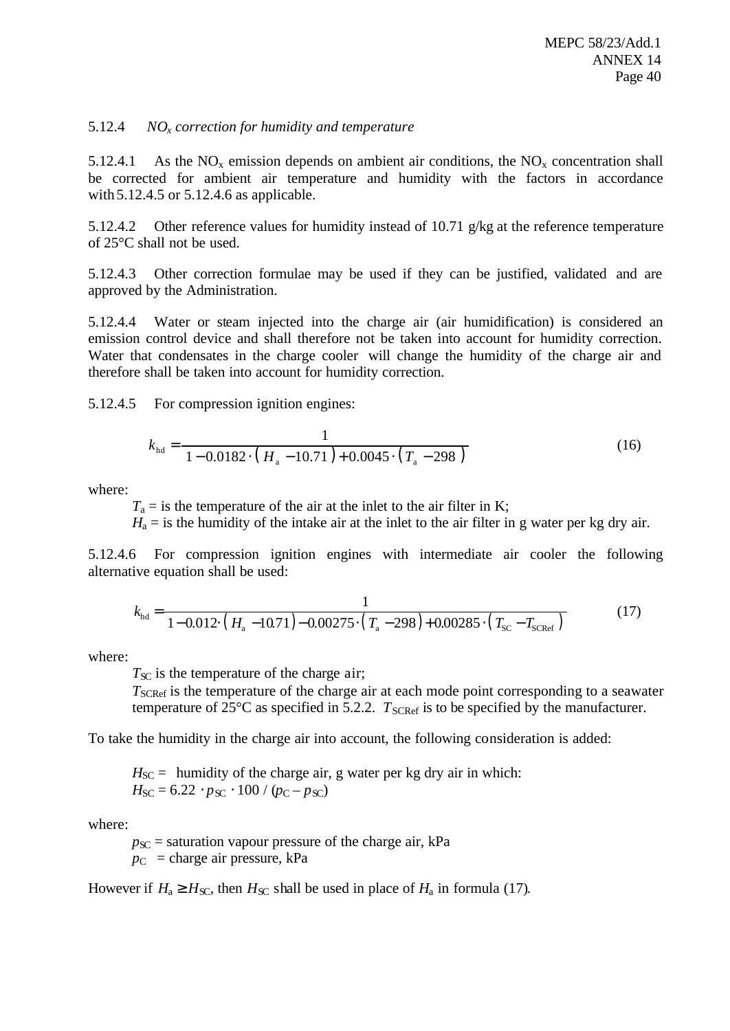## 5.12.4 *NOx correction for humidity and temperature*

5.12.4.1 As the  $NO_x$  emission depends on ambient air conditions, the  $NO_x$  concentration shall be corrected for ambient air temperature and humidity with the factors in accordance with 5.12.4.5 or 5.12.4.6 as applicable.

5.12.4.2 Other reference values for humidity instead of 10.71  $g/kg$  at the reference temperature of 25°C shall not be used.

5.12.4.3 Other correction formulae may be used if they can be justified, validated and are approved by the Administration.

5.12.4.4 Water or steam injected into the charge air (air humidification) is considered an emission control device and shall therefore not be taken into account for humidity correction. Water that condensates in the charge cooler will change the humidity of the charge air and therefore shall be taken into account for humidity correction.

5.12.4.5 For compression ignition engines:

$$
k_{\text{hd}} = \frac{1}{1 - 0.0182 \cdot (H_{\text{a}} - 10.71) + 0.0045 \cdot (T_{\text{a}} - 298)}
$$
(16)

where:

 $T_a$  = is the temperature of the air at the inlet to the air filter in K;

 $H_a$  = is the humidity of the intake air at the inlet to the air filter in g water per kg dry air.

5.12.4.6 For compression ignition engines with intermediate air cooler the following alternative equation shall be used:

$$
k_{\text{hd}} = \frac{1}{1 - 0.012 \cdot (H_a - 10.71) - 0.00275 \cdot (T_a - 298) + 0.00285 \cdot (T_{\text{SC}} - T_{\text{SCRef}})}\tag{17}
$$

where:

 $T_{\rm SC}$  is the temperature of the charge air;

*T*<sub>SCRef</sub> is the temperature of the charge air at each mode point corresponding to a seawater temperature of  $25^{\circ}$ C as specified in 5.2.2.  $T_{SCRef}$  is to be specified by the manufacturer.

To take the humidity in the charge air into account, the following consideration is added:

 $H_{SC}$  = humidity of the charge air, g water per kg dry air in which:  $H_{\text{SC}} = 6.22 \cdot p_{\text{SC}} \cdot 100 / (p_{\text{C}} - p_{\text{SC}})$ 

where:

 $p_{SC}$  = saturation vapour pressure of the charge air, kPa  $p_C$  = charge air pressure, kPa

However if  $H_a \ge H_{\text{SC}}$ , then  $H_{\text{SC}}$  shall be used in place of  $H_a$  in formula (17).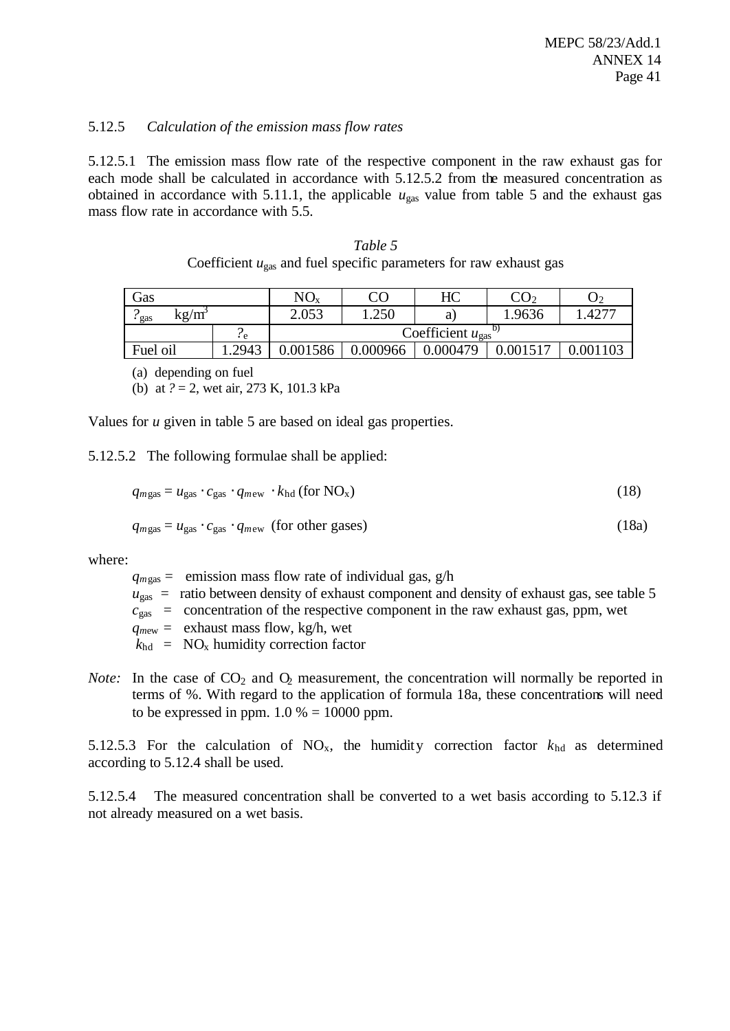### 5.12.5 *Calculation of the emission mass flow rates*

5.12.5.1 The emission mass flow rate of the respective component in the raw exhaust gas for each mode shall be calculated in accordance with 5.12.5.2 from the measured concentration as obtained in accordance with 5.11.1, the applicable  $u_{\text{gas}}$  value from table 5 and the exhaust gas mass flow rate in accordance with 5.5.

| Table 5                                                                       |
|-------------------------------------------------------------------------------|
| Coefficient $u_{\text{gas}}$ and fuel specific parameters for raw exhaust gas |

| Gas         |       | $NO_{x}$ |          | HС                                     | $\mathbf{U}$ |                     |
|-------------|-------|----------|----------|----------------------------------------|--------------|---------------------|
| kg/m<br>gas |       | 2.053    | .250     | a                                      | 1.9636       | $.427$ <sup>-</sup> |
|             | ÷е    |          |          | Coefficient $u_{\rm gas}$ <sup>1</sup> |              |                     |
| Fuel oil    | .2943 | .001586  | 0.000966 | 0.000479                               |              |                     |

(a) depending on fuel

(b) at *?* = 2, wet air, 273 K, 101.3 kPa

Values for *u* given in table 5 are based on ideal gas properties.

5.12.5.2 The following formulae shall be applied:

$$
q_{mgas} = u_{gas} \cdot c_{gas} \cdot q_{mew} \cdot k_{hd} \text{ (for NOx)}\tag{18}
$$

$$
q_{mgas} = u_{gas} \cdot c_{gas} \cdot q_{mew} \text{ (for other gases)}
$$
 (18a)

where:

 $q_{mgas}$  = emission mass flow rate of individual gas,  $g/h$ 

- $u_{\text{gas}}$  = ratio between density of exhaust component and density of exhaust gas, see table 5
- $c_{\text{gas}}$  = concentration of the respective component in the raw exhaust gas, ppm, wet

 $q_{\text{mew}} =$  exhaust mass flow, kg/h, wet

 $k_{\text{hd}}$  = NO<sub>x</sub> humidity correction factor

*Note:* In the case of  $CO_2$  and  $O_2$  measurement, the concentration will normally be reported in terms of %. With regard to the application of formula 18a, these concentrations will need to be expressed in ppm.  $1.0 \% = 10000$  ppm.

5.12.5.3 For the calculation of  $NO_x$ , the humidity correction factor  $k_{hd}$  as determined according to 5.12.4 shall be used.

5.12.5.4 The measured concentration shall be converted to a wet basis according to 5.12.3 if not already measured on a wet basis.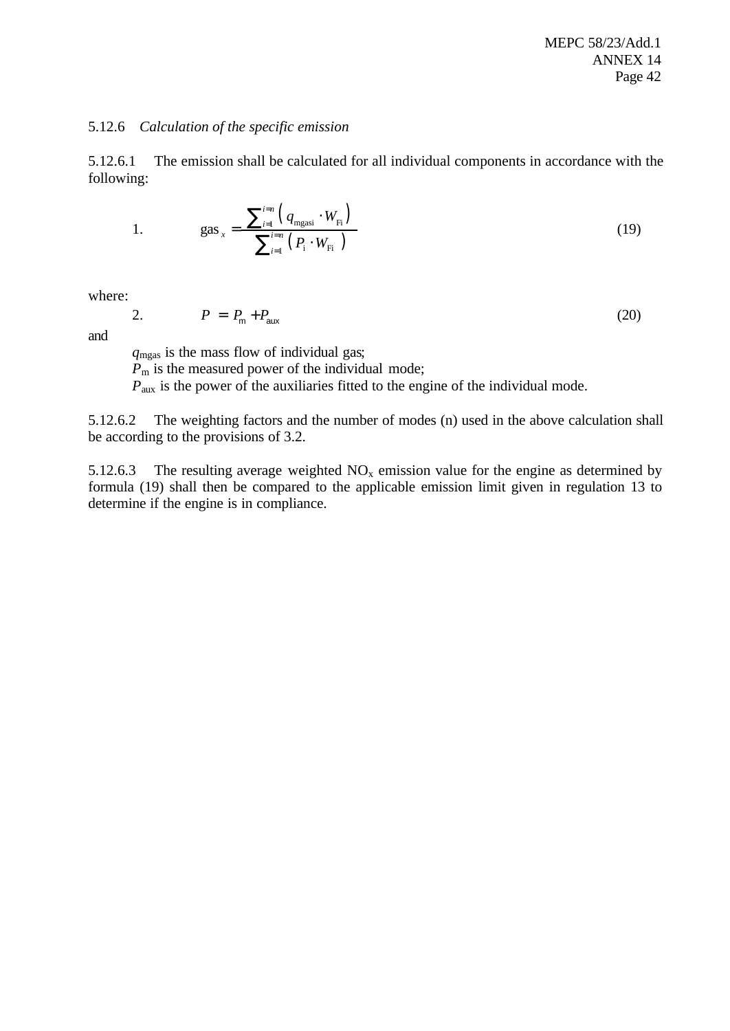#### 5.12.6 *Calculation of the specific emission*

5.12.6.1 The emission shall be calculated for all individual components in accordance with the following:

1. 
$$
gas_x = \frac{\sum_{i=1}^{i=n} (q_{mgasi} \cdot W_{Fi})}{\sum_{i=1}^{i=n} (P_i \cdot W_{Fi})}
$$
 (19)

where:

$$
P = P_{\rm m} + P_{\rm aux} \tag{20}
$$

and

*q*mgas is the mass flow of individual gas;  $\overrightarrow{P_m}$  is the measured power of the individual mode; *P*<sub>aux</sub> is the power of the auxiliaries fitted to the engine of the individual mode.

5.12.6.2 The weighting factors and the number of modes (n) used in the above calculation shall be according to the provisions of 3.2.

5.12.6.3 The resulting average weighted  $NO<sub>x</sub>$  emission value for the engine as determined by formula (19) shall then be compared to the applicable emission limit given in regulation 13 to determine if the engine is in compliance.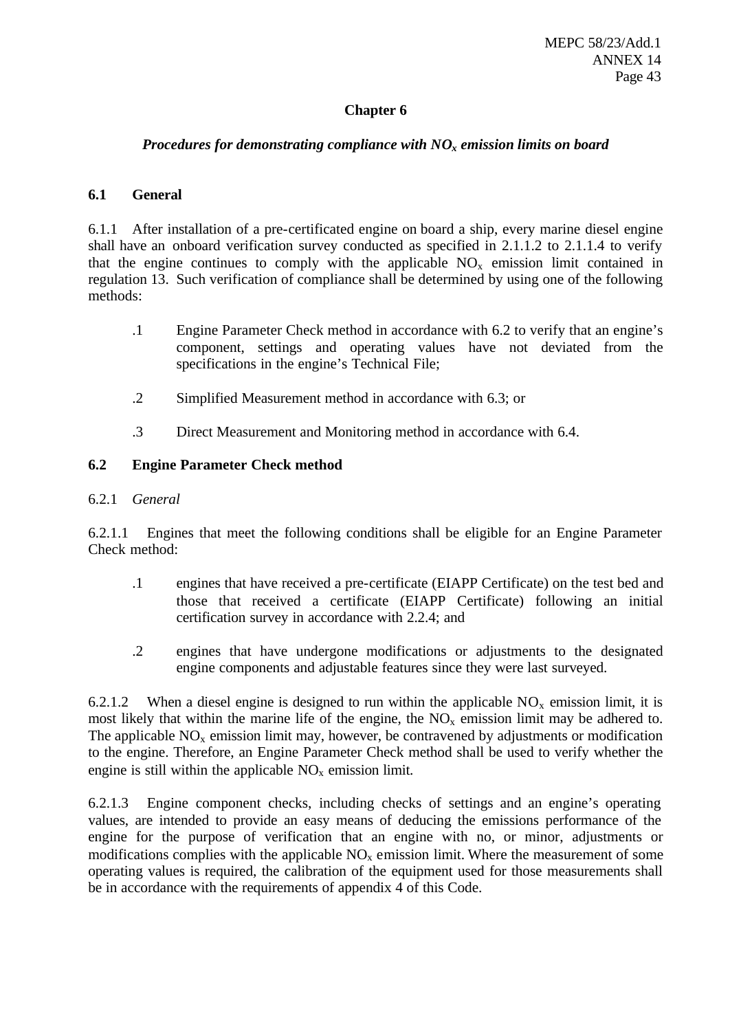# **Chapter 6**

## *Procedures for demonstrating compliance with NOx emission limits on board*

## **6.1 General**

6.1.1 After installation of a pre-certificated engine on board a ship, every marine diesel engine shall have an onboard verification survey conducted as specified in 2.1.1.2 to 2.1.1.4 to verify that the engine continues to comply with the applicable  $NO<sub>x</sub>$  emission limit contained in regulation 13. Such verification of compliance shall be determined by using one of the following methods:

- .1 Engine Parameter Check method in accordance with 6.2 to verify that an engine's component, settings and operating values have not deviated from the specifications in the engine's Technical File;
- .2 Simplified Measurement method in accordance with 6.3; or
- .3 Direct Measurement and Monitoring method in accordance with 6.4.

# **6.2 Engine Parameter Check method**

## 6.2.1 *General*

6.2.1.1 Engines that meet the following conditions shall be eligible for an Engine Parameter Check method:

- .1 engines that have received a pre-certificate (EIAPP Certificate) on the test bed and those that received a certificate (EIAPP Certificate) following an initial certification survey in accordance with 2.2.4; and
- .2 engines that have undergone modifications or adjustments to the designated engine components and adjustable features since they were last surveyed.

6.2.1.2 When a diesel engine is designed to run within the applicable  $NO<sub>x</sub>$  emission limit, it is most likely that within the marine life of the engine, the  $NO<sub>x</sub>$  emission limit may be adhered to. The applicable  $NO<sub>x</sub>$  emission limit may, however, be contravened by adjustments or modification to the engine. Therefore, an Engine Parameter Check method shall be used to verify whether the engine is still within the applicable  $NO<sub>x</sub>$  emission limit.

6.2.1.3 Engine component checks, including checks of settings and an engine's operating values, are intended to provide an easy means of deducing the emissions performance of the engine for the purpose of verification that an engine with no, or minor, adjustments or modifications complies with the applicable  $NO<sub>x</sub>$  emission limit. Where the measurement of some operating values is required, the calibration of the equipment used for those measurements shall be in accordance with the requirements of appendix 4 of this Code.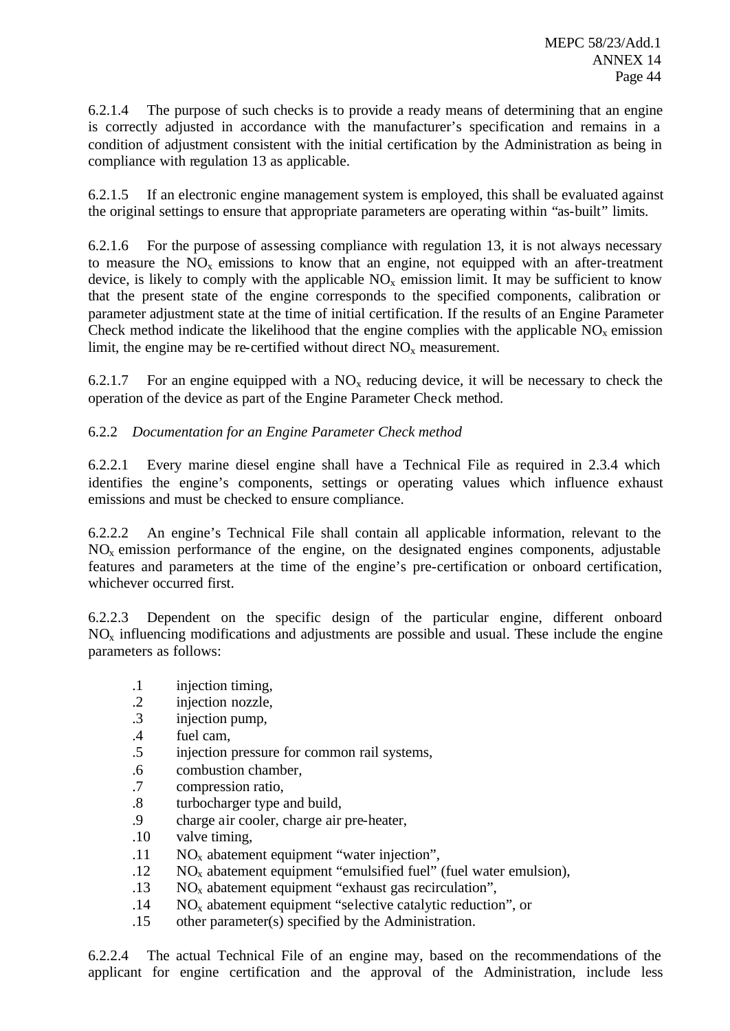6.2.1.4 The purpose of such checks is to provide a ready means of determining that an engine is correctly adjusted in accordance with the manufacturer's specification and remains in a condition of adjustment consistent with the initial certification by the Administration as being in compliance with regulation 13 as applicable.

6.2.1.5 If an electronic engine management system is employed, this shall be evaluated against the original settings to ensure that appropriate parameters are operating within "as-built" limits.

6.2.1.6 For the purpose of assessing compliance with regulation 13, it is not always necessary to measure the  $NO<sub>x</sub>$  emissions to know that an engine, not equipped with an after-treatment device, is likely to comply with the applicable  $NO<sub>x</sub>$  emission limit. It may be sufficient to know that the present state of the engine corresponds to the specified components, calibration or parameter adjustment state at the time of initial certification. If the results of an Engine Parameter Check method indicate the likelihood that the engine complies with the applicable  $NO<sub>x</sub>$  emission limit, the engine may be re-certified without direct  $NO<sub>x</sub>$  measurement.

6.2.1.7 For an engine equipped with a  $NO<sub>x</sub>$  reducing device, it will be necessary to check the operation of the device as part of the Engine Parameter Check method.

# 6.2.2 *Documentation for an Engine Parameter Check method*

6.2.2.1 Every marine diesel engine shall have a Technical File as required in 2.3.4 which identifies the engine's components, settings or operating values which influence exhaust emissions and must be checked to ensure compliance.

6.2.2.2 An engine's Technical File shall contain all applicable information, relevant to the  $NO<sub>x</sub>$  emission performance of the engine, on the designated engines components, adjustable features and parameters at the time of the engine's pre-certification or onboard certification, whichever occurred first.

6.2.2.3 Dependent on the specific design of the particular engine, different onboard  $NO<sub>x</sub>$  influencing modifications and adjustments are possible and usual. These include the engine parameters as follows:

- .1 injection timing,
- .2 injection nozzle,
- .3 injection pump,
- .4 fuel cam,
- .5 injection pressure for common rail systems,
- .6 combustion chamber,
- .7 compression ratio,
- .8 turbocharger type and build,
- .9 charge air cooler, charge air pre-heater,
- .10 valve timing,
- .11 NOx abatement equipment "water injection",
- $.12$  NO<sub>x</sub> abatement equipment "emulsified fuel" (fuel water emulsion),
- $.13$  NO<sub>x</sub> abatement equipment "exhaust gas recirculation",
- $14$  NO<sub>x</sub> abatement equipment "selective catalytic reduction", or
- .15 other parameter(s) specified by the Administration.

6.2.2.4 The actual Technical File of an engine may, based on the recommendations of the applicant for engine certification and the approval of the Administration, include less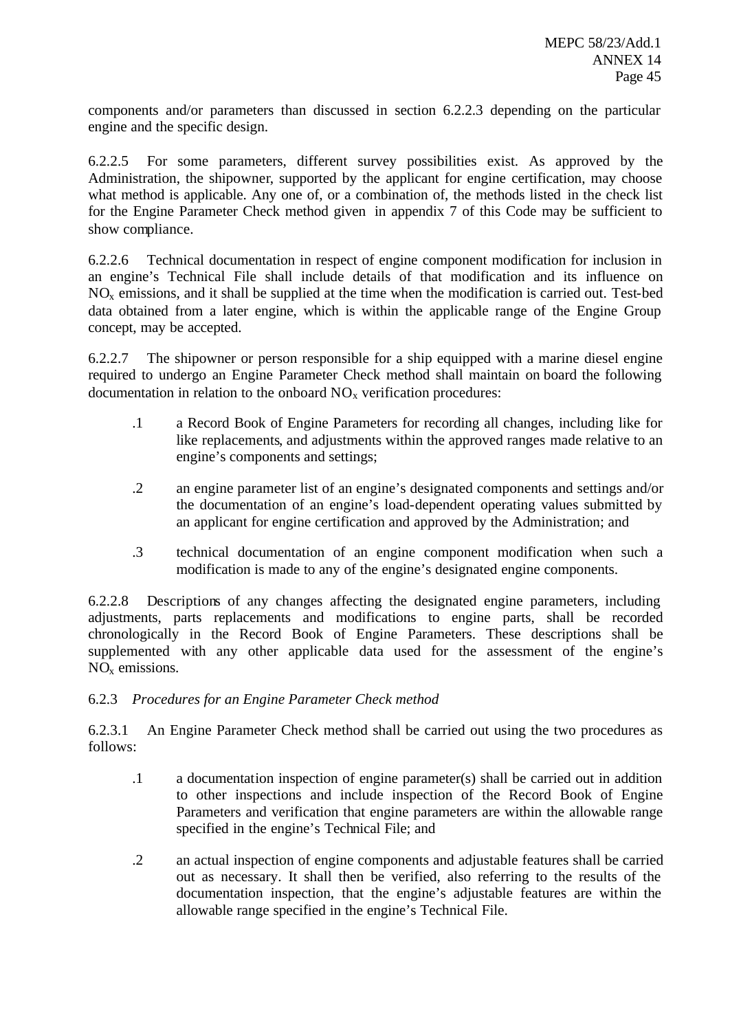components and/or parameters than discussed in section 6.2.2.3 depending on the particular engine and the specific design.

6.2.2.5 For some parameters, different survey possibilities exist. As approved by the Administration, the shipowner, supported by the applicant for engine certification, may choose what method is applicable. Any one of, or a combination of, the methods listed in the check list for the Engine Parameter Check method given in appendix 7 of this Code may be sufficient to show compliance.

6.2.2.6 Technical documentation in respect of engine component modification for inclusion in an engine's Technical File shall include details of that modification and its influence on  $NO<sub>x</sub>$  emissions, and it shall be supplied at the time when the modification is carried out. Test-bed data obtained from a later engine, which is within the applicable range of the Engine Group concept, may be accepted.

6.2.2.7 The shipowner or person responsible for a ship equipped with a marine diesel engine required to undergo an Engine Parameter Check method shall maintain on board the following documentation in relation to the onboard  $NO<sub>x</sub>$  verification procedures:

- .1 a Record Book of Engine Parameters for recording all changes, including like for like replacements, and adjustments within the approved ranges made relative to an engine's components and settings;
- .2 an engine parameter list of an engine's designated components and settings and/or the documentation of an engine's load-dependent operating values submitted by an applicant for engine certification and approved by the Administration; and
- .3 technical documentation of an engine component modification when such a modification is made to any of the engine's designated engine components.

6.2.2.8 Descriptions of any changes affecting the designated engine parameters, including adjustments, parts replacements and modifications to engine parts, shall be recorded chronologically in the Record Book of Engine Parameters. These descriptions shall be supplemented with any other applicable data used for the assessment of the engine's NO<sup>x</sup> emissions.

# 6.2.3 *Procedures for an Engine Parameter Check method*

6.2.3.1 An Engine Parameter Check method shall be carried out using the two procedures as follows:

- .1 a documentation inspection of engine parameter(s) shall be carried out in addition to other inspections and include inspection of the Record Book of Engine Parameters and verification that engine parameters are within the allowable range specified in the engine's Technical File; and
- .2 an actual inspection of engine components and adjustable features shall be carried out as necessary. It shall then be verified, also referring to the results of the documentation inspection, that the engine's adjustable features are within the allowable range specified in the engine's Technical File.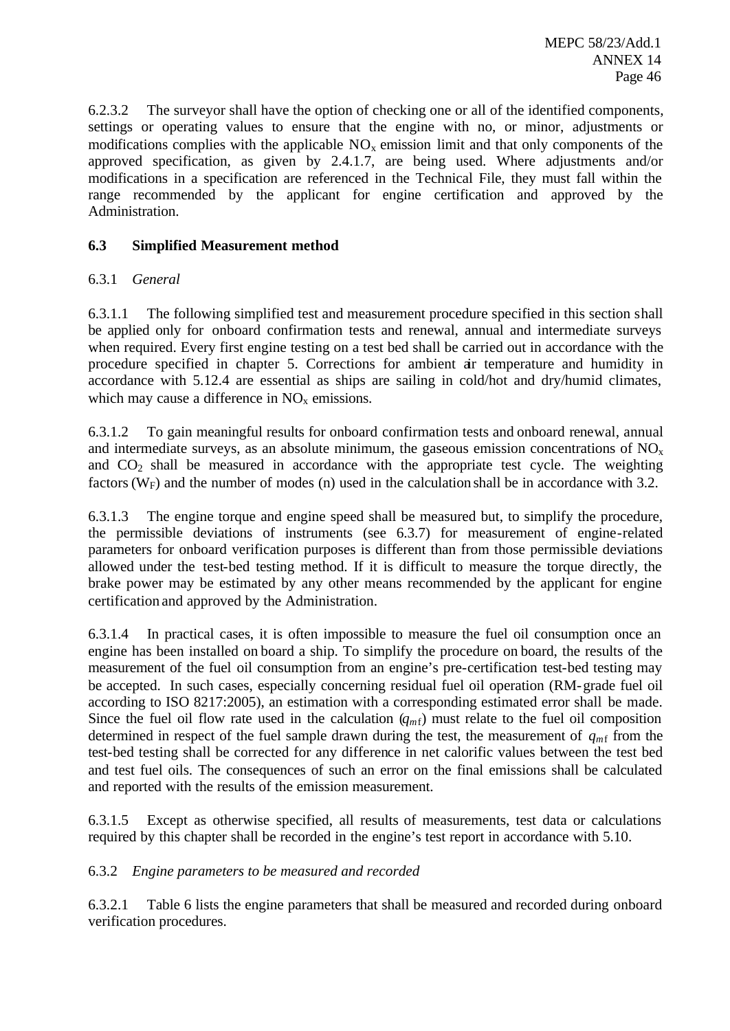6.2.3.2 The surveyor shall have the option of checking one or all of the identified components, settings or operating values to ensure that the engine with no, or minor, adjustments or modifications complies with the applicable  $NO<sub>x</sub>$  emission limit and that only components of the approved specification, as given by 2.4.1.7, are being used. Where adjustments and/or modifications in a specification are referenced in the Technical File, they must fall within the range recommended by the applicant for engine certification and approved by the Administration.

# **6.3 Simplified Measurement method**

## 6.3.1 *General*

6.3.1.1 The following simplified test and measurement procedure specified in this section shall be applied only for onboard confirmation tests and renewal, annual and intermediate surveys when required. Every first engine testing on a test bed shall be carried out in accordance with the procedure specified in chapter 5. Corrections for ambient air temperature and humidity in accordance with 5.12.4 are essential as ships are sailing in cold/hot and dry/humid climates, which may cause a difference in  $NO<sub>x</sub>$  emissions.

6.3.1.2 To gain meaningful results for onboard confirmation tests and onboard renewal, annual and intermediate surveys, as an absolute minimum, the gaseous emission concentrations of  $NO<sub>x</sub>$ and  $CO<sub>2</sub>$  shall be measured in accordance with the appropriate test cycle. The weighting factors ( $W_F$ ) and the number of modes (n) used in the calculation shall be in accordance with 3.2.

6.3.1.3 The engine torque and engine speed shall be measured but, to simplify the procedure, the permissible deviations of instruments (see 6.3.7) for measurement of engine-related parameters for onboard verification purposes is different than from those permissible deviations allowed under the test-bed testing method. If it is difficult to measure the torque directly, the brake power may be estimated by any other means recommended by the applicant for engine certification and approved by the Administration.

6.3.1.4 In practical cases, it is often impossible to measure the fuel oil consumption once an engine has been installed on board a ship. To simplify the procedure on board, the results of the measurement of the fuel oil consumption from an engine's pre-certification test-bed testing may be accepted. In such cases, especially concerning residual fuel oil operation (RM-grade fuel oil according to ISO 8217:2005), an estimation with a corresponding estimated error shall be made. Since the fuel oil flow rate used in the calculation  $(q_{m}f)$  must relate to the fuel oil composition determined in respect of the fuel sample drawn during the test, the measurement of  $q_{m}$  from the test-bed testing shall be corrected for any difference in net calorific values between the test bed and test fuel oils. The consequences of such an error on the final emissions shall be calculated and reported with the results of the emission measurement.

6.3.1.5 Except as otherwise specified, all results of measurements, test data or calculations required by this chapter shall be recorded in the engine's test report in accordance with 5.10.

### 6.3.2 *Engine parameters to be measured and recorded*

6.3.2.1 Table 6 lists the engine parameters that shall be measured and recorded during onboard verification procedures.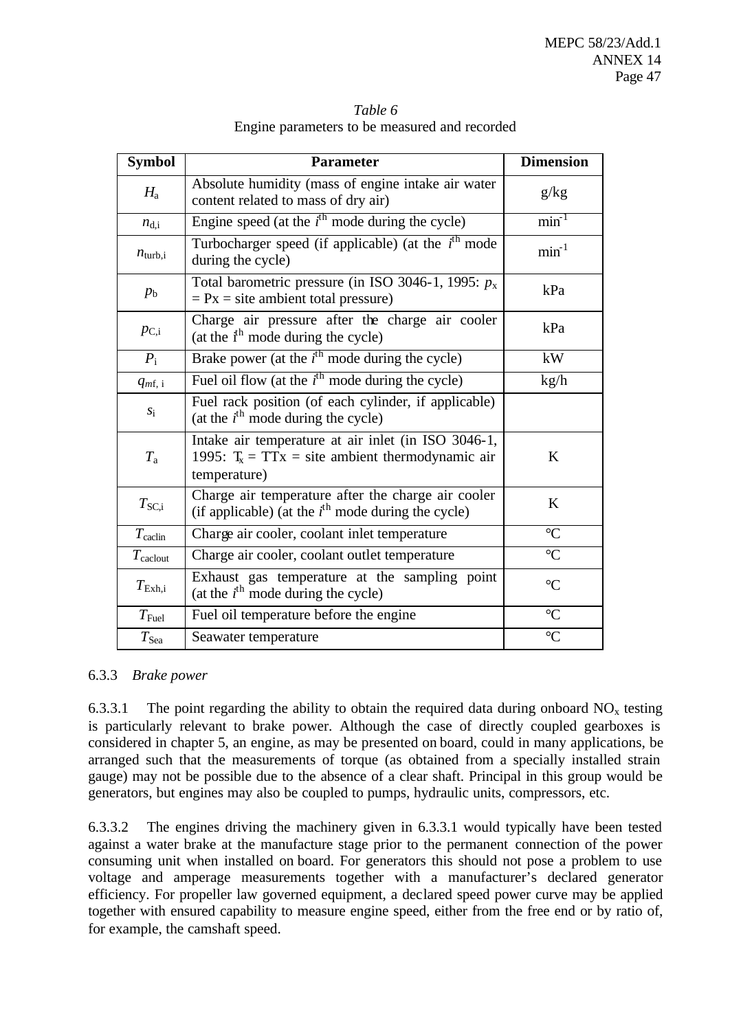|                                               | Table 6 |  |  |
|-----------------------------------------------|---------|--|--|
| Engine parameters to be measured and recorded |         |  |  |

| <b>Symbol</b>       | <b>Parameter</b>                                                                                                          | <b>Dimension</b> |
|---------------------|---------------------------------------------------------------------------------------------------------------------------|------------------|
| $H_{\rm a}$         | Absolute humidity (mass of engine intake air water<br>content related to mass of dry air)                                 | g/kg             |
| $n_{\rm d,i}$       | Engine speed (at the $i^{\text{th}}$ mode during the cycle)                                                               | $min-1$          |
| $n_{\text{turb,i}}$ | Turbocharger speed (if applicable) (at the $ith$ mode<br>during the cycle)                                                | $min^{-1}$       |
| $p_{\rm b}$         | Total barometric pressure (in ISO 3046-1, 1995: $p_x$ )<br>$= Px = site$ ambient total pressure)                          | kPa              |
| $p_{\rm C,i}$       | Charge air pressure after the charge air cooler<br>(at the $i^h$ mode during the cycle)                                   | kPa              |
| $P_i$               | Brake power (at the $i^{\text{th}}$ mode during the cycle)                                                                | kW               |
| $q_{mf, i}$         | Fuel oil flow (at the $i^{\text{th}}$ mode during the cycle)                                                              | kg/h             |
| $S_1$               | Fuel rack position (of each cylinder, if applicable)<br>(at the $i^{\text{th}}$ mode during the cycle)                    |                  |
| $T_{\rm a}$         | Intake air temperature at air inlet (in ISO 3046-1,<br>1995: $T_x = TTx =$ site ambient thermodynamic air<br>temperature) | K                |
| $T_{\rm SC,i}$      | Charge air temperature after the charge air cooler<br>(if applicable) (at the $i^{\text{th}}$ mode during the cycle)      | K                |
| $T_{\rm{calclin}}$  | Charge air cooler, coolant inlet temperature                                                                              | $\rm ^{\circ}C$  |
| $T_{\text{calout}}$ | Charge air cooler, coolant outlet temperature                                                                             | $\rm ^{\circ}C$  |
| $T_{\rm Exh,i}$     | Exhaust gas temperature at the sampling point<br>(at the $i^{\text{th}}$ mode during the cycle)                           | $\rm ^{\circ}C$  |
| $T_{\rm{Fuel}}$     | Fuel oil temperature before the engine                                                                                    | $\overline{C}$   |
| $T_{\rm Sea}$       | Seawater temperature                                                                                                      | $\rm ^{\circ}C$  |

# 6.3.3 *Brake power*

6.3.3.1 The point regarding the ability to obtain the required data during onboard  $NO<sub>x</sub>$  testing is particularly relevant to brake power. Although the case of directly coupled gearboxes is considered in chapter 5, an engine, as may be presented on board, could in many applications, be arranged such that the measurements of torque (as obtained from a specially installed strain gauge) may not be possible due to the absence of a clear shaft. Principal in this group would be generators, but engines may also be coupled to pumps, hydraulic units, compressors, etc.

6.3.3.2 The engines driving the machinery given in 6.3.3.1 would typically have been tested against a water brake at the manufacture stage prior to the permanent connection of the power consuming unit when installed on board. For generators this should not pose a problem to use voltage and amperage measurements together with a manufacturer's declared generator efficiency. For propeller law governed equipment, a declared speed power curve may be applied together with ensured capability to measure engine speed, either from the free end or by ratio of, for example, the camshaft speed.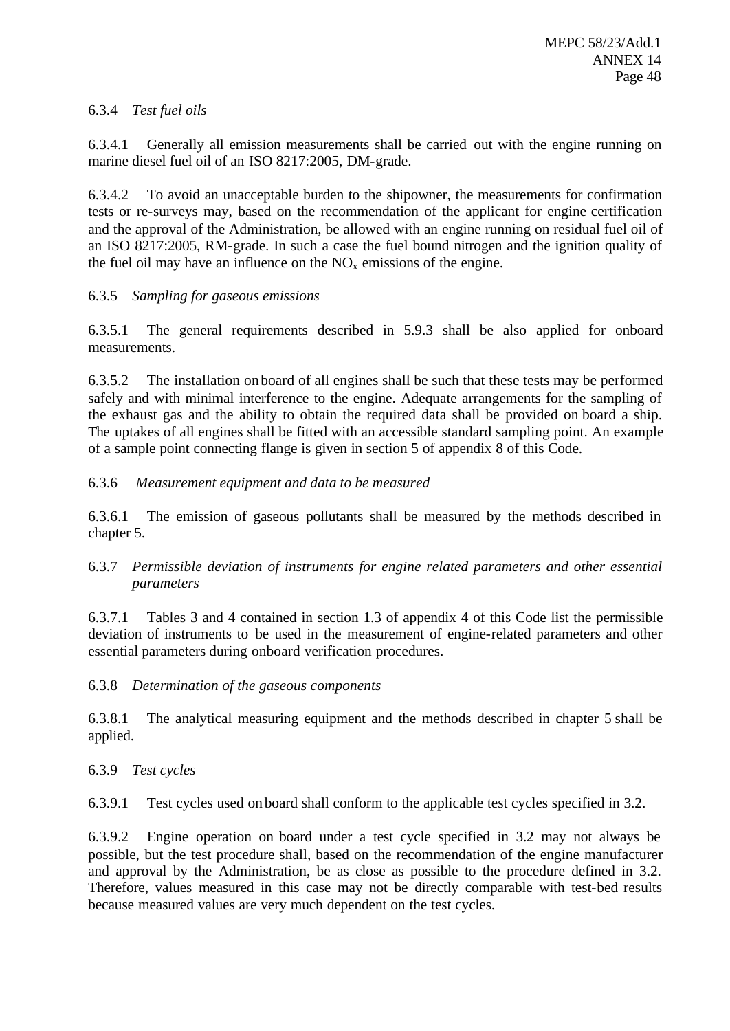# 6.3.4 *Test fuel oils*

6.3.4.1 Generally all emission measurements shall be carried out with the engine running on marine diesel fuel oil of an ISO 8217:2005, DM-grade.

6.3.4.2 To avoid an unacceptable burden to the shipowner, the measurements for confirmation tests or re-surveys may, based on the recommendation of the applicant for engine certification and the approval of the Administration, be allowed with an engine running on residual fuel oil of an ISO 8217:2005, RM-grade. In such a case the fuel bound nitrogen and the ignition quality of the fuel oil may have an influence on the  $NO<sub>x</sub>$  emissions of the engine.

# 6.3.5 *Sampling for gaseous emissions*

6.3.5.1 The general requirements described in 5.9.3 shall be also applied for onboard measurements.

6.3.5.2 The installation on board of all engines shall be such that these tests may be performed safely and with minimal interference to the engine. Adequate arrangements for the sampling of the exhaust gas and the ability to obtain the required data shall be provided on board a ship. The uptakes of all engines shall be fitted with an accessible standard sampling point. An example of a sample point connecting flange is given in section 5 of appendix 8 of this Code.

# 6.3.6 *Measurement equipment and data to be measured*

6.3.6.1 The emission of gaseous pollutants shall be measured by the methods described in chapter 5.

6.3.7 *Permissible deviation of instruments for engine related parameters and other essential parameters*

6.3.7.1 Tables 3 and 4 contained in section 1.3 of appendix 4 of this Code list the permissible deviation of instruments to be used in the measurement of engine-related parameters and other essential parameters during onboard verification procedures.

6.3.8 *Determination of the gaseous components*

6.3.8.1 The analytical measuring equipment and the methods described in chapter 5 shall be applied.

### 6.3.9 *Test cycles*

6.3.9.1 Test cycles used on board shall conform to the applicable test cycles specified in 3.2.

6.3.9.2 Engine operation on board under a test cycle specified in 3.2 may not always be possible, but the test procedure shall, based on the recommendation of the engine manufacturer and approval by the Administration, be as close as possible to the procedure defined in 3.2. Therefore, values measured in this case may not be directly comparable with test-bed results because measured values are very much dependent on the test cycles.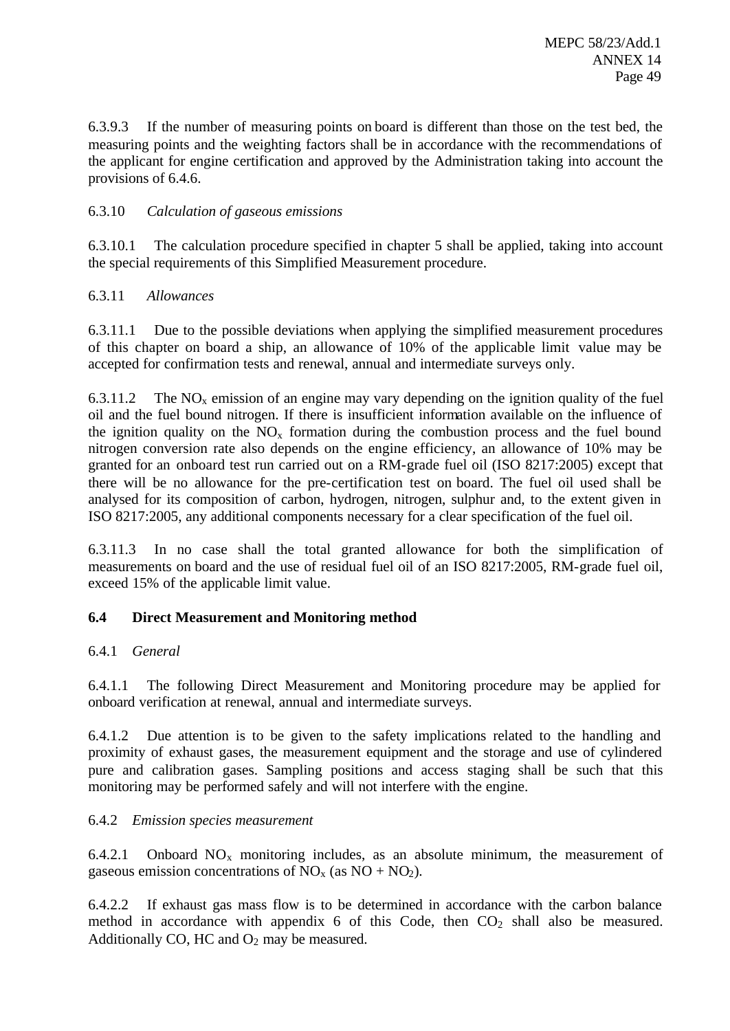6.3.9.3 If the number of measuring points on board is different than those on the test bed, the measuring points and the weighting factors shall be in accordance with the recommendations of the applicant for engine certification and approved by the Administration taking into account the provisions of 6.4.6.

# 6.3.10 *Calculation of gaseous emissions*

6.3.10.1 The calculation procedure specified in chapter 5 shall be applied, taking into account the special requirements of this Simplified Measurement procedure.

## 6.3.11 *Allowances*

6.3.11.1 Due to the possible deviations when applying the simplified measurement procedures of this chapter on board a ship, an allowance of 10% of the applicable limit value may be accepted for confirmation tests and renewal, annual and intermediate surveys only.

6.3.11.2 The  $NO<sub>x</sub>$  emission of an engine may vary depending on the ignition quality of the fuel oil and the fuel bound nitrogen. If there is insufficient information available on the influence of the ignition quality on the  $NO<sub>x</sub>$  formation during the combustion process and the fuel bound nitrogen conversion rate also depends on the engine efficiency, an allowance of 10% may be granted for an onboard test run carried out on a RM-grade fuel oil (ISO 8217:2005) except that there will be no allowance for the pre-certification test on board. The fuel oil used shall be analysed for its composition of carbon, hydrogen, nitrogen, sulphur and, to the extent given in ISO 8217:2005, any additional components necessary for a clear specification of the fuel oil.

6.3.11.3 In no case shall the total granted allowance for both the simplification of measurements on board and the use of residual fuel oil of an ISO 8217:2005, RM-grade fuel oil, exceed 15% of the applicable limit value.

# **6.4 Direct Measurement and Monitoring method**

# 6.4.1 *General*

6.4.1.1 The following Direct Measurement and Monitoring procedure may be applied for onboard verification at renewal, annual and intermediate surveys.

6.4.1.2 Due attention is to be given to the safety implications related to the handling and proximity of exhaust gases, the measurement equipment and the storage and use of cylindered pure and calibration gases. Sampling positions and access staging shall be such that this monitoring may be performed safely and will not interfere with the engine.

# 6.4.2 *Emission species measurement*

6.4.2.1 Onboard  $NO_x$  monitoring includes, as an absolute minimum, the measurement of gaseous emission concentrations of  $NO<sub>x</sub>$  (as  $NO + NO<sub>2</sub>$ ).

6.4.2.2 If exhaust gas mass flow is to be determined in accordance with the carbon balance method in accordance with appendix 6 of this Code, then  $CO<sub>2</sub>$  shall also be measured. Additionally CO, HC and  $O_2$  may be measured.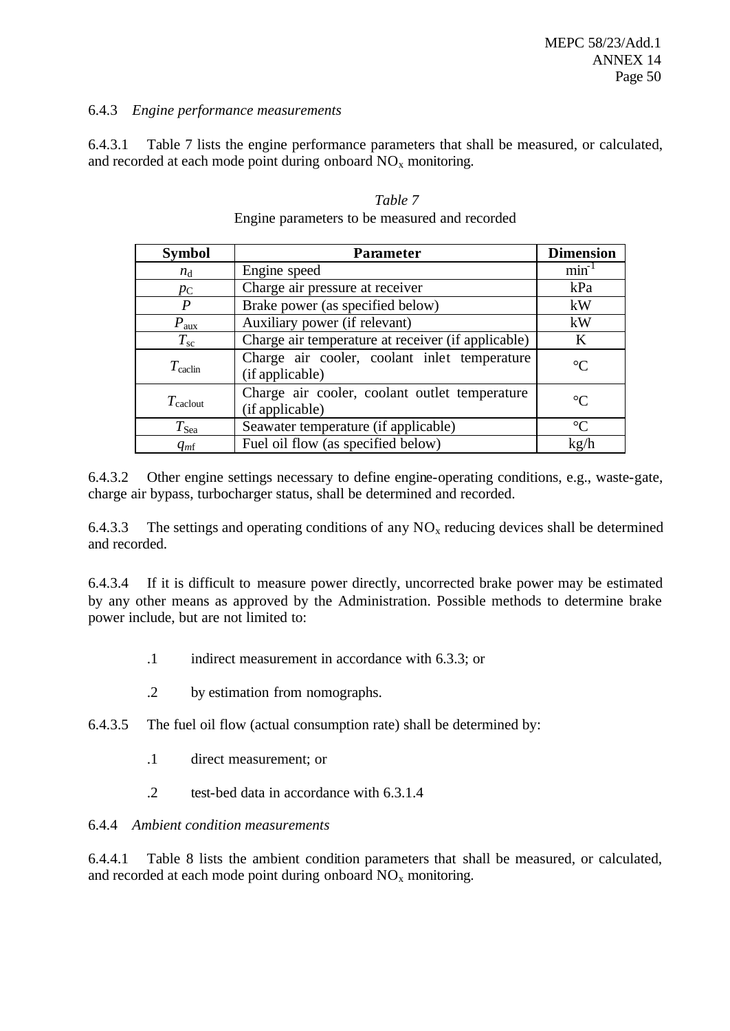## 6.4.3 *Engine performance measurements*

6.4.3.1 Table 7 lists the engine performance parameters that shall be measured, or calculated, and recorded at each mode point during onboard  $NO<sub>x</sub>$  monitoring.

| <b>Symbol</b>        | <b>Parameter</b>                                                 | <b>Dimension</b> |
|----------------------|------------------------------------------------------------------|------------------|
| $n_{\rm d}$          | Engine speed                                                     | $min^{-1}$       |
| $p_{\rm C}$          | Charge air pressure at receiver                                  | kPa              |
| P                    | Brake power (as specified below)                                 | kW               |
| $P_{\text{aux}}$     | Auxiliary power (if relevant)                                    | kW               |
| $T_{\rm sc}$         | Charge air temperature at receiver (if applicable)               | $\bf K$          |
| $T_{\rm{calclin}}$   | Charge air cooler, coolant inlet temperature<br>(if applicable)  | $\rm ^{\circ}C$  |
| $T_{\text{caclout}}$ | Charge air cooler, coolant outlet temperature<br>(if applicable) | $\rm ^{\circ}C$  |
| $T_{\rm Sea}$        | Seawater temperature (if applicable)                             | $\rm ^{\circ}C$  |
| $q_{m}$              | Fuel oil flow (as specified below)                               | kg/h             |

### *Table 7* Engine parameters to be measured and recorded

6.4.3.2 Other engine settings necessary to define engine-operating conditions, e.g., waste-gate, charge air bypass, turbocharger status, shall be determined and recorded.

6.4.3.3 The settings and operating conditions of any  $NO<sub>x</sub>$  reducing devices shall be determined and recorded.

6.4.3.4 If it is difficult to measure power directly, uncorrected brake power may be estimated by any other means as approved by the Administration. Possible methods to determine brake power include, but are not limited to:

- .1 indirect measurement in accordance with 6.3.3; or
- .2 by estimation from nomographs.
- 6.4.3.5 The fuel oil flow (actual consumption rate) shall be determined by:
	- .1 direct measurement; or
	- .2 test-bed data in accordance with 6.3.1.4

# 6.4.4 *Ambient condition measurements*

6.4.4.1 Table 8 lists the ambient condition parameters that shall be measured, or calculated, and recorded at each mode point during onboard  $NO<sub>x</sub>$  monitoring.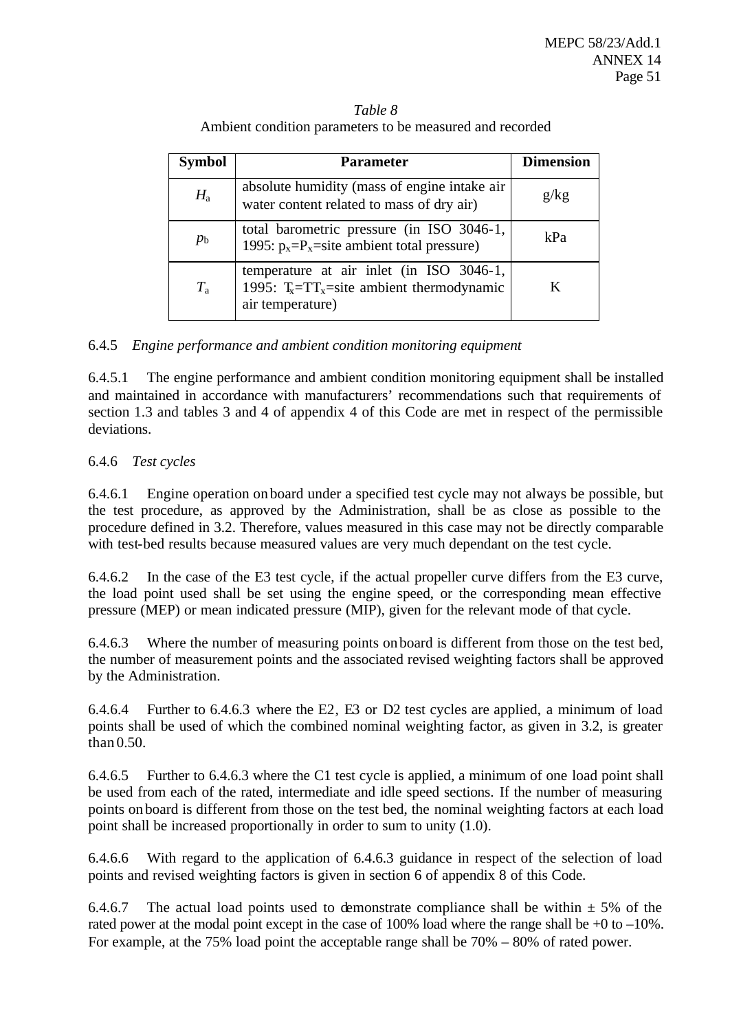| <b>Symbol</b> | <b>Parameter</b>                                                                                              | <b>Dimension</b> |
|---------------|---------------------------------------------------------------------------------------------------------------|------------------|
| $H_{\rm a}$   | absolute humidity (mass of engine intake air<br>water content related to mass of dry air)                     | g/kg             |
| $p_{\rm b}$   | total barometric pressure (in ISO 3046-1,<br>1995: $p_x = P_x$ = site ambient total pressure)                 | kPa              |
| $T_{\rm a}$   | temperature at air inlet (in ISO 3046-1,<br>1995: $T_x = TT_x$ site ambient thermodynamic<br>air temperature) | K                |

#### *Table 8* Ambient condition parameters to be measured and recorded

# 6.4.5 *Engine performance and ambient condition monitoring equipment*

6.4.5.1 The engine performance and ambient condition monitoring equipment shall be installed and maintained in accordance with manufacturers' recommendations such that requirements of section 1.3 and tables 3 and 4 of appendix 4 of this Code are met in respect of the permissible deviations.

# 6.4.6 *Test cycles*

6.4.6.1 Engine operation on board under a specified test cycle may not always be possible, but the test procedure, as approved by the Administration, shall be as close as possible to the procedure defined in 3.2. Therefore, values measured in this case may not be directly comparable with test-bed results because measured values are very much dependant on the test cycle.

6.4.6.2 In the case of the E3 test cycle, if the actual propeller curve differs from the E3 curve, the load point used shall be set using the engine speed, or the corresponding mean effective pressure (MEP) or mean indicated pressure (MIP), given for the relevant mode of that cycle.

6.4.6.3 Where the number of measuring points on board is different from those on the test bed, the number of measurement points and the associated revised weighting factors shall be approved by the Administration.

6.4.6.4 Further to 6.4.6.3 where the E2, E3 or D2 test cycles are applied, a minimum of load points shall be used of which the combined nominal weighting factor, as given in 3.2, is greater than 0.50.

6.4.6.5 Further to 6.4.6.3 where the C1 test cycle is applied, a minimum of one load point shall be used from each of the rated, intermediate and idle speed sections. If the number of measuring points on board is different from those on the test bed, the nominal weighting factors at each load point shall be increased proportionally in order to sum to unity (1.0).

6.4.6.6 With regard to the application of 6.4.6.3 guidance in respect of the selection of load points and revised weighting factors is given in section 6 of appendix 8 of this Code.

6.4.6.7 The actual load points used to demonstrate compliance shall be within  $\pm$  5% of the rated power at the modal point except in the case of 100% load where the range shall be +0 to –10%. For example, at the 75% load point the acceptable range shall be 70% – 80% of rated power.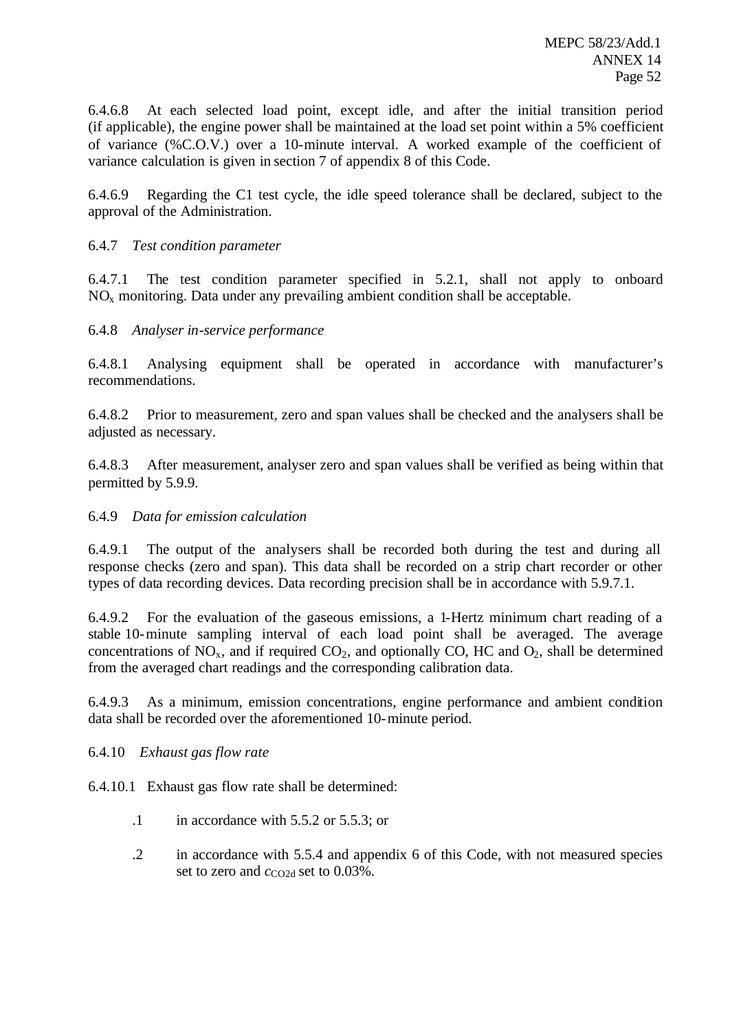6.4.6.8 At each selected load point, except idle, and after the initial transition period (if applicable), the engine power shall be maintained at the load set point within a 5% coefficient of variance (%C.O.V.) over a 10-minute interval. A worked example of the coefficient of variance calculation is given in section 7 of appendix 8 of this Code.

6.4.6.9 Regarding the C1 test cycle, the idle speed tolerance shall be declared, subject to the approval of the Administration.

## 6.4.7 *Test condition parameter*

6.4.7.1 The test condition parameter specified in 5.2.1, shall not apply to onboard  $NO<sub>x</sub>$  monitoring. Data under any prevailing ambient condition shall be acceptable.

## 6.4.8 *Analyser in-service performance*

6.4.8.1 Analysing equipment shall be operated in accordance with manufacturer's recommendations.

6.4.8.2 Prior to measurement, zero and span values shall be checked and the analysers shall be adjusted as necessary.

6.4.8.3 After measurement, analyser zero and span values shall be verified as being within that permitted by 5.9.9.

### 6.4.9 *Data for emission calculation*

6.4.9.1 The output of the analysers shall be recorded both during the test and during all response checks (zero and span). This data shall be recorded on a strip chart recorder or other types of data recording devices. Data recording precision shall be in accordance with 5.9.7.1.

6.4.9.2 For the evaluation of the gaseous emissions, a 1-Hertz minimum chart reading of a stable 10-minute sampling interval of each load point shall be averaged. The average concentrations of  $NO<sub>x</sub>$ , and if required  $CO<sub>2</sub>$ , and optionally CO, HC and  $O<sub>2</sub>$ , shall be determined from the averaged chart readings and the corresponding calibration data.

6.4.9.3 As a minimum, emission concentrations, engine performance and ambient condition data shall be recorded over the aforementioned 10-minute period.

6.4.10 *Exhaust gas flow rate*

6.4.10.1 Exhaust gas flow rate shall be determined:

- $\cdot$ 1 in accordance with 5.5.2 or 5.5.3; or
- .2 in accordance with 5.5.4 and appendix 6 of this Code, with not measured species set to zero and *c*<sub>CO2d</sub> set to 0.03%.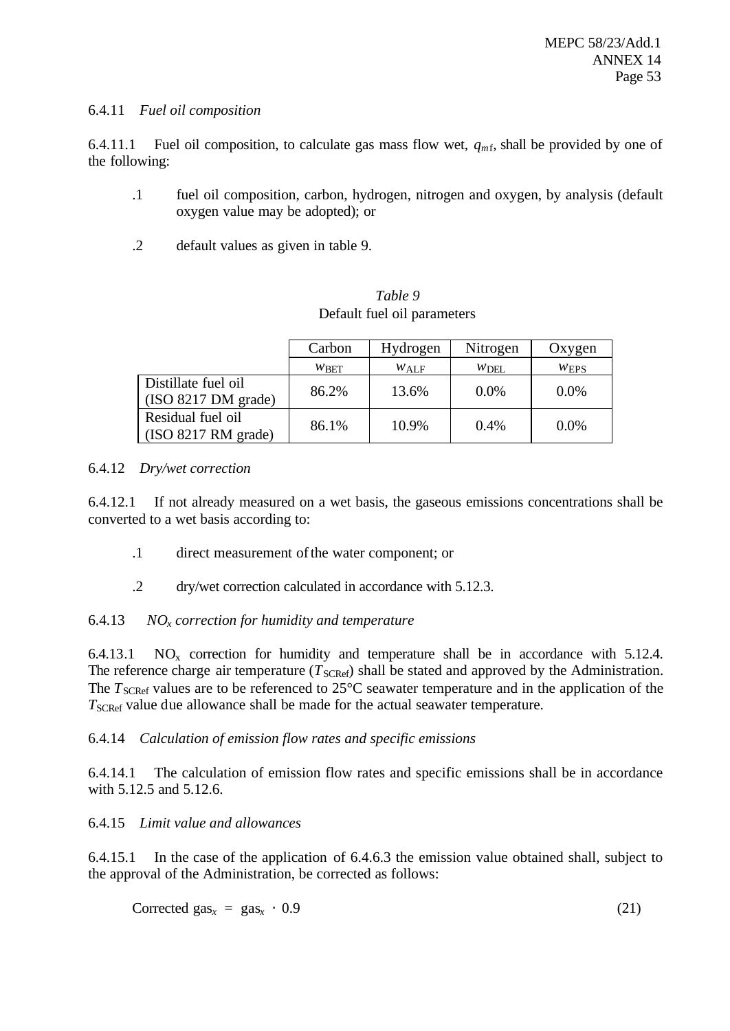### 6.4.11 *Fuel oil composition*

6.4.11.1 Fuel oil composition, to calculate gas mass flow wet,  $q_{mfs}$ , shall be provided by one of the following:

- .1 fuel oil composition, carbon, hydrogen, nitrogen and oxygen, by analysis (default oxygen value may be adopted); or
- .2 default values as given in table 9.

*Table 9* Default fuel oil parameters

|                                                  | Carbon  | Hydrogen | Nitrogen | Oxygen  |
|--------------------------------------------------|---------|----------|----------|---------|
|                                                  | $W$ BET | $W$ ALF  | WDEL     | WERS    |
| Distillate fuel oil<br>(ISO 8217 DM grade)       | 86.2%   | 13.6%    | $0.0\%$  | $0.0\%$ |
| Residual fuel oil<br>$\vert$ (ISO 8217 RM grade) | 86.1%   | 10.9%    | $0.4\%$  | $0.0\%$ |

## 6.4.12 *Dry/wet correction*

6.4.12.1 If not already measured on a wet basis, the gaseous emissions concentrations shall be converted to a wet basis according to:

- .1 direct measurement of the water component; or
- .2 dry/wet correction calculated in accordance with 5.12.3.

# 6.4.13 *NOx correction for humidity and temperature*

6.4.13.1  $NO<sub>x</sub>$  correction for humidity and temperature shall be in accordance with 5.12.4. The reference charge air temperature  $(T_{SCRef})$  shall be stated and approved by the Administration. The  $T_{\text{SCRef}}$  values are to be referenced to  $25^{\circ}\text{C}$  seawater temperature and in the application of the *T*<sub>SCRef</sub> value due allowance shall be made for the actual seawater temperature.

# 6.4.14 *Calculation of emission flow rates and specific emissions*

6.4.14.1 The calculation of emission flow rates and specific emissions shall be in accordance with 5.12.5 and 5.12.6.

# 6.4.15 *Limit value and allowances*

6.4.15.1 In the case of the application of 6.4.6.3 the emission value obtained shall, subject to the approval of the Administration, be corrected as follows:

 $Corrected gas<sub>x</sub> = gas<sub>x</sub> · 0.9$  (21)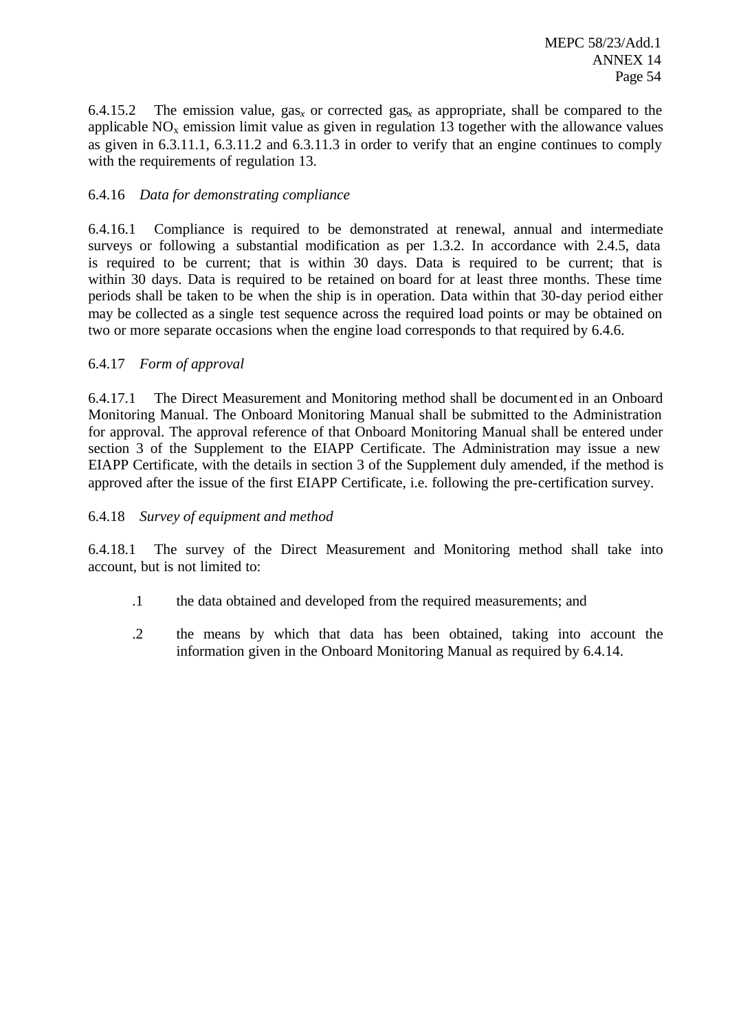6.4.15.2 The emission value,  $\text{gas}_x$  or corrected  $\text{gas}_x$  as appropriate, shall be compared to the applicable  $NO<sub>x</sub>$  emission limit value as given in regulation 13 together with the allowance values as given in 6.3.11.1, 6.3.11.2 and 6.3.11.3 in order to verify that an engine continues to comply with the requirements of regulation 13.

## 6.4.16 *Data for demonstrating compliance*

6.4.16.1 Compliance is required to be demonstrated at renewal, annual and intermediate surveys or following a substantial modification as per 1.3.2. In accordance with 2.4.5, data is required to be current; that is within 30 days. Data is required to be current; that is within 30 days. Data is required to be retained on board for at least three months. These time periods shall be taken to be when the ship is in operation. Data within that 30-day period either may be collected as a single test sequence across the required load points or may be obtained on two or more separate occasions when the engine load corresponds to that required by 6.4.6.

## 6.4.17 *Form of approval*

6.4.17.1 The Direct Measurement and Monitoring method shall be document ed in an Onboard Monitoring Manual. The Onboard Monitoring Manual shall be submitted to the Administration for approval. The approval reference of that Onboard Monitoring Manual shall be entered under section 3 of the Supplement to the EIAPP Certificate. The Administration may issue a new EIAPP Certificate, with the details in section 3 of the Supplement duly amended, if the method is approved after the issue of the first EIAPP Certificate, i.e. following the pre-certification survey.

### 6.4.18 *Survey of equipment and method*

6.4.18.1 The survey of the Direct Measurement and Monitoring method shall take into account, but is not limited to:

- .1 the data obtained and developed from the required measurements; and
- .2 the means by which that data has been obtained, taking into account the information given in the Onboard Monitoring Manual as required by 6.4.14.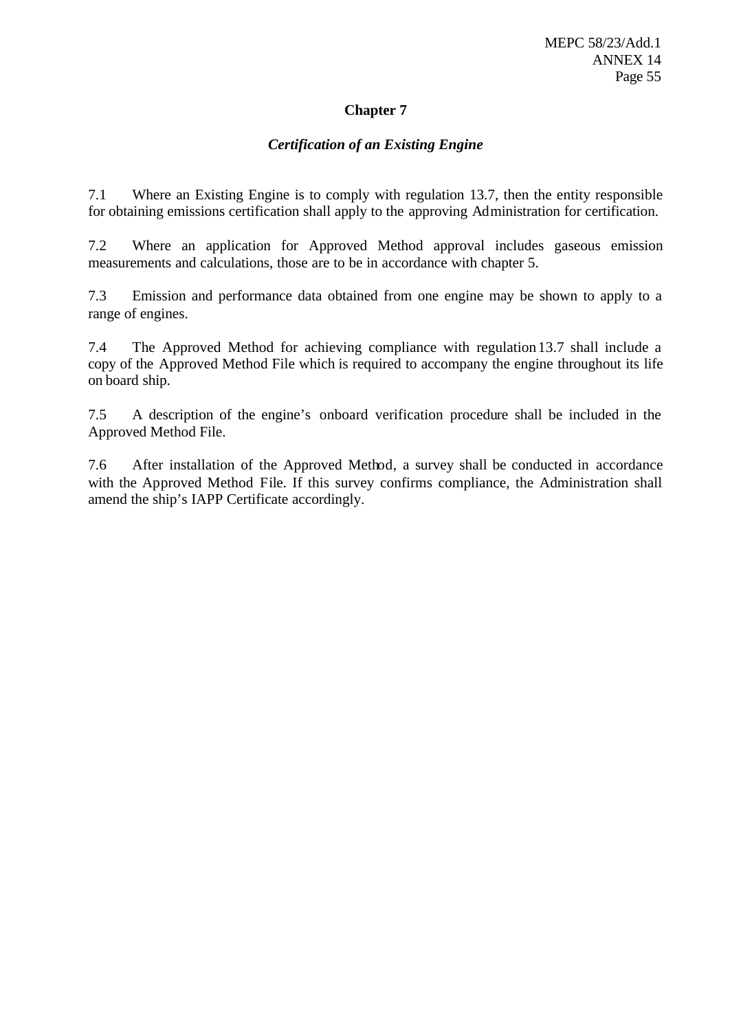# **Chapter 7**

# *Certification of an Existing Engine*

7.1 Where an Existing Engine is to comply with regulation 13.7, then the entity responsible for obtaining emissions certification shall apply to the approving Administration for certification.

7.2 Where an application for Approved Method approval includes gaseous emission measurements and calculations, those are to be in accordance with chapter 5.

7.3 Emission and performance data obtained from one engine may be shown to apply to a range of engines.

7.4 The Approved Method for achieving compliance with regulation 13.7 shall include a copy of the Approved Method File which is required to accompany the engine throughout its life on board ship.

7.5 A description of the engine's onboard verification procedure shall be included in the Approved Method File.

7.6 After installation of the Approved Method, a survey shall be conducted in accordance with the Approved Method File. If this survey confirms compliance, the Administration shall amend the ship's IAPP Certificate accordingly.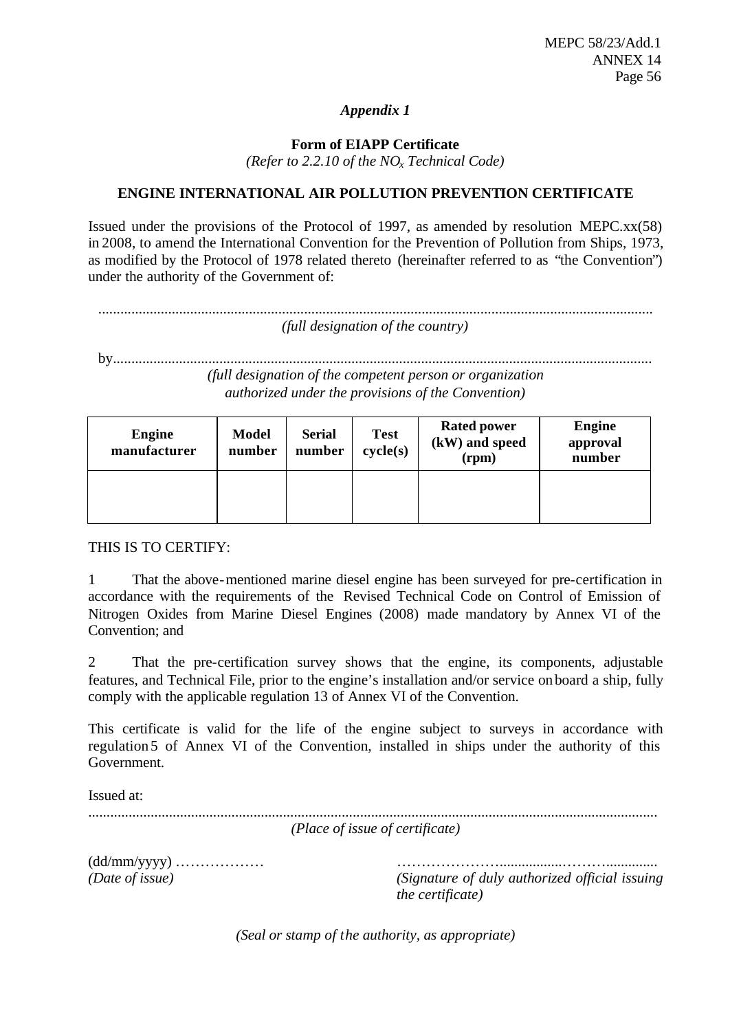# *Appendix 1*

**Form of EIAPP Certificate**

*(Refer to 2.2.10 of the NOx Technical Code)*

# **ENGINE INTERNATIONAL AIR POLLUTION PREVENTION CERTIFICATE**

Issued under the provisions of the Protocol of 1997, as amended by resolution MEPC.xx(58) in 2008, to amend the International Convention for the Prevention of Pollution from Ships, 1973, as modified by the Protocol of 1978 related thereto (hereinafter referred to as "the Convention") under the authority of the Government of:

....................................................................................................................................................... *(full designation of the country)*

by................................................................................................................................................... *(full designation of the competent person or organization authorized under the provisions of the Convention)*

| <b>Engine</b><br>manufacturer | <b>Model</b><br>number | <b>Serial</b><br>number | <b>Test</b><br>cycle(s) | <b>Rated power</b><br>(kW) and speed<br>(rpm) | <b>Engine</b><br>approval<br>number |
|-------------------------------|------------------------|-------------------------|-------------------------|-----------------------------------------------|-------------------------------------|
|                               |                        |                         |                         |                                               |                                     |

THIS IS TO CERTIFY:

1 That the above-mentioned marine diesel engine has been surveyed for pre-certification in accordance with the requirements of the Revised Technical Code on Control of Emission of Nitrogen Oxides from Marine Diesel Engines (2008) made mandatory by Annex VI of the Convention; and

2 That the pre-certification survey shows that the engine, its components, adjustable features, and Technical File, prior to the engine's installation and/or service onboard a ship, fully comply with the applicable regulation 13 of Annex VI of the Convention.

This certificate is valid for the life of the engine subject to surveys in accordance with regulation 5 of Annex VI of the Convention, installed in ships under the authority of this Government.

Issued at:

|                                   | (Place of issue of certificate)                                             |
|-----------------------------------|-----------------------------------------------------------------------------|
| $(dd/mm/yyyy)$<br>(Date of issue) | (Signature of duly authorized official issuing)<br><i>the certificate</i> ) |
|                                   | (Seal or stamp of the authority, as appropriate)                            |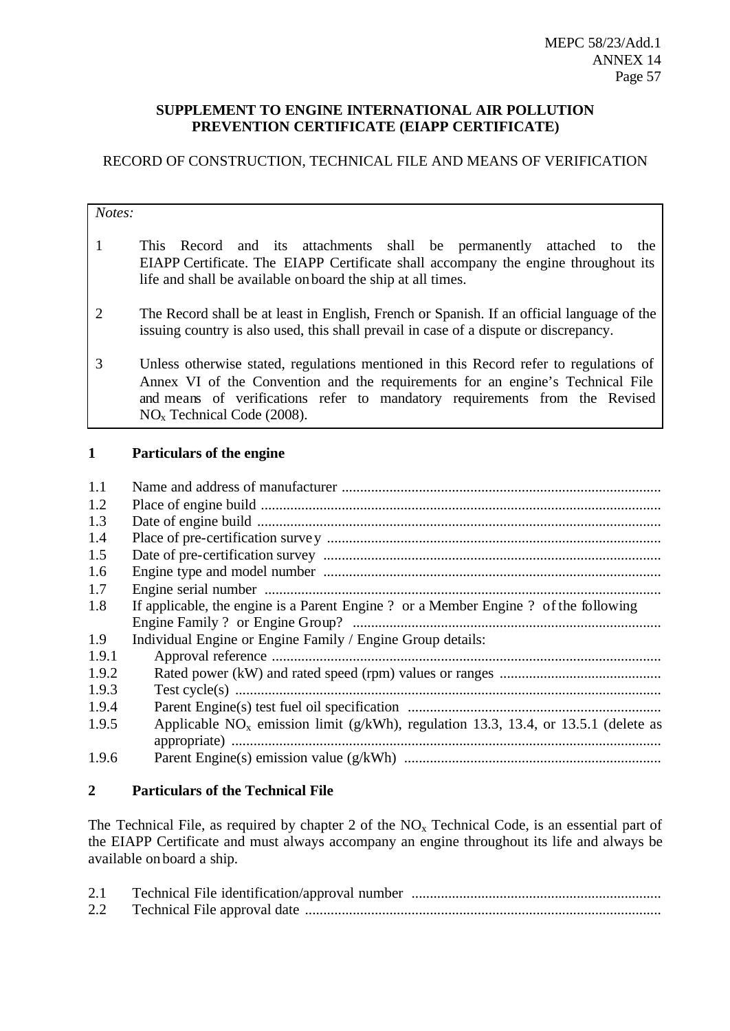## **SUPPLEMENT TO ENGINE INTERNATIONAL AIR POLLUTION PREVENTION CERTIFICATE (EIAPP CERTIFICATE)**

# RECORD OF CONSTRUCTION, TECHNICAL FILE AND MEANS OF VERIFICATION

#### *Notes:*

- 1 This Record and its attachments shall be permanently attached to the EIAPP Certificate. The EIAPP Certificate shall accompany the engine throughout its life and shall be available on board the ship at all times.
- 2 The Record shall be at least in English, French or Spanish. If an official language of the issuing country is also used, this shall prevail in case of a dispute or discrepancy.
- 3 Unless otherwise stated, regulations mentioned in this Record refer to regulations of Annex VI of the Convention and the requirements for an engine's Technical File and means of verifications refer to mandatory requirements from the Revised NO<sup>x</sup> Technical Code (2008).

## **1 Particulars of the engine**

| 1.1   |                                                                                       |
|-------|---------------------------------------------------------------------------------------|
| 1.2   |                                                                                       |
| 1.3   |                                                                                       |
| 1.4   |                                                                                       |
| 1.5   |                                                                                       |
| 1.6   |                                                                                       |
| 1.7   |                                                                                       |
| 1.8   | If applicable, the engine is a Parent Engine ? or a Member Engine ? of the following  |
|       |                                                                                       |
| 1.9   | Individual Engine or Engine Family / Engine Group details:                            |
| 1.9.1 |                                                                                       |
| 1.9.2 |                                                                                       |
| 1.9.3 |                                                                                       |
| 1.9.4 |                                                                                       |
| 1.9.5 | Applicable $NO_x$ emission limit (g/kWh), regulation 13.3, 13.4, or 13.5.1 (delete as |
|       |                                                                                       |
| 1.9.6 |                                                                                       |

# **2 Particulars of the Technical File**

The Technical File, as required by chapter 2 of the  $NO<sub>x</sub>$  Technical Code, is an essential part of the EIAPP Certificate and must always accompany an engine throughout its life and always be available on board a ship.

| 2.1 |  |
|-----|--|
| 2.2 |  |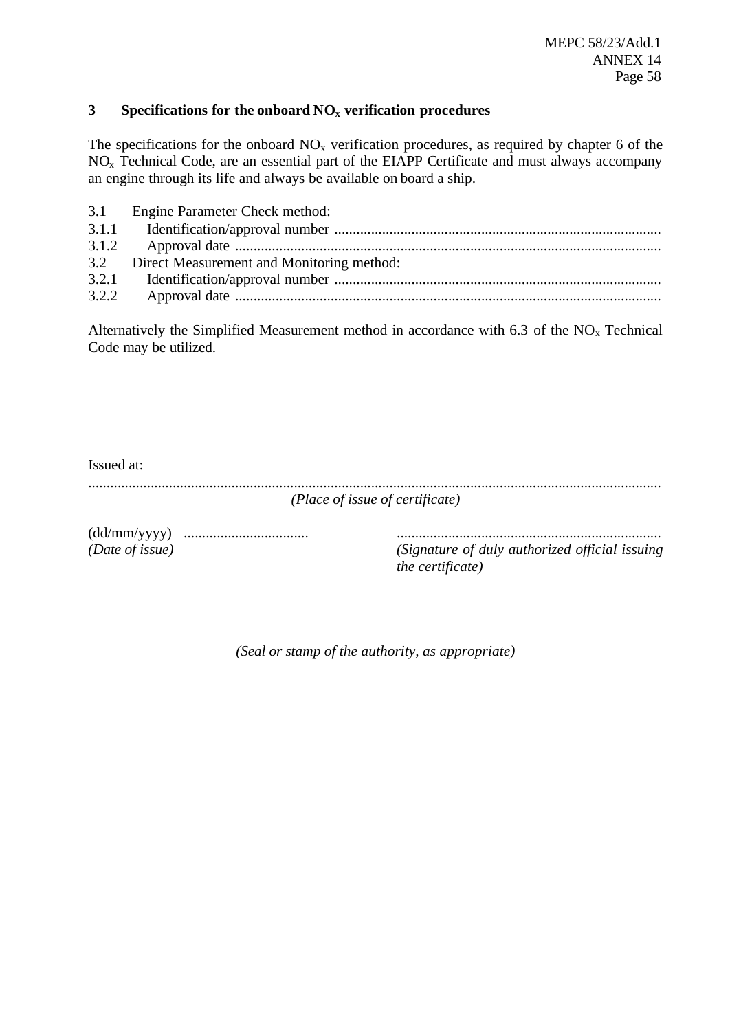## **3 Specifications for the onboard NO<sup>x</sup> verification procedures**

The specifications for the onboard  $NO<sub>x</sub>$  verification procedures, as required by chapter 6 of the NOx Technical Code, are an essential part of the EIAPP Certificate and must always accompany an engine through its life and always be available on board a ship.

|       | 3.1 Engine Parameter Check method:            |
|-------|-----------------------------------------------|
|       |                                               |
|       |                                               |
|       | 3.2 Direct Measurement and Monitoring method: |
|       |                                               |
| 3.2.2 |                                               |

Alternatively the Simplified Measurement method in accordance with 6.3 of the  $NO<sub>x</sub>$  Technical Code may be utilized.

| Issued at: |                                 |
|------------|---------------------------------|
|            | (Place of issue of certificate) |

(dd/mm/yyyy) .................................. ........................................................................

*(Date of issue) (Signature of duly authorized official issuing the certificate)*

*(Seal or stamp of the authority, as appropriate)*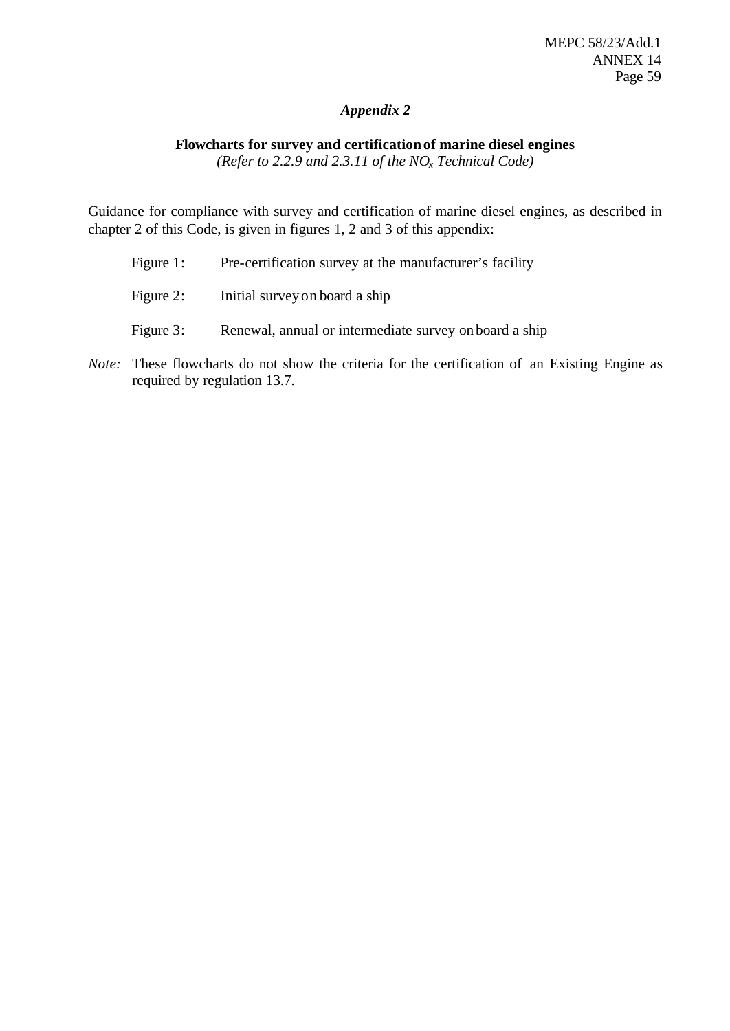# *Appendix 2*

# **Flowcharts for survey and certificationof marine diesel engines**

*(Refer to 2.2.9 and 2.3.11 of the NOx Technical Code)*

Guidance for compliance with survey and certification of marine diesel engines, as described in chapter 2 of this Code, is given in figures 1, 2 and 3 of this appendix:

| Figure $1:$ | Pre-certification survey at the manufacturer's facility |
|-------------|---------------------------------------------------------|
| Figure 2:   | Initial survey on board a ship                          |
| Figure 3:   | Renewal, annual or intermediate survey on board a ship  |

*Note:* These flowcharts do not show the criteria for the certification of an Existing Engine as required by regulation 13.7.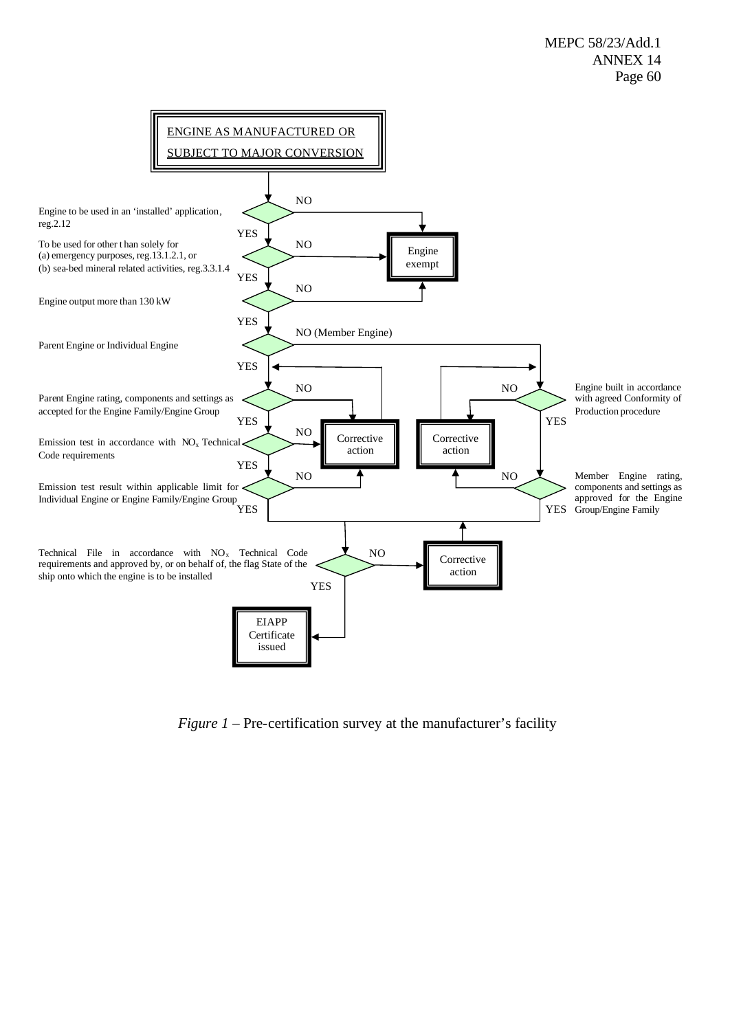

*Figure 1* – Pre-certification survey at the manufacturer's facility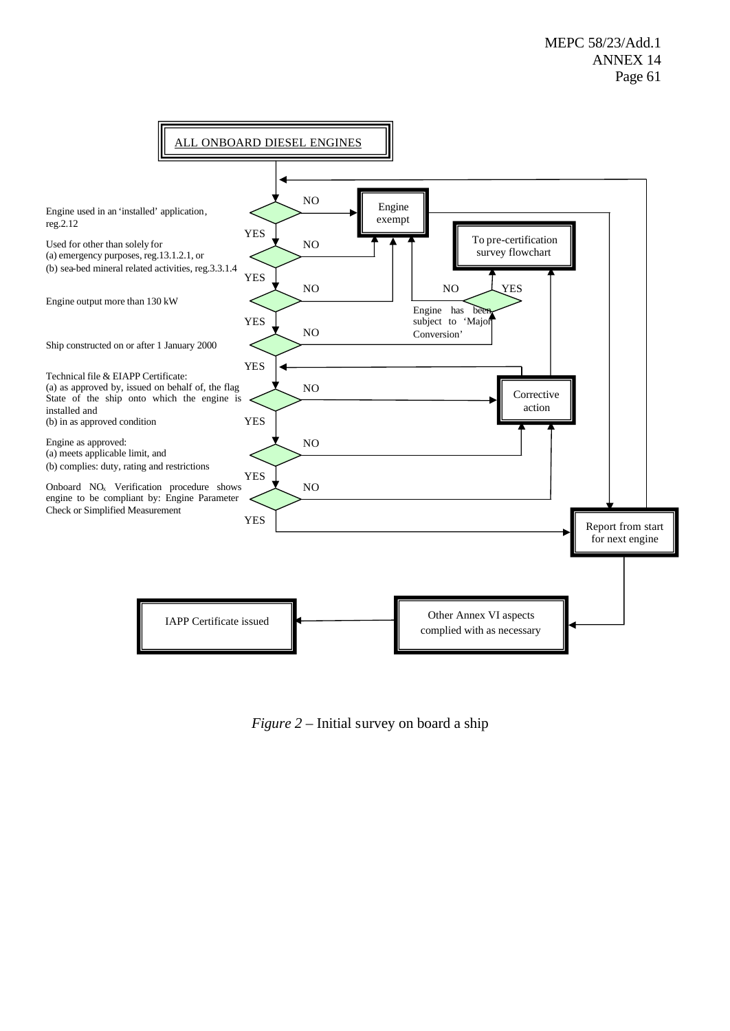

*Figure 2* – Initial survey on board a ship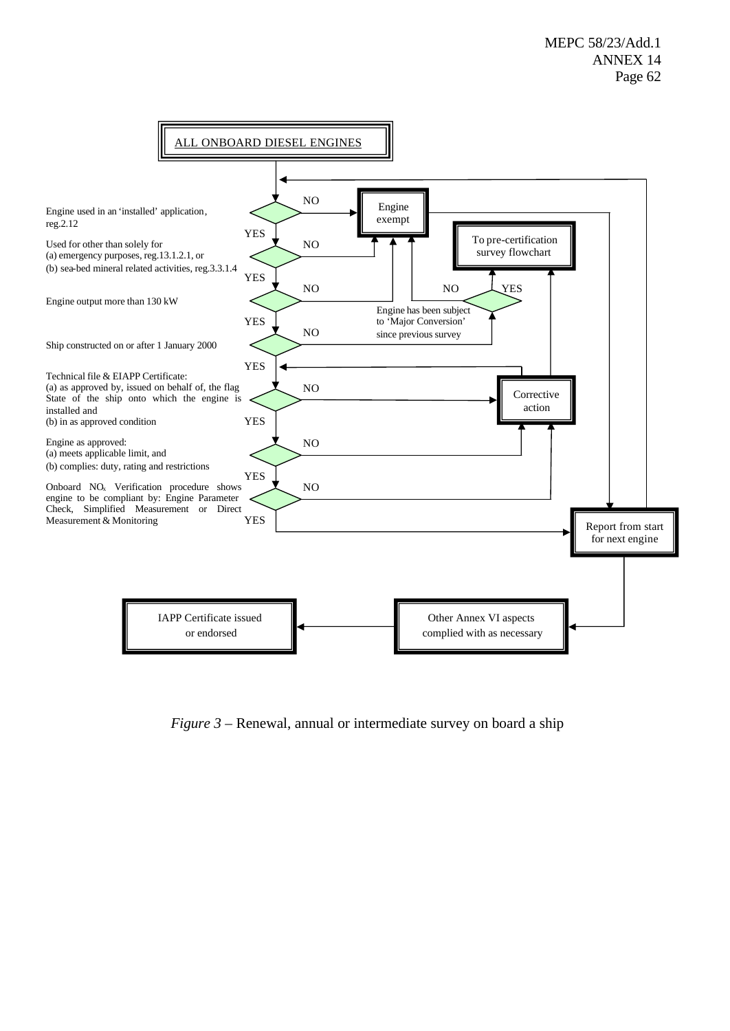

*Figure 3* – Renewal, annual or intermediate survey on board a ship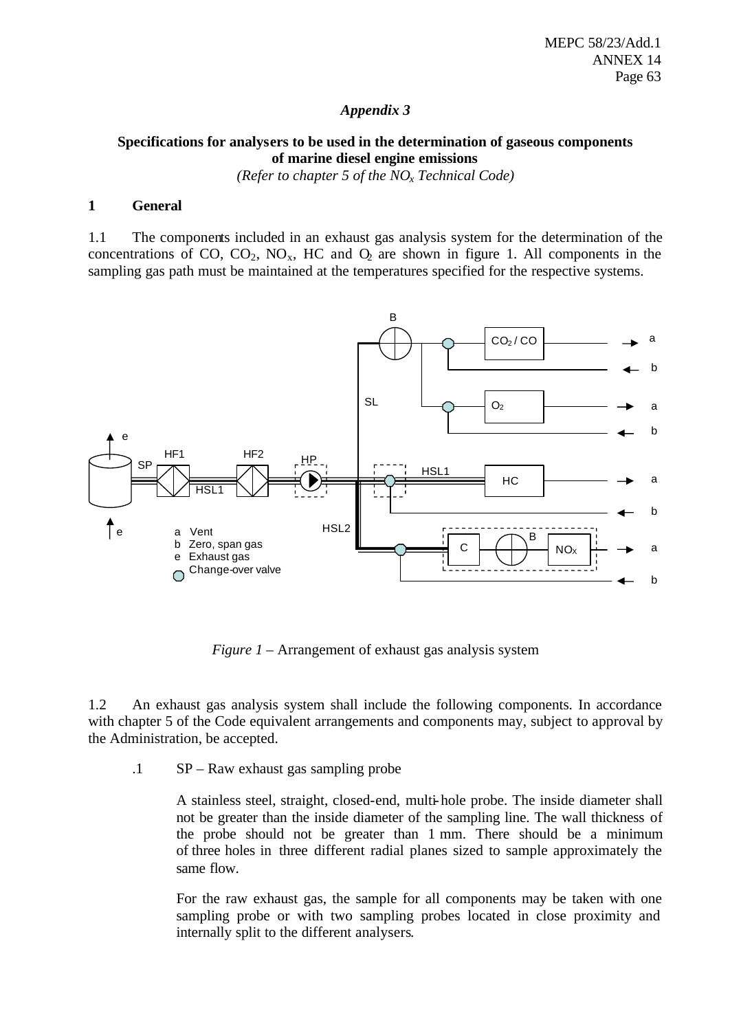### *Appendix 3*

# **Specifications for analysers to be used in the determination of gaseous components of marine diesel engine emissions**

*(Refer to chapter 5 of the NOx Technical Code)*

#### **1 General**

1.1 The components included in an exhaust gas analysis system for the determination of the concentrations of CO,  $CO_2$ ,  $NO_x$ , HC and  $O_2$  are shown in figure 1. All components in the sampling gas path must be maintained at the temperatures specified for the respective systems.



*Figure 1* – Arrangement of exhaust gas analysis system

1.2 An exhaust gas analysis system shall include the following components. In accordance with chapter 5 of the Code equivalent arrangements and components may, subject to approval by the Administration, be accepted.

.1 SP – Raw exhaust gas sampling probe

A stainless steel, straight, closed-end, multi-hole probe. The inside diameter shall not be greater than the inside diameter of the sampling line. The wall thickness of the probe should not be greater than 1 mm. There should be a minimum of three holes in three different radial planes sized to sample approximately the same flow.

For the raw exhaust gas, the sample for all components may be taken with one sampling probe or with two sampling probes located in close proximity and internally split to the different analysers.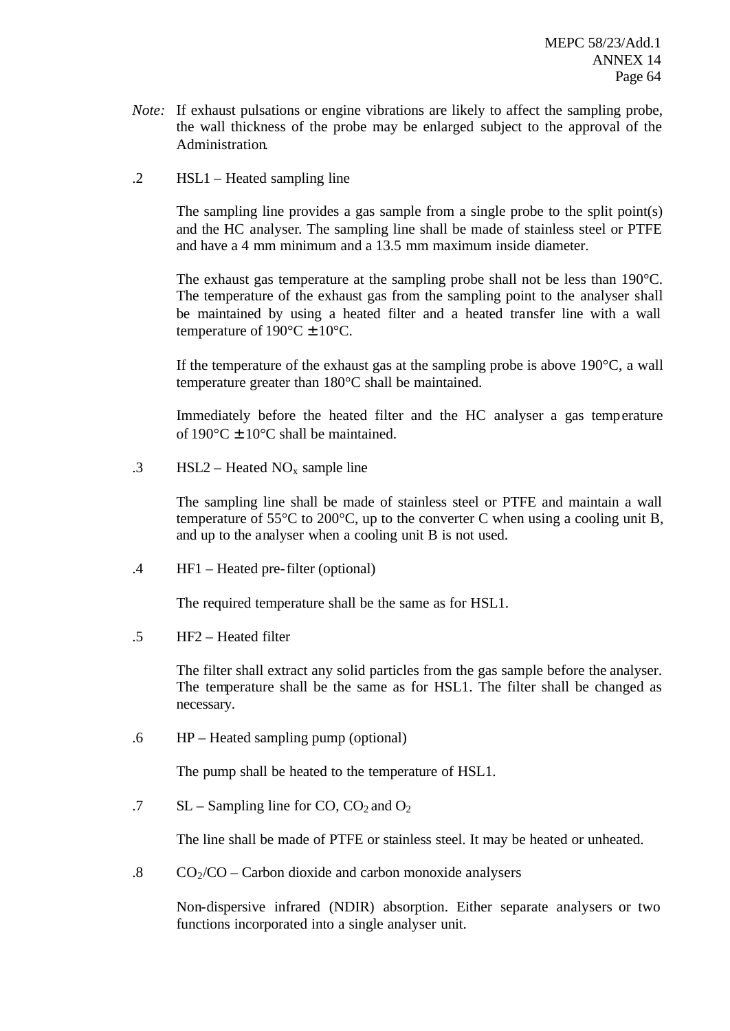- *Note:* If exhaust pulsations or engine vibrations are likely to affect the sampling probe, the wall thickness of the probe may be enlarged subject to the approval of the Administration.
- .2 HSL1 Heated sampling line

The sampling line provides a gas sample from a single probe to the split point(s) and the HC analyser. The sampling line shall be made of stainless steel or PTFE and have a 4 mm minimum and a 13.5 mm maximum inside diameter.

The exhaust gas temperature at the sampling probe shall not be less than 190°C. The temperature of the exhaust gas from the sampling point to the analyser shall be maintained by using a heated filter and a heated transfer line with a wall temperature of  $190^{\circ}$ C  $\pm 10^{\circ}$ C.

If the temperature of the exhaust gas at the sampling probe is above  $190^{\circ}$ C, a wall temperature greater than 180°C shall be maintained.

Immediately before the heated filter and the HC analyser a gas temperature of  $190^{\circ}$ C  $\pm$  10<sup>o</sup>C shall be maintained.

.3 HSL2 – Heated  $NO_x$  sample line

The sampling line shall be made of stainless steel or PTFE and maintain a wall temperature of 55°C to 200°C, up to the converter C when using a cooling unit B, and up to the analyser when a cooling unit B is not used.

.4 HF1 – Heated pre-filter (optional)

The required temperature shall be the same as for HSL1.

.5 HF2 – Heated filter

The filter shall extract any solid particles from the gas sample before the analyser. The temperature shall be the same as for HSL1. The filter shall be changed as necessary.

.6 HP – Heated sampling pump (optional)

The pump shall be heated to the temperature of HSL1.

.7 SL – Sampling line for CO,  $CO_2$  and  $O_2$ 

The line shall be made of PTFE or stainless steel. It may be heated or unheated.

.8  $CO_2/CO - Carbon$  dioxide and carbon monoxide analysers

Non-dispersive infrared (NDIR) absorption. Either separate analysers or two functions incorporated into a single analyser unit.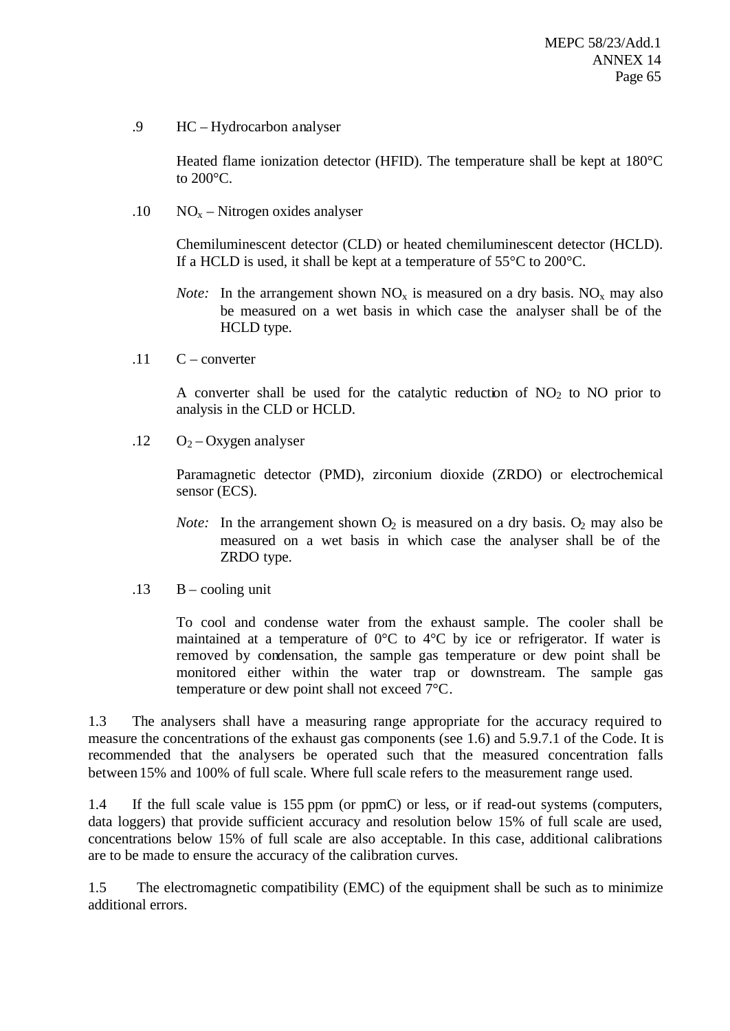.9 HC – Hydrocarbon analyser

Heated flame ionization detector (HFID). The temperature shall be kept at 180°C to 200°C.

.10  $NO<sub>x</sub> - Nitrogen oxides analyser$ 

Chemiluminescent detector (CLD) or heated chemiluminescent detector (HCLD). If a HCLD is used, it shall be kept at a temperature of  $55^{\circ}$ C to  $200^{\circ}$ C.

- *Note:* In the arrangement shown  $NO_x$  is measured on a dry basis.  $NO_x$  may also be measured on a wet basis in which case the analyser shall be of the HCLD type.
- $.11 \quad C$  converter

A converter shall be used for the catalytic reduction of  $NO<sub>2</sub>$  to NO prior to analysis in the CLD or HCLD.

 $.12 \qquad O<sub>2</sub> - Oxygen$  analyser

Paramagnetic detector (PMD), zirconium dioxide (ZRDO) or electrochemical sensor (ECS).

- *Note:* In the arrangement shown  $O_2$  is measured on a dry basis.  $O_2$  may also be measured on a wet basis in which case the analyser shall be of the ZRDO type.
- $.13$  B cooling unit

To cool and condense water from the exhaust sample. The cooler shall be maintained at a temperature of 0°C to 4°C by ice or refrigerator. If water is removed by condensation, the sample gas temperature or dew point shall be monitored either within the water trap or downstream. The sample gas temperature or dew point shall not exceed 7°C.

1.3 The analysers shall have a measuring range appropriate for the accuracy required to measure the concentrations of the exhaust gas components (see 1.6) and 5.9.7.1 of the Code. It is recommended that the analysers be operated such that the measured concentration falls between 15% and 100% of full scale. Where full scale refers to the measurement range used.

1.4 If the full scale value is 155 ppm (or ppmC) or less, or if read-out systems (computers, data loggers) that provide sufficient accuracy and resolution below 15% of full scale are used, concentrations below 15% of full scale are also acceptable. In this case, additional calibrations are to be made to ensure the accuracy of the calibration curves.

1.5 The electromagnetic compatibility (EMC) of the equipment shall be such as to minimize additional errors.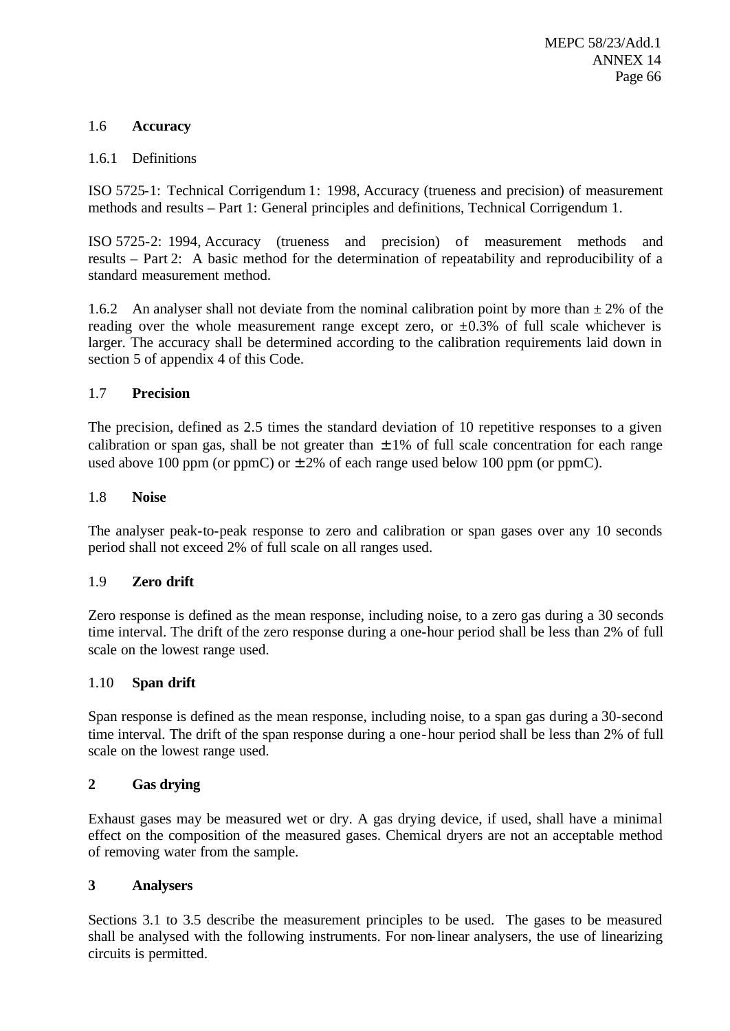## 1.6 **Accuracy**

### 1.6.1 Definitions

ISO 5725-1: Technical Corrigendum 1: 1998, Accuracy (trueness and precision) of measurement methods and results – Part 1: General principles and definitions, Technical Corrigendum 1.

ISO 5725-2: 1994, Accuracy (trueness and precision) of measurement methods and results – Part 2: A basic method for the determination of repeatability and reproducibility of a standard measurement method.

1.6.2 An analyser shall not deviate from the nominal calibration point by more than  $\pm 2\%$  of the reading over the whole measurement range except zero, or  $\pm 0.3\%$  of full scale whichever is larger. The accuracy shall be determined according to the calibration requirements laid down in section 5 of appendix 4 of this Code.

## 1.7 **Precision**

The precision, defined as 2.5 times the standard deviation of 10 repetitive responses to a given calibration or span gas, shall be not greater than  $\pm 1\%$  of full scale concentration for each range used above 100 ppm (or ppmC) or  $\pm 2\%$  of each range used below 100 ppm (or ppmC).

### 1.8 **Noise**

The analyser peak-to-peak response to zero and calibration or span gases over any 10 seconds period shall not exceed 2% of full scale on all ranges used.

# 1.9 **Zero drift**

Zero response is defined as the mean response, including noise, to a zero gas during a 30 seconds time interval. The drift of the zero response during a one-hour period shall be less than 2% of full scale on the lowest range used.

### 1.10 **Span drift**

Span response is defined as the mean response, including noise, to a span gas during a 30-second time interval. The drift of the span response during a one-hour period shall be less than 2% of full scale on the lowest range used.

# **2 Gas drying**

Exhaust gases may be measured wet or dry. A gas drying device, if used, shall have a minimal effect on the composition of the measured gases. Chemical dryers are not an acceptable method of removing water from the sample.

### **3 Analysers**

Sections 3.1 to 3.5 describe the measurement principles to be used. The gases to be measured shall be analysed with the following instruments. For non-linear analysers, the use of linearizing circuits is permitted.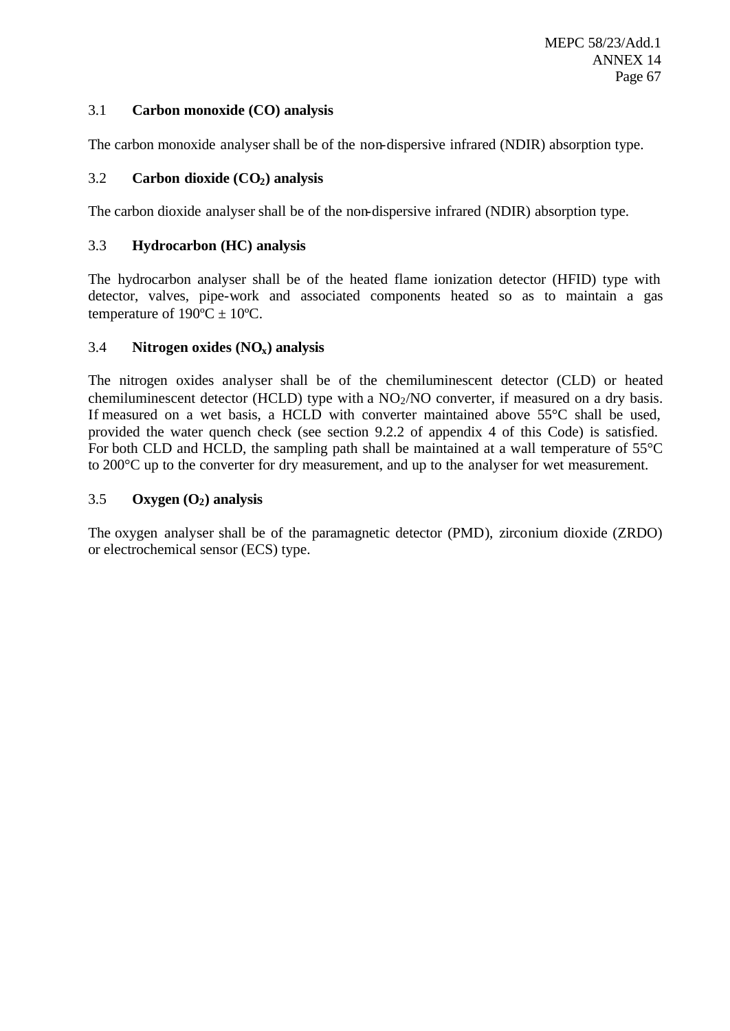## 3.1 **Carbon monoxide (CO) analysis**

The carbon monoxide analyser shall be of the non-dispersive infrared (NDIR) absorption type.

## 3.2 **Carbon dioxide (CO2) analysis**

The carbon dioxide analyser shall be of the non-dispersive infrared (NDIR) absorption type.

### 3.3 **Hydrocarbon (HC) analysis**

The hydrocarbon analyser shall be of the heated flame ionization detector (HFID) type with detector, valves, pipe-work and associated components heated so as to maintain a gas temperature of  $190^{\circ}C \pm 10^{\circ}C$ .

### 3.4 **Nitrogen oxides (NOx) analysis**

The nitrogen oxides analyser shall be of the chemiluminescent detector (CLD) or heated chemiluminescent detector (HCLD) type with a  $NO<sub>2</sub>/NO$  converter, if measured on a dry basis. If measured on a wet basis, a HCLD with converter maintained above 55°C shall be used, provided the water quench check (see section 9.2.2 of appendix 4 of this Code) is satisfied. For both CLD and HCLD, the sampling path shall be maintained at a wall temperature of 55°C to 200°C up to the converter for dry measurement, and up to the analyser for wet measurement.

## 3.5 **Oxygen (O2) analysis**

The oxygen analyser shall be of the paramagnetic detector (PMD), zirconium dioxide (ZRDO) or electrochemical sensor (ECS) type.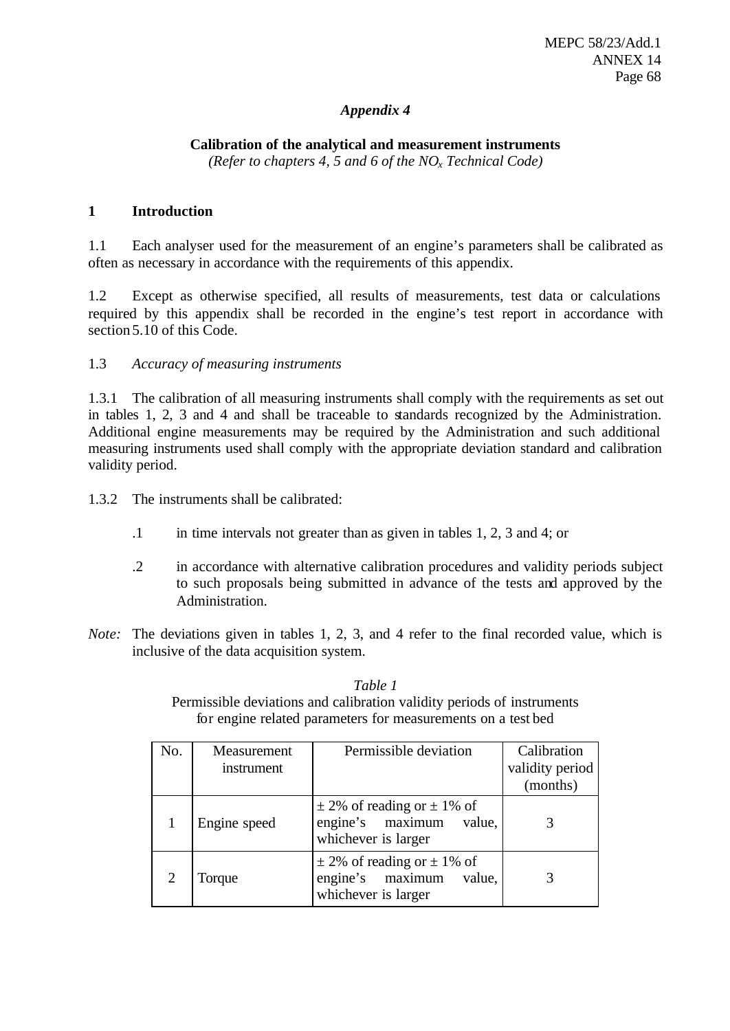# *Appendix 4*

# **Calibration of the analytical and measurement instruments**

*(Refer to chapters 4, 5 and 6 of the NOx Technical Code)*

## **1 Introduction**

1.1 Each analyser used for the measurement of an engine's parameters shall be calibrated as often as necessary in accordance with the requirements of this appendix.

1.2 Except as otherwise specified, all results of measurements, test data or calculations required by this appendix shall be recorded in the engine's test report in accordance with section 5.10 of this Code.

## 1.3 *Accuracy of measuring instruments*

1.3.1 The calibration of all measuring instruments shall comply with the requirements as set out in tables 1, 2, 3 and 4 and shall be traceable to standards recognized by the Administration. Additional engine measurements may be required by the Administration and such additional measuring instruments used shall comply with the appropriate deviation standard and calibration validity period.

1.3.2 The instruments shall be calibrated:

- .1 in time intervals not greater than as given in tables 1, 2, 3 and 4; or
- .2 in accordance with alternative calibration procedures and validity periods subject to such proposals being submitted in advance of the tests and approved by the Administration.
- *Note:* The deviations given in tables 1, 2, 3, and 4 refer to the final recorded value, which is inclusive of the data acquisition system.

*Table 1* Permissible deviations and calibration validity periods of instruments for engine related parameters for measurements on a test bed

| No.            | Measurement<br>instrument | Permissible deviation                                                                   | Calibration<br>validity period<br>(months) |
|----------------|---------------------------|-----------------------------------------------------------------------------------------|--------------------------------------------|
|                | Engine speed              | $\pm$ 2% of reading or $\pm$ 1% of<br>engine's maximum<br>value,<br>whichever is larger |                                            |
| $\overline{c}$ | Torque                    | $\pm$ 2% of reading or $\pm$ 1% of<br>engine's maximum<br>value,<br>whichever is larger |                                            |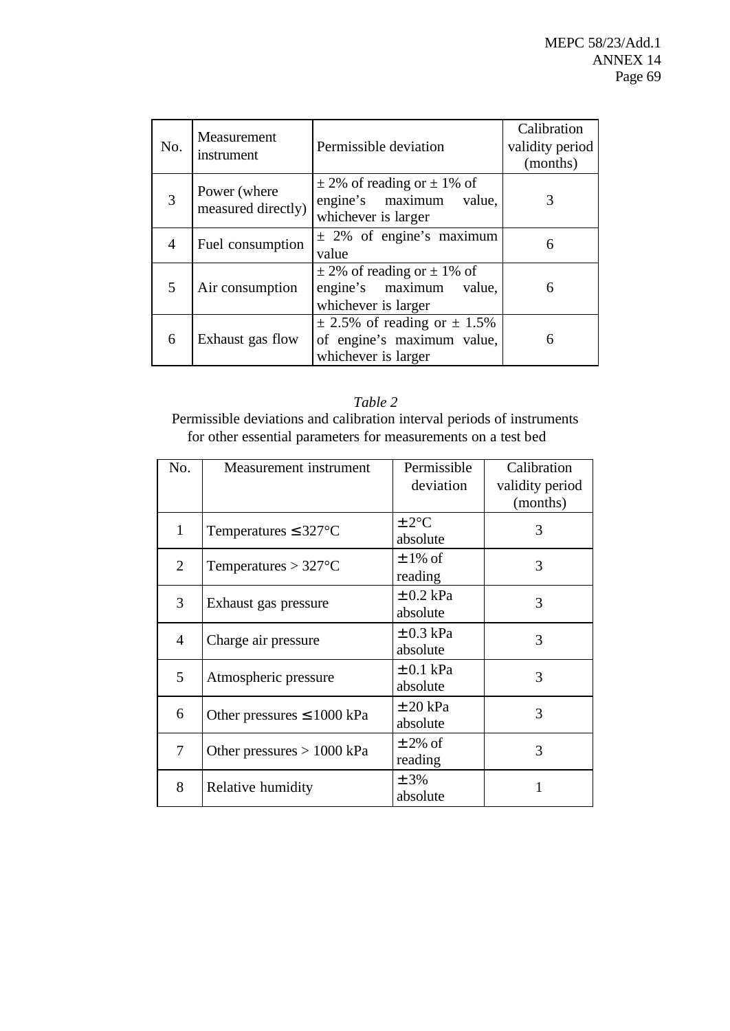| No.            | Measurement<br>instrument          | Permissible deviation                                                                    | Calibration<br>validity period<br>(months) |
|----------------|------------------------------------|------------------------------------------------------------------------------------------|--------------------------------------------|
| $\overline{3}$ | Power (where<br>measured directly) | $\pm$ 2% of reading or $\pm$ 1% of<br>engine's maximum<br>value,<br>whichever is larger  |                                            |
| 4              | Fuel consumption                   | $\pm$ 2% of engine's maximum<br>value                                                    | 6                                          |
| 5              | Air consumption                    | $\pm$ 2% of reading or $\pm$ 1% of<br>engine's maximum<br>value,<br>whichever is larger  | 6                                          |
| 6              | Exhaust gas flow                   | $\pm$ 2.5% of reading or $\pm$ 1.5%<br>of engine's maximum value,<br>whichever is larger | 6                                          |

*Table 2* Permissible deviations and calibration interval periods of instruments for other essential parameters for measurements on a test bed

| No.            | Measurement instrument          | Permissible<br>deviation  | Calibration<br>validity period<br>(months) |
|----------------|---------------------------------|---------------------------|--------------------------------------------|
| 1              | Temperatures $\leq 327$ °C      | $\pm 2$ °C<br>absolute    | 3                                          |
| $\overline{2}$ | Temperatures $> 327$ °C         | $\pm$ 1% of<br>reading    | 3                                          |
| 3              | Exhaust gas pressure            | $\pm$ 0.2 kPa<br>absolute | 3                                          |
| $\overline{4}$ | Charge air pressure             | $\pm$ 0.3 kPa<br>absolute | 3                                          |
| 5              | Atmospheric pressure            | $\pm$ 0.1 kPa<br>absolute | 3                                          |
| 6              | Other pressures $\leq 1000$ kPa | $\pm 20$ kPa<br>absolute  | 3                                          |
| 7              | Other pressures $> 1000$ kPa    | $\pm$ 2% of<br>reading    | 3                                          |
| 8              | Relative humidity               | ± 3%<br>absolute          | 1                                          |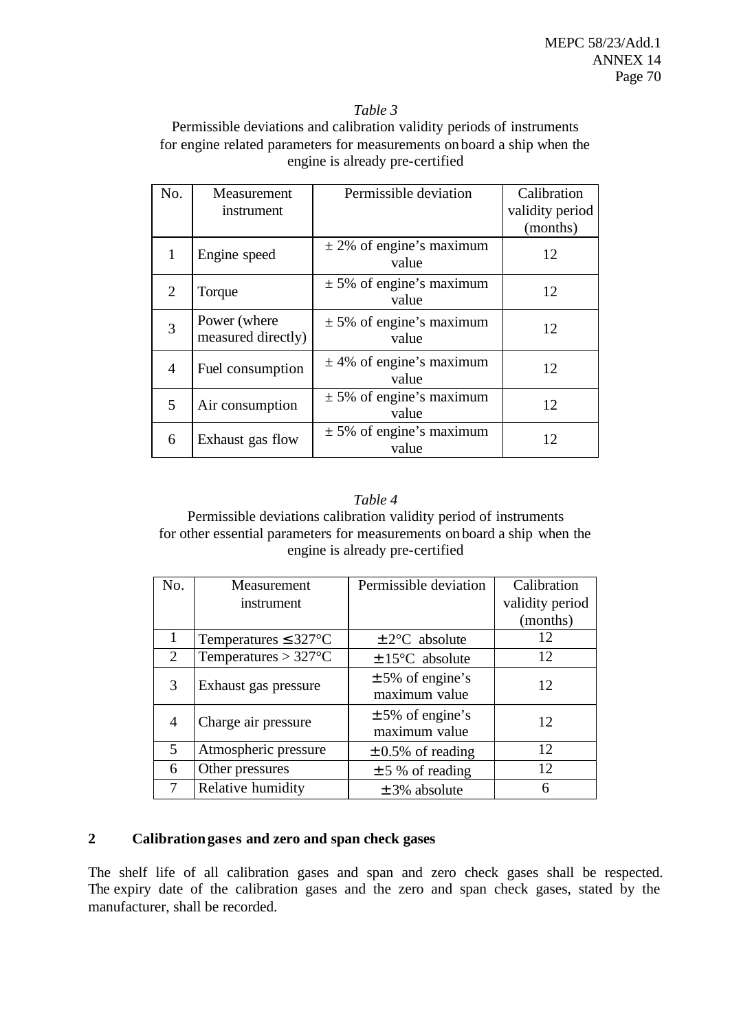#### *Table 3*

Permissible deviations and calibration validity periods of instruments for engine related parameters for measurements onboard a ship when the engine is already pre-certified

| No.            | Measurement                        | Permissible deviation                 | Calibration     |
|----------------|------------------------------------|---------------------------------------|-----------------|
|                | instrument                         |                                       | validity period |
|                |                                    |                                       | (months)        |
|                | Engine speed                       | $\pm$ 2% of engine's maximum<br>value | 12              |
| $\overline{2}$ | Torque                             | $\pm$ 5% of engine's maximum<br>value | 12              |
| $\overline{3}$ | Power (where<br>measured directly) | $\pm$ 5% of engine's maximum<br>value | 12              |
| $\overline{4}$ | Fuel consumption                   | $\pm$ 4% of engine's maximum<br>value | 12              |
| 5              | Air consumption                    | $\pm$ 5% of engine's maximum<br>value | 12              |
| 6              | Exhaust gas flow                   | $\pm$ 5% of engine's maximum<br>value | 12              |

### *Table 4*

Permissible deviations calibration validity period of instruments for other essential parameters for measurements onboard a ship when the engine is already pre-certified

| No. | Measurement               | Permissible deviation                 | Calibration     |
|-----|---------------------------|---------------------------------------|-----------------|
|     | instrument                |                                       | validity period |
|     |                           |                                       | (months)        |
|     | Temperatures $\leq$ 327°C | $\pm 2$ °C absolute                   | 12              |
| 2   | Temperatures $> 327$ °C   | $\pm 15^{\circ}$ C absolute           | 12              |
| 3   | Exhaust gas pressure      | $\pm$ 5% of engine's<br>maximum value | 12              |
| 4   | Charge air pressure       | $\pm$ 5% of engine's<br>maximum value | 12              |
| 5   | Atmospheric pressure      | $\pm$ 0.5% of reading                 | 12              |
| 6   | Other pressures           | $\pm$ 5 % of reading                  | 12              |
|     | Relative humidity         | $\pm$ 3% absolute                     | 6               |

# **2 Calibration gases and zero and span check gases**

The shelf life of all calibration gases and span and zero check gases shall be respected. The expiry date of the calibration gases and the zero and span check gases, stated by the manufacturer, shall be recorded.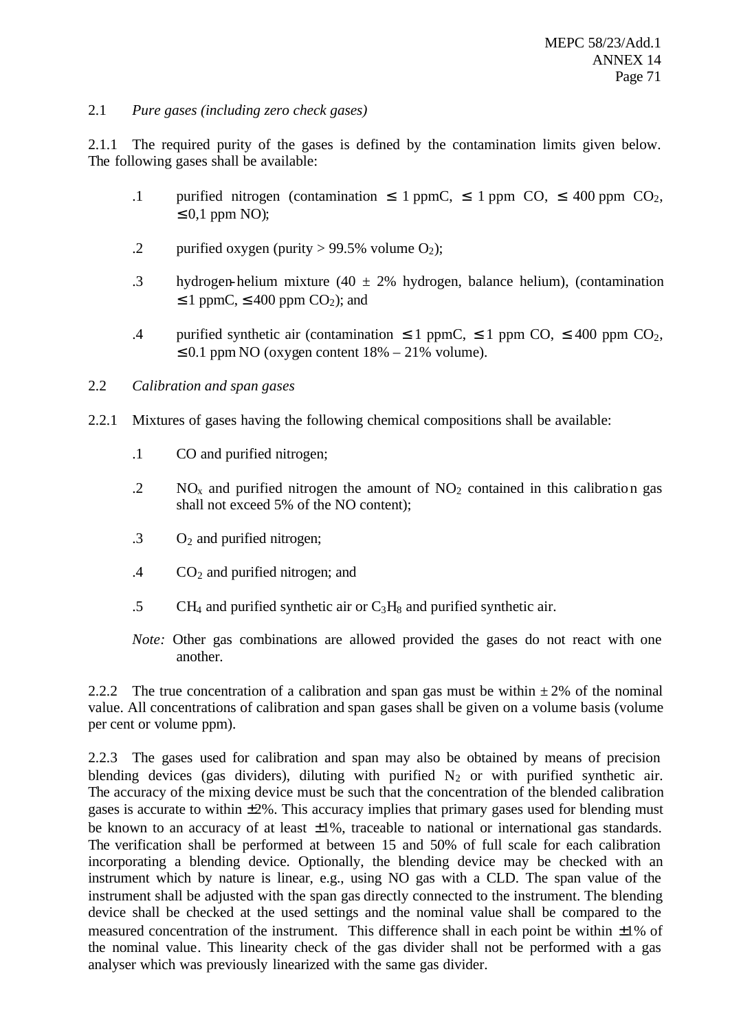# 2.1 *Pure gases (including zero check gases)*

2.1.1 The required purity of the gases is defined by the contamination limits given below. The following gases shall be available:

- .1 purified nitrogen (contamination  $\leq$  1 ppmC,  $\leq$  1 ppm CO,  $\leq$  400 ppm CO<sub>2</sub>,  $\leq 0.1$  ppm NO);
- .2 purified oxygen (purity  $> 99.5\%$  volume O<sub>2</sub>);
- .3 hydrogen-helium mixture (40  $\pm$  2% hydrogen, balance helium), (contamination  $\leq$  1 ppmC,  $\leq$  400 ppm CO<sub>2</sub>); and
- .4 purified synthetic air (contamination  $\leq 1$  ppmC,  $\leq 1$  ppm CO,  $\leq 400$  ppm CO<sub>2</sub>,  $\leq 0.1$  ppm NO (oxygen content  $18\% - 21\%$  volume).

## 2.2 *Calibration and span gases*

- 2.2.1 Mixtures of gases having the following chemical compositions shall be available:
	- .1 CO and purified nitrogen;
	- .2 NO<sub>x</sub> and purified nitrogen the amount of  $NO_2$  contained in this calibration gas shall not exceed 5% of the NO content);
	- $\cdot$  3 O<sub>2</sub> and purified nitrogen;
	- $.4$  CO<sub>2</sub> and purified nitrogen; and
	- .5 CH<sub>4</sub> and purified synthetic air or  $C_3H_8$  and purified synthetic air.
	- *Note:* Other gas combinations are allowed provided the gases do not react with one another.

2.2.2 The true concentration of a calibration and span gas must be within  $\pm 2\%$  of the nominal value. All concentrations of calibration and span gases shall be given on a volume basis (volume per cent or volume ppm).

2.2.3 The gases used for calibration and span may also be obtained by means of precision blending devices (gas dividers), diluting with purified  $N_2$  or with purified synthetic air. The accuracy of the mixing device must be such that the concentration of the blended calibration gases is accurate to within  $\pm 2\%$ . This accuracy implies that primary gases used for blending must be known to an accuracy of at least  $\pm 1\%$ , traceable to national or international gas standards. The verification shall be performed at between 15 and 50% of full scale for each calibration incorporating a blending device. Optionally, the blending device may be checked with an instrument which by nature is linear, e.g., using NO gas with a CLD. The span value of the instrument shall be adjusted with the span gas directly connected to the instrument. The blending device shall be checked at the used settings and the nominal value shall be compared to the measured concentration of the instrument. This difference shall in each point be within  $\pm 1\%$  of the nominal value. This linearity check of the gas divider shall not be performed with a gas analyser which was previously linearized with the same gas divider.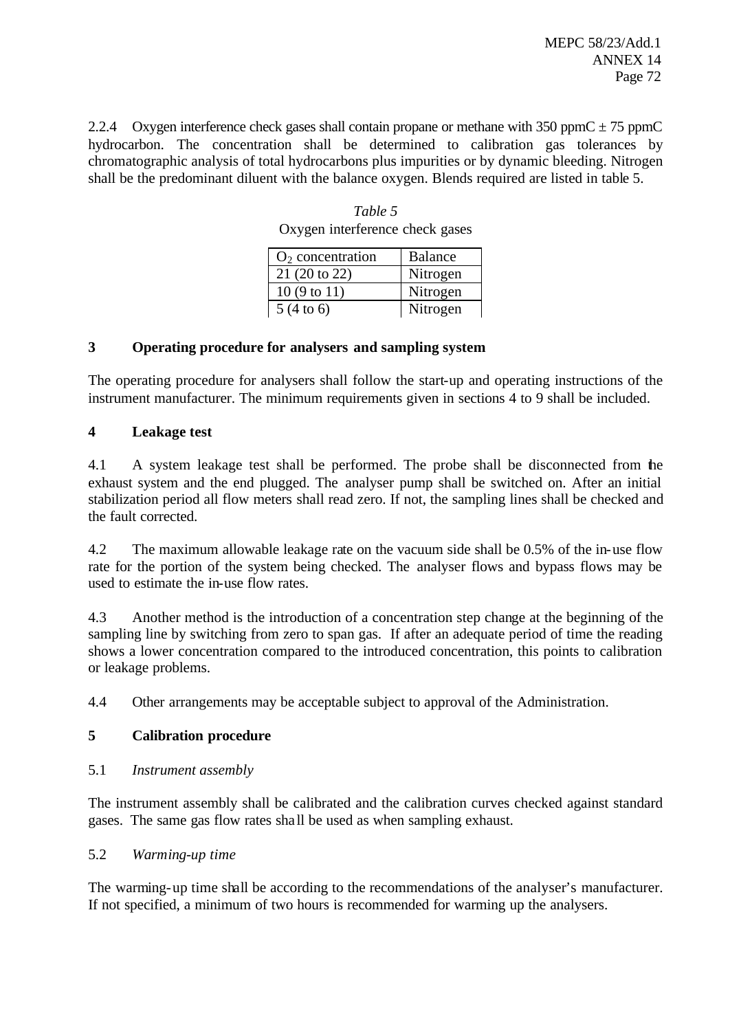2.2.4 Oxygen interference check gases shall contain propane or methane with 350 ppmC  $\pm$  75 ppmC hydrocarbon. The concentration shall be determined to calibration gas tolerances by chromatographic analysis of total hydrocarbons plus impurities or by dynamic bleeding. Nitrogen shall be the predominant diluent with the balance oxygen. Blends required are listed in table 5.

| $O2$ concentration   | <b>Balance</b> |
|----------------------|----------------|
| 21 (20 to 22)        | Nitrogen       |
| 10(9 to 11)          | Nitrogen       |
| $5(4 \text{ to } 6)$ | Nitrogen       |

*Table 5* Oxygen interference check gases

# **3 Operating procedure for analysers and sampling system**

The operating procedure for analysers shall follow the start-up and operating instructions of the instrument manufacturer. The minimum requirements given in sections 4 to 9 shall be included.

# **4 Leakage test**

4.1 A system leakage test shall be performed. The probe shall be disconnected from the exhaust system and the end plugged. The analyser pump shall be switched on. After an initial stabilization period all flow meters shall read zero. If not, the sampling lines shall be checked and the fault corrected.

4.2 The maximum allowable leakage rate on the vacuum side shall be 0.5% of the in-use flow rate for the portion of the system being checked. The analyser flows and bypass flows may be used to estimate the in-use flow rates.

4.3 Another method is the introduction of a concentration step change at the beginning of the sampling line by switching from zero to span gas. If after an adequate period of time the reading shows a lower concentration compared to the introduced concentration, this points to calibration or leakage problems.

4.4 Other arrangements may be acceptable subject to approval of the Administration.

# **5 Calibration procedure**

5.1 *Instrument assembly*

The instrument assembly shall be calibrated and the calibration curves checked against standard gases. The same gas flow rates sha ll be used as when sampling exhaust.

# 5.2 *Warming-up time*

The warming-up time shall be according to the recommendations of the analyser's manufacturer. If not specified, a minimum of two hours is recommended for warming up the analysers.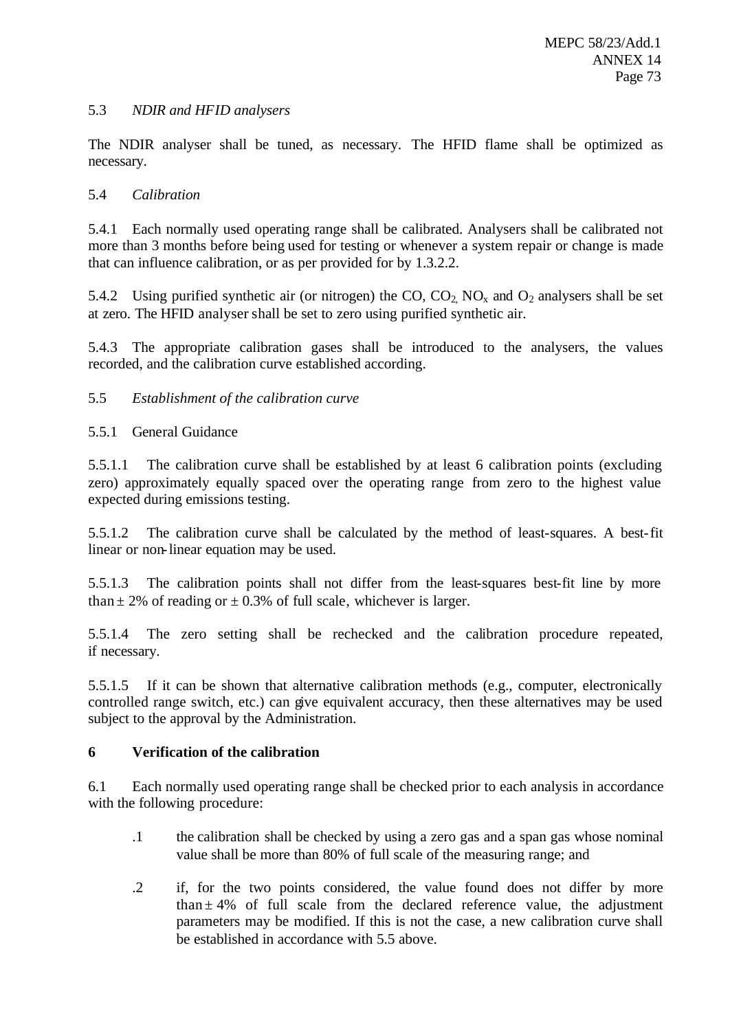### 5.3 *NDIR and HFID analysers*

The NDIR analyser shall be tuned, as necessary. The HFID flame shall be optimized as necessary.

### 5.4 *Calibration*

5.4.1 Each normally used operating range shall be calibrated. Analysers shall be calibrated not more than 3 months before being used for testing or whenever a system repair or change is made that can influence calibration, or as per provided for by 1.3.2.2.

5.4.2 Using purified synthetic air (or nitrogen) the  $CO$ ,  $CO_2$   $NO_x$  and  $O_2$  analysers shall be set at zero. The HFID analyser shall be set to zero using purified synthetic air.

5.4.3 The appropriate calibration gases shall be introduced to the analysers, the values recorded, and the calibration curve established according.

### 5.5 *Establishment of the calibration curve*

### 5.5.1 General Guidance

5.5.1.1 The calibration curve shall be established by at least 6 calibration points (excluding zero) approximately equally spaced over the operating range from zero to the highest value expected during emissions testing.

5.5.1.2 The calibration curve shall be calculated by the method of least-squares. A best-fit linear or non-linear equation may be used.

5.5.1.3 The calibration points shall not differ from the least-squares best-fit line by more than  $\pm$  2% of reading or  $\pm$  0.3% of full scale, whichever is larger.

5.5.1.4 The zero setting shall be rechecked and the calibration procedure repeated, if necessary.

5.5.1.5 If it can be shown that alternative calibration methods (e.g., computer, electronically controlled range switch, etc.) can give equivalent accuracy, then these alternatives may be used subject to the approval by the Administration.

### **6 Verification of the calibration**

6.1 Each normally used operating range shall be checked prior to each analysis in accordance with the following procedure:

- .1 the calibration shall be checked by using a zero gas and a span gas whose nominal value shall be more than 80% of full scale of the measuring range; and
- .2 if, for the two points considered, the value found does not differ by more than  $\pm$  4% of full scale from the declared reference value, the adjustment parameters may be modified. If this is not the case, a new calibration curve shall be established in accordance with 5.5 above.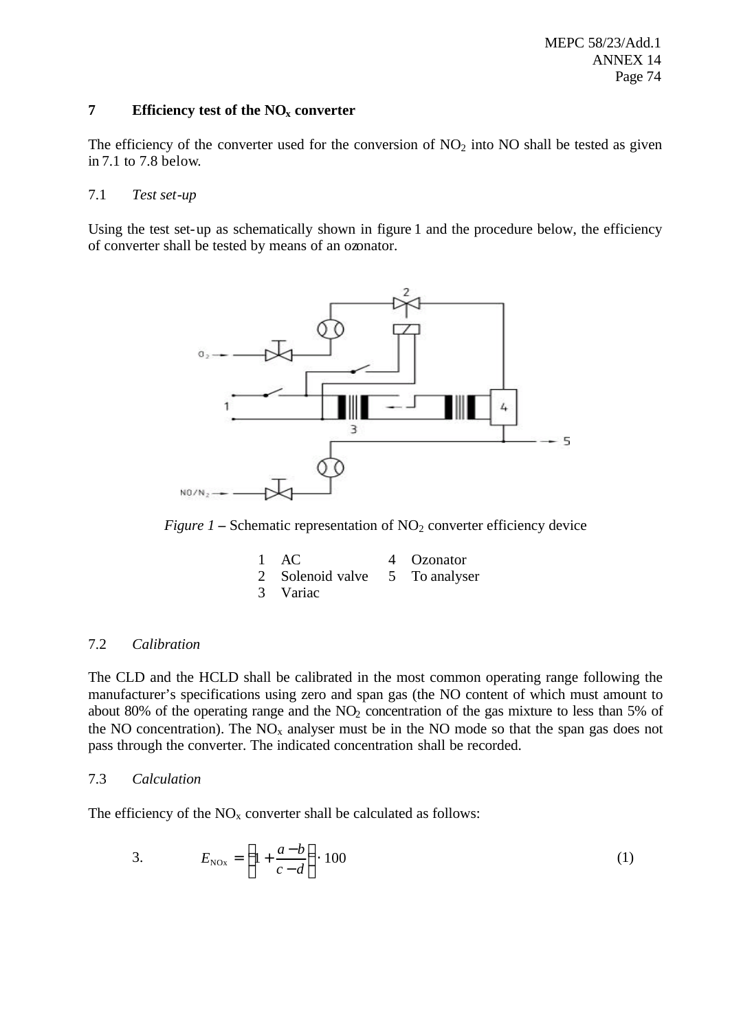### **7 Efficiency test of the NOx converter**

The efficiency of the converter used for the conversion of  $NO<sub>2</sub>$  into NO shall be tested as given in 7.1 to 7.8 below.

### 7.1 *Test set-up*

Using the test set-up as schematically shown in figure 1 and the procedure below, the efficiency of converter shall be tested by means of an ozonator.



*Figure 1* – Schematic representation of  $NO<sub>2</sub>$  converter efficiency device

| $1 \text{ AC}$                 | 4 Ozonator |
|--------------------------------|------------|
| 2 Solenoid valve 5 To analyser |            |
| 3 Variac                       |            |

### 7.2 *Calibration*

The CLD and the HCLD shall be calibrated in the most common operating range following the manufacturer's specifications using zero and span gas (the NO content of which must amount to about 80% of the operating range and the  $NO<sub>2</sub>$  concentration of the gas mixture to less than 5% of the NO concentration). The  $NO<sub>x</sub>$  analyser must be in the NO mode so that the span gas does not pass through the converter. The indicated concentration shall be recorded.

### 7.3 *Calculation*

The efficiency of the  $NO<sub>x</sub>$  converter shall be calculated as follows:

3. 
$$
E_{N0x} = \left(1 + \frac{a-b}{c-d}\right) \cdot 100
$$
 (1)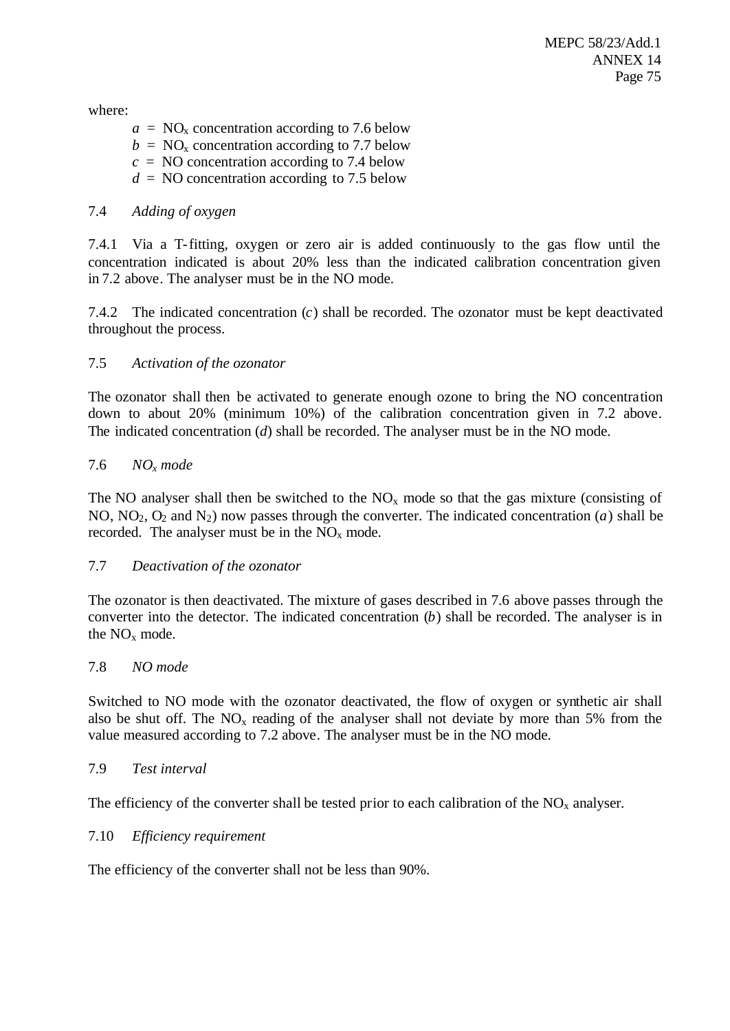where:

 $a = NO<sub>x</sub>$  concentration according to 7.6 below  $b = NO<sub>x</sub>$  concentration according to 7.7 below  $c = NO$  concentration according to 7.4 below  $d = NO$  concentration according to 7.5 below

### 7.4 *Adding of oxygen*

7.4.1 Via a T-fitting, oxygen or zero air is added continuously to the gas flow until the concentration indicated is about 20% less than the indicated calibration concentration given in 7.2 above. The analyser must be in the NO mode.

7.4.2 The indicated concentration (*c*) shall be recorded. The ozonator must be kept deactivated throughout the process.

### 7.5 *Activation of the ozonator*

The ozonator shall then be activated to generate enough ozone to bring the NO concentration down to about 20% (minimum 10%) of the calibration concentration given in 7.2 above. The indicated concentration (*d*) shall be recorded. The analyser must be in the NO mode.

### 7.6 *NOx mode*

The NO analyser shall then be switched to the  $NO<sub>x</sub>$  mode so that the gas mixture (consisting of NO,  $NO<sub>2</sub>$ ,  $O<sub>2</sub>$  and  $N<sub>2</sub>$ ) now passes through the converter. The indicated concentration (*a*) shall be recorded. The analyser must be in the  $NO<sub>x</sub>$  mode.

### 7.7 *Deactivation of the ozonator*

The ozonator is then deactivated. The mixture of gases described in 7.6 above passes through the converter into the detector. The indicated concentration (*b*) shall be recorded. The analyser is in the  $NO<sub>x</sub>$  mode.

### 7.8 *NO mode*

Switched to NO mode with the ozonator deactivated, the flow of oxygen or synthetic air shall also be shut off. The  $NO<sub>x</sub>$  reading of the analyser shall not deviate by more than 5% from the value measured according to 7.2 above. The analyser must be in the NO mode.

### 7.9 *Test interval*

The efficiency of the converter shall be tested prior to each calibration of the  $NO<sub>x</sub>$  analyser.

### 7.10 *Efficiency requirement*

The efficiency of the converter shall not be less than 90%.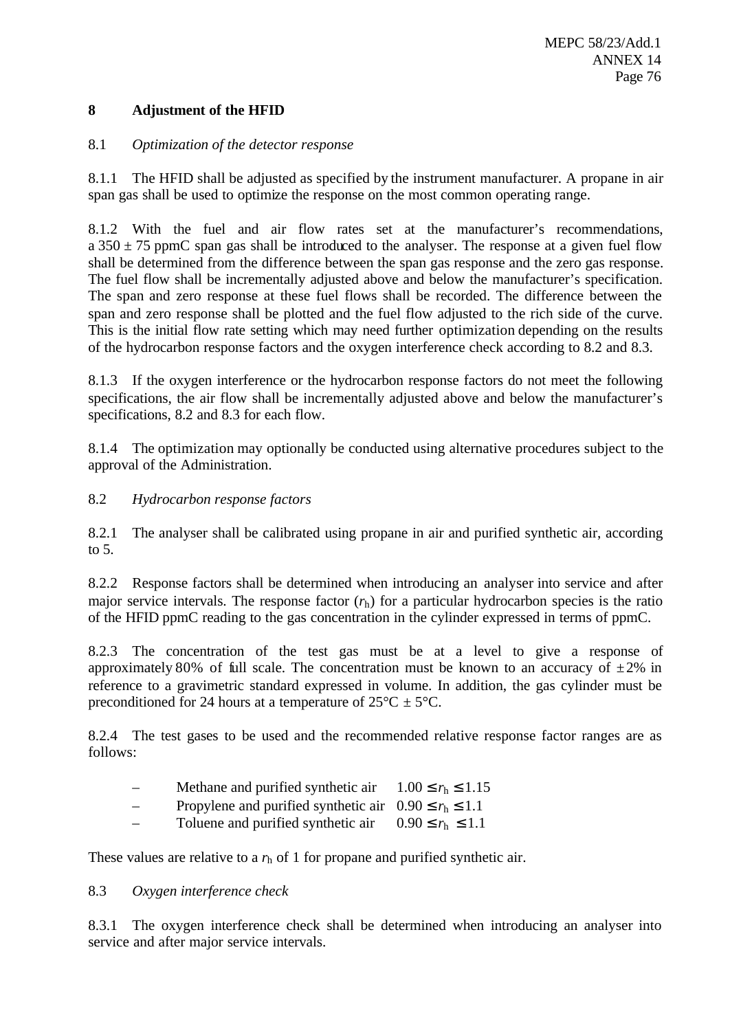### **8 Adjustment of the HFID**

### 8.1 *Optimization of the detector response*

8.1.1 The HFID shall be adjusted as specified by the instrument manufacturer. A propane in air span gas shall be used to optimize the response on the most common operating range.

8.1.2 With the fuel and air flow rates set at the manufacturer's recommendations, a  $350 \pm 75$  ppmC span gas shall be introduced to the analyser. The response at a given fuel flow shall be determined from the difference between the span gas response and the zero gas response. The fuel flow shall be incrementally adjusted above and below the manufacturer's specification. The span and zero response at these fuel flows shall be recorded. The difference between the span and zero response shall be plotted and the fuel flow adjusted to the rich side of the curve. This is the initial flow rate setting which may need further optimization depending on the results of the hydrocarbon response factors and the oxygen interference check according to 8.2 and 8.3.

8.1.3 If the oxygen interference or the hydrocarbon response factors do not meet the following specifications, the air flow shall be incrementally adjusted above and below the manufacturer's specifications, 8.2 and 8.3 for each flow.

8.1.4 The optimization may optionally be conducted using alternative procedures subject to the approval of the Administration.

8.2 *Hydrocarbon response factors*

8.2.1 The analyser shall be calibrated using propane in air and purified synthetic air, according to 5.

8.2.2 Response factors shall be determined when introducing an analyser into service and after major service intervals. The response factor  $(r_h)$  for a particular hydrocarbon species is the ratio of the HFID ppmC reading to the gas concentration in the cylinder expressed in terms of ppmC.

8.2.3 The concentration of the test gas must be at a level to give a response of approximately 80% of full scale. The concentration must be known to an accuracy of  $\pm 2\%$  in reference to a gravimetric standard expressed in volume. In addition, the gas cylinder must be preconditioned for 24 hours at a temperature of  $25^{\circ}C \pm 5^{\circ}C$ .

8.2.4 The test gases to be used and the recommended relative response factor ranges are as follows:

- Methane and purified synthetic air  $1.00 \le r_h \le 1.15$
- Propylene and purified synthetic air  $0.90 \le r_h \le 1.1$
- Toluene and purified synthetic air  $0.90 \le r_h \le 1.1$

These values are relative to a  $r<sub>h</sub>$  of 1 for propane and purified synthetic air.

### 8.3 *Oxygen interference check*

8.3.1 The oxygen interference check shall be determined when introducing an analyser into service and after major service intervals.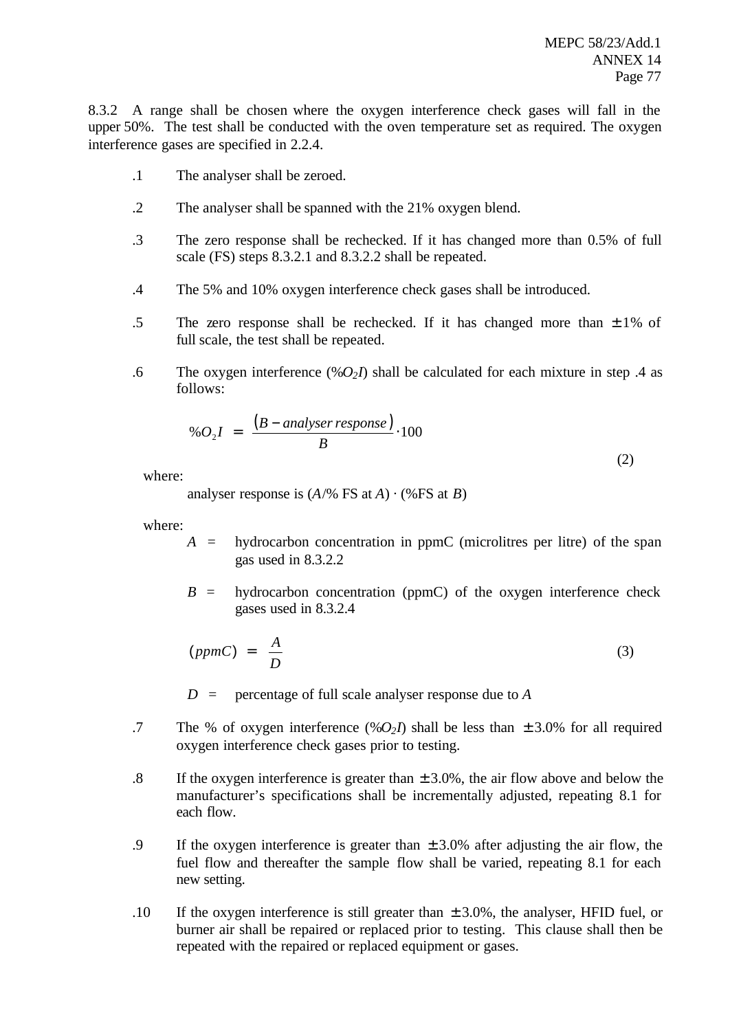8.3.2 A range shall be chosen where the oxygen interference check gases will fall in the upper 50%. The test shall be conducted with the oven temperature set as required. The oxygen interference gases are specified in 2.2.4.

- .1 The analyser shall be zeroed.
- .2 The analyser shall be spanned with the 21% oxygen blend.
- .3 The zero response shall be rechecked. If it has changed more than 0.5% of full scale (FS) steps 8.3.2.1 and 8.3.2.2 shall be repeated.
- .4 The 5% and 10% oxygen interference check gases shall be introduced.
- .5 The zero response shall be rechecked. If it has changed more than  $\pm 1\%$  of full scale, the test shall be repeated.
- .6 The oxygen interference  $(\%O_2I)$  shall be calculated for each mixture in step .4 as follows:

$$
\%O_2I = \frac{(B-analyser response)}{B} \cdot 100
$$
\n(2)

where:

analyser response is  $(A/\%$  FS at *A*)  $\cdot$  (%FS at *B*)

where:

- $A =$  hydrocarbon concentration in ppmC (microlitres per litre) of the span gas used in 8.3.2.2
- $B =$  hydrocarbon concentration (ppmC) of the oxygen interference check gases used in 8.3.2.4

$$
(ppmC) = \frac{A}{D} \tag{3}
$$

*D* = percentage of full scale analyser response due to *A*

- .7 The % of oxygen interference  $(\%O_2I)$  shall be less than  $\pm 3.0\%$  for all required oxygen interference check gases prior to testing.
- .8 If the oxygen interference is greater than  $\pm 3.0\%$ , the air flow above and below the manufacturer's specifications shall be incrementally adjusted, repeating 8.1 for each flow.
- .9 If the oxygen interference is greater than  $\pm$  3.0% after adjusting the air flow, the fuel flow and thereafter the sample flow shall be varied, repeating 8.1 for each new setting.
- .10 If the oxygen interference is still greater than  $\pm 3.0\%$ , the analyser, HFID fuel, or burner air shall be repaired or replaced prior to testing. This clause shall then be repeated with the repaired or replaced equipment or gases.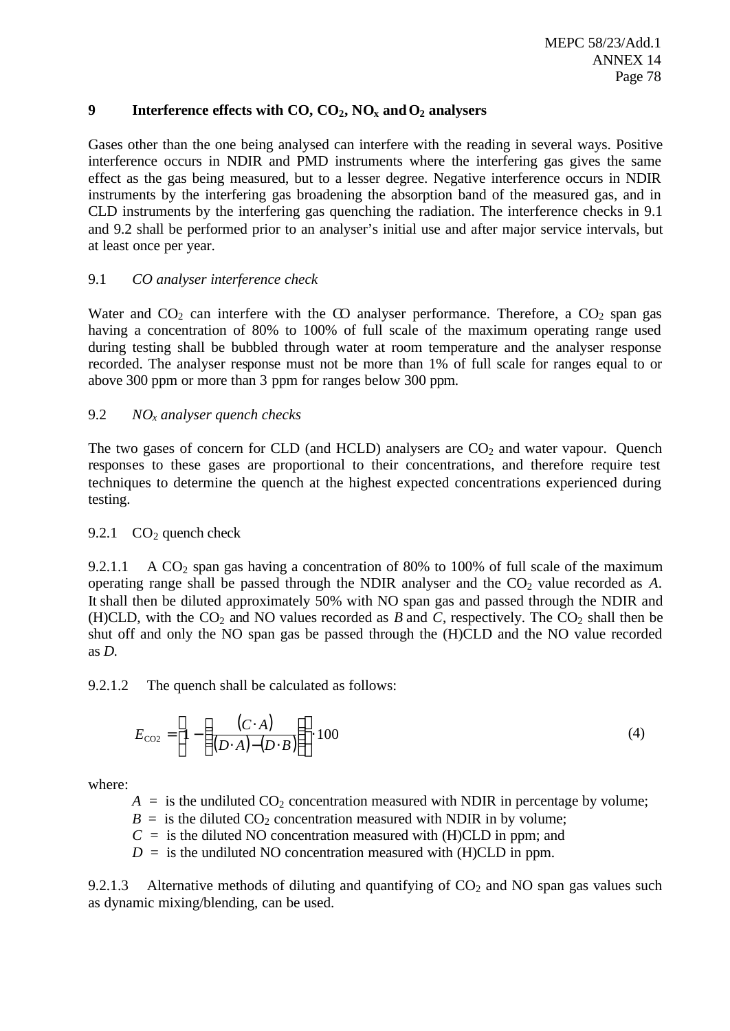### **9 Interference effects with CO, CO2, NOx andO2 analysers**

Gases other than the one being analysed can interfere with the reading in several ways. Positive interference occurs in NDIR and PMD instruments where the interfering gas gives the same effect as the gas being measured, but to a lesser degree. Negative interference occurs in NDIR instruments by the interfering gas broadening the absorption band of the measured gas, and in CLD instruments by the interfering gas quenching the radiation. The interference checks in 9.1 and 9.2 shall be performed prior to an analyser's initial use and after major service intervals, but at least once per year.

### 9.1 *CO analyser interference check*

Water and  $CO_2$  can interfere with the CO analyser performance. Therefore, a  $CO_2$  span gas having a concentration of 80% to 100% of full scale of the maximum operating range used during testing shall be bubbled through water at room temperature and the analyser response recorded. The analyser response must not be more than 1% of full scale for ranges equal to or above 300 ppm or more than 3 ppm for ranges below 300 ppm.

### 9.2 *NOx analyser quench checks*

The two gases of concern for CLD (and HCLD) analysers are  $CO<sub>2</sub>$  and water vapour. Ouench responses to these gases are proportional to their concentrations, and therefore require test techniques to determine the quench at the highest expected concentrations experienced during testing.

### 9.2.1  $CO<sub>2</sub>$  quench check

9.2.1.1 A  $CO<sub>2</sub>$  span gas having a concentration of 80% to 100% of full scale of the maximum operating range shall be passed through the NDIR analyser and the  $CO<sub>2</sub>$  value recorded as  $A$ . It shall then be diluted approximately 50% with NO span gas and passed through the NDIR and (H)CLD, with the  $CO_2$  and NO values recorded as *B* and *C*, respectively. The  $CO_2$  shall then be shut off and only the NO span gas be passed through the (H)CLD and the NO value recorded as *D*.

9.2.1.2 The quench shall be calculated as follows:

$$
E_{\text{CO2}} = \left[1 - \left(\frac{(C \cdot A)}{(D \cdot A) - (D \cdot B)}\right)\right] \cdot 100\tag{4}
$$

where:

 $A =$  is the undiluted  $CO<sub>2</sub>$  concentration measured with NDIR in percentage by volume;

 $B =$  is the diluted  $CO<sub>2</sub>$  concentration measured with NDIR in by volume;

 $C =$  is the diluted NO concentration measured with (H)CLD in ppm; and

 $D =$  is the undiluted NO concentration measured with (H)CLD in ppm.

9.2.1.3 Alternative methods of diluting and quantifying of  $CO<sub>2</sub>$  and NO span gas values such as dynamic mixing/blending, can be used.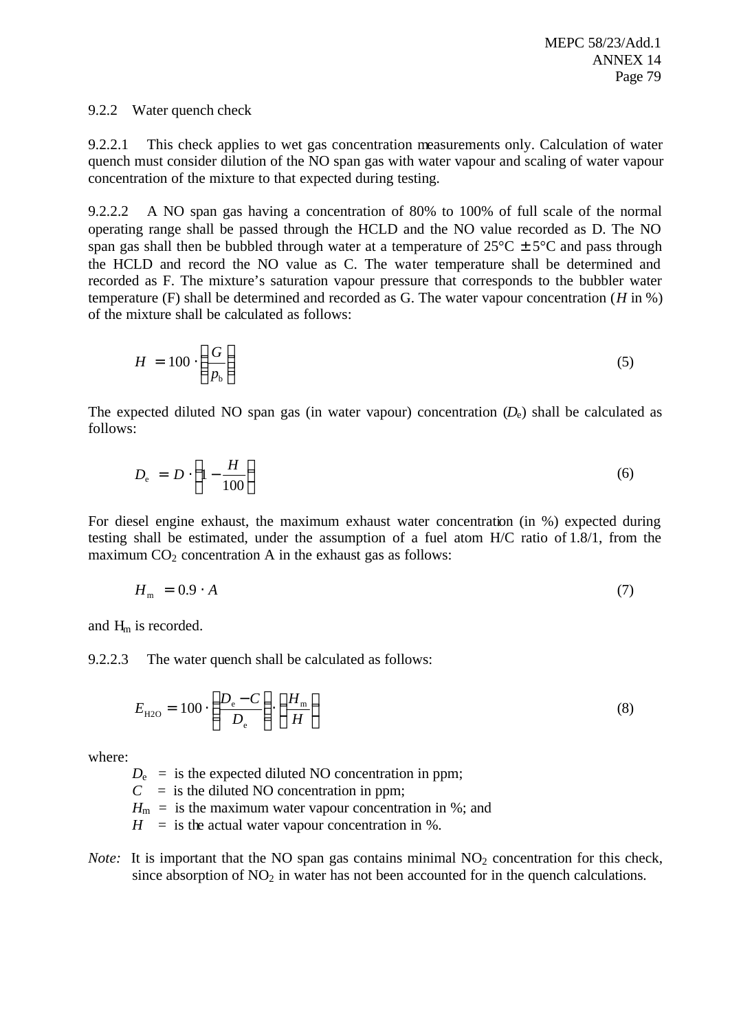### 9.2.2 Water quench check

9.2.2.1 This check applies to wet gas concentration measurements only. Calculation of water quench must consider dilution of the NO span gas with water vapour and scaling of water vapour concentration of the mixture to that expected during testing.

9.2.2.2 A NO span gas having a concentration of 80% to 100% of full scale of the normal operating range shall be passed through the HCLD and the NO value recorded as D. The NO span gas shall then be bubbled through water at a temperature of  $25^{\circ}C \pm 5^{\circ}C$  and pass through the HCLD and record the NO value as C. The water temperature shall be determined and recorded as F. The mixture's saturation vapour pressure that corresponds to the bubbler water temperature (F) shall be determined and recorded as G. The water vapour concentration (*H* in %) of the mixture shall be calculated as follows:

$$
H = 100 \cdot \left(\frac{G}{p_{\rm b}}\right) \tag{5}
$$

The expected diluted NO span gas (in water vapour) concentration  $(D<sub>e</sub>)$  shall be calculated as follows:

$$
D_{\rm e} = D \cdot \left(1 - \frac{H}{100}\right) \tag{6}
$$

For diesel engine exhaust, the maximum exhaust water concentration (in %) expected during testing shall be estimated, under the assumption of a fuel atom H/C ratio of 1.8/1, from the maximum  $CO<sub>2</sub>$  concentration A in the exhaust gas as follows:

$$
H_{\rm m} = 0.9 \cdot A \tag{7}
$$

and  $H_m$  is recorded.

9.2.2.3 The water quench shall be calculated as follows:

$$
E_{\text{H2O}} = 100 \cdot \left(\frac{D_e - C}{D_e}\right) \cdot \left(\frac{H_m}{H}\right) \tag{8}
$$

where:

 $D_e$  = is the expected diluted NO concentration in ppm;

 $C =$  is the diluted NO concentration in ppm;

 $H_m$  = is the maximum water vapour concentration in %; and

 $H =$  is the actual water vapour concentration in %.

*Note:* It is important that the NO span gas contains minimal  $NO<sub>2</sub>$  concentration for this check, since absorption of  $NO<sub>2</sub>$  in water has not been accounted for in the quench calculations.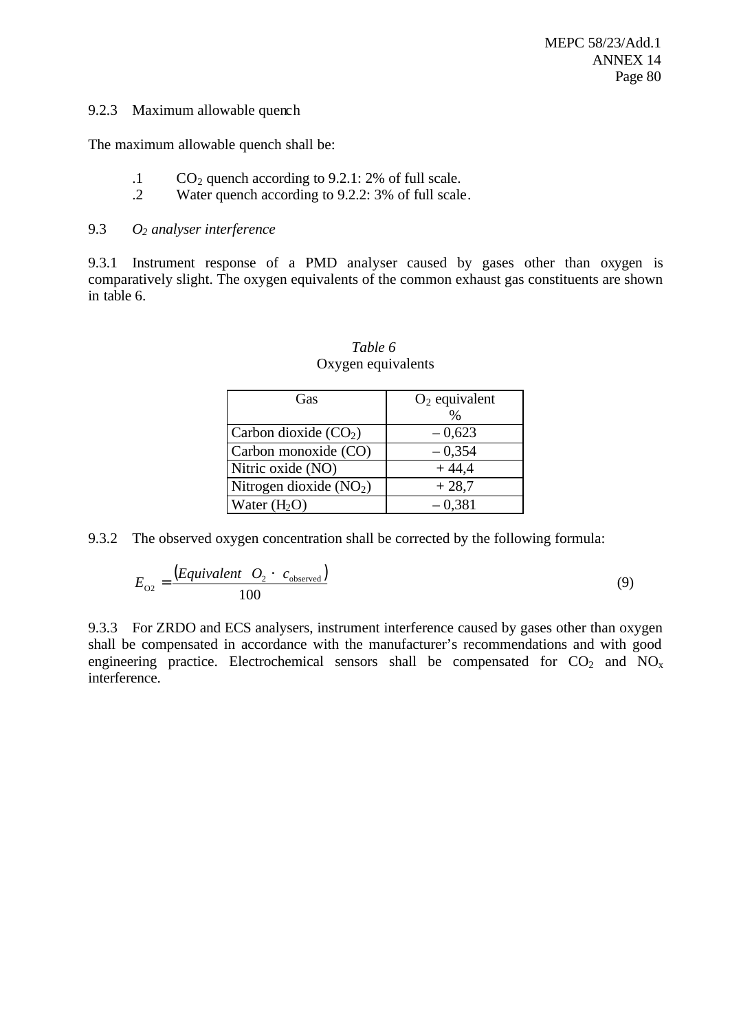### 9.2.3 Maximum allowable quench

The maximum allowable quench shall be:

- .1  $CO<sub>2</sub>$  quench according to 9.2.1: 2% of full scale.
- .2 Water quench according to 9.2.2: 3% of full scale.

### 9.3 *O<sup>2</sup> analyser interference*

9.3.1 Instrument response of a PMD analyser caused by gases other than oxygen is comparatively slight. The oxygen equivalents of the common exhaust gas constituents are shown in table 6.

| Gas                      | $O_2$ equivalent<br>$\frac{0}{0}$ |
|--------------------------|-----------------------------------|
| Carbon dioxide $(CO2)$   | $-0,623$                          |
| Carbon monoxide (CO)     | $-0,354$                          |
| Nitric oxide (NO)        | $+44,4$                           |
| Nitrogen dioxide $(NO2)$ | $+28,7$                           |
| Water $(H2O)$            | $-0,381$                          |

### *Table 6* Oxygen equivalents

9.3.2 The observed oxygen concentration shall be corrected by the following formula:

$$
E_{O2} = \frac{(Equivalent \t O_2 \t C_{observed})}{100} \t\t(9)
$$

9.3.3 For ZRDO and ECS analysers, instrument interference caused by gases other than oxygen shall be compensated in accordance with the manufacturer's recommendations and with good engineering practice. Electrochemical sensors shall be compensated for  $CO_2$  and  $NO_x$ interference.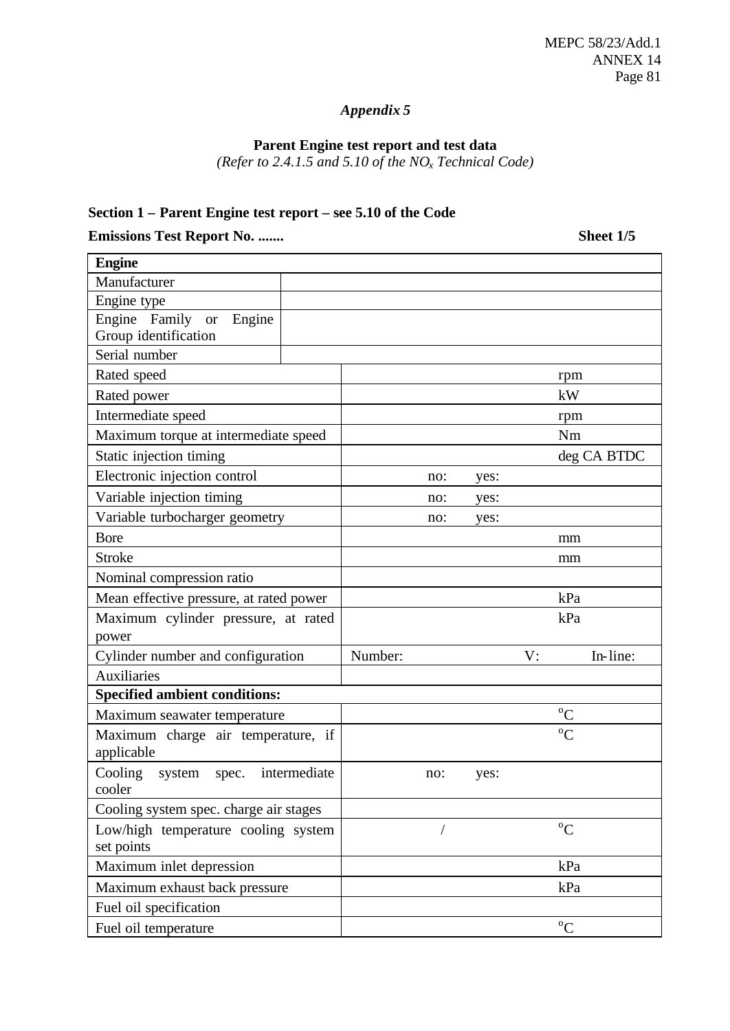# *Appendix 5*

### **Parent Engine test report and test data**

*(Refer to 2.4.1.5 and 5.10 of the NOx Technical Code)*

### **Section 1 – Parent Engine test report – see 5.10 of the Code**

**Emissions Test Report No. ....... Sheet 1/5**

| <b>Engine</b>                                     |         |     |      |    |               |
|---------------------------------------------------|---------|-----|------|----|---------------|
| Manufacturer                                      |         |     |      |    |               |
| Engine type                                       |         |     |      |    |               |
| Engine Family or<br>Engine                        |         |     |      |    |               |
| Group identification                              |         |     |      |    |               |
| Serial number                                     |         |     |      |    |               |
| Rated speed                                       |         |     |      |    | rpm           |
| Rated power                                       |         |     |      |    | kW            |
| Intermediate speed                                |         |     |      |    | rpm           |
| Maximum torque at intermediate speed              |         |     |      |    | Nm            |
| Static injection timing                           |         |     |      |    | deg CA BTDC   |
| Electronic injection control                      |         | no: | yes: |    |               |
| Variable injection timing                         |         | no: | yes: |    |               |
| Variable turbocharger geometry                    |         | no: | yes: |    |               |
| <b>Bore</b>                                       |         |     |      |    | mm            |
| <b>Stroke</b>                                     |         |     |      |    | mm            |
| Nominal compression ratio                         |         |     |      |    |               |
| Mean effective pressure, at rated power           |         |     |      |    | kPa           |
| Maximum cylinder pressure, at rated               |         |     |      |    | kPa           |
| power                                             |         |     |      |    |               |
| Cylinder number and configuration                 | Number: |     |      | V: | In-line:      |
| <b>Auxiliaries</b>                                |         |     |      |    |               |
| <b>Specified ambient conditions:</b>              |         |     |      |    |               |
| Maximum seawater temperature                      |         |     |      |    | $\rm ^{o}C$   |
| Maximum charge air temperature, if<br>applicable  |         |     |      |    | ${}^{\circ}C$ |
| Cooling<br>spec. intermediate<br>system<br>cooler |         | no: | yes: |    |               |
| Cooling system spec. charge air stages            |         |     |      |    |               |
| Low/high temperature cooling system<br>set points |         |     |      |    | $\rm ^{o}C$   |
| Maximum inlet depression                          |         |     |      |    | kPa           |
| Maximum exhaust back pressure                     |         |     |      |    | kPa           |
| Fuel oil specification                            |         |     |      |    |               |
| Fuel oil temperature                              |         |     |      |    | $\rm ^{o}C$   |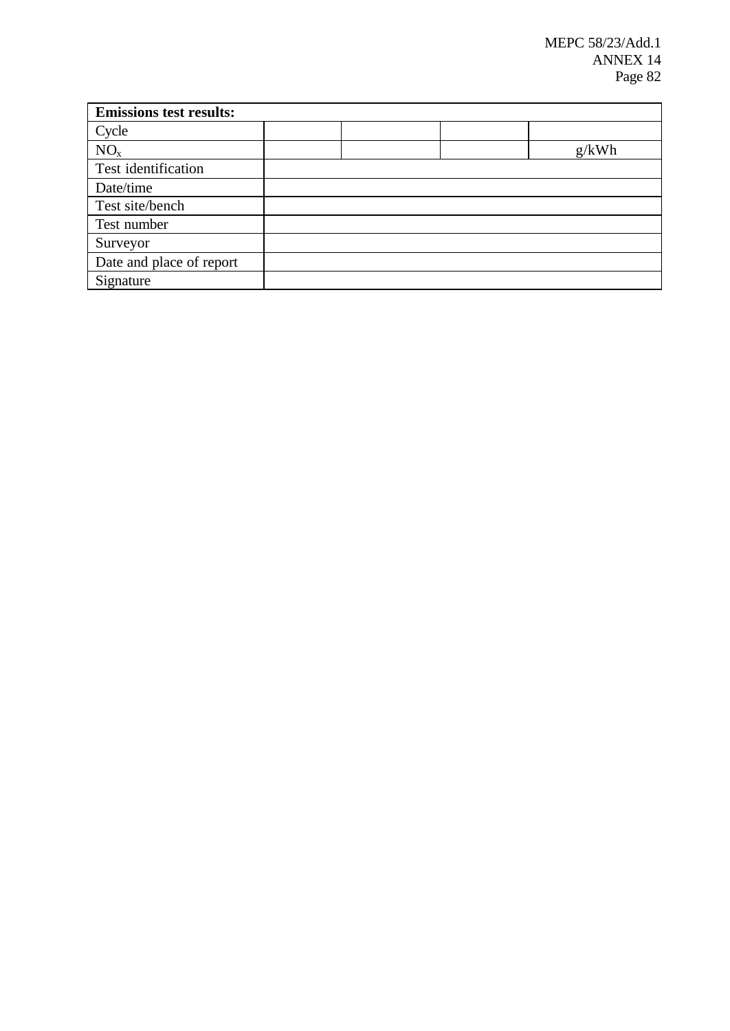| <b>Emissions test results:</b> |  |       |
|--------------------------------|--|-------|
| Cycle                          |  |       |
| NO <sub>x</sub>                |  | g/kWh |
| Test identification            |  |       |
| Date/time                      |  |       |
| Test site/bench                |  |       |
| Test number                    |  |       |
| Surveyor                       |  |       |
| Date and place of report       |  |       |
| Signature                      |  |       |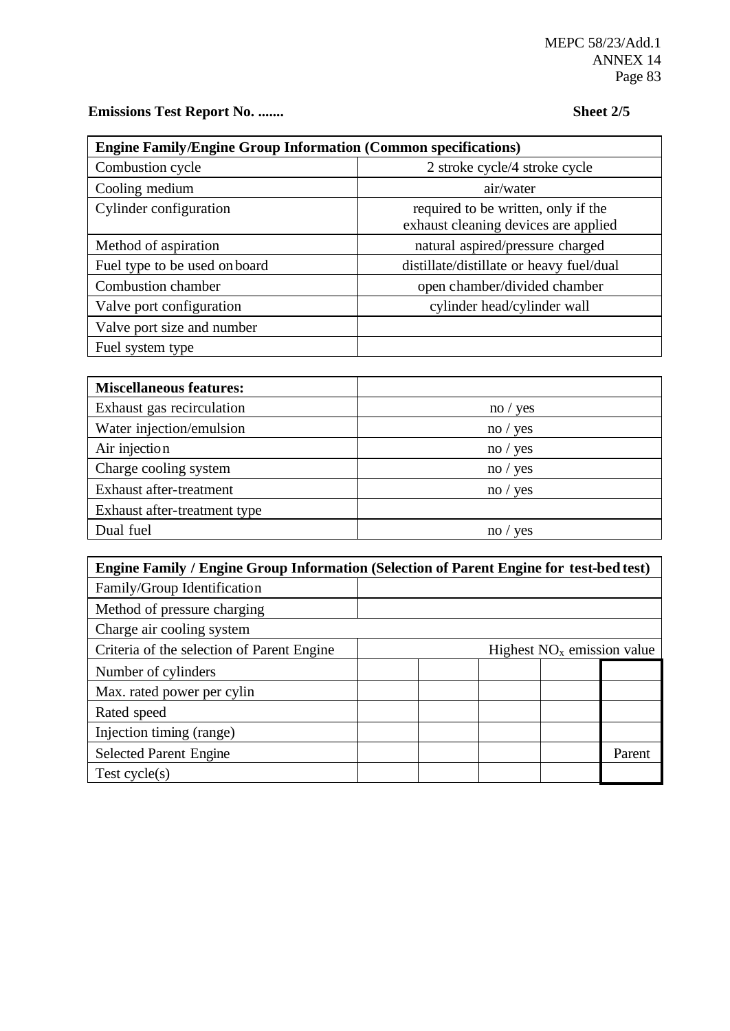**Emissions Test Report No. ....... Sheet 2/5**

| <b>Engine Family/Engine Group Information (Common specifications)</b> |                                                                             |  |  |  |  |  |  |
|-----------------------------------------------------------------------|-----------------------------------------------------------------------------|--|--|--|--|--|--|
| Combustion cycle                                                      | 2 stroke cycle/4 stroke cycle                                               |  |  |  |  |  |  |
| Cooling medium                                                        | air/water                                                                   |  |  |  |  |  |  |
| Cylinder configuration                                                | required to be written, only if the<br>exhaust cleaning devices are applied |  |  |  |  |  |  |
| Method of aspiration                                                  | natural aspired/pressure charged                                            |  |  |  |  |  |  |
| Fuel type to be used on board                                         | distillate/distillate or heavy fuel/dual                                    |  |  |  |  |  |  |
| Combustion chamber                                                    | open chamber/divided chamber                                                |  |  |  |  |  |  |
| Valve port configuration                                              | cylinder head/cylinder wall                                                 |  |  |  |  |  |  |
| Valve port size and number                                            |                                                                             |  |  |  |  |  |  |
| Fuel system type                                                      |                                                                             |  |  |  |  |  |  |

| <b>Miscellaneous features:</b> |          |
|--------------------------------|----------|
| Exhaust gas recirculation      | no / yes |
| Water injection/emulsion       | no / yes |
| Air injection                  | no / yes |
| Charge cooling system          | no / yes |
| Exhaust after-treatment        | no / yes |
| Exhaust after-treatment type   |          |
| Dual fuel                      | ves      |

| <b>Engine Family / Engine Group Information (Selection of Parent Engine for test-bed test)</b> |                              |  |  |  |        |  |  |
|------------------------------------------------------------------------------------------------|------------------------------|--|--|--|--------|--|--|
| Family/Group Identification                                                                    |                              |  |  |  |        |  |  |
| Method of pressure charging                                                                    |                              |  |  |  |        |  |  |
| Charge air cooling system                                                                      |                              |  |  |  |        |  |  |
| Criteria of the selection of Parent Engine                                                     | Highest $NOx$ emission value |  |  |  |        |  |  |
| Number of cylinders                                                                            |                              |  |  |  |        |  |  |
| Max. rated power per cylin                                                                     |                              |  |  |  |        |  |  |
| Rated speed                                                                                    |                              |  |  |  |        |  |  |
| Injection timing (range)                                                                       |                              |  |  |  |        |  |  |
| <b>Selected Parent Engine</b>                                                                  |                              |  |  |  | Parent |  |  |
| Test cycle $(s)$                                                                               |                              |  |  |  |        |  |  |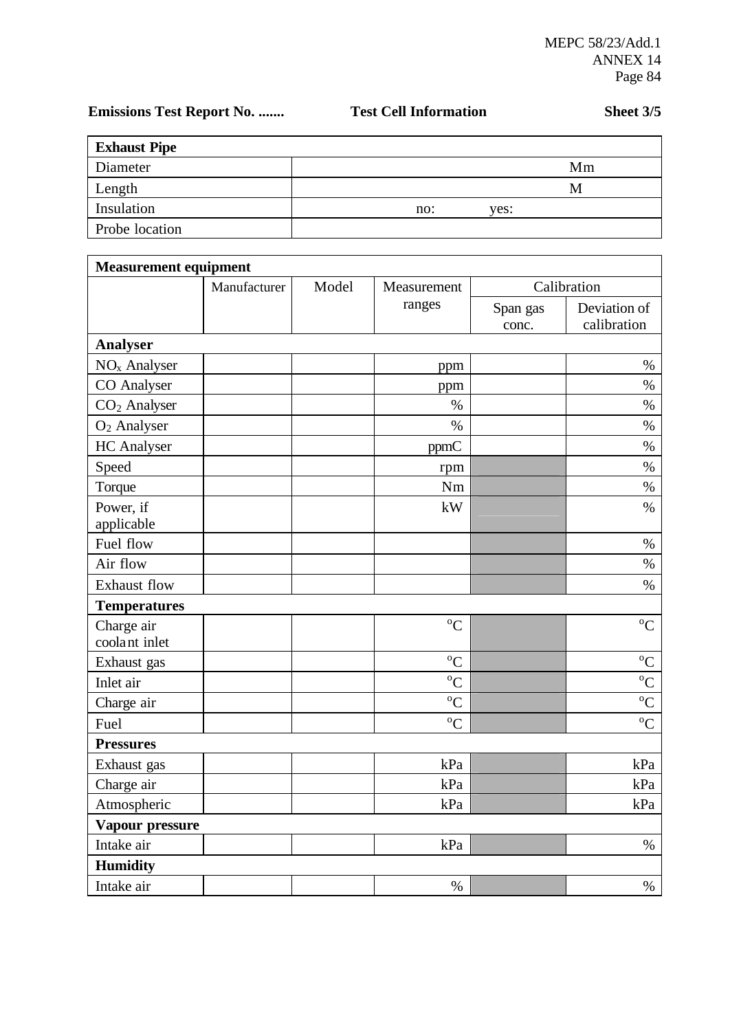# Emissions Test Report No. ....... Test Cell Information Sheet 3/5

 $\overline{a}$ 

| <b>Exhaust Pipe</b> |     |      |    |
|---------------------|-----|------|----|
| Diameter            |     |      | Mm |
| Length              |     |      | M  |
| Insulation          | no: | yes: |    |
| Probe location      |     |      |    |

| <b>Measurement equipment</b> |              |       |               |                   |                             |
|------------------------------|--------------|-------|---------------|-------------------|-----------------------------|
|                              | Manufacturer | Model | Measurement   |                   | Calibration                 |
|                              |              |       | ranges        | Span gas<br>conc. | Deviation of<br>calibration |
| Analyser                     |              |       |               |                   |                             |
| $NOx$ Analyser               |              |       | ppm           |                   | $\%$                        |
| <b>CO</b> Analyser           |              |       | ppm           |                   | $\%$                        |
| CO <sub>2</sub> Analyser     |              |       | $\%$          |                   | $\%$                        |
| $O2$ Analyser                |              |       | $\%$          |                   | $\%$                        |
| <b>HC</b> Analyser           |              |       | ppmC          |                   | $\%$                        |
| Speed                        |              |       | rpm           |                   | $\%$                        |
| Torque                       |              |       | Nm            |                   | $\%$                        |
| Power, if<br>applicable      |              |       | kW            |                   | $\%$                        |
| Fuel flow                    |              |       |               |                   | $\%$                        |
| Air flow                     |              |       |               |                   | $\%$                        |
| <b>Exhaust flow</b>          |              |       |               |                   | $\%$                        |
| <b>Temperatures</b>          |              |       |               |                   |                             |
| Charge air<br>coolant inlet  |              |       | $\rm ^{o}C$   |                   | ${}^{\circ}C$               |
| Exhaust gas                  |              |       | ${}^{\circ}C$ |                   | $\rm ^{o}C$                 |
| Inlet air                    |              |       | $\rm ^{o}C$   |                   | ${}^{\circ}C$               |
| Charge air                   |              |       | ${}^{0}C$     |                   | ${}^{\circ}C$               |
| Fuel                         |              |       | ${}^{0}C$     |                   | ${}^{\circ}C$               |
| <b>Pressures</b>             |              |       |               |                   |                             |
| Exhaust gas                  |              |       | kPa           |                   | kPa                         |
| Charge air                   |              |       | kPa           |                   | kPa                         |
| Atmospheric                  |              |       | kPa           |                   | kPa                         |
| Vapour pressure              |              |       |               |                   |                             |
| Intake air                   |              |       | kPa           |                   | $\%$                        |
| <b>Humidity</b>              |              |       |               |                   |                             |
| Intake air                   |              |       | $\%$          |                   | $\%$                        |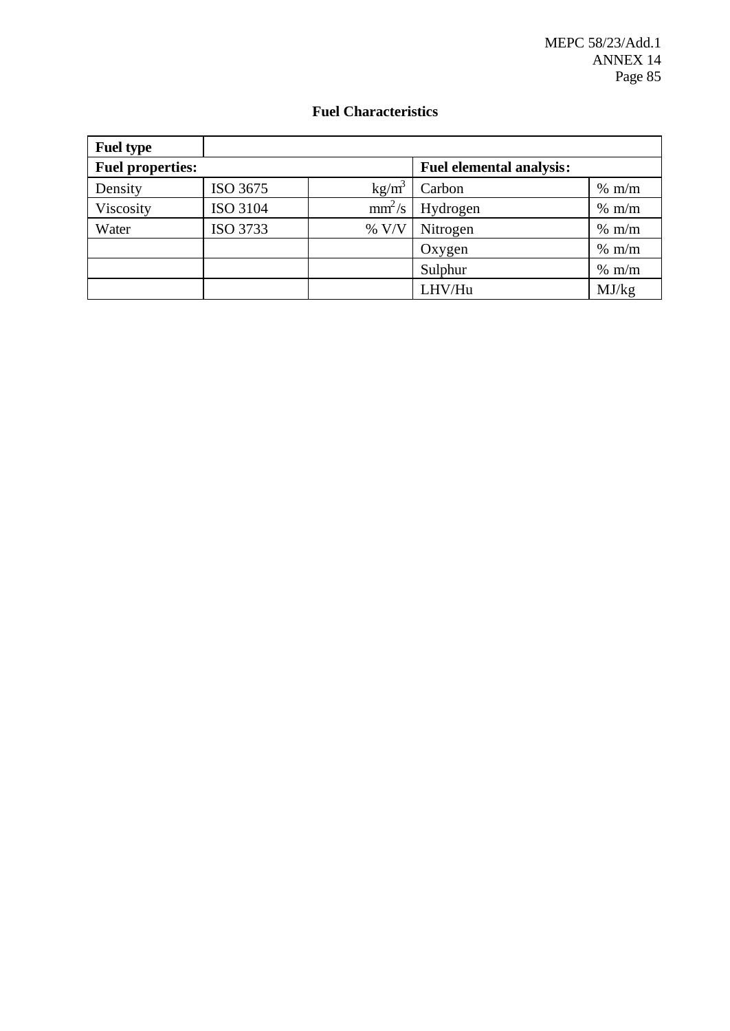MEPC 58/23/Add.1 ANNEX 14 Page 85

### **Fuel Characteristics**

| <b>Fuel type</b>        |          |          |                                 |       |
|-------------------------|----------|----------|---------------------------------|-------|
| <b>Fuel properties:</b> |          |          | <b>Fuel elemental analysis:</b> |       |
| Density                 | ISO 3675 | $kg/m^3$ | Carbon                          | % m/m |
| Viscosity               | ISO 3104 | $mm^2/s$ | Hydrogen                        | % m/m |
| Water                   | ISO 3733 | % V/V    | Nitrogen                        | % m/m |
|                         |          |          | Oxygen                          | % m/m |
|                         |          |          | Sulphur                         | % m/m |
|                         |          |          | LHV/Hu                          | MJ/kg |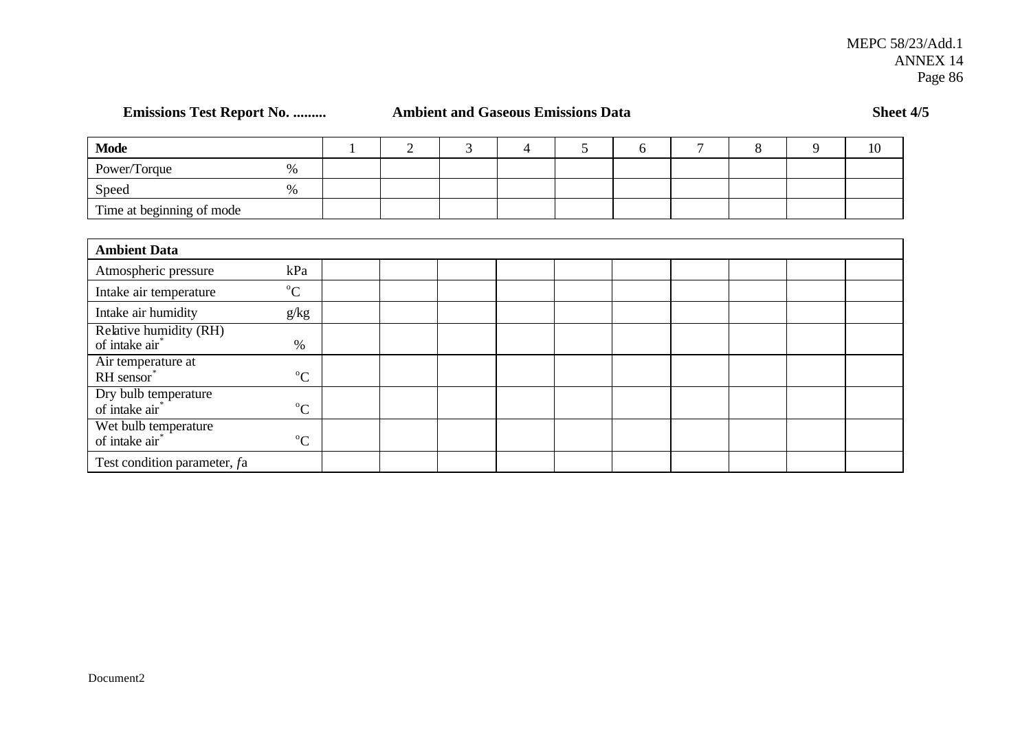**Emissions Test Report No. ......... Ambient and Gaseous Emissions Data Sheet 4/5** 

| <b>Mode</b>               |   |  |  |  |  | 10 |
|---------------------------|---|--|--|--|--|----|
| Power/Torque              | % |  |  |  |  |    |
| Speed                     | % |  |  |  |  |    |
| Time at beginning of mode |   |  |  |  |  |    |

| <b>Ambient Data</b>                                  |             |  |  |  |  |  |
|------------------------------------------------------|-------------|--|--|--|--|--|
| Atmospheric pressure                                 | kPa         |  |  |  |  |  |
| Intake air temperature                               | $^{\circ}C$ |  |  |  |  |  |
| Intake air humidity                                  | g/kg        |  |  |  |  |  |
| Relative humidity (RH)<br>of intake air <sup>*</sup> | $\%$        |  |  |  |  |  |
| Air temperature at<br>RH sensor*                     | $\rm ^{o}C$ |  |  |  |  |  |
| Dry bulb temperature<br>of intake air <sup>*</sup>   | $\rm ^{o}C$ |  |  |  |  |  |
| Wet bulb temperature<br>of intake air <sup>*</sup>   | $\rm ^{o}C$ |  |  |  |  |  |
| Test condition parameter, fa                         |             |  |  |  |  |  |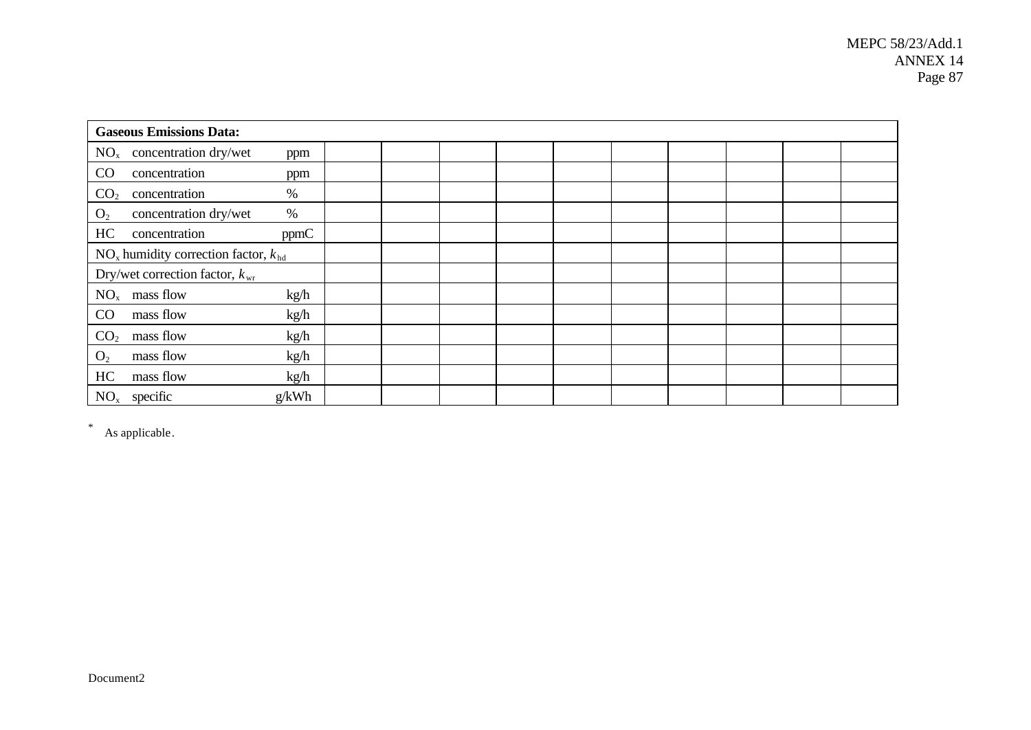| <b>Gaseous Emissions Data:</b>              |       |  |  |  |  |  |
|---------------------------------------------|-------|--|--|--|--|--|
| $NOx$ concentration dry/wet                 | ppm   |  |  |  |  |  |
| CO<br>concentration                         | ppm   |  |  |  |  |  |
| concentration<br>CO <sub>2</sub>            | $\%$  |  |  |  |  |  |
| concentration dry/wet<br>O <sub>2</sub>     | $\%$  |  |  |  |  |  |
| HC<br>concentration                         | ppmC  |  |  |  |  |  |
| $NO_x$ humidity correction factor, $k_{hd}$ |       |  |  |  |  |  |
| Dry/wet correction factor, $k_{wr}$         |       |  |  |  |  |  |
| $NOx$ mass flow                             | kg/h  |  |  |  |  |  |
| CO<br>mass flow                             | kg/h  |  |  |  |  |  |
| CO <sub>2</sub><br>mass flow                | kg/h  |  |  |  |  |  |
| mass flow<br>O <sub>2</sub>                 | kg/h  |  |  |  |  |  |
| HC<br>mass flow                             | kg/h  |  |  |  |  |  |
| $NOx$ specific                              | g/kWh |  |  |  |  |  |

\* As applicable.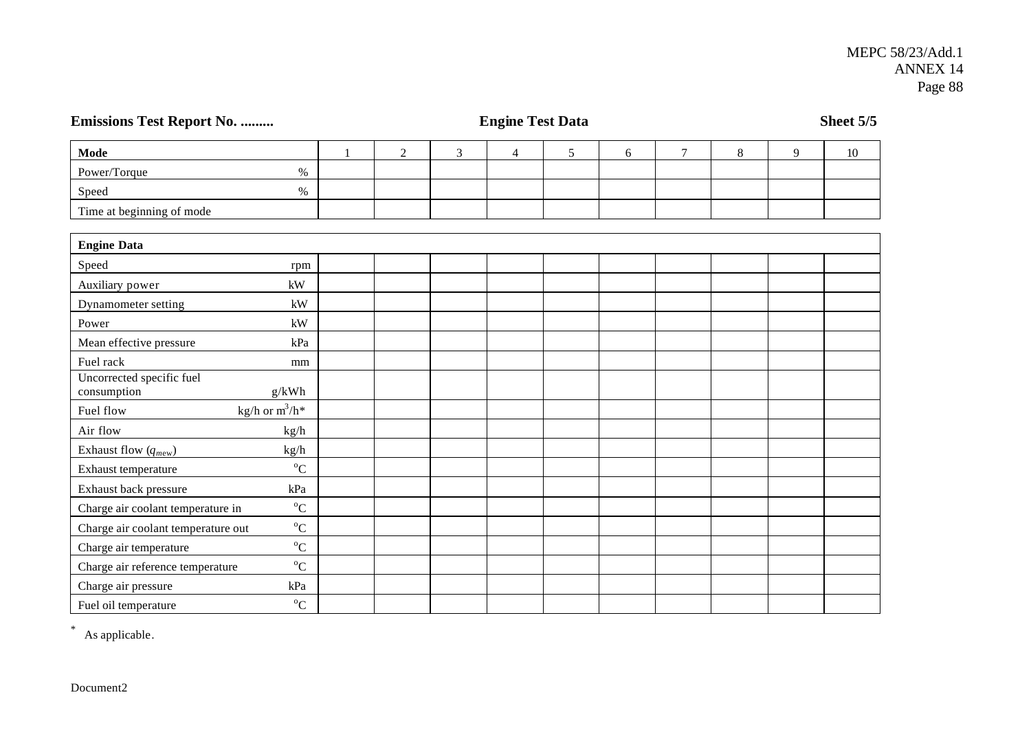| <b>Emissions Test Report No. </b>        | <b>Engine Test Data</b> |              |                |   |                |   |   |                |       | Sheet 5/5 |    |
|------------------------------------------|-------------------------|--------------|----------------|---|----------------|---|---|----------------|-------|-----------|----|
| <b>Mode</b>                              |                         | $\mathbf{1}$ | $\overline{c}$ | 3 | $\overline{4}$ | 5 | 6 | $\overline{7}$ | $8\,$ | 9         | 10 |
| Power/Torque                             | $\%$                    |              |                |   |                |   |   |                |       |           |    |
| Speed                                    | $\%$                    |              |                |   |                |   |   |                |       |           |    |
| Time at beginning of mode                |                         |              |                |   |                |   |   |                |       |           |    |
| <b>Engine Data</b>                       |                         |              |                |   |                |   |   |                |       |           |    |
| Speed                                    | rpm                     |              |                |   |                |   |   |                |       |           |    |
| Auxiliary power                          | $\mathbf{k}\mathbf{W}$  |              |                |   |                |   |   |                |       |           |    |
| Dynamometer setting                      | kW                      |              |                |   |                |   |   |                |       |           |    |
| Power                                    | kW                      |              |                |   |                |   |   |                |       |           |    |
| Mean effective pressure                  | kPa                     |              |                |   |                |   |   |                |       |           |    |
| Fuel rack                                | mm                      |              |                |   |                |   |   |                |       |           |    |
| Uncorrected specific fuel<br>consumption | g/kWh                   |              |                |   |                |   |   |                |       |           |    |
| Fuel flow                                | kg/h or $m^3/h^*$       |              |                |   |                |   |   |                |       |           |    |
| Air flow                                 | kg/h                    |              |                |   |                |   |   |                |       |           |    |
| Exhaust flow $(q_{mew})$                 | kg/h                    |              |                |   |                |   |   |                |       |           |    |
| Exhaust temperature                      | $^{\circ}C$             |              |                |   |                |   |   |                |       |           |    |
| Exhaust back pressure                    | kPa                     |              |                |   |                |   |   |                |       |           |    |
| Charge air coolant temperature in        | $^{\circ}C$             |              |                |   |                |   |   |                |       |           |    |
| Charge air coolant temperature out       | $^{\circ}C$             |              |                |   |                |   |   |                |       |           |    |
| Charge air temperature                   | $^{\circ}C$             |              |                |   |                |   |   |                |       |           |    |
| Charge air reference temperature         | $^{\circ}C$             |              |                |   |                |   |   |                |       |           |    |
| Charge air pressure                      | kPa                     |              |                |   |                |   |   |                |       |           |    |
| Fuel oil temperature                     | ${}^{0}C$               |              |                |   |                |   |   |                |       |           |    |

\* As applicable.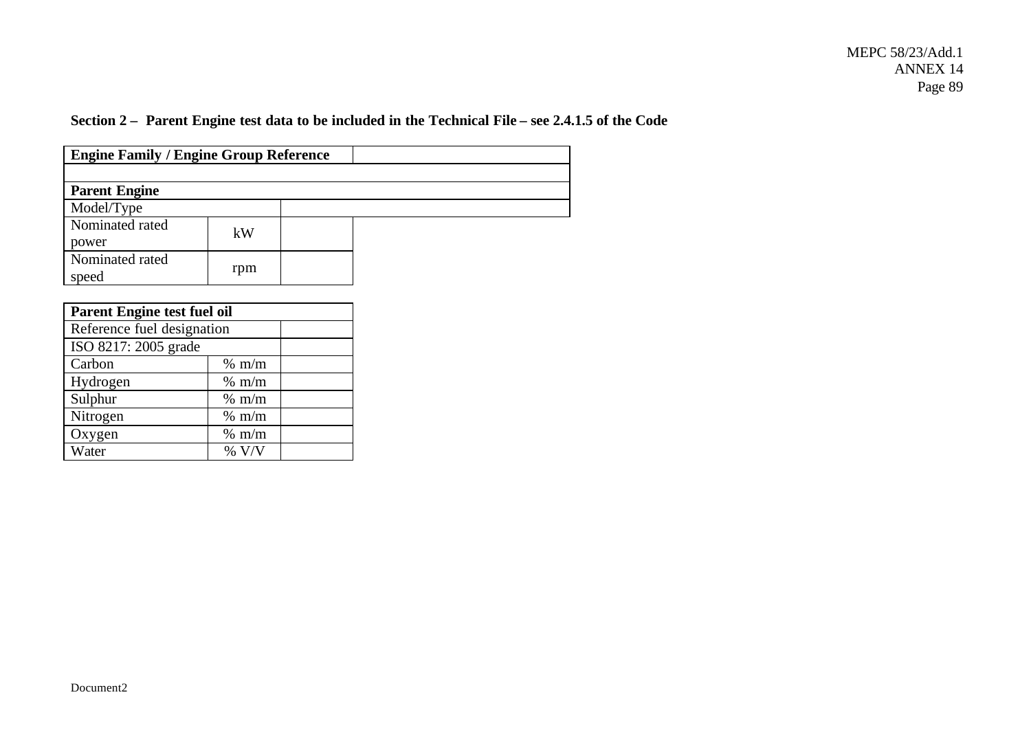## **Section 2 – Parent Engine test data to be included in the Technical File – see 2.4.1.5 of the Code**

| <b>Engine Family / Engine Group Reference</b> |                 |  |
|-----------------------------------------------|-----------------|--|
|                                               |                 |  |
| <b>Parent Engine</b>                          |                 |  |
| Model/Type                                    |                 |  |
| Nominated rated<br>power                      | kW              |  |
| Nominated rated<br>speed                      | rpm             |  |
| <b>Parent Engine test fuel oil</b>            |                 |  |
| Reference fuel designation                    |                 |  |
| ISO 8217: 2005 grade                          |                 |  |
| Carbon                                        | $%$ m/m         |  |
| Hydrogen                                      | $% \frac{m}{m}$ |  |
| Sulphur                                       | $%$ m/m         |  |
| Nitrogen                                      | $%$ m/m         |  |
| Oxygen                                        | $%$ m/m         |  |

Water % V/V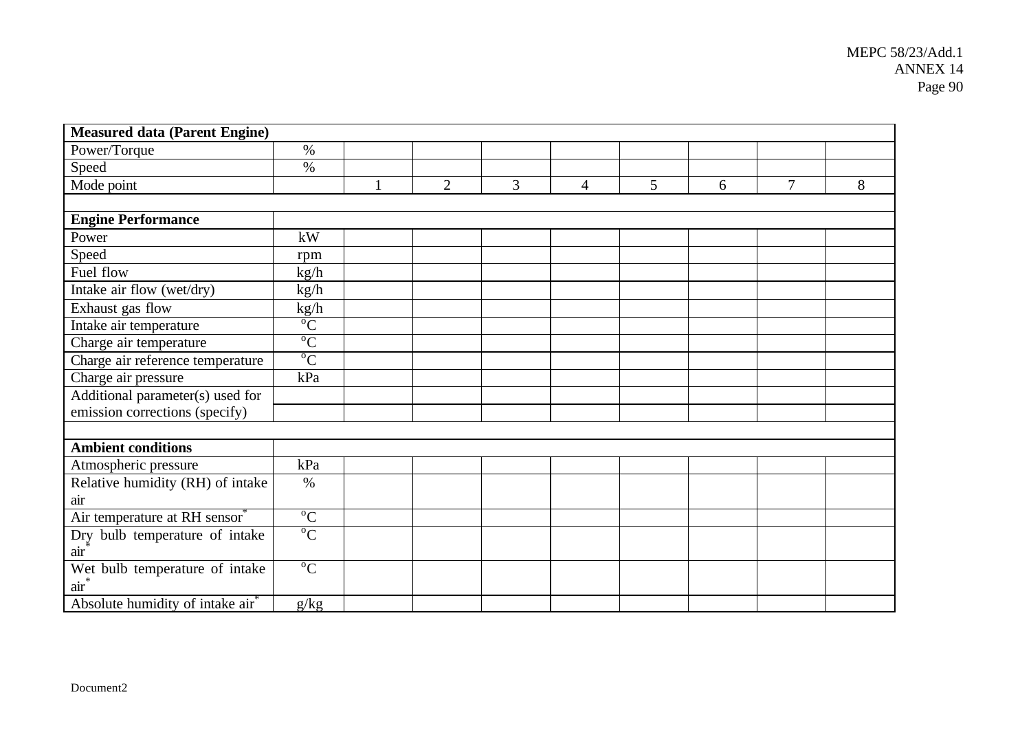| <b>Measured data (Parent Engine)</b>         |                |   |                |   |                |   |   |   |   |
|----------------------------------------------|----------------|---|----------------|---|----------------|---|---|---|---|
| Power/Torque                                 | $\%$           |   |                |   |                |   |   |   |   |
| Speed                                        | $\%$           |   |                |   |                |   |   |   |   |
| Mode point                                   |                | 1 | $\overline{2}$ | 3 | $\overline{4}$ | 5 | 6 | 7 | 8 |
|                                              |                |   |                |   |                |   |   |   |   |
| <b>Engine Performance</b>                    |                |   |                |   |                |   |   |   |   |
| Power                                        | kW             |   |                |   |                |   |   |   |   |
| Speed                                        | rpm            |   |                |   |                |   |   |   |   |
| Fuel flow                                    | kg/h           |   |                |   |                |   |   |   |   |
| Intake air flow (wet/dry)                    | kg/h           |   |                |   |                |   |   |   |   |
| Exhaust gas flow                             | kg/h           |   |                |   |                |   |   |   |   |
| Intake air temperature                       | $\mathrm{C}^0$ |   |                |   |                |   |   |   |   |
| Charge air temperature                       | $\overline{C}$ |   |                |   |                |   |   |   |   |
| Charge air reference temperature             | $\mathrm{C}^0$ |   |                |   |                |   |   |   |   |
| Charge air pressure                          | kPa            |   |                |   |                |   |   |   |   |
| Additional parameter(s) used for             |                |   |                |   |                |   |   |   |   |
| emission corrections (specify)               |                |   |                |   |                |   |   |   |   |
|                                              |                |   |                |   |                |   |   |   |   |
| <b>Ambient conditions</b>                    |                |   |                |   |                |   |   |   |   |
| Atmospheric pressure                         | kPa            |   |                |   |                |   |   |   |   |
| Relative humidity (RH) of intake             | $\%$           |   |                |   |                |   |   |   |   |
| air                                          |                |   |                |   |                |   |   |   |   |
| Air temperature at RH sensor®                | $\overline{C}$ |   |                |   |                |   |   |   |   |
| Dry bulb temperature of intake<br>air        | $\overline{C}$ |   |                |   |                |   |   |   |   |
| Wet bulb temperature of intake<br>$air^*$    | $\overline{C}$ |   |                |   |                |   |   |   |   |
| Absolute humidity of intake air <sup>*</sup> | g/kg           |   |                |   |                |   |   |   |   |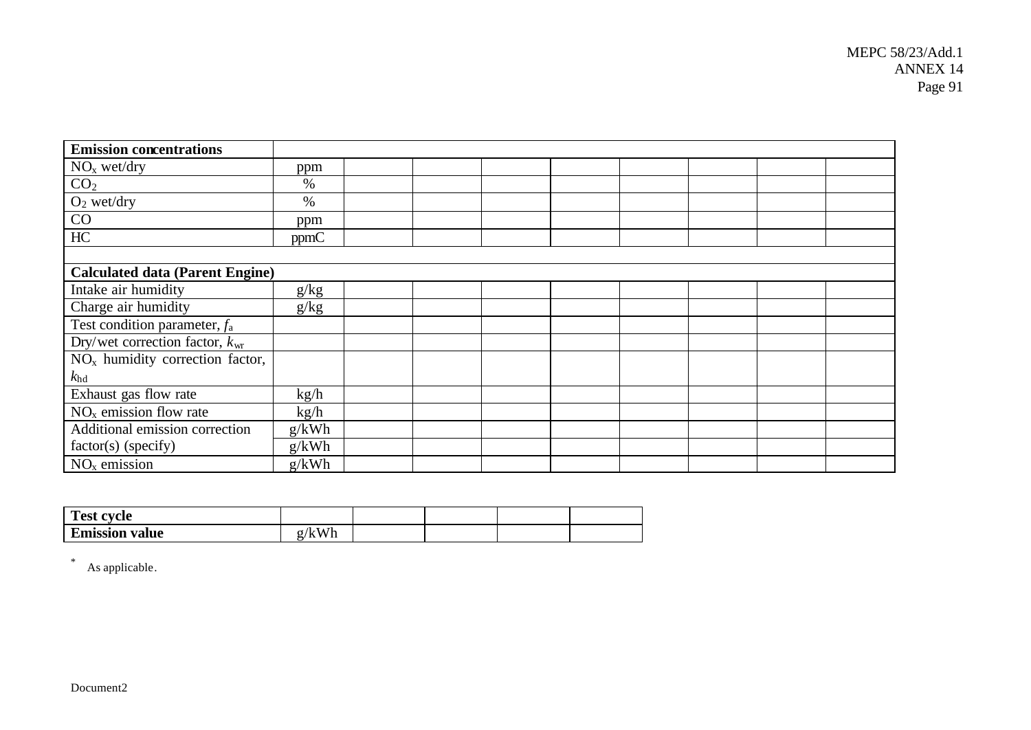| <b>Emission concentrations</b>             |       |  |  |  |  |
|--------------------------------------------|-------|--|--|--|--|
| NO <sub>x</sub> wet/dry                    | ppm   |  |  |  |  |
| CO <sub>2</sub>                            | $\%$  |  |  |  |  |
| $O_2$ wet/dry                              | $\%$  |  |  |  |  |
| CO                                         | ppm   |  |  |  |  |
| $\rm HC$                                   | ppmC  |  |  |  |  |
|                                            |       |  |  |  |  |
| <b>Calculated data (Parent Engine)</b>     |       |  |  |  |  |
| Intake air humidity                        | g/kg  |  |  |  |  |
| Charge air humidity                        | g/kg  |  |  |  |  |
| Test condition parameter, $f_a$            |       |  |  |  |  |
| Dry/wet correction factor, $k_{\text{wr}}$ |       |  |  |  |  |
| $NOx$ humidity correction factor,          |       |  |  |  |  |
| $k_{\rm hd}$                               |       |  |  |  |  |
| Exhaust gas flow rate                      | kg/h  |  |  |  |  |
| $\overline{NO_x}$ emission flow rate       | kg/h  |  |  |  |  |
| Additional emission correction             | g/kWh |  |  |  |  |
| factor(s) (specify)                        | g/kWh |  |  |  |  |
| $NOx$ emission                             | g/kWh |  |  |  |  |

| $Tnet$ .<br>ovalo<br>1 сэt |    |  |  |
|----------------------------|----|--|--|
| <b>Emission value</b>      | A. |  |  |

\* As applicable.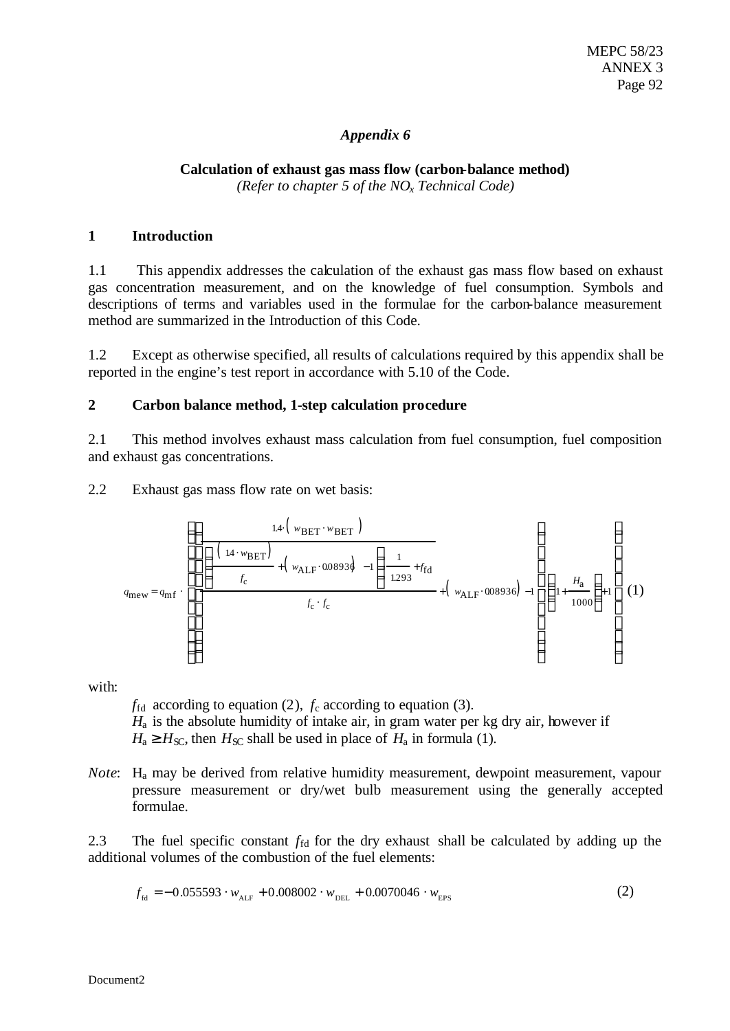### *Appendix 6*

### **Calculation of exhaust gas mass flow (carbon-balance method)** *(Refer to chapter 5 of the NOx Technical Code)*

### **1 Introduction**

1.1 This appendix addresses the calculation of the exhaust gas mass flow based on exhaust gas concentration measurement, and on the knowledge of fuel consumption. Symbols and descriptions of terms and variables used in the formulae for the carbon-balance measurement method are summarized in the Introduction of this Code.

1.2 Except as otherwise specified, all results of calculations required by this appendix shall be reported in the engine's test report in accordance with 5.10 of the Code.

### **2 Carbon balance method, 1-step calculation procedure**

2.1 This method involves exhaust mass calculation from fuel consumption, fuel composition and exhaust gas concentrations.

2.2 Exhaust gas mass flow rate on wet basis:

$$
q_{\text{mew}} = q_{\text{mf}} \cdot \left( \frac{\left( \frac{1.4 \cdot w_{\text{BET}}}{f_{\text{c}}} + \left( w_{\text{ALF}} \cdot 0.0893 \dot{\phi} - 1 \right) \frac{1}{1.293} + f_{\text{fd}}}{f_{\text{c}} \cdot f_{\text{c}}} + \left( w_{\text{ALF}} \cdot 0.08936 \right) - 1 \right) \left( 1 + \frac{H_{\text{a}}}{1000} \right) + 1 \right) (1)
$$

with:

 $f_{\text{fd}}$  according to equation (2),  $f_c$  according to equation (3).

*H*a is the absolute humidity of intake air, in gram water per kg dry air, however if  $H_a \geq H_{\rm SC}$ , then  $H_{\rm SC}$  shall be used in place of  $H_a$  in formula (1).

*Note*: H<sub>a</sub> may be derived from relative humidity measurement, dewpoint measurement, vapour pressure measurement or dry/wet bulb measurement using the generally accepted formulae.

2.3 The fuel specific constant  $f_{fd}$  for the dry exhaust shall be calculated by adding up the additional volumes of the combustion of the fuel elements:

$$
f_{\text{fd}} = -0.055593 \cdot w_{\text{ALF}} + 0.008002 \cdot w_{\text{DEL}} + 0.0070046 \cdot w_{\text{EPS}} \tag{2}
$$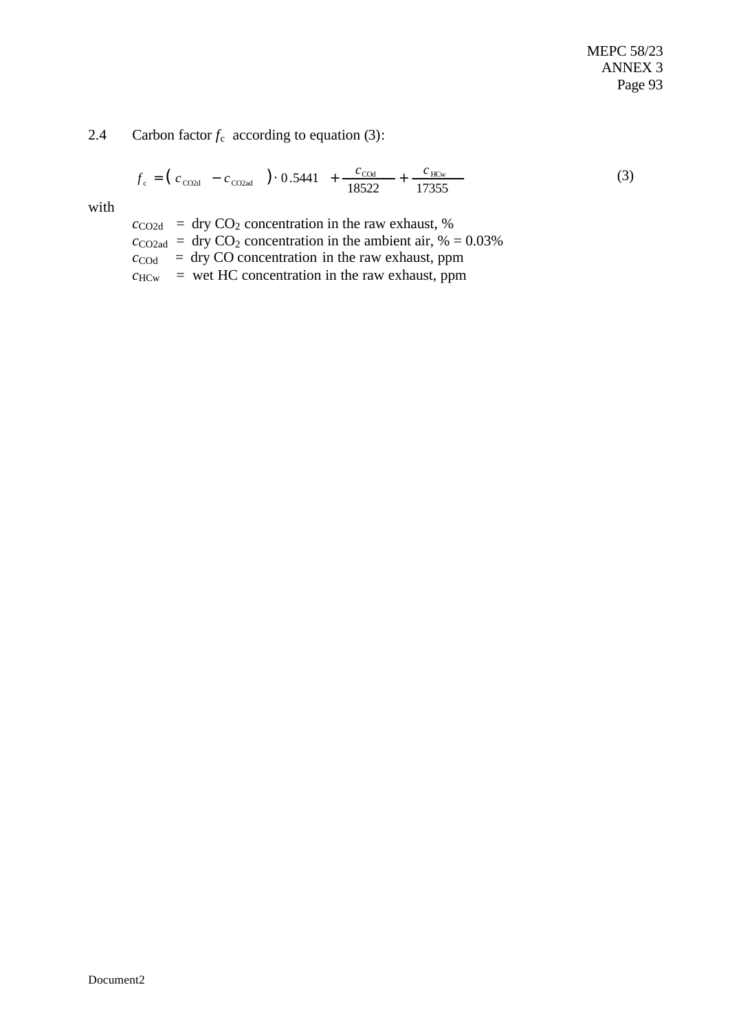### 2.4 Carbon factor  $f_c$  according to equation (3):

$$
f_c = (c_{\text{CO2d}} - c_{\text{CO2ad}}) \cdot 0.5441 + \frac{c_{\text{COd}}}{18522} + \frac{c_{\text{HCw}}}{17355}
$$
(3)

with

 $c_{\text{CO2d}}$  = dry CO<sub>2</sub> concentration in the raw exhaust, %  $c_{\text{CO2ad}} = \text{dry CO}_2$  concentration in the ambient air, % = 0.03%  $c_{\text{COd}}$  = dry CO concentration in the raw exhaust, ppm  $c_{\text{HCw}}$  = wet HC concentration in the raw exhaust, ppm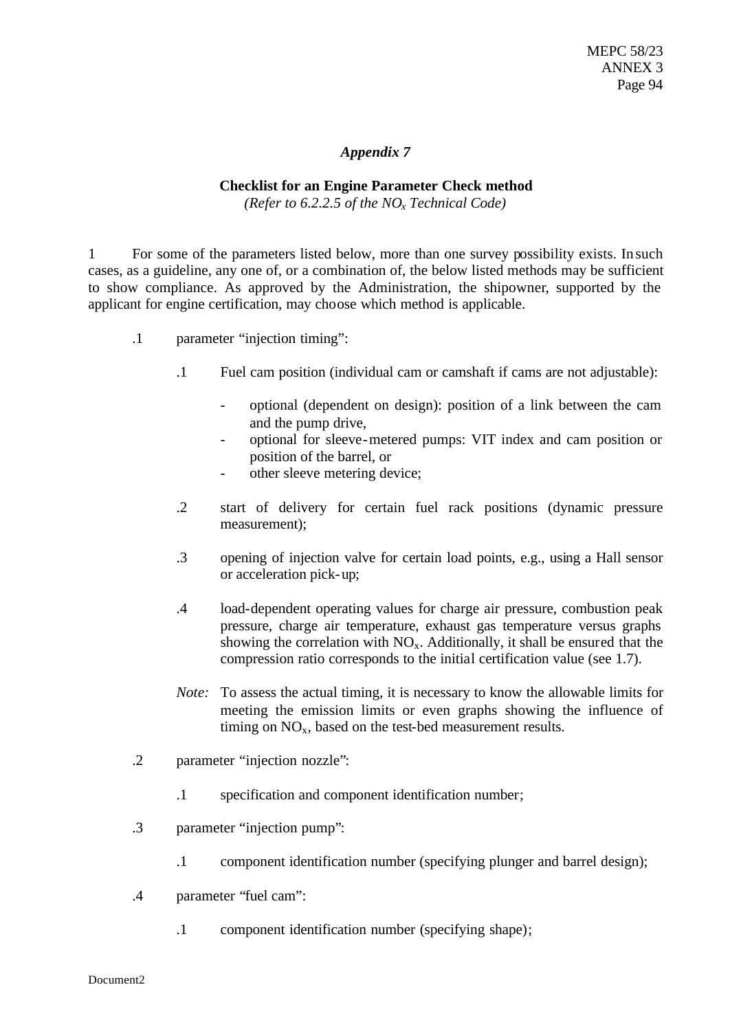### *Appendix 7*

### **Checklist for an Engine Parameter Check method**

*(Refer to 6.2.2.5 of the NOx Technical Code)*

1 For some of the parameters listed below, more than one survey possibility exists. In such cases, as a guideline, any one of, or a combination of, the below listed methods may be sufficient to show compliance. As approved by the Administration, the shipowner, supported by the applicant for engine certification, may choose which method is applicable.

- .1 parameter "injection timing":
	- .1 Fuel cam position (individual cam or camshaft if cams are not adjustable):
		- optional (dependent on design): position of a link between the cam and the pump drive,
		- optional for sleeve-metered pumps: VIT index and cam position or position of the barrel, or
		- other sleeve metering device;
	- .2 start of delivery for certain fuel rack positions (dynamic pressure measurement);
	- .3 opening of injection valve for certain load points, e.g., using a Hall sensor or acceleration pick-up;
	- .4 load-dependent operating values for charge air pressure, combustion peak pressure, charge air temperature, exhaust gas temperature versus graphs showing the correlation with  $NO<sub>x</sub>$ . Additionally, it shall be ensured that the compression ratio corresponds to the initial certification value (see 1.7).
	- *Note:* To assess the actual timing, it is necessary to know the allowable limits for meeting the emission limits or even graphs showing the influence of timing on  $NO<sub>x</sub>$ , based on the test-bed measurement results.
- .2 parameter "injection nozzle":
	- .1 specification and component identification number;
- .3 parameter "injection pump":
	- .1 component identification number (specifying plunger and barrel design);
- .4 parameter "fuel cam":
	- .1 component identification number (specifying shape);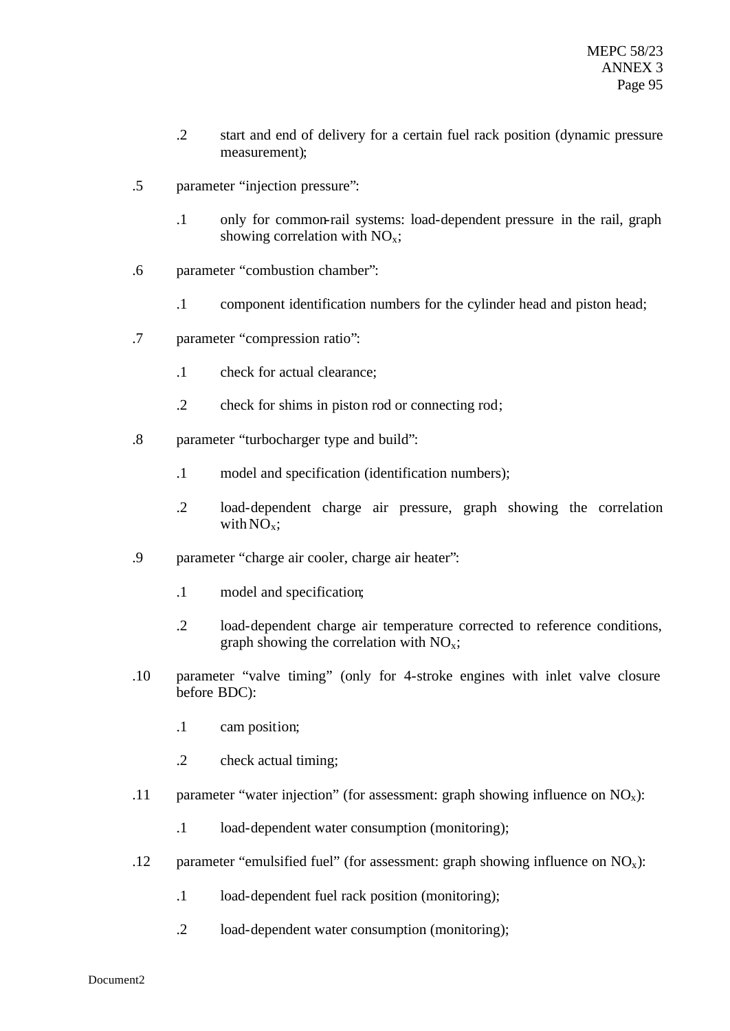- .2 start and end of delivery for a certain fuel rack position (dynamic pressure measurement);
- .5 parameter "injection pressure":
	- .1 only for common-rail systems: load-dependent pressure in the rail, graph showing correlation with  $NO<sub>x</sub>$ ;
- .6 parameter "combustion chamber":
	- .1 component identification numbers for the cylinder head and piston head;
- .7 parameter "compression ratio":
	- .1 check for actual clearance;
	- .2 check for shims in piston rod or connecting rod;
- .8 parameter "turbocharger type and build":
	- .1 model and specification (identification numbers);
	- .2 load-dependent charge air pressure, graph showing the correlation with  $NO<sub>x</sub>$ ;
- .9 parameter "charge air cooler, charge air heater":
	- .1 model and specification;
	- .2 load-dependent charge air temperature corrected to reference conditions, graph showing the correlation with  $NO<sub>x</sub>$ ;
- .10 parameter "valve timing" (only for 4-stroke engines with inlet valve closure before BDC):
	- .1 cam position;
	- .2 check actual timing;
- .11 parameter "water injection" (for assessment: graph showing influence on  $NO_x$ ):
	- .1 load-dependent water consumption (monitoring);
- .12 parameter "emulsified fuel" (for assessment: graph showing influence on  $NO_x$ ):
	- .1 load-dependent fuel rack position (monitoring);
	- .2 load-dependent water consumption (monitoring);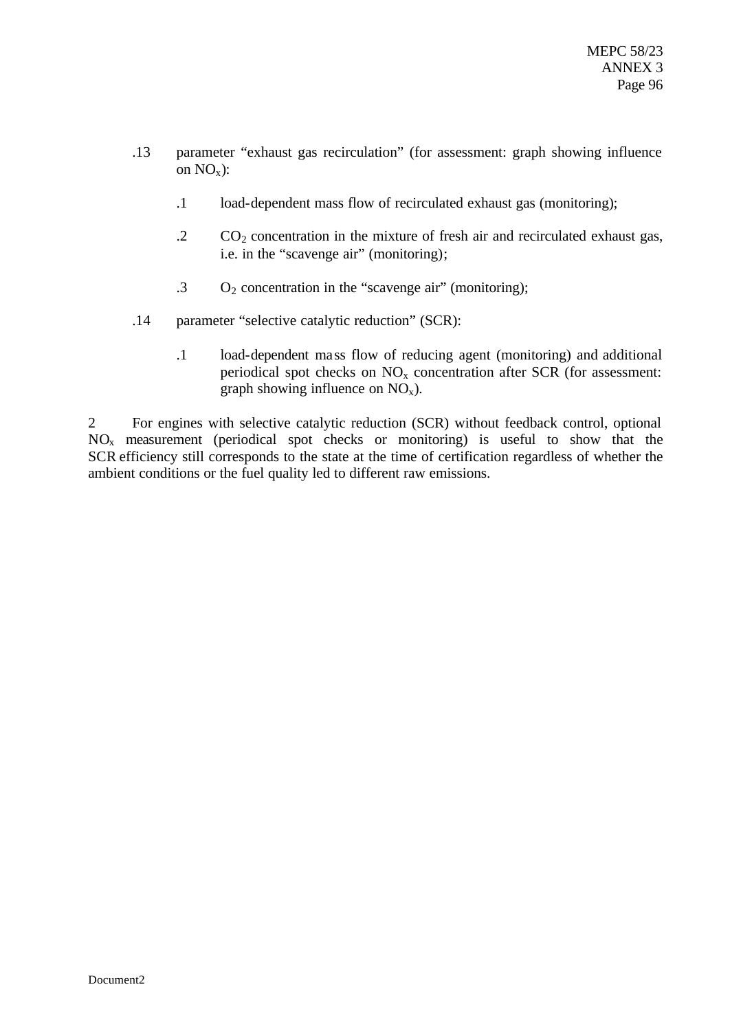- .13 parameter "exhaust gas recirculation" (for assessment: graph showing influence on  $NO_x$ ):
	- .1 load-dependent mass flow of recirculated exhaust gas (monitoring);
	- $\overline{C}$   $\overline{C}$   $\overline{C}$  concentration in the mixture of fresh air and recirculated exhaust gas, i.e. in the "scavenge air" (monitoring);
	- $\cdot$  3 O<sub>2</sub> concentration in the "scavenge air" (monitoring);
- .14 parameter "selective catalytic reduction" (SCR):
	- .1 load-dependent mass flow of reducing agent (monitoring) and additional periodical spot checks on  $NO<sub>x</sub>$  concentration after SCR (for assessment: graph showing influence on  $NO_x$ ).

2 For engines with selective catalytic reduction (SCR) without feedback control, optional  $NO<sub>x</sub>$  measurement (periodical spot checks or monitoring) is useful to show that the SCR efficiency still corresponds to the state at the time of certification regardless of whether the ambient conditions or the fuel quality led to different raw emissions.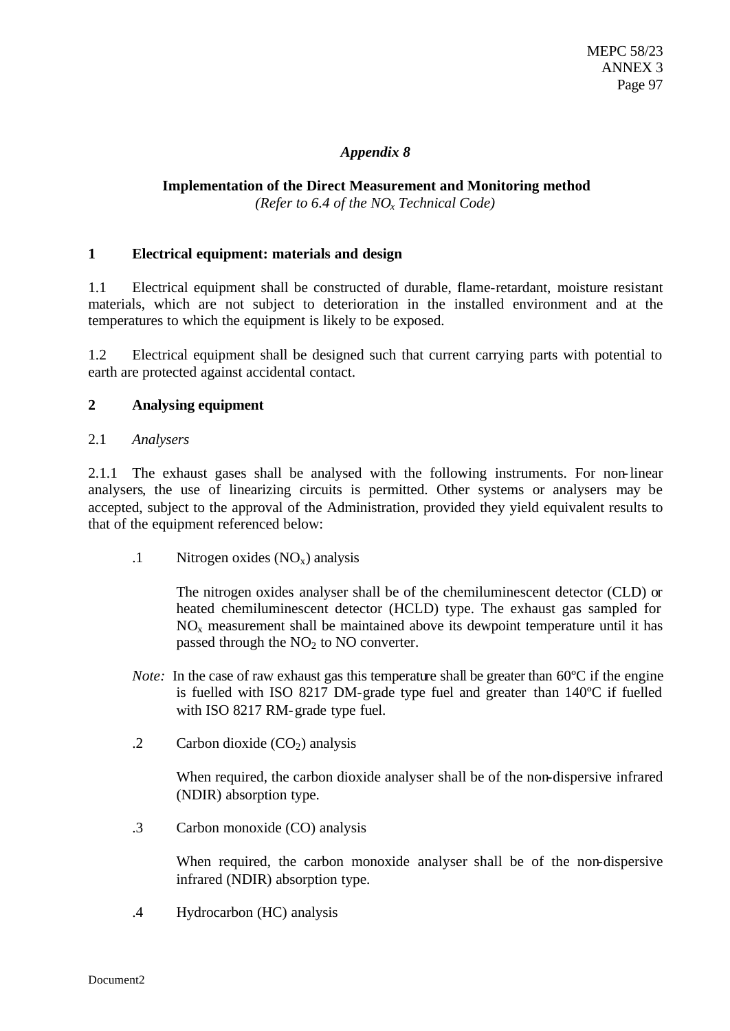### *Appendix 8*

### **Implementation of the Direct Measurement and Monitoring method** *(Refer to 6.4 of the NOx Technical Code)*

### **1 Electrical equipment: materials and design**

1.1 Electrical equipment shall be constructed of durable, flame-retardant, moisture resistant materials, which are not subject to deterioration in the installed environment and at the temperatures to which the equipment is likely to be exposed.

1.2 Electrical equipment shall be designed such that current carrying parts with potential to earth are protected against accidental contact.

### **2 Analysing equipment**

### 2.1 *Analysers*

2.1.1 The exhaust gases shall be analysed with the following instruments. For non-linear analysers, the use of linearizing circuits is permitted. Other systems or analysers may be accepted, subject to the approval of the Administration, provided they yield equivalent results to that of the equipment referenced below:

 $.1$  Nitrogen oxides (NO<sub>x</sub>) analysis

The nitrogen oxides analyser shall be of the chemiluminescent detector (CLD) or heated chemiluminescent detector (HCLD) type. The exhaust gas sampled for  $NO<sub>x</sub>$  measurement shall be maintained above its dewpoint temperature until it has passed through the  $NO<sub>2</sub>$  to  $NO$  converter.

- *Note:* In the case of raw exhaust gas this temperature shall be greater than 60 °C if the engine is fuelled with ISO 8217 DM-grade type fuel and greater than 140ºC if fuelled with ISO 8217 RM-grade type fuel.
- .2 Carbon dioxide  $(CO<sub>2</sub>)$  analysis

When required, the carbon dioxide analyser shall be of the non-dispersive infrared (NDIR) absorption type.

.3 Carbon monoxide (CO) analysis

When required, the carbon monoxide analyser shall be of the non-dispersive infrared (NDIR) absorption type.

.4 Hydrocarbon (HC) analysis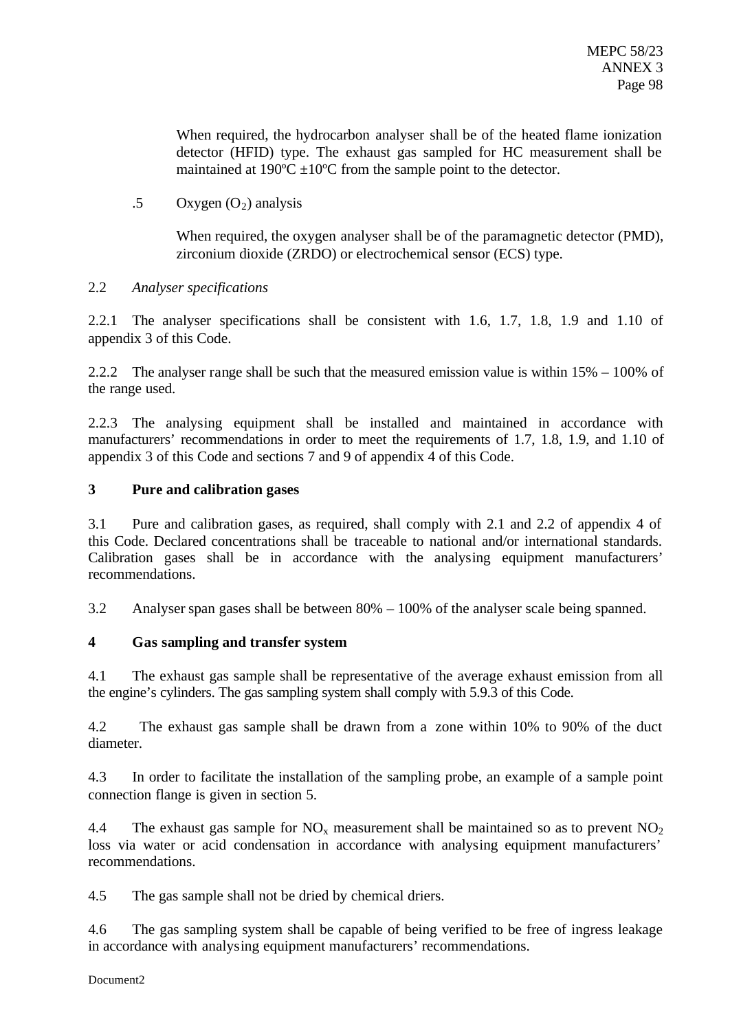When required, the hydrocarbon analyser shall be of the heated flame ionization detector (HFID) type. The exhaust gas sampled for HC measurement shall be maintained at 190 $^{\circ}$ C  $\pm$ 10 $^{\circ}$ C from the sample point to the detector.

.5 Oxygen  $(O_2)$  analysis

When required, the oxygen analyser shall be of the paramagnetic detector (PMD), zirconium dioxide (ZRDO) or electrochemical sensor (ECS) type.

### 2.2 *Analyser specifications*

2.2.1 The analyser specifications shall be consistent with 1.6, 1.7, 1.8, 1.9 and 1.10 of appendix 3 of this Code.

2.2.2 The analyser range shall be such that the measured emission value is within  $15\% - 100\%$  of the range used.

2.2.3 The analysing equipment shall be installed and maintained in accordance with manufacturers' recommendations in order to meet the requirements of 1.7, 1.8, 1.9, and 1.10 of appendix 3 of this Code and sections 7 and 9 of appendix 4 of this Code.

### **3 Pure and calibration gases**

3.1 Pure and calibration gases, as required, shall comply with 2.1 and 2.2 of appendix 4 of this Code. Declared concentrations shall be traceable to national and/or international standards. Calibration gases shall be in accordance with the analysing equipment manufacturers' recommendations.

3.2 Analyser span gases shall be between 80% – 100% of the analyser scale being spanned.

### **4 Gas sampling and transfer system**

4.1 The exhaust gas sample shall be representative of the average exhaust emission from all the engine's cylinders. The gas sampling system shall comply with 5.9.3 of this Code.

4.2 The exhaust gas sample shall be drawn from a zone within 10% to 90% of the duct diameter.

4.3 In order to facilitate the installation of the sampling probe, an example of a sample point connection flange is given in section 5.

4.4 The exhaust gas sample for  $NO_x$  measurement shall be maintained so as to prevent  $NO_2$ loss via water or acid condensation in accordance with analysing equipment manufacturers' recommendations.

4.5 The gas sample shall not be dried by chemical driers.

4.6 The gas sampling system shall be capable of being verified to be free of ingress leakage in accordance with analysing equipment manufacturers' recommendations.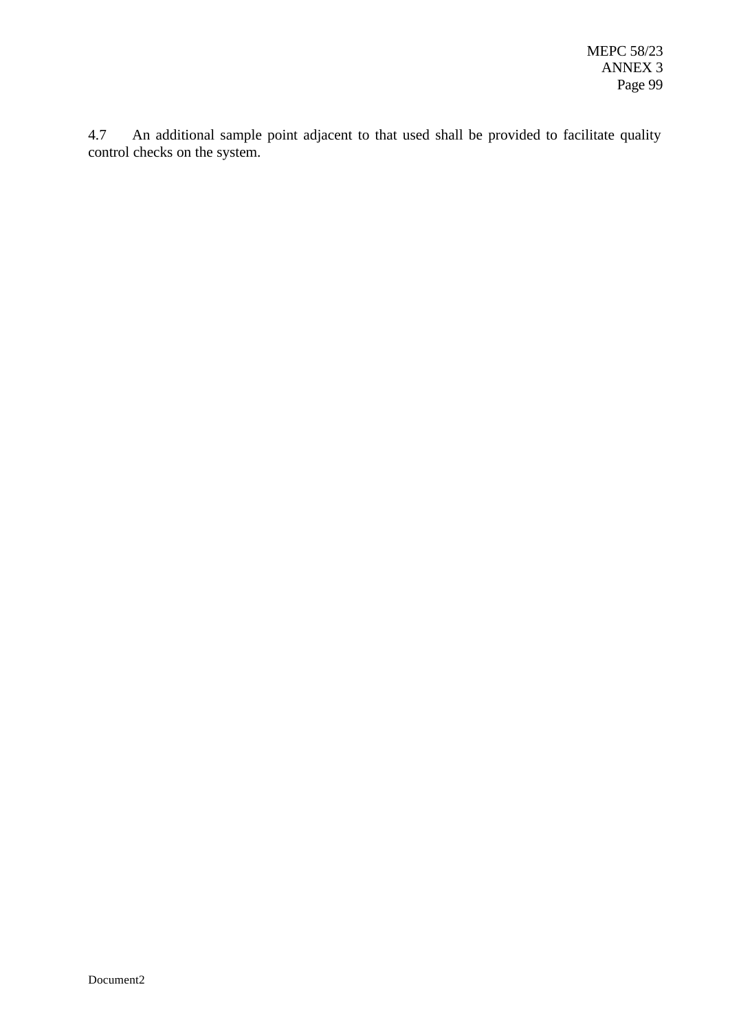4.7 An additional sample point adjacent to that used shall be provided to facilitate quality control checks on the system.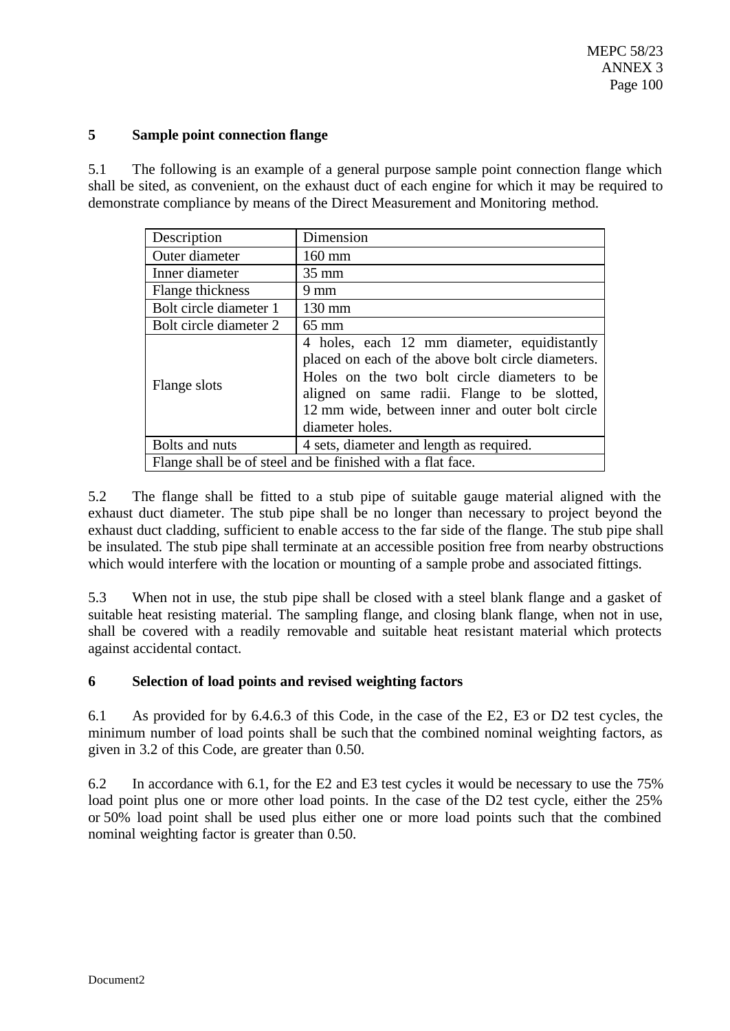### **5 Sample point connection flange**

5.1 The following is an example of a general purpose sample point connection flange which shall be sited, as convenient, on the exhaust duct of each engine for which it may be required to demonstrate compliance by means of the Direct Measurement and Monitoring method.

| Description            | Dimension                                                                                                                                                                                                                                                               |
|------------------------|-------------------------------------------------------------------------------------------------------------------------------------------------------------------------------------------------------------------------------------------------------------------------|
| Outer diameter         | $160$ mm                                                                                                                                                                                                                                                                |
| Inner diameter         | $35 \text{ mm}$                                                                                                                                                                                                                                                         |
| Flange thickness       | $9 \text{ mm}$                                                                                                                                                                                                                                                          |
| Bolt circle diameter 1 | $130 \text{ mm}$                                                                                                                                                                                                                                                        |
| Bolt circle diameter 2 | $65 \text{ mm}$                                                                                                                                                                                                                                                         |
| Flange slots           | 4 holes, each 12 mm diameter, equidistantly<br>placed on each of the above bolt circle diameters.<br>Holes on the two bolt circle diameters to be<br>aligned on same radii. Flange to be slotted,<br>12 mm wide, between inner and outer bolt circle<br>diameter holes. |
| Bolts and nuts         | 4 sets, diameter and length as required.                                                                                                                                                                                                                                |
|                        | Flange shall be of steel and be finished with a flat face.                                                                                                                                                                                                              |

5.2 The flange shall be fitted to a stub pipe of suitable gauge material aligned with the exhaust duct diameter. The stub pipe shall be no longer than necessary to project beyond the exhaust duct cladding, sufficient to enable access to the far side of the flange. The stub pipe shall be insulated. The stub pipe shall terminate at an accessible position free from nearby obstructions which would interfere with the location or mounting of a sample probe and associated fittings.

5.3 When not in use, the stub pipe shall be closed with a steel blank flange and a gasket of suitable heat resisting material. The sampling flange, and closing blank flange, when not in use, shall be covered with a readily removable and suitable heat resistant material which protects against accidental contact.

### **6 Selection of load points and revised weighting factors**

6.1 As provided for by 6.4.6.3 of this Code, in the case of the E2, E3 or D2 test cycles, the minimum number of load points shall be such that the combined nominal weighting factors, as given in 3.2 of this Code, are greater than 0.50.

6.2 In accordance with 6.1, for the E2 and E3 test cycles it would be necessary to use the 75% load point plus one or more other load points. In the case of the D2 test cycle, either the 25% or 50% load point shall be used plus either one or more load points such that the combined nominal weighting factor is greater than 0.50.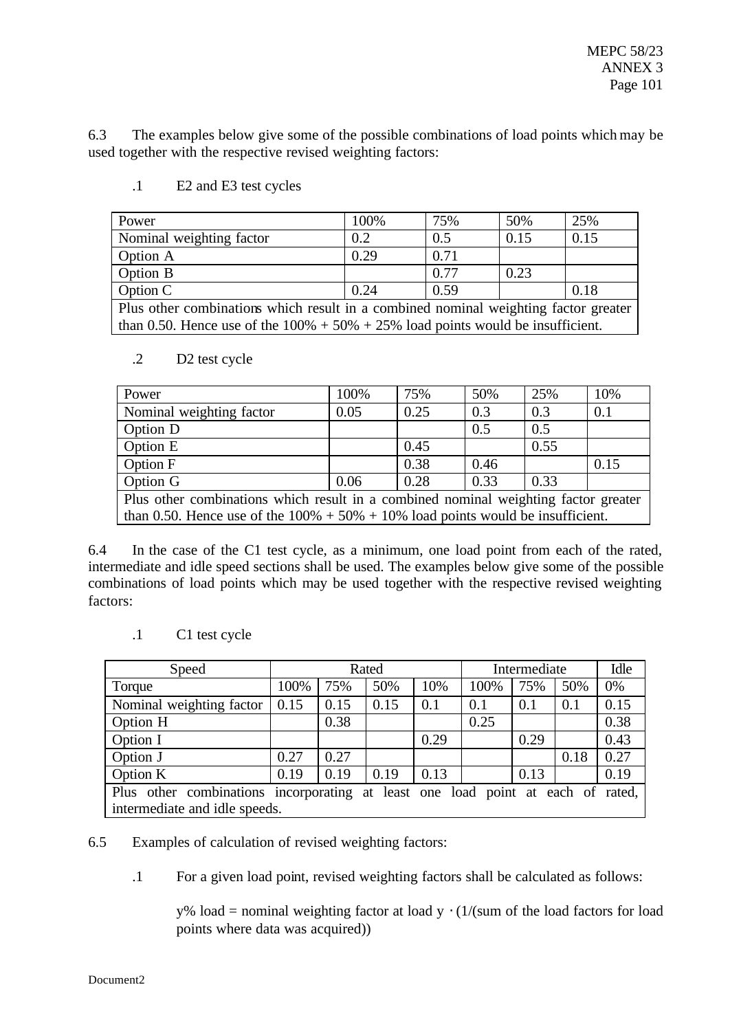6.3 The examples below give some of the possible combinations of load points which may be used together with the respective revised weighting factors:

| Power                                                                                | 100% | 75%  | 50%  | 25%  |  |  |  |
|--------------------------------------------------------------------------------------|------|------|------|------|--|--|--|
| Nominal weighting factor                                                             | 0.2  | 0.5  | 0.15 | 0.15 |  |  |  |
| Option A                                                                             | 0.29 | 0.71 |      |      |  |  |  |
| Option B                                                                             |      | 0.77 | 0.23 |      |  |  |  |
| Option C                                                                             | 0.24 | 0.59 |      | 0.18 |  |  |  |
| Plus other combinations which result in a combined nominal weighting factor greater  |      |      |      |      |  |  |  |
| than 0.50. Hence use of the $100\% + 50\% + 25\%$ load points would be insufficient. |      |      |      |      |  |  |  |

.1 E2 and E3 test cycles

### .2 D2 test cycle

| Power                                                                                | 100% | 75%  | 50%  | 25%  | 10%  |  |  |
|--------------------------------------------------------------------------------------|------|------|------|------|------|--|--|
| Nominal weighting factor                                                             | 0.05 | 0.25 | 0.3  | 0.3  | 0.1  |  |  |
| Option D                                                                             |      |      | 0.5  | 0.5  |      |  |  |
| Option E                                                                             |      | 0.45 |      | 0.55 |      |  |  |
| Option F                                                                             |      | 0.38 | 0.46 |      | 0.15 |  |  |
| Option G                                                                             | 0.06 | 0.28 | 0.33 | 0.33 |      |  |  |
| Plus other combinations which result in a combined nominal weighting factor greater  |      |      |      |      |      |  |  |
| than 0.50. Hence use of the $100\% + 50\% + 10\%$ load points would be insufficient. |      |      |      |      |      |  |  |

6.4 In the case of the C1 test cycle, as a minimum, one load point from each of the rated, intermediate and idle speed sections shall be used. The examples below give some of the possible combinations of load points which may be used together with the respective revised weighting factors:

.1 C1 test cycle

| Speed                                                                           | Rated |      |      |      | Intermediate | Idle |      |      |
|---------------------------------------------------------------------------------|-------|------|------|------|--------------|------|------|------|
| Torque                                                                          | 100%  | 75%  | 50%  | 10%  | 100%         | 75%  | 50%  | 0%   |
| Nominal weighting factor                                                        | 0.15  | 0.15 | 0.15 | 0.1  | 0.1          | 0.1  | 0.1  | 0.15 |
| Option H                                                                        |       | 0.38 |      |      | 0.25         |      |      | 0.38 |
| Option I                                                                        |       |      |      | 0.29 |              | 0.29 |      | 0.43 |
| Option J                                                                        | 0.27  | 0.27 |      |      |              |      | 0.18 | 0.27 |
| Option K                                                                        | 0.19  | 0.19 | 0.19 | 0.13 |              | 0.13 |      | 0.19 |
| Plus other combinations incorporating at least one load point at each of rated, |       |      |      |      |              |      |      |      |
| intermediate and idle speeds.                                                   |       |      |      |      |              |      |      |      |

6.5 Examples of calculation of revised weighting factors:

.1 For a given load point, revised weighting factors shall be calculated as follows:

y% load = nominal weighting factor at load  $y \cdot (1/(sum \ of \ the \ load \ factor \ for \ load)$ points where data was acquired))